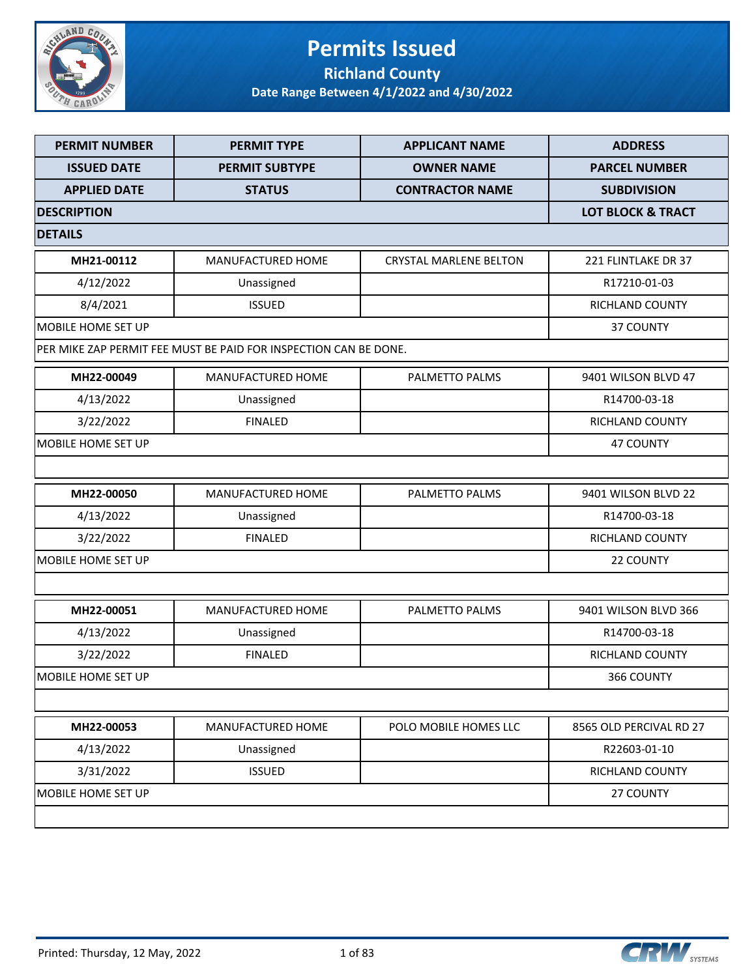

#### **Permits Issued Richland County**

| <b>PERMIT NUMBER</b>      | <b>PERMIT TYPE</b>                                               | <b>APPLICANT NAME</b>         | <b>ADDRESS</b>          |
|---------------------------|------------------------------------------------------------------|-------------------------------|-------------------------|
| <b>ISSUED DATE</b>        | <b>PERMIT SUBTYPE</b>                                            | <b>OWNER NAME</b>             | <b>PARCEL NUMBER</b>    |
| <b>APPLIED DATE</b>       | <b>STATUS</b>                                                    | <b>CONTRACTOR NAME</b>        | <b>SUBDIVISION</b>      |
| <b>DESCRIPTION</b>        | <b>LOT BLOCK &amp; TRACT</b>                                     |                               |                         |
| <b>DETAILS</b>            |                                                                  |                               |                         |
| MH21-00112                | <b>MANUFACTURED HOME</b>                                         | <b>CRYSTAL MARLENE BELTON</b> | 221 FLINTLAKE DR 37     |
| 4/12/2022                 | Unassigned                                                       |                               | R17210-01-03            |
| 8/4/2021                  | <b>ISSUED</b>                                                    |                               | <b>RICHLAND COUNTY</b>  |
| <b>MOBILE HOME SET UP</b> |                                                                  |                               | 37 COUNTY               |
|                           | PER MIKE ZAP PERMIT FEE MUST BE PAID FOR INSPECTION CAN BE DONE. |                               |                         |
| MH22-00049                | MANUFACTURED HOME                                                | PALMETTO PALMS                | 9401 WILSON BLVD 47     |
| 4/13/2022                 | Unassigned                                                       |                               | R14700-03-18            |
| 3/22/2022                 | <b>FINALED</b>                                                   |                               | RICHLAND COUNTY         |
| MOBILE HOME SET UP        |                                                                  |                               | <b>47 COUNTY</b>        |
|                           |                                                                  |                               |                         |
| MH22-00050                | <b>MANUFACTURED HOME</b>                                         | PALMETTO PALMS                | 9401 WILSON BLVD 22     |
| 4/13/2022                 | Unassigned                                                       |                               | R14700-03-18            |
| 3/22/2022                 | <b>FINALED</b>                                                   |                               | RICHLAND COUNTY         |
| <b>MOBILE HOME SET UP</b> |                                                                  |                               | 22 COUNTY               |
|                           |                                                                  |                               |                         |
| MH22-00051                | <b>MANUFACTURED HOME</b>                                         | PALMETTO PALMS                | 9401 WILSON BLVD 366    |
| 4/13/2022                 | Unassigned                                                       |                               | R14700-03-18            |
| 3/22/2022                 | <b>FINALED</b>                                                   |                               | <b>RICHLAND COUNTY</b>  |
| MOBILE HOME SET UP        |                                                                  |                               | 366 COUNTY              |
|                           |                                                                  |                               |                         |
| MH22-00053                | MANUFACTURED HOME                                                | POLO MOBILE HOMES LLC         | 8565 OLD PERCIVAL RD 27 |
| 4/13/2022                 | Unassigned                                                       |                               | R22603-01-10            |
| 3/31/2022                 | <b>ISSUED</b>                                                    |                               | RICHLAND COUNTY         |
| MOBILE HOME SET UP        |                                                                  |                               | 27 COUNTY               |
|                           |                                                                  |                               |                         |

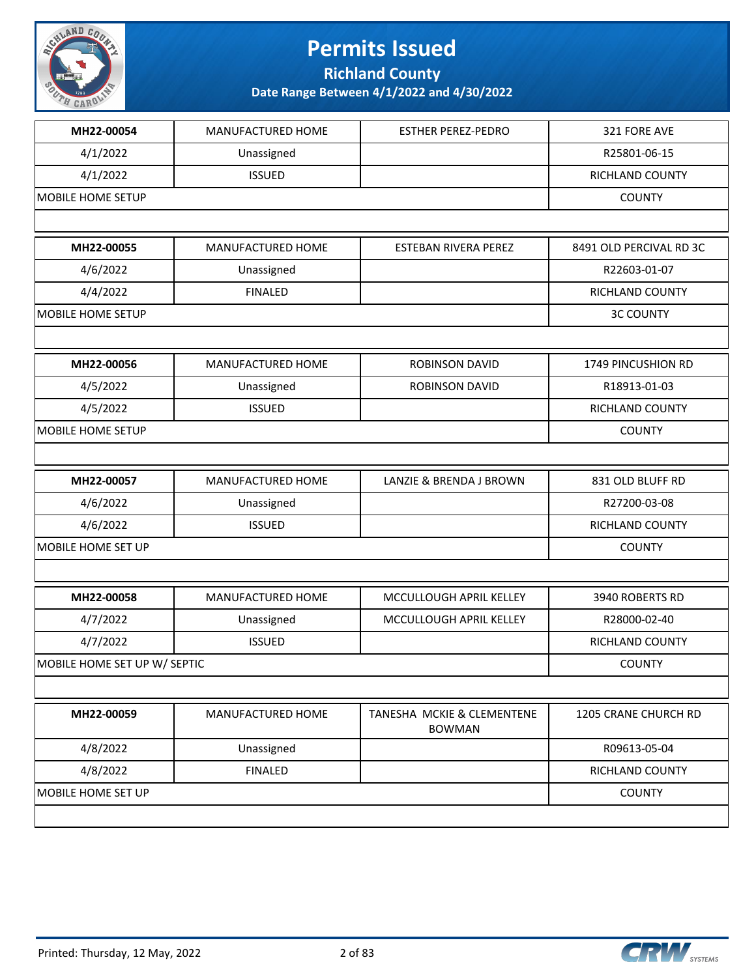

**Richland County**

| MH22-00054                   | MANUFACTURED HOME | <b>ESTHER PEREZ-PEDRO</b>                   | 321 FORE AVE            |
|------------------------------|-------------------|---------------------------------------------|-------------------------|
| 4/1/2022                     | Unassigned        |                                             | R25801-06-15            |
| 4/1/2022                     | <b>ISSUED</b>     |                                             | <b>RICHLAND COUNTY</b>  |
| <b>MOBILE HOME SETUP</b>     | <b>COUNTY</b>     |                                             |                         |
|                              |                   |                                             |                         |
| MH22-00055                   | MANUFACTURED HOME | ESTEBAN RIVERA PEREZ                        | 8491 OLD PERCIVAL RD 3C |
| 4/6/2022                     | Unassigned        |                                             | R22603-01-07            |
| 4/4/2022                     | <b>FINALED</b>    |                                             | RICHLAND COUNTY         |
| MOBILE HOME SETUP            |                   |                                             | <b>3C COUNTY</b>        |
|                              |                   |                                             |                         |
| MH22-00056                   | MANUFACTURED HOME | <b>ROBINSON DAVID</b>                       | 1749 PINCUSHION RD      |
| 4/5/2022                     | Unassigned        | <b>ROBINSON DAVID</b>                       | R18913-01-03            |
| 4/5/2022                     | <b>ISSUED</b>     |                                             | RICHLAND COUNTY         |
| MOBILE HOME SETUP            |                   |                                             | <b>COUNTY</b>           |
|                              |                   |                                             |                         |
| MH22-00057                   | MANUFACTURED HOME | LANZIE & BRENDA J BROWN                     | 831 OLD BLUFF RD        |
| 4/6/2022                     | Unassigned        |                                             | R27200-03-08            |
| 4/6/2022                     | <b>ISSUED</b>     |                                             | RICHLAND COUNTY         |
| MOBILE HOME SET UP           |                   |                                             | <b>COUNTY</b>           |
|                              |                   |                                             |                         |
| MH22-00058                   | MANUFACTURED HOME | MCCULLOUGH APRIL KELLEY                     | 3940 ROBERTS RD         |
| 4/7/2022                     | Unassigned        | MCCULLOUGH APRIL KELLEY                     | R28000-02-40            |
| 4/7/2022                     | <b>ISSUED</b>     |                                             | RICHLAND COUNTY         |
| MOBILE HOME SET UP W/ SEPTIC |                   |                                             | <b>COUNTY</b>           |
|                              |                   |                                             |                         |
| MH22-00059                   | MANUFACTURED HOME | TANESHA MCKIE & CLEMENTENE<br><b>BOWMAN</b> | 1205 CRANE CHURCH RD    |
| 4/8/2022                     | Unassigned        |                                             | R09613-05-04            |
| 4/8/2022                     | <b>FINALED</b>    |                                             | RICHLAND COUNTY         |
| MOBILE HOME SET UP           |                   |                                             | <b>COUNTY</b>           |
|                              |                   |                                             |                         |

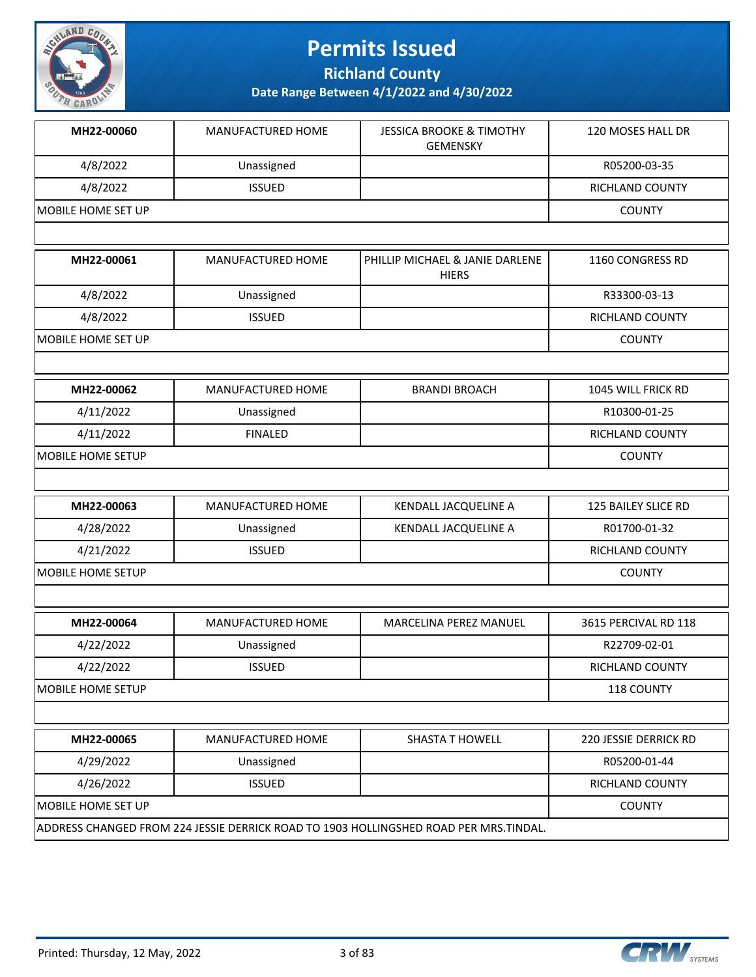

**Richland County**

| MH22-00060               | MANUFACTURED HOME        | <b>JESSICA BROOKE &amp; TIMOTHY</b><br><b>GEMENSKY</b>                                | 120 MOSES HALL DR      |
|--------------------------|--------------------------|---------------------------------------------------------------------------------------|------------------------|
| 4/8/2022                 | Unassigned               |                                                                                       | R05200-03-35           |
| 4/8/2022                 | <b>ISSUED</b>            |                                                                                       | RICHLAND COUNTY        |
| MOBILE HOME SET UP       | <b>COUNTY</b>            |                                                                                       |                        |
|                          |                          |                                                                                       |                        |
| MH22-00061               | MANUFACTURED HOME        | PHILLIP MICHAEL & JANIE DARLENE<br><b>HIERS</b>                                       | 1160 CONGRESS RD       |
| 4/8/2022                 | Unassigned               |                                                                                       | R33300-03-13           |
| 4/8/2022                 | <b>ISSUED</b>            |                                                                                       | RICHLAND COUNTY        |
| MOBILE HOME SET UP       |                          |                                                                                       | <b>COUNTY</b>          |
|                          |                          |                                                                                       |                        |
| MH22-00062               | <b>MANUFACTURED HOME</b> | <b>BRANDI BROACH</b>                                                                  | 1045 WILL FRICK RD     |
| 4/11/2022                | Unassigned               |                                                                                       | R10300-01-25           |
| 4/11/2022                | <b>FINALED</b>           |                                                                                       | RICHLAND COUNTY        |
| MOBILE HOME SETUP        |                          |                                                                                       | <b>COUNTY</b>          |
|                          |                          |                                                                                       |                        |
| MH22-00063               | MANUFACTURED HOME        | KENDALL JACQUELINE A                                                                  | 125 BAILEY SLICE RD    |
| 4/28/2022                | Unassigned               | KENDALL JACQUELINE A                                                                  | R01700-01-32           |
| 4/21/2022                | <b>ISSUED</b>            |                                                                                       | RICHLAND COUNTY        |
| MOBILE HOME SETUP        |                          |                                                                                       | <b>COUNTY</b>          |
|                          |                          |                                                                                       |                        |
| MH22-00064               | MANUFACTURED HOME        | MARCELINA PEREZ MANUEL                                                                | 3615 PERCIVAL RD 118   |
| 4/22/2022                | Unassigned               |                                                                                       | R22709-02-01           |
| 4/22/2022                | <b>ISSUED</b>            |                                                                                       | <b>RICHLAND COUNTY</b> |
| <b>MOBILE HOME SETUP</b> |                          |                                                                                       | 118 COUNTY             |
|                          |                          |                                                                                       |                        |
| MH22-00065               | MANUFACTURED HOME        | <b>SHASTA T HOWELL</b>                                                                | 220 JESSIE DERRICK RD  |
| 4/29/2022                | Unassigned               |                                                                                       | R05200-01-44           |
| 4/26/2022                | <b>ISSUED</b>            |                                                                                       | RICHLAND COUNTY        |
| MOBILE HOME SET UP       |                          |                                                                                       | <b>COUNTY</b>          |
|                          |                          | ADDRESS CHANGED FROM 224 JESSIE DERRICK ROAD TO 1903 HOLLINGSHED ROAD PER MRS.TINDAL. |                        |

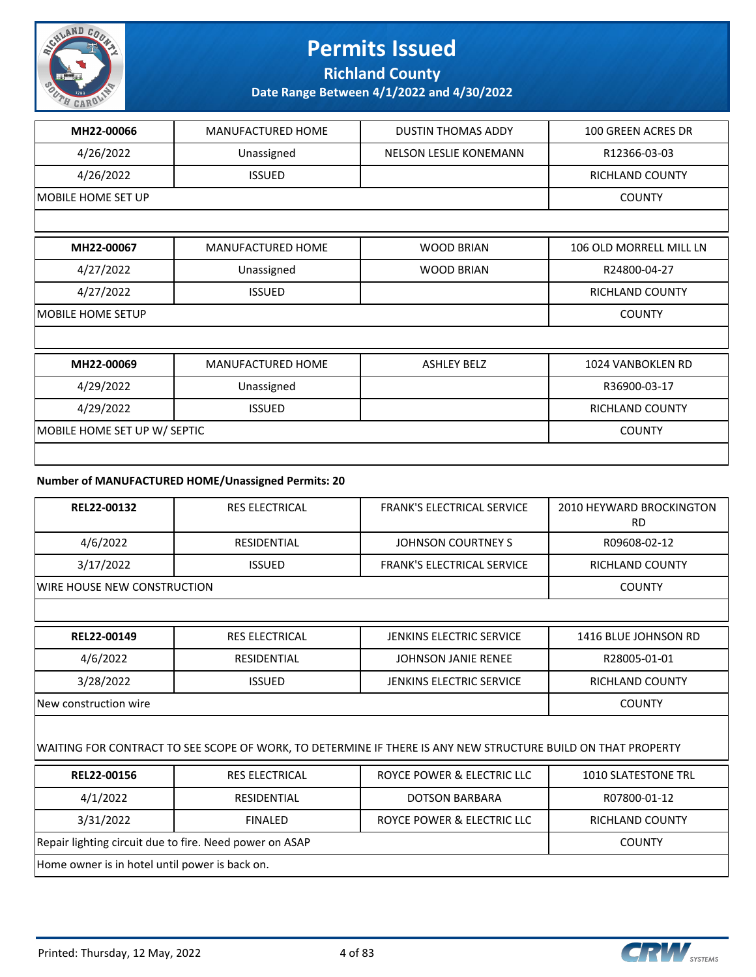

**Richland County**

**Date Range Between 4/1/2022 and 4/30/2022**

| MH22-00066                   | MANUFACTURED HOME        | <b>DUSTIN THOMAS ADDY</b>     | 100 GREEN ACRES DR      |
|------------------------------|--------------------------|-------------------------------|-------------------------|
| 4/26/2022                    | Unassigned               | <b>NELSON LESLIE KONEMANN</b> | R12366-03-03            |
| 4/26/2022                    | <b>ISSUED</b>            |                               | <b>RICHLAND COUNTY</b>  |
| <b>MOBILE HOME SET UP</b>    |                          |                               | <b>COUNTY</b>           |
|                              |                          |                               |                         |
| MH22-00067                   | <b>MANUFACTURED HOME</b> | <b>WOOD BRIAN</b>             | 106 OLD MORRELL MILL LN |
| 4/27/2022                    | Unassigned               | <b>WOOD BRIAN</b>             | R24800-04-27            |
| 4/27/2022                    | <b>ISSUED</b>            |                               | <b>RICHLAND COUNTY</b>  |
| <b>MOBILE HOME SETUP</b>     |                          |                               | <b>COUNTY</b>           |
|                              |                          |                               |                         |
| MH22-00069                   | <b>MANUFACTURED HOME</b> | <b>ASHLEY BELZ</b>            | 1024 VANBOKLEN RD       |
| 4/29/2022                    | Unassigned               |                               | R36900-03-17            |
| 4/29/2022                    | <b>ISSUED</b>            |                               | RICHLAND COUNTY         |
| MOBILE HOME SET UP W/ SEPTIC |                          |                               | <b>COUNTY</b>           |
|                              |                          |                               |                         |

#### **Number of MANUFACTURED HOME/Unassigned Permits: 20**

| REL22-00132                         | <b>RES ELECTRICAL</b> | <b>FRANK'S ELECTRICAL SERVICE</b> | 2010 HEYWARD BROCKINGTON<br>RD |
|-------------------------------------|-----------------------|-----------------------------------|--------------------------------|
| 4/6/2022                            | RESIDENTIAL           | JOHNSON COURTNEY S                | R09608-02-12                   |
| 3/17/2022                           | <b>ISSUED</b>         | <b>FRANK'S ELECTRICAL SERVICE</b> | RICHLAND COUNTY                |
| <b>IWIRE HOUSE NEW CONSTRUCTION</b> |                       |                                   | <b>COUNTY</b>                  |
|                                     |                       |                                   |                                |

| REL22-00149                  | <b>RES ELECTRICAL</b> | JENKINS ELECTRIC SERVICE | 1416 BLUE JOHNSON RD |
|------------------------------|-----------------------|--------------------------|----------------------|
| 4/6/2022                     | RESIDENTIAL           | JOHNSON JANIE RENEE      | R28005-01-01         |
| 3/28/2022                    | <b>ISSUED</b>         | JENKINS ELECTRIC SERVICE | RICHLAND COUNTY      |
| <b>New construction wire</b> |                       |                          | <b>COUNTY</b>        |

#### WAITING FOR CONTRACT TO SEE SCOPE OF WORK, TO DETERMINE IF THERE IS ANY NEW STRUCTURE BUILD ON THAT PROPERTY

| REL22-00156                                             | RES ELECTRICAL | ROYCE POWER & ELECTRIC LLC | <b>1010 SLATESTONE TRL</b> |  |
|---------------------------------------------------------|----------------|----------------------------|----------------------------|--|
| 4/1/2022                                                | RESIDENTIAL    | <b>DOTSON BARBARA</b>      | R07800-01-12               |  |
| 3/31/2022                                               | <b>FINALED</b> | ROYCE POWER & ELECTRIC LLC | <b>RICHLAND COUNTY</b>     |  |
| Repair lighting circuit due to fire. Need power on ASAP |                |                            | <b>COUNTY</b>              |  |
| Home owner is in hotel until power is back on.          |                |                            |                            |  |

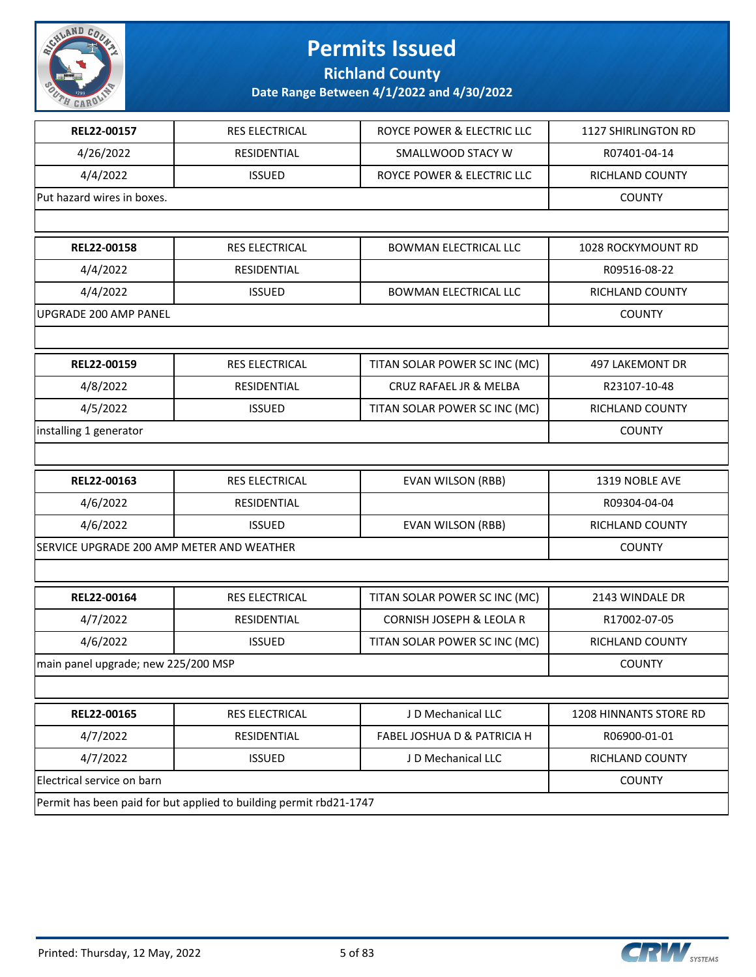

**Richland County**

| REL22-00157                               | RES ELECTRICAL                                                     | ROYCE POWER & ELECTRIC LLC    | 1127 SHIRLINGTON RD    |
|-------------------------------------------|--------------------------------------------------------------------|-------------------------------|------------------------|
| 4/26/2022                                 | RESIDENTIAL                                                        | SMALLWOOD STACY W             | R07401-04-14           |
| 4/4/2022                                  | <b>ISSUED</b>                                                      | ROYCE POWER & ELECTRIC LLC    | RICHLAND COUNTY        |
| Put hazard wires in boxes.                |                                                                    |                               | <b>COUNTY</b>          |
|                                           |                                                                    |                               |                        |
| REL22-00158                               | RES ELECTRICAL                                                     | <b>BOWMAN ELECTRICAL LLC</b>  | 1028 ROCKYMOUNT RD     |
| 4/4/2022                                  | RESIDENTIAL                                                        |                               | R09516-08-22           |
| 4/4/2022                                  | <b>ISSUED</b>                                                      | <b>BOWMAN ELECTRICAL LLC</b>  | RICHLAND COUNTY        |
| UPGRADE 200 AMP PANEL                     |                                                                    |                               | <b>COUNTY</b>          |
|                                           |                                                                    |                               |                        |
| REL22-00159                               | RES ELECTRICAL                                                     | TITAN SOLAR POWER SC INC (MC) | 497 LAKEMONT DR        |
| 4/8/2022                                  | RESIDENTIAL                                                        | CRUZ RAFAEL JR & MELBA        | R23107-10-48           |
| 4/5/2022                                  | <b>ISSUED</b>                                                      | TITAN SOLAR POWER SC INC (MC) | RICHLAND COUNTY        |
| installing 1 generator                    |                                                                    |                               | <b>COUNTY</b>          |
|                                           |                                                                    |                               |                        |
| REL22-00163                               | RES ELECTRICAL                                                     | <b>EVAN WILSON (RBB)</b>      | 1319 NOBLE AVE         |
| 4/6/2022                                  | RESIDENTIAL                                                        |                               | R09304-04-04           |
| 4/6/2022                                  | <b>ISSUED</b>                                                      | <b>EVAN WILSON (RBB)</b>      | RICHLAND COUNTY        |
| SERVICE UPGRADE 200 AMP METER AND WEATHER |                                                                    |                               | <b>COUNTY</b>          |
|                                           |                                                                    |                               |                        |
| REL22-00164                               | RES ELECTRICAL                                                     | TITAN SOLAR POWER SC INC (MC) | 2143 WINDALE DR        |
| 4/7/2022                                  | RESIDENTIAL                                                        | CORNISH JOSEPH & LEOLA R      | R17002-07-05           |
| 4/6/2022                                  | <b>ISSUED</b>                                                      | TITAN SOLAR POWER SC INC (MC) | RICHLAND COUNTY        |
| main panel upgrade; new 225/200 MSP       |                                                                    |                               | <b>COUNTY</b>          |
|                                           |                                                                    |                               |                        |
| REL22-00165                               | RES ELECTRICAL                                                     | J D Mechanical LLC            | 1208 HINNANTS STORE RD |
| 4/7/2022                                  | RESIDENTIAL                                                        | FABEL JOSHUA D & PATRICIA H   | R06900-01-01           |
| 4/7/2022                                  | <b>ISSUED</b>                                                      | J D Mechanical LLC            | RICHLAND COUNTY        |
| Electrical service on barn                |                                                                    |                               | <b>COUNTY</b>          |
|                                           | Permit has been paid for but applied to building permit rbd21-1747 |                               |                        |

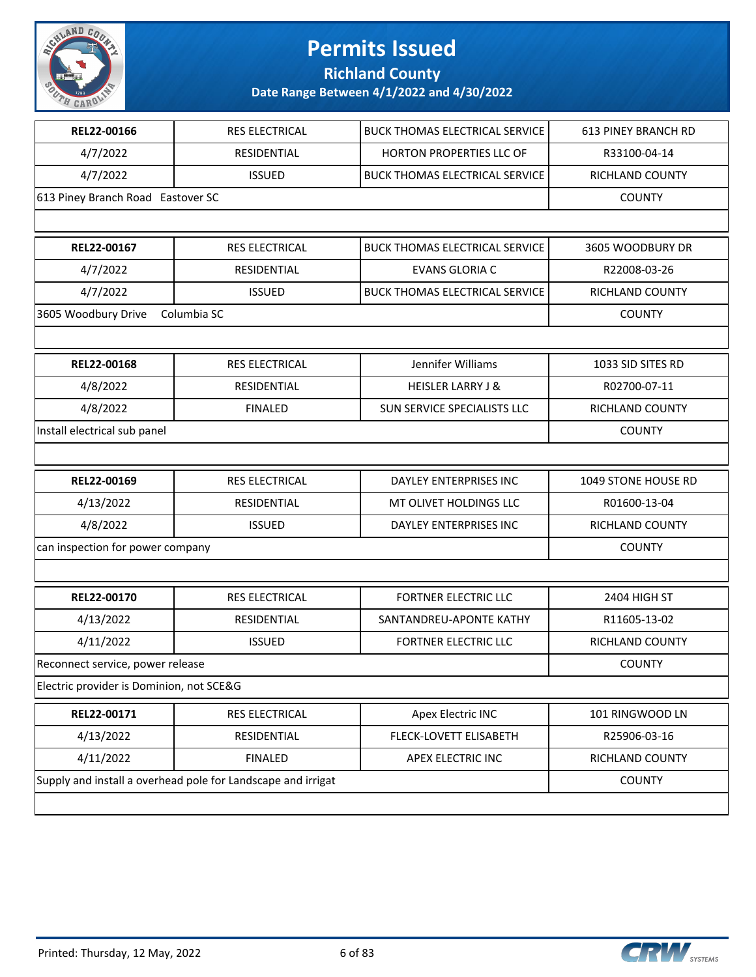

**Richland County**

| REL22-00166                              | RES ELECTRICAL                                               | <b>BUCK THOMAS ELECTRICAL SERVICE</b> | <b>613 PINEY BRANCH RD</b> |
|------------------------------------------|--------------------------------------------------------------|---------------------------------------|----------------------------|
| 4/7/2022                                 | RESIDENTIAL                                                  | HORTON PROPERTIES LLC OF              | R33100-04-14               |
| 4/7/2022                                 | <b>ISSUED</b>                                                | <b>BUCK THOMAS ELECTRICAL SERVICE</b> | RICHLAND COUNTY            |
| 613 Piney Branch Road Eastover SC        |                                                              |                                       | <b>COUNTY</b>              |
|                                          |                                                              |                                       |                            |
| REL22-00167                              | <b>RES ELECTRICAL</b>                                        | <b>BUCK THOMAS ELECTRICAL SERVICE</b> | 3605 WOODBURY DR           |
| 4/7/2022                                 | RESIDENTIAL                                                  | <b>EVANS GLORIA C</b>                 | R22008-03-26               |
| 4/7/2022                                 | <b>ISSUED</b>                                                | <b>BUCK THOMAS ELECTRICAL SERVICE</b> | RICHLAND COUNTY            |
| 3605 Woodbury Drive                      | Columbia SC                                                  |                                       | <b>COUNTY</b>              |
|                                          |                                                              |                                       |                            |
| REL22-00168                              | RES ELECTRICAL                                               | Jennifer Williams                     | 1033 SID SITES RD          |
| 4/8/2022                                 | <b>RESIDENTIAL</b>                                           | <b>HEISLER LARRY J &amp;</b>          | R02700-07-11               |
| 4/8/2022                                 | <b>FINALED</b>                                               | SUN SERVICE SPECIALISTS LLC           | RICHLAND COUNTY            |
| Install electrical sub panel             |                                                              |                                       | <b>COUNTY</b>              |
|                                          |                                                              |                                       |                            |
|                                          |                                                              |                                       |                            |
| REL22-00169                              | RES ELECTRICAL                                               | DAYLEY ENTERPRISES INC                | 1049 STONE HOUSE RD        |
| 4/13/2022                                | RESIDENTIAL                                                  | MT OLIVET HOLDINGS LLC                | R01600-13-04               |
| 4/8/2022                                 | <b>ISSUED</b>                                                | DAYLEY ENTERPRISES INC                | RICHLAND COUNTY            |
| can inspection for power company         |                                                              |                                       | <b>COUNTY</b>              |
|                                          |                                                              |                                       |                            |
| REL22-00170                              | RES ELECTRICAL                                               | <b>FORTNER ELECTRIC LLC</b>           | 2404 HIGH ST               |
| 4/13/2022                                | RESIDENTIAL                                                  | SANTANDREU-APONTE KATHY               | R11605-13-02               |
| 4/11/2022                                | <b>ISSUED</b>                                                | <b>FORTNER ELECTRIC LLC</b>           | <b>RICHLAND COUNTY</b>     |
| Reconnect service, power release         |                                                              |                                       | <b>COUNTY</b>              |
| Electric provider is Dominion, not SCE&G |                                                              |                                       |                            |
| REL22-00171                              | RES ELECTRICAL                                               | Apex Electric INC                     | 101 RINGWOOD LN            |
| 4/13/2022                                | RESIDENTIAL                                                  | FLECK-LOVETT ELISABETH                | R25906-03-16               |
| 4/11/2022                                | <b>FINALED</b>                                               | APEX ELECTRIC INC                     | RICHLAND COUNTY            |
|                                          | Supply and install a overhead pole for Landscape and irrigat |                                       | <b>COUNTY</b>              |

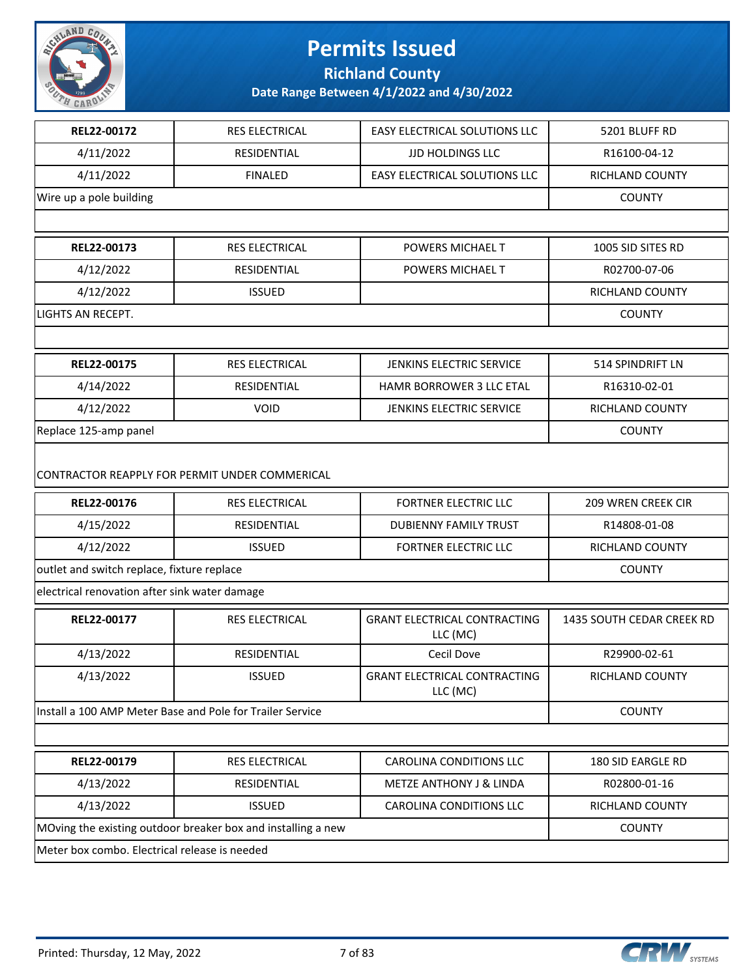

**Richland County**

| REL22-00172                                   | RES ELECTRICAL                                               | EASY ELECTRICAL SOLUTIONS LLC                   | 5201 BLUFF RD             |
|-----------------------------------------------|--------------------------------------------------------------|-------------------------------------------------|---------------------------|
| 4/11/2022                                     | RESIDENTIAL                                                  | <b>JJD HOLDINGS LLC</b>                         | R16100-04-12              |
| 4/11/2022                                     | <b>FINALED</b>                                               | EASY ELECTRICAL SOLUTIONS LLC                   | RICHLAND COUNTY           |
| Wire up a pole building                       | <b>COUNTY</b>                                                |                                                 |                           |
|                                               |                                                              |                                                 |                           |
| REL22-00173                                   | RES ELECTRICAL                                               | POWERS MICHAEL T                                | 1005 SID SITES RD         |
| 4/12/2022                                     | <b>RESIDENTIAL</b>                                           | POWERS MICHAEL T                                | R02700-07-06              |
| 4/12/2022                                     | <b>ISSUED</b>                                                |                                                 | <b>RICHLAND COUNTY</b>    |
| LIGHTS AN RECEPT.                             |                                                              |                                                 | <b>COUNTY</b>             |
|                                               |                                                              |                                                 |                           |
| REL22-00175                                   | RES ELECTRICAL                                               | JENKINS ELECTRIC SERVICE                        | 514 SPINDRIFT LN          |
| 4/14/2022                                     | RESIDENTIAL                                                  | <b>HAMR BORROWER 3 LLC ETAL</b>                 | R16310-02-01              |
| 4/12/2022                                     | <b>VOID</b>                                                  | JENKINS ELECTRIC SERVICE                        | RICHLAND COUNTY           |
| Replace 125-amp panel                         |                                                              |                                                 | <b>COUNTY</b>             |
|                                               | CONTRACTOR REAPPLY FOR PERMIT UNDER COMMERICAL               |                                                 |                           |
|                                               |                                                              |                                                 |                           |
| REL22-00176                                   | <b>RES ELECTRICAL</b>                                        | <b>FORTNER ELECTRIC LLC</b>                     | 209 WREN CREEK CIR        |
| 4/15/2022                                     | RESIDENTIAL                                                  | <b>DUBIENNY FAMILY TRUST</b>                    | R14808-01-08              |
| 4/12/2022                                     | <b>ISSUED</b>                                                | <b>FORTNER ELECTRIC LLC</b>                     | RICHLAND COUNTY           |
| outlet and switch replace, fixture replace    |                                                              |                                                 | <b>COUNTY</b>             |
| electrical renovation after sink water damage |                                                              |                                                 |                           |
| REL22-00177                                   | <b>RES ELECTRICAL</b>                                        | <b>GRANT ELECTRICAL CONTRACTING</b><br>LLC (MC) | 1435 SOUTH CEDAR CREEK RD |
| 4/13/2022                                     | RESIDENTIAL                                                  | Cecil Dove                                      | R29900-02-61              |
| 4/13/2022                                     | <b>ISSUED</b>                                                | <b>GRANT ELECTRICAL CONTRACTING</b><br>LLC (MC) | <b>RICHLAND COUNTY</b>    |
|                                               | Install a 100 AMP Meter Base and Pole for Trailer Service    |                                                 | <b>COUNTY</b>             |
|                                               |                                                              |                                                 |                           |
| REL22-00179                                   | RES ELECTRICAL                                               | <b>CAROLINA CONDITIONS LLC</b>                  | 180 SID EARGLE RD         |
| 4/13/2022                                     | <b>RESIDENTIAL</b>                                           | <b>METZE ANTHONY J &amp; LINDA</b>              | R02800-01-16              |
| 4/13/2022                                     | <b>ISSUED</b>                                                | CAROLINA CONDITIONS LLC                         | RICHLAND COUNTY           |
|                                               | MOving the existing outdoor breaker box and installing a new |                                                 | <b>COUNTY</b>             |

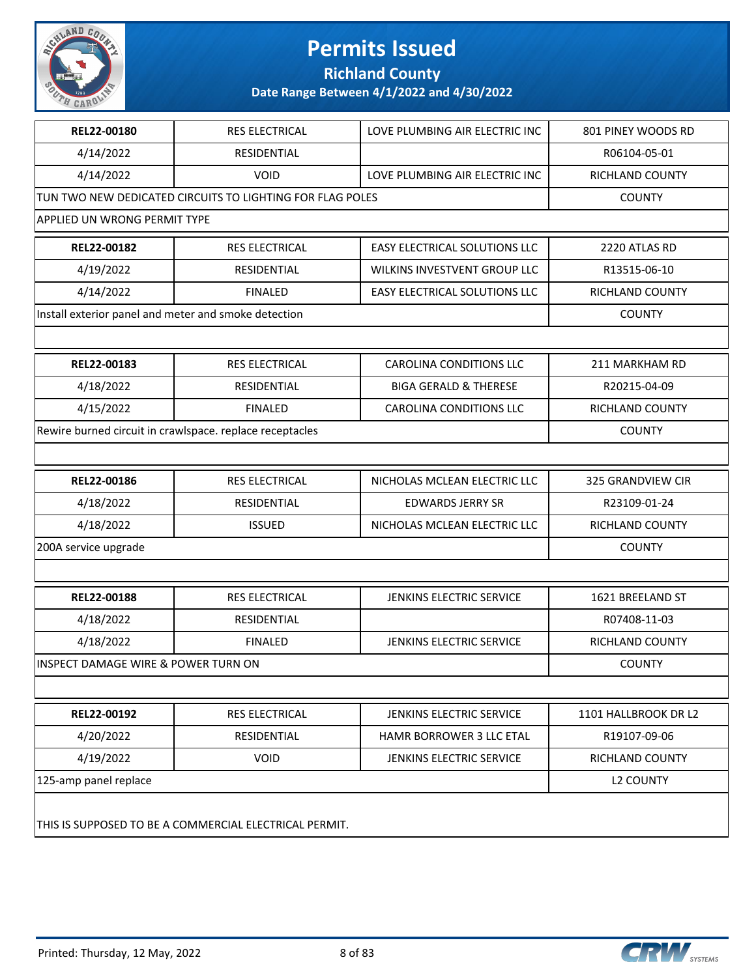

**Richland County**

| REL22-00180                                          | <b>RES ELECTRICAL</b>                                     | LOVE PLUMBING AIR ELECTRIC INC       | 801 PINEY WOODS RD       |
|------------------------------------------------------|-----------------------------------------------------------|--------------------------------------|--------------------------|
| 4/14/2022                                            | <b>RESIDENTIAL</b>                                        |                                      | R06104-05-01             |
| 4/14/2022                                            | <b>VOID</b>                                               | LOVE PLUMBING AIR ELECTRIC INC       | RICHLAND COUNTY          |
|                                                      | TUN TWO NEW DEDICATED CIRCUITS TO LIGHTING FOR FLAG POLES |                                      | <b>COUNTY</b>            |
| <b>APPLIED UN WRONG PERMIT TYPE</b>                  |                                                           |                                      |                          |
| REL22-00182                                          | <b>RES ELECTRICAL</b>                                     | <b>EASY ELECTRICAL SOLUTIONS LLC</b> | 2220 ATLAS RD            |
| 4/19/2022                                            | <b>RESIDENTIAL</b>                                        | WILKINS INVESTVENT GROUP LLC         | R13515-06-10             |
| 4/14/2022                                            | <b>FINALED</b>                                            | EASY ELECTRICAL SOLUTIONS LLC        | RICHLAND COUNTY          |
| Install exterior panel and meter and smoke detection |                                                           |                                      | <b>COUNTY</b>            |
|                                                      |                                                           |                                      |                          |
| REL22-00183                                          | RES ELECTRICAL                                            | <b>CAROLINA CONDITIONS LLC</b>       | 211 MARKHAM RD           |
| 4/18/2022                                            | <b>RESIDENTIAL</b>                                        | <b>BIGA GERALD &amp; THERESE</b>     | R20215-04-09             |
| 4/15/2022                                            | <b>FINALED</b>                                            | <b>CAROLINA CONDITIONS LLC</b>       | RICHLAND COUNTY          |
|                                                      | Rewire burned circuit in crawlspace. replace receptacles  |                                      | <b>COUNTY</b>            |
|                                                      |                                                           |                                      |                          |
| REL22-00186                                          | <b>RES ELECTRICAL</b>                                     | NICHOLAS MCLEAN ELECTRIC LLC         | <b>325 GRANDVIEW CIR</b> |
| 4/18/2022                                            | <b>RESIDENTIAL</b>                                        | <b>EDWARDS JERRY SR</b>              | R23109-01-24             |
| 4/18/2022                                            | <b>ISSUED</b>                                             | NICHOLAS MCLEAN ELECTRIC LLC         | RICHLAND COUNTY          |
| 200A service upgrade                                 | <b>COUNTY</b>                                             |                                      |                          |
|                                                      |                                                           |                                      |                          |
| REL22-00188                                          | <b>RES ELECTRICAL</b>                                     | JENKINS ELECTRIC SERVICE             | 1621 BREELAND ST         |
| 4/18/2022                                            | <b>RESIDENTIAL</b>                                        |                                      | R07408-11-03             |
| 4/18/2022                                            | <b>FINALED</b>                                            | JENKINS ELECTRIC SERVICE             | RICHLAND COUNTY          |
| INSPECT DAMAGE WIRE & POWER TURN ON                  |                                                           |                                      | <b>COUNTY</b>            |
|                                                      |                                                           |                                      |                          |
| REL22-00192                                          | RES ELECTRICAL                                            | JENKINS ELECTRIC SERVICE             | 1101 HALLBROOK DR L2     |
| 4/20/2022                                            | RESIDENTIAL                                               | HAMR BORROWER 3 LLC ETAL             | R19107-09-06             |
| 4/19/2022                                            | <b>VOID</b>                                               | JENKINS ELECTRIC SERVICE             | RICHLAND COUNTY          |
| 125-amp panel replace                                |                                                           |                                      | <b>L2 COUNTY</b>         |
|                                                      | THIS IS SUPPOSED TO BE A COMMERCIAL ELECTRICAL PERMIT.    |                                      |                          |

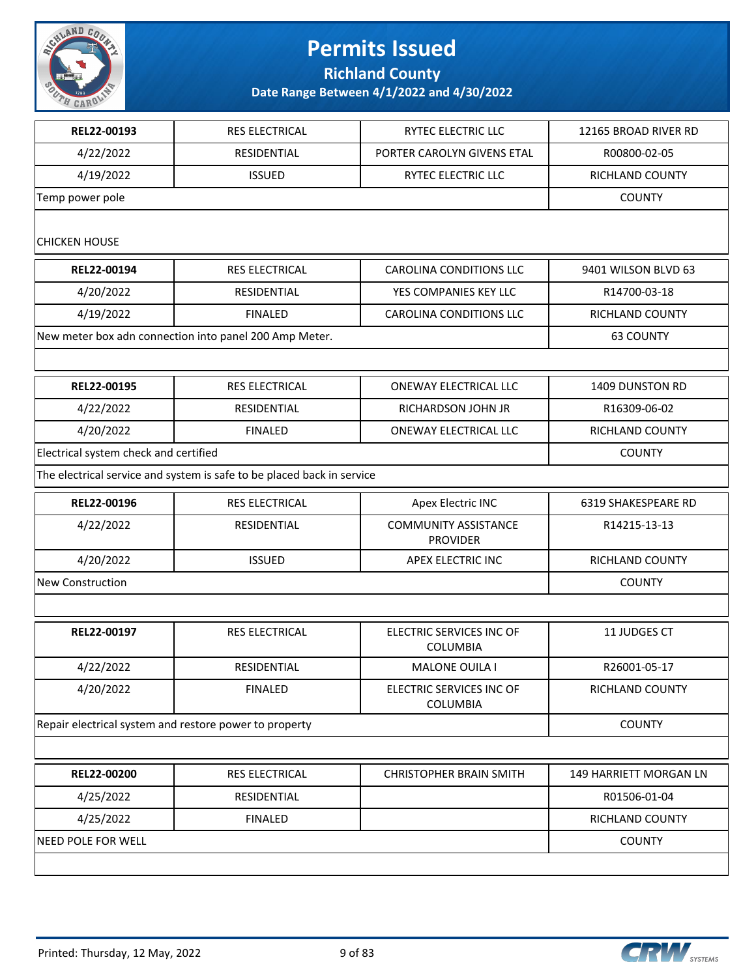

**Richland County**

**Date Range Between 4/1/2022 and 4/30/2022**

| REL22-00193                           | RES ELECTRICAL                                                         | RYTEC ELECTRIC LLC                             | 12165 BROAD RIVER RD   |
|---------------------------------------|------------------------------------------------------------------------|------------------------------------------------|------------------------|
| 4/22/2022                             | RESIDENTIAL                                                            | PORTER CAROLYN GIVENS ETAL                     | R00800-02-05           |
| 4/19/2022                             | <b>ISSUED</b>                                                          | RYTEC ELECTRIC LLC                             | RICHLAND COUNTY        |
| Temp power pole                       | <b>COUNTY</b>                                                          |                                                |                        |
| <b>CHICKEN HOUSE</b>                  |                                                                        |                                                |                        |
| REL22-00194                           | RES ELECTRICAL                                                         | <b>CAROLINA CONDITIONS LLC</b>                 | 9401 WILSON BLVD 63    |
| 4/20/2022                             | RESIDENTIAL                                                            | YES COMPANIES KEY LLC                          | R14700-03-18           |
| 4/19/2022                             | <b>FINALED</b>                                                         | <b>CAROLINA CONDITIONS LLC</b>                 | RICHLAND COUNTY        |
|                                       | New meter box adn connection into panel 200 Amp Meter.                 |                                                | 63 COUNTY              |
|                                       |                                                                        |                                                |                        |
| REL22-00195                           | RES ELECTRICAL                                                         | ONEWAY ELECTRICAL LLC                          | 1409 DUNSTON RD        |
| 4/22/2022                             | RESIDENTIAL                                                            | RICHARDSON JOHN JR                             | R16309-06-02           |
| 4/20/2022                             | <b>FINALED</b>                                                         | ONEWAY ELECTRICAL LLC                          | RICHLAND COUNTY        |
| Electrical system check and certified |                                                                        |                                                | <b>COUNTY</b>          |
|                                       | The electrical service and system is safe to be placed back in service |                                                |                        |
| REL22-00196                           | RES ELECTRICAL                                                         | Apex Electric INC                              | 6319 SHAKESPEARE RD    |
| 4/22/2022                             | RESIDENTIAL                                                            | <b>COMMUNITY ASSISTANCE</b><br><b>PROVIDER</b> | R14215-13-13           |
| 4/20/2022                             | <b>ISSUED</b>                                                          | APEX ELECTRIC INC                              | <b>RICHLAND COUNTY</b> |
| New Construction                      |                                                                        |                                                | <b>COUNTY</b>          |
|                                       |                                                                        |                                                |                        |
| REL22-00197                           | RES ELECTRICAL                                                         | ELECTRIC SERVICES INC OF<br><b>COLUMBIA</b>    | 11 JUDGES CT           |
| 4/22/2022                             | <b>RESIDENTIAL</b>                                                     | <b>MALONE OUILA I</b>                          | R26001-05-17           |
| 4/20/2022                             | <b>FINALED</b>                                                         | ELECTRIC SERVICES INC OF<br><b>COLUMBIA</b>    | <b>RICHLAND COUNTY</b> |
|                                       | Repair electrical system and restore power to property                 |                                                | <b>COUNTY</b>          |
|                                       |                                                                        |                                                |                        |
| REL22-00200                           | RES ELECTRICAL                                                         | <b>CHRISTOPHER BRAIN SMITH</b>                 | 149 HARRIETT MORGAN LN |
| 4/25/2022                             | RESIDENTIAL                                                            |                                                | R01506-01-04           |
| 4/25/2022                             | <b>FINALED</b>                                                         |                                                | RICHLAND COUNTY        |
| NEED POLE FOR WELL                    |                                                                        |                                                | <b>COUNTY</b>          |
|                                       |                                                                        |                                                |                        |

**CRW** SYSTEMS

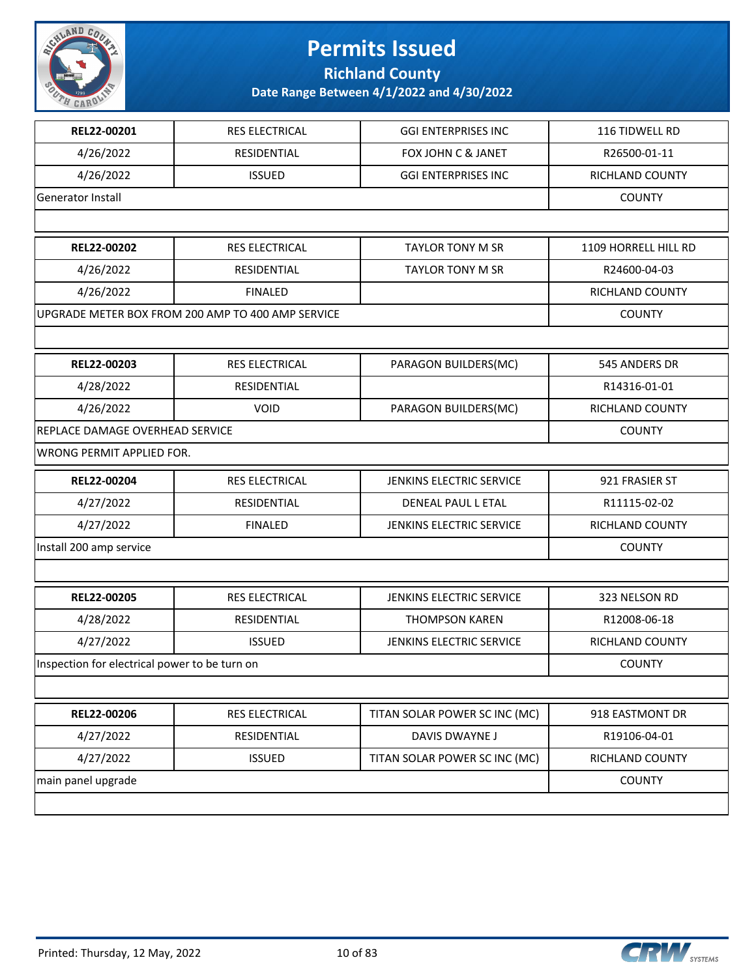

**Richland County**

| REL22-00201<br>RES ELECTRICAL<br><b>GGI ENTERPRISES INC</b><br>116 TIDWELL RD<br>4/26/2022<br>RESIDENTIAL<br>FOX JOHN C & JANET<br>R26500-01-11<br>4/26/2022<br><b>ISSUED</b><br><b>GGI ENTERPRISES INC</b><br>RICHLAND COUNTY<br><b>Generator Install</b><br><b>COUNTY</b><br>REL22-00202<br>RES ELECTRICAL<br><b>TAYLOR TONY M SR</b><br>1109 HORRELL HILL RD<br>4/26/2022<br>RESIDENTIAL<br><b>TAYLOR TONY M SR</b><br>R24600-04-03<br>4/26/2022<br><b>FINALED</b><br>RICHLAND COUNTY<br>UPGRADE METER BOX FROM 200 AMP TO 400 AMP SERVICE<br><b>COUNTY</b><br>REL22-00203<br><b>RES ELECTRICAL</b><br>545 ANDERS DR<br>PARAGON BUILDERS(MC)<br>4/28/2022<br>RESIDENTIAL<br>R14316-01-01<br>4/26/2022<br><b>VOID</b><br>PARAGON BUILDERS(MC)<br>RICHLAND COUNTY<br>REPLACE DAMAGE OVERHEAD SERVICE<br><b>COUNTY</b><br>WRONG PERMIT APPLIED FOR.<br>REL22-00204<br>RES ELECTRICAL<br>921 FRASIER ST<br><b>JENKINS ELECTRIC SERVICE</b><br>4/27/2022<br>RESIDENTIAL<br>DENEAL PAUL L ETAL<br>R11115-02-02<br>4/27/2022<br><b>FINALED</b><br>JENKINS ELECTRIC SERVICE<br>RICHLAND COUNTY<br>Install 200 amp service<br><b>COUNTY</b><br>REL22-00205<br>RES ELECTRICAL<br>JENKINS ELECTRIC SERVICE<br>323 NELSON RD<br>4/28/2022<br>R12008-06-18<br>RESIDENTIAL<br><b>THOMPSON KAREN</b><br>4/27/2022<br><b>ISSUED</b><br>JENKINS ELECTRIC SERVICE<br><b>RICHLAND COUNTY</b><br>Inspection for electrical power to be turn on<br><b>COUNTY</b><br>REL22-00206<br>TITAN SOLAR POWER SC INC (MC)<br><b>RES ELECTRICAL</b><br>918 EASTMONT DR<br>4/27/2022<br>RESIDENTIAL<br>DAVIS DWAYNE J<br>R19106-04-01<br>4/27/2022<br><b>ISSUED</b><br>TITAN SOLAR POWER SC INC (MC)<br>RICHLAND COUNTY<br>main panel upgrade<br><b>COUNTY</b> |  |  |
|-----------------------------------------------------------------------------------------------------------------------------------------------------------------------------------------------------------------------------------------------------------------------------------------------------------------------------------------------------------------------------------------------------------------------------------------------------------------------------------------------------------------------------------------------------------------------------------------------------------------------------------------------------------------------------------------------------------------------------------------------------------------------------------------------------------------------------------------------------------------------------------------------------------------------------------------------------------------------------------------------------------------------------------------------------------------------------------------------------------------------------------------------------------------------------------------------------------------------------------------------------------------------------------------------------------------------------------------------------------------------------------------------------------------------------------------------------------------------------------------------------------------------------------------------------------------------------------------------------------------------------------------------------------------------------------------------------------------------------------|--|--|
|                                                                                                                                                                                                                                                                                                                                                                                                                                                                                                                                                                                                                                                                                                                                                                                                                                                                                                                                                                                                                                                                                                                                                                                                                                                                                                                                                                                                                                                                                                                                                                                                                                                                                                                                   |  |  |
|                                                                                                                                                                                                                                                                                                                                                                                                                                                                                                                                                                                                                                                                                                                                                                                                                                                                                                                                                                                                                                                                                                                                                                                                                                                                                                                                                                                                                                                                                                                                                                                                                                                                                                                                   |  |  |
|                                                                                                                                                                                                                                                                                                                                                                                                                                                                                                                                                                                                                                                                                                                                                                                                                                                                                                                                                                                                                                                                                                                                                                                                                                                                                                                                                                                                                                                                                                                                                                                                                                                                                                                                   |  |  |
|                                                                                                                                                                                                                                                                                                                                                                                                                                                                                                                                                                                                                                                                                                                                                                                                                                                                                                                                                                                                                                                                                                                                                                                                                                                                                                                                                                                                                                                                                                                                                                                                                                                                                                                                   |  |  |
|                                                                                                                                                                                                                                                                                                                                                                                                                                                                                                                                                                                                                                                                                                                                                                                                                                                                                                                                                                                                                                                                                                                                                                                                                                                                                                                                                                                                                                                                                                                                                                                                                                                                                                                                   |  |  |
|                                                                                                                                                                                                                                                                                                                                                                                                                                                                                                                                                                                                                                                                                                                                                                                                                                                                                                                                                                                                                                                                                                                                                                                                                                                                                                                                                                                                                                                                                                                                                                                                                                                                                                                                   |  |  |
|                                                                                                                                                                                                                                                                                                                                                                                                                                                                                                                                                                                                                                                                                                                                                                                                                                                                                                                                                                                                                                                                                                                                                                                                                                                                                                                                                                                                                                                                                                                                                                                                                                                                                                                                   |  |  |
|                                                                                                                                                                                                                                                                                                                                                                                                                                                                                                                                                                                                                                                                                                                                                                                                                                                                                                                                                                                                                                                                                                                                                                                                                                                                                                                                                                                                                                                                                                                                                                                                                                                                                                                                   |  |  |
|                                                                                                                                                                                                                                                                                                                                                                                                                                                                                                                                                                                                                                                                                                                                                                                                                                                                                                                                                                                                                                                                                                                                                                                                                                                                                                                                                                                                                                                                                                                                                                                                                                                                                                                                   |  |  |
|                                                                                                                                                                                                                                                                                                                                                                                                                                                                                                                                                                                                                                                                                                                                                                                                                                                                                                                                                                                                                                                                                                                                                                                                                                                                                                                                                                                                                                                                                                                                                                                                                                                                                                                                   |  |  |
|                                                                                                                                                                                                                                                                                                                                                                                                                                                                                                                                                                                                                                                                                                                                                                                                                                                                                                                                                                                                                                                                                                                                                                                                                                                                                                                                                                                                                                                                                                                                                                                                                                                                                                                                   |  |  |
|                                                                                                                                                                                                                                                                                                                                                                                                                                                                                                                                                                                                                                                                                                                                                                                                                                                                                                                                                                                                                                                                                                                                                                                                                                                                                                                                                                                                                                                                                                                                                                                                                                                                                                                                   |  |  |
|                                                                                                                                                                                                                                                                                                                                                                                                                                                                                                                                                                                                                                                                                                                                                                                                                                                                                                                                                                                                                                                                                                                                                                                                                                                                                                                                                                                                                                                                                                                                                                                                                                                                                                                                   |  |  |
|                                                                                                                                                                                                                                                                                                                                                                                                                                                                                                                                                                                                                                                                                                                                                                                                                                                                                                                                                                                                                                                                                                                                                                                                                                                                                                                                                                                                                                                                                                                                                                                                                                                                                                                                   |  |  |
|                                                                                                                                                                                                                                                                                                                                                                                                                                                                                                                                                                                                                                                                                                                                                                                                                                                                                                                                                                                                                                                                                                                                                                                                                                                                                                                                                                                                                                                                                                                                                                                                                                                                                                                                   |  |  |
|                                                                                                                                                                                                                                                                                                                                                                                                                                                                                                                                                                                                                                                                                                                                                                                                                                                                                                                                                                                                                                                                                                                                                                                                                                                                                                                                                                                                                                                                                                                                                                                                                                                                                                                                   |  |  |
|                                                                                                                                                                                                                                                                                                                                                                                                                                                                                                                                                                                                                                                                                                                                                                                                                                                                                                                                                                                                                                                                                                                                                                                                                                                                                                                                                                                                                                                                                                                                                                                                                                                                                                                                   |  |  |
|                                                                                                                                                                                                                                                                                                                                                                                                                                                                                                                                                                                                                                                                                                                                                                                                                                                                                                                                                                                                                                                                                                                                                                                                                                                                                                                                                                                                                                                                                                                                                                                                                                                                                                                                   |  |  |
|                                                                                                                                                                                                                                                                                                                                                                                                                                                                                                                                                                                                                                                                                                                                                                                                                                                                                                                                                                                                                                                                                                                                                                                                                                                                                                                                                                                                                                                                                                                                                                                                                                                                                                                                   |  |  |
|                                                                                                                                                                                                                                                                                                                                                                                                                                                                                                                                                                                                                                                                                                                                                                                                                                                                                                                                                                                                                                                                                                                                                                                                                                                                                                                                                                                                                                                                                                                                                                                                                                                                                                                                   |  |  |
|                                                                                                                                                                                                                                                                                                                                                                                                                                                                                                                                                                                                                                                                                                                                                                                                                                                                                                                                                                                                                                                                                                                                                                                                                                                                                                                                                                                                                                                                                                                                                                                                                                                                                                                                   |  |  |
|                                                                                                                                                                                                                                                                                                                                                                                                                                                                                                                                                                                                                                                                                                                                                                                                                                                                                                                                                                                                                                                                                                                                                                                                                                                                                                                                                                                                                                                                                                                                                                                                                                                                                                                                   |  |  |
|                                                                                                                                                                                                                                                                                                                                                                                                                                                                                                                                                                                                                                                                                                                                                                                                                                                                                                                                                                                                                                                                                                                                                                                                                                                                                                                                                                                                                                                                                                                                                                                                                                                                                                                                   |  |  |
|                                                                                                                                                                                                                                                                                                                                                                                                                                                                                                                                                                                                                                                                                                                                                                                                                                                                                                                                                                                                                                                                                                                                                                                                                                                                                                                                                                                                                                                                                                                                                                                                                                                                                                                                   |  |  |
|                                                                                                                                                                                                                                                                                                                                                                                                                                                                                                                                                                                                                                                                                                                                                                                                                                                                                                                                                                                                                                                                                                                                                                                                                                                                                                                                                                                                                                                                                                                                                                                                                                                                                                                                   |  |  |
|                                                                                                                                                                                                                                                                                                                                                                                                                                                                                                                                                                                                                                                                                                                                                                                                                                                                                                                                                                                                                                                                                                                                                                                                                                                                                                                                                                                                                                                                                                                                                                                                                                                                                                                                   |  |  |
|                                                                                                                                                                                                                                                                                                                                                                                                                                                                                                                                                                                                                                                                                                                                                                                                                                                                                                                                                                                                                                                                                                                                                                                                                                                                                                                                                                                                                                                                                                                                                                                                                                                                                                                                   |  |  |
|                                                                                                                                                                                                                                                                                                                                                                                                                                                                                                                                                                                                                                                                                                                                                                                                                                                                                                                                                                                                                                                                                                                                                                                                                                                                                                                                                                                                                                                                                                                                                                                                                                                                                                                                   |  |  |
|                                                                                                                                                                                                                                                                                                                                                                                                                                                                                                                                                                                                                                                                                                                                                                                                                                                                                                                                                                                                                                                                                                                                                                                                                                                                                                                                                                                                                                                                                                                                                                                                                                                                                                                                   |  |  |
|                                                                                                                                                                                                                                                                                                                                                                                                                                                                                                                                                                                                                                                                                                                                                                                                                                                                                                                                                                                                                                                                                                                                                                                                                                                                                                                                                                                                                                                                                                                                                                                                                                                                                                                                   |  |  |

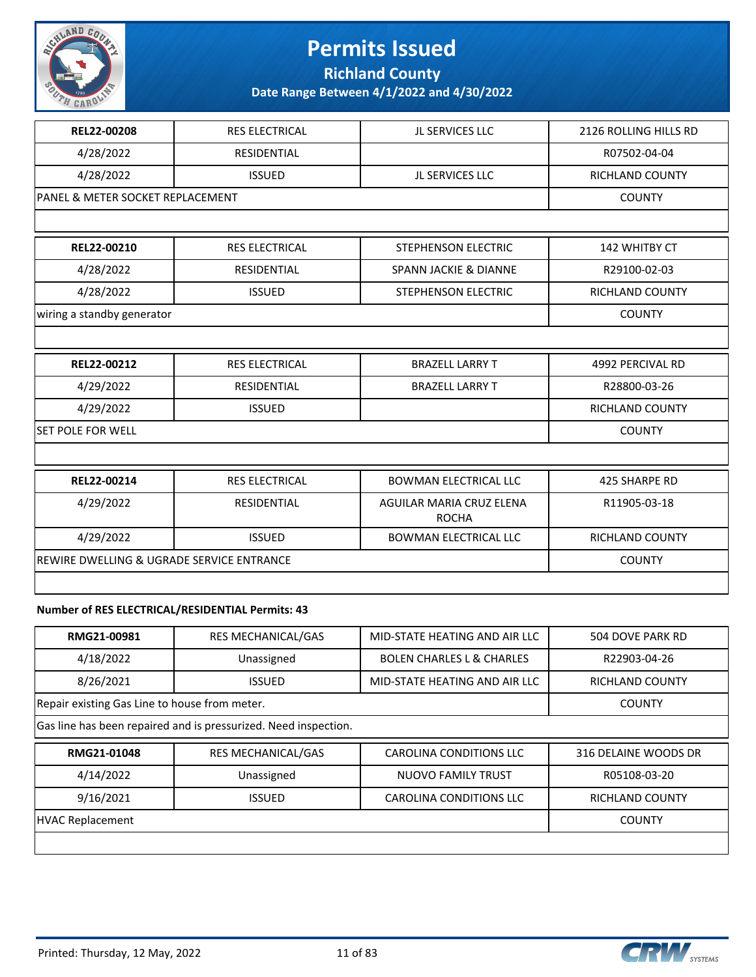

**Richland County**

**Date Range Between 4/1/2022 and 4/30/2022**

| REL22-00208                                             | <b>RES ELECTRICAL</b> | JL SERVICES LLC                          | 2126 ROLLING HILLS RD  |
|---------------------------------------------------------|-----------------------|------------------------------------------|------------------------|
| 4/28/2022                                               | <b>RESIDENTIAL</b>    |                                          | R07502-04-04           |
| 4/28/2022                                               | <b>ISSUED</b>         | <b>JL SERVICES LLC</b>                   | RICHLAND COUNTY        |
| PANEL & METER SOCKET REPLACEMENT                        |                       |                                          | <b>COUNTY</b>          |
|                                                         |                       |                                          |                        |
| REL22-00210                                             | RES ELECTRICAL        | STEPHENSON ELECTRIC                      | 142 WHITBY CT          |
| 4/28/2022                                               | <b>RESIDENTIAL</b>    | <b>SPANN JACKIE &amp; DIANNE</b>         | R29100-02-03           |
| 4/28/2022                                               | <b>ISSUED</b>         | STEPHENSON ELECTRIC                      | <b>RICHLAND COUNTY</b> |
| wiring a standby generator                              |                       |                                          | <b>COUNTY</b>          |
|                                                         |                       |                                          |                        |
| REL22-00212                                             | RES ELECTRICAL        | <b>BRAZELL LARRY T</b>                   | 4992 PERCIVAL RD       |
| 4/29/2022                                               | <b>RESIDENTIAL</b>    | <b>BRAZELL LARRY T</b>                   | R28800-03-26           |
| 4/29/2022                                               | <b>ISSUED</b>         |                                          | RICHLAND COUNTY        |
| <b>SET POLE FOR WELL</b>                                | <b>COUNTY</b>         |                                          |                        |
|                                                         |                       |                                          |                        |
| REL22-00214                                             | <b>RES ELECTRICAL</b> | <b>BOWMAN ELECTRICAL LLC</b>             | <b>425 SHARPE RD</b>   |
| 4/29/2022                                               | <b>RESIDENTIAL</b>    | AGUILAR MARIA CRUZ ELENA<br><b>ROCHA</b> | R11905-03-18           |
| 4/29/2022                                               | <b>ISSUED</b>         | <b>BOWMAN ELECTRICAL LLC</b>             | RICHLAND COUNTY        |
| REWIRE DWELLING & UGRADE SERVICE ENTRANCE               | <b>COUNTY</b>         |                                          |                        |
|                                                         |                       |                                          |                        |
| About the of REC ELECTRICAL (RECIREALTIAL Bequeits), 49 |                       |                                          |                        |

#### **Number of RES ELECTRICAL/RESIDENTIAL Permits: 43**

| RMG21-00981                                                     | <b>RES MECHANICAL/GAS</b> | MID-STATE HEATING AND AIR LLC        | 504 DOVE PARK RD       |  |
|-----------------------------------------------------------------|---------------------------|--------------------------------------|------------------------|--|
| 4/18/2022                                                       | Unassigned                | <b>BOLEN CHARLES L &amp; CHARLES</b> | R22903-04-26           |  |
| 8/26/2021                                                       | <b>ISSUED</b>             | MID-STATE HEATING AND AIR LLC        | <b>RICHLAND COUNTY</b> |  |
| Repair existing Gas Line to house from meter.                   |                           |                                      | <b>COUNTY</b>          |  |
| Gas line has been repaired and is pressurized. Need inspection. |                           |                                      |                        |  |
|                                                                 |                           |                                      |                        |  |
| RMG21-01048                                                     | <b>RES MECHANICAL/GAS</b> | <b>CAROLINA CONDITIONS LLC</b>       | 316 DELAINE WOODS DR   |  |
| 4/14/2022                                                       | Unassigned                | <b>NUOVO FAMILY TRUST</b>            | R05108-03-20           |  |
| 9/16/2021                                                       | <b>ISSUED</b>             | CAROLINA CONDITIONS LLC              | RICHLAND COUNTY        |  |
| <b>HVAC Replacement</b>                                         |                           |                                      | <b>COUNTY</b>          |  |

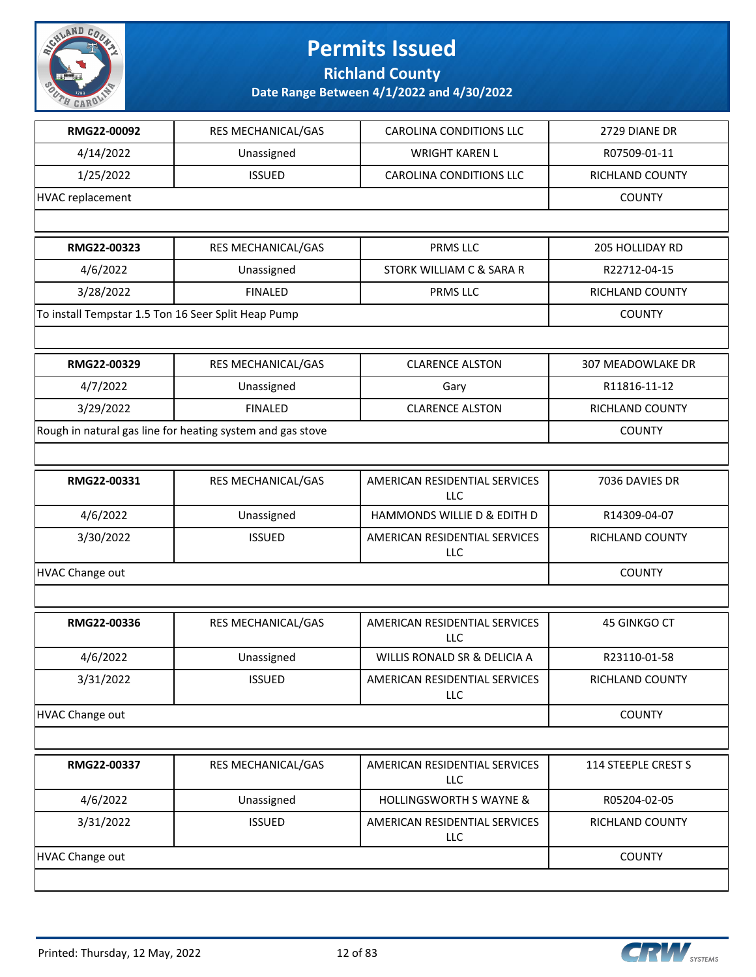

**Richland County**

| RMG22-00092                                         | RES MECHANICAL/GAS                                         | <b>CAROLINA CONDITIONS LLC</b>              | 2729 DIANE DR       |
|-----------------------------------------------------|------------------------------------------------------------|---------------------------------------------|---------------------|
| 4/14/2022                                           | Unassigned                                                 | <b>WRIGHT KAREN L</b>                       | R07509-01-11        |
| 1/25/2022                                           | <b>ISSUED</b>                                              | <b>CAROLINA CONDITIONS LLC</b>              | RICHLAND COUNTY     |
| HVAC replacement                                    |                                                            |                                             | <b>COUNTY</b>       |
|                                                     |                                                            |                                             |                     |
| RMG22-00323                                         | RES MECHANICAL/GAS                                         | <b>PRMS LLC</b>                             | 205 HOLLIDAY RD     |
| 4/6/2022                                            | Unassigned                                                 | STORK WILLIAM C & SARA R                    | R22712-04-15        |
| 3/28/2022                                           | <b>FINALED</b>                                             | PRMS LLC                                    | RICHLAND COUNTY     |
| To install Tempstar 1.5 Ton 16 Seer Split Heap Pump |                                                            |                                             | <b>COUNTY</b>       |
|                                                     |                                                            |                                             |                     |
| RMG22-00329                                         | RES MECHANICAL/GAS                                         | <b>CLARENCE ALSTON</b>                      | 307 MEADOWLAKE DR   |
| 4/7/2022                                            | Unassigned                                                 | Gary                                        | R11816-11-12        |
| 3/29/2022                                           | <b>FINALED</b>                                             | <b>CLARENCE ALSTON</b>                      | RICHLAND COUNTY     |
|                                                     | Rough in natural gas line for heating system and gas stove |                                             | <b>COUNTY</b>       |
|                                                     |                                                            |                                             |                     |
| RMG22-00331                                         | RES MECHANICAL/GAS                                         | AMERICAN RESIDENTIAL SERVICES<br>LLC        | 7036 DAVIES DR      |
| 4/6/2022                                            | Unassigned                                                 | HAMMONDS WILLIE D & EDITH D                 | R14309-04-07        |
| 3/30/2022                                           | <b>ISSUED</b>                                              | AMERICAN RESIDENTIAL SERVICES<br>LLC        | RICHLAND COUNTY     |
| <b>HVAC Change out</b>                              |                                                            |                                             | <b>COUNTY</b>       |
|                                                     |                                                            |                                             |                     |
| RMG22-00336                                         | RES MECHANICAL/GAS                                         | AMERICAN RESIDENTIAL SERVICES<br>LLC        | 45 GINKGO CT        |
| 4/6/2022                                            | Unassigned                                                 | WILLIS RONALD SR & DELICIA A                | R23110-01-58        |
| 3/31/2022                                           | <b>ISSUED</b>                                              | AMERICAN RESIDENTIAL SERVICES<br><b>LLC</b> | RICHLAND COUNTY     |
| HVAC Change out                                     |                                                            |                                             | <b>COUNTY</b>       |
|                                                     |                                                            |                                             |                     |
| RMG22-00337                                         | RES MECHANICAL/GAS                                         | AMERICAN RESIDENTIAL SERVICES<br>LLC        | 114 STEEPLE CREST S |
| 4/6/2022                                            | Unassigned                                                 | <b>HOLLINGSWORTH S WAYNE &amp;</b>          | R05204-02-05        |
| 3/31/2022                                           | <b>ISSUED</b>                                              | AMERICAN RESIDENTIAL SERVICES<br>LLC        | RICHLAND COUNTY     |
| HVAC Change out                                     |                                                            |                                             | <b>COUNTY</b>       |
|                                                     |                                                            |                                             |                     |

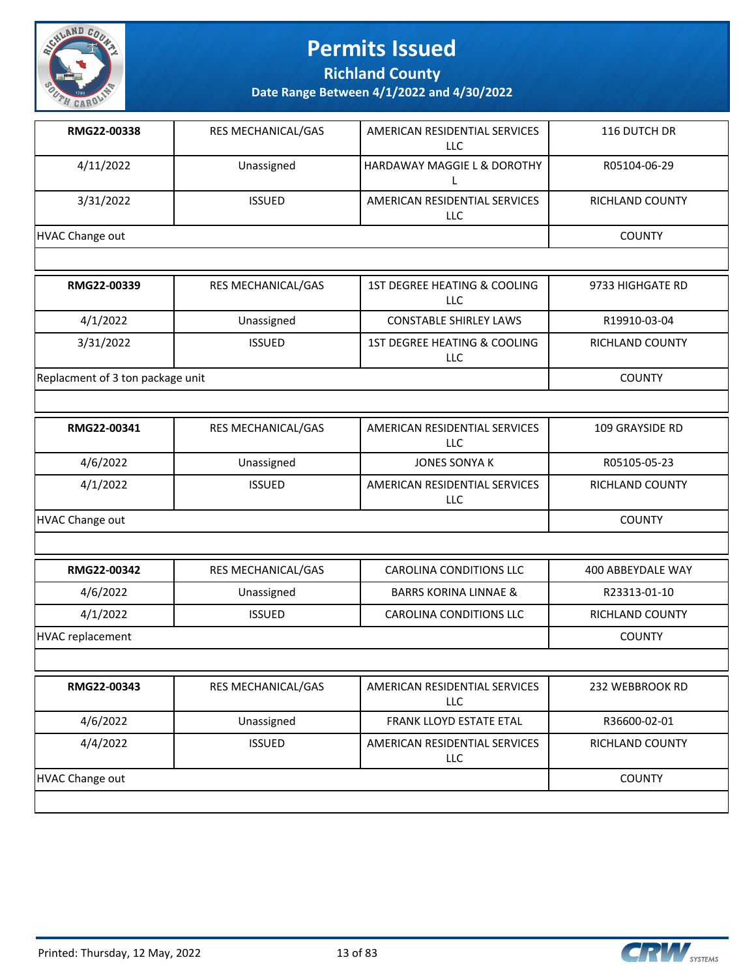

**Richland County**

**Date Range Between 4/1/2022 and 4/30/2022**

| RMG22-00338     | RES MECHANICAL/GAS        | AMERICAN RESIDENTIAL SERVICES<br>LLC.  | 116 DUTCH DR           |
|-----------------|---------------------------|----------------------------------------|------------------------|
| 4/11/2022       | Unassigned                | <b>HARDAWAY MAGGIE L &amp; DOROTHY</b> | R05104-06-29           |
| 3/31/2022       | <b>ISSUED</b>             | AMERICAN RESIDENTIAL SERVICES<br>LLC.  | <b>RICHLAND COUNTY</b> |
| HVAC Change out |                           |                                        | <b>COUNTY</b>          |
|                 |                           |                                        |                        |
| RMG22-00339     | <b>RES MECHANICAL/GAS</b> | 1ST DEGREE HEATING & COOLING<br>LLC.   | 9733 HIGHGATE RD       |
| 4/1/2022        | Unassigned                | <b>CONSTABLE SHIRLEY LAWS</b>          | R19910-03-04           |
| 3/31/2022       | <b>ISSUED</b>             | 1ST DEGREE HEATING & COOLING<br>LLC.   | <b>RICHLAND COUNTY</b> |

Replacment of 3 ton package unit COUNTY

| RMG22-00341     | <b>RES MECHANICAL/GAS</b> | AMERICAN RESIDENTIAL SERVICES<br>LLC | 109 GRAYSIDE RD        |
|-----------------|---------------------------|--------------------------------------|------------------------|
| 4/6/2022        | Unassigned                | JONES SONYA K                        | R05105-05-23           |
| 4/1/2022        | <b>ISSUED</b>             | AMERICAN RESIDENTIAL SERVICES<br>LLC | <b>RICHLAND COUNTY</b> |
| HVAC Change out |                           |                                      | <b>COUNTY</b>          |

| RMG22-00342      | RES MECHANICAL/GAS | CAROLINA CONDITIONS LLC          | 400 ABBEYDALE WAY |
|------------------|--------------------|----------------------------------|-------------------|
| 4/6/2022         | Unassigned         | <b>BARRS KORINA LINNAE &amp;</b> | R23313-01-10      |
| 4/1/2022         | <b>ISSUED</b>      | CAROLINA CONDITIONS LLC          | RICHLAND COUNTY   |
| HVAC replacement |                    |                                  | <b>COUNTY</b>     |

| RMG22-00343     | <b>RES MECHANICAL/GAS</b> | AMERICAN RESIDENTIAL SERVICES<br>LLC | 232 WEBBROOK RD        |
|-----------------|---------------------------|--------------------------------------|------------------------|
| 4/6/2022        | Unassigned                | <b>FRANK LLOYD ESTATE ETAL</b>       | R36600-02-01           |
| 4/4/2022        | <b>ISSUED</b>             | AMERICAN RESIDENTIAL SERVICES<br>LLC | <b>RICHLAND COUNTY</b> |
| HVAC Change out |                           |                                      | <b>COUNTY</b>          |

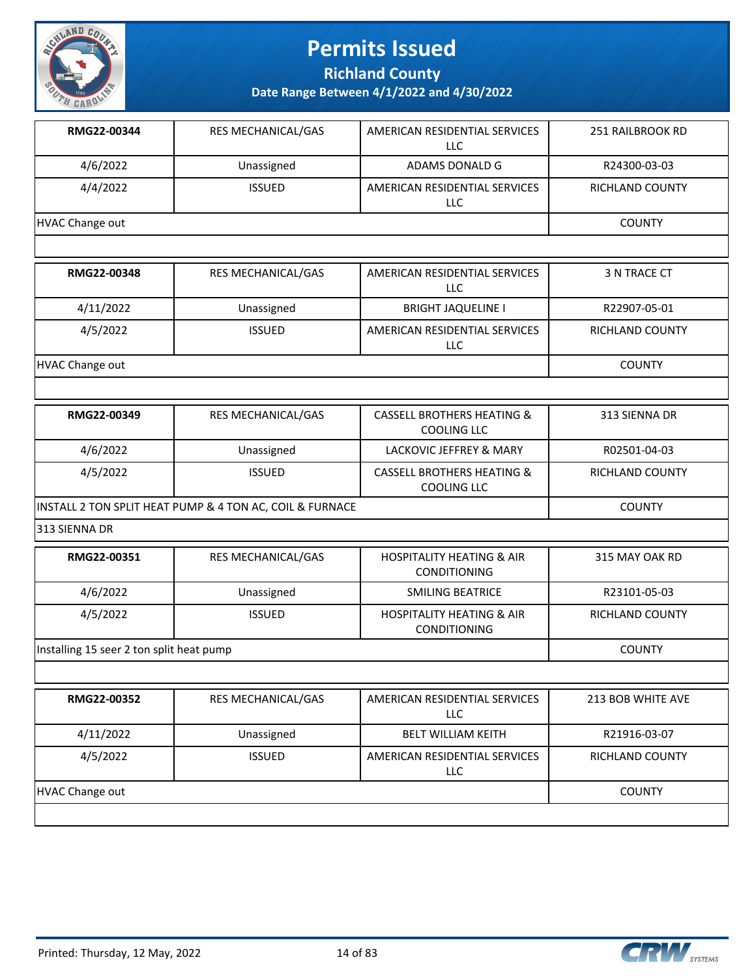

**Richland County**

| RMG22-00344                              | RES MECHANICAL/GAS                                       | AMERICAN RESIDENTIAL SERVICES<br>LLC.                       | 251 RAILBROOK RD       |
|------------------------------------------|----------------------------------------------------------|-------------------------------------------------------------|------------------------|
| 4/6/2022                                 | Unassigned                                               | ADAMS DONALD G                                              | R24300-03-03           |
| 4/4/2022                                 | <b>ISSUED</b>                                            | AMERICAN RESIDENTIAL SERVICES<br>LLC                        | <b>RICHLAND COUNTY</b> |
| <b>HVAC Change out</b>                   |                                                          |                                                             | <b>COUNTY</b>          |
|                                          |                                                          |                                                             |                        |
| RMG22-00348                              | RES MECHANICAL/GAS                                       | AMERICAN RESIDENTIAL SERVICES<br>LLC                        | 3 N TRACE CT           |
| 4/11/2022                                | Unassigned                                               | <b>BRIGHT JAQUELINE I</b>                                   | R22907-05-01           |
| 4/5/2022                                 | <b>ISSUED</b>                                            | AMERICAN RESIDENTIAL SERVICES<br>LLC                        | RICHLAND COUNTY        |
| <b>HVAC Change out</b>                   |                                                          |                                                             | <b>COUNTY</b>          |
|                                          |                                                          |                                                             |                        |
| RMG22-00349                              | RES MECHANICAL/GAS                                       | <b>CASSELL BROTHERS HEATING &amp;</b><br><b>COOLING LLC</b> | 313 SIENNA DR          |
| 4/6/2022                                 | Unassigned                                               | LACKOVIC JEFFREY & MARY                                     | R02501-04-03           |
| 4/5/2022                                 | <b>ISSUED</b>                                            | <b>CASSELL BROTHERS HEATING &amp;</b><br><b>COOLING LLC</b> | RICHLAND COUNTY        |
|                                          | INSTALL 2 TON SPLIT HEAT PUMP & 4 TON AC, COIL & FURNACE |                                                             | <b>COUNTY</b>          |
| 313 SIENNA DR                            |                                                          |                                                             |                        |
| RMG22-00351                              | RES MECHANICAL/GAS                                       | <b>HOSPITALITY HEATING &amp; AIR</b><br>CONDITIONING        | 315 MAY OAK RD         |
| 4/6/2022                                 | Unassigned                                               | <b>SMILING BEATRICE</b>                                     | R23101-05-03           |
| 4/5/2022                                 | <b>ISSUED</b>                                            | <b>HOSPITALITY HEATING &amp; AIR</b><br>CONDITIONING        | RICHLAND COUNTY        |
| Installing 15 seer 2 ton split heat pump |                                                          |                                                             | <b>COUNTY</b>          |
|                                          |                                                          |                                                             |                        |
| RMG22-00352                              | RES MECHANICAL/GAS                                       | AMERICAN RESIDENTIAL SERVICES<br>LLC                        | 213 BOB WHITE AVE      |
| 4/11/2022                                | Unassigned                                               | <b>BELT WILLIAM KEITH</b>                                   | R21916-03-07           |
| 4/5/2022                                 | <b>ISSUED</b>                                            | AMERICAN RESIDENTIAL SERVICES<br>LLC                        | <b>RICHLAND COUNTY</b> |
| <b>HVAC Change out</b>                   |                                                          |                                                             | <b>COUNTY</b>          |

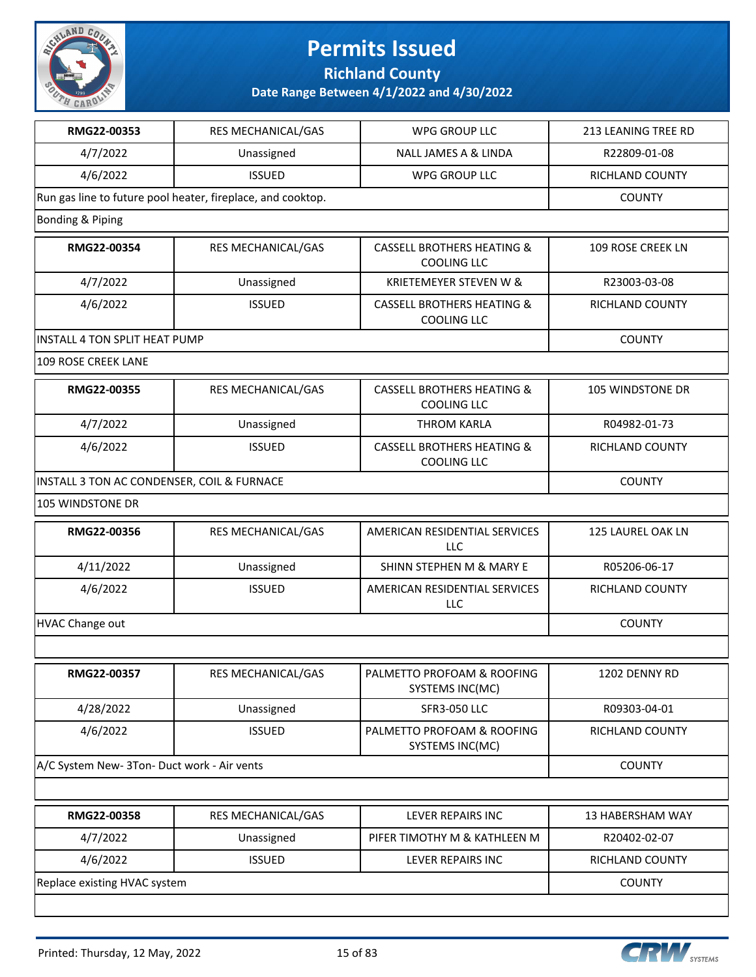

**Richland County**

**Date Range Between 4/1/2022 and 4/30/2022**

| RMG22-00353                                 | RES MECHANICAL/GAS                                          | WPG GROUP LLC                                               | 213 LEANING TREE RD     |
|---------------------------------------------|-------------------------------------------------------------|-------------------------------------------------------------|-------------------------|
| 4/7/2022                                    | Unassigned                                                  | NALL JAMES A & LINDA                                        | R22809-01-08            |
| 4/6/2022                                    | <b>ISSUED</b>                                               | WPG GROUP LLC                                               | RICHLAND COUNTY         |
|                                             | Run gas line to future pool heater, fireplace, and cooktop. |                                                             | <b>COUNTY</b>           |
| Bonding & Piping                            |                                                             |                                                             |                         |
| RMG22-00354                                 | RES MECHANICAL/GAS                                          | <b>CASSELL BROTHERS HEATING &amp;</b><br><b>COOLING LLC</b> | 109 ROSE CREEK LN       |
| 4/7/2022                                    | Unassigned                                                  | <b>KRIETEMEYER STEVEN W &amp;</b>                           | R23003-03-08            |
| 4/6/2022                                    | <b>ISSUED</b>                                               | <b>CASSELL BROTHERS HEATING &amp;</b><br><b>COOLING LLC</b> | RICHLAND COUNTY         |
| <b>INSTALL 4 TON SPLIT HEAT PUMP</b>        |                                                             |                                                             | <b>COUNTY</b>           |
| 109 ROSE CREEK LANE                         |                                                             |                                                             |                         |
| RMG22-00355                                 | RES MECHANICAL/GAS                                          | <b>CASSELL BROTHERS HEATING &amp;</b><br><b>COOLING LLC</b> | 105 WINDSTONE DR        |
| 4/7/2022                                    | Unassigned                                                  | <b>THROM KARLA</b>                                          | R04982-01-73            |
| 4/6/2022                                    | <b>ISSUED</b>                                               | <b>CASSELL BROTHERS HEATING &amp;</b><br><b>COOLING LLC</b> | RICHLAND COUNTY         |
| INSTALL 3 TON AC CONDENSER, COIL & FURNACE  |                                                             |                                                             | <b>COUNTY</b>           |
| 105 WINDSTONE DR                            |                                                             |                                                             |                         |
| RMG22-00356                                 | RES MECHANICAL/GAS                                          | AMERICAN RESIDENTIAL SERVICES<br>LLC                        | 125 LAUREL OAK LN       |
| 4/11/2022                                   | Unassigned                                                  | SHINN STEPHEN M & MARY E                                    | R05206-06-17            |
| 4/6/2022                                    | <b>ISSUED</b>                                               | AMERICAN RESIDENTIAL SERVICES<br>LLC                        | RICHLAND COUNTY         |
| HVAC Change out                             | <b>COUNTY</b>                                               |                                                             |                         |
|                                             |                                                             |                                                             |                         |
| <b>RMG22-00357</b>                          | RES MECHANICAL/GAS                                          | PALMETTO PROFOAM & ROOFING<br>SYSTEMS INC(MC)               | 1202 DENNY RD           |
| 4/28/2022                                   | Unassigned                                                  | <b>SFR3-050 LLC</b>                                         | R09303-04-01            |
| 4/6/2022                                    | <b>ISSUED</b>                                               | PALMETTO PROFOAM & ROOFING<br>SYSTEMS INC(MC)               | RICHLAND COUNTY         |
| A/C System New- 3Ton- Duct work - Air vents |                                                             |                                                             | <b>COUNTY</b>           |
|                                             |                                                             |                                                             |                         |
| RMG22-00358                                 | RES MECHANICAL/GAS                                          | LEVER REPAIRS INC                                           | <b>13 HABERSHAM WAY</b> |
| 4/7/2022                                    | Unassigned                                                  | PIFER TIMOTHY M & KATHLEEN M                                | R20402-02-07            |
| 4/6/2022                                    | <b>ISSUED</b>                                               | LEVER REPAIRS INC                                           | RICHLAND COUNTY         |
| Replace existing HVAC system                |                                                             |                                                             | <b>COUNTY</b>           |
|                                             |                                                             |                                                             |                         |

**CRW** SYSTEMS

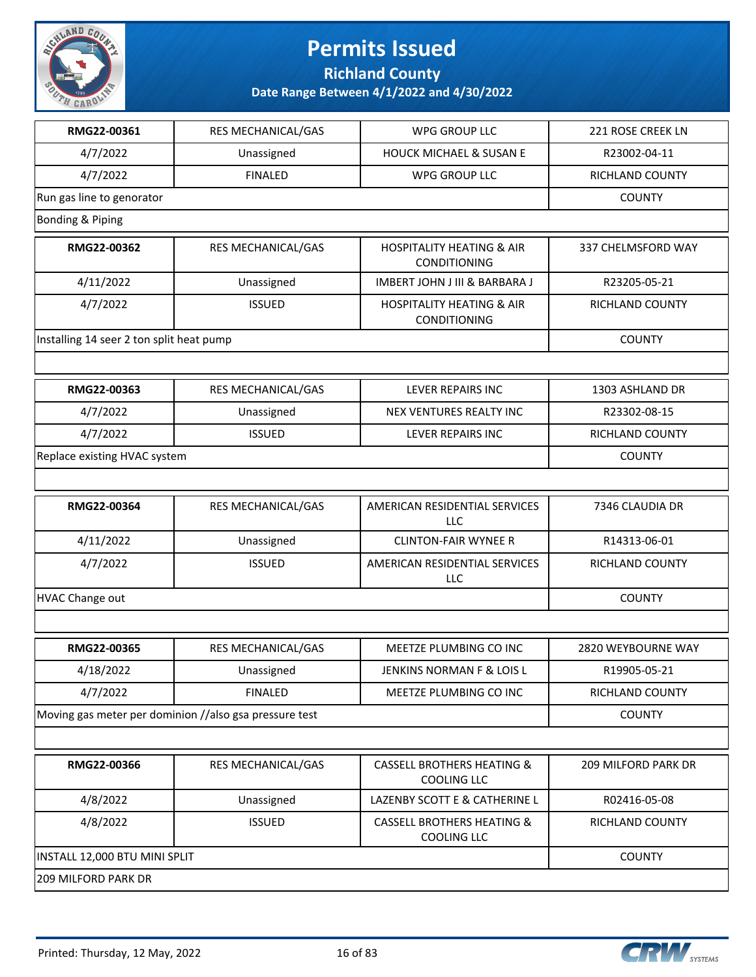

**Richland County**

| RMG22-00361                              | RES MECHANICAL/GAS                                     | <b>WPG GROUP LLC</b>                                        | 221 ROSE CREEK LN      |
|------------------------------------------|--------------------------------------------------------|-------------------------------------------------------------|------------------------|
| 4/7/2022                                 | Unassigned                                             | <b>HOUCK MICHAEL &amp; SUSAN E</b>                          | R23002-04-11           |
| 4/7/2022                                 | <b>FINALED</b>                                         | <b>WPG GROUP LLC</b>                                        | RICHLAND COUNTY        |
| Run gas line to genorator                |                                                        |                                                             | <b>COUNTY</b>          |
| Bonding & Piping                         |                                                        |                                                             |                        |
| RMG22-00362                              | RES MECHANICAL/GAS                                     | <b>HOSPITALITY HEATING &amp; AIR</b><br>CONDITIONING        | 337 CHELMSFORD WAY     |
| 4/11/2022                                | Unassigned                                             | IMBERT JOHN J III & BARBARA J                               | R23205-05-21           |
| 4/7/2022                                 | <b>ISSUED</b>                                          | <b>HOSPITALITY HEATING &amp; AIR</b><br>CONDITIONING        | RICHLAND COUNTY        |
| Installing 14 seer 2 ton split heat pump |                                                        |                                                             | <b>COUNTY</b>          |
|                                          |                                                        |                                                             |                        |
| RMG22-00363                              | RES MECHANICAL/GAS                                     | <b>LEVER REPAIRS INC</b>                                    | 1303 ASHLAND DR        |
| 4/7/2022                                 | Unassigned                                             | NEX VENTURES REALTY INC                                     | R23302-08-15           |
| 4/7/2022                                 | <b>ISSUED</b>                                          | <b>LEVER REPAIRS INC</b>                                    | RICHLAND COUNTY        |
| Replace existing HVAC system             |                                                        |                                                             | <b>COUNTY</b>          |
|                                          |                                                        |                                                             |                        |
| RMG22-00364                              | RES MECHANICAL/GAS                                     | AMERICAN RESIDENTIAL SERVICES<br><b>LLC</b>                 | 7346 CLAUDIA DR        |
| 4/11/2022                                | Unassigned                                             | <b>CLINTON-FAIR WYNEE R</b>                                 | R14313-06-01           |
| 4/7/2022                                 | <b>ISSUED</b>                                          | AMERICAN RESIDENTIAL SERVICES<br>LLC                        | RICHLAND COUNTY        |
| <b>HVAC Change out</b>                   | <b>COUNTY</b>                                          |                                                             |                        |
|                                          |                                                        |                                                             |                        |
| RMG22-00365                              | RES MECHANICAL/GAS                                     | MEETZE PLUMBING CO INC                                      | 2820 WEYBOURNE WAY     |
| 4/18/2022                                | Unassigned                                             | JENKINS NORMAN F & LOIS L                                   | R19905-05-21           |
| 4/7/2022                                 | <b>FINALED</b>                                         | MEETZE PLUMBING CO INC                                      | <b>RICHLAND COUNTY</b> |
|                                          | Moving gas meter per dominion //also gsa pressure test |                                                             | <b>COUNTY</b>          |
|                                          |                                                        |                                                             |                        |
| RMG22-00366                              | RES MECHANICAL/GAS                                     | <b>CASSELL BROTHERS HEATING &amp;</b><br><b>COOLING LLC</b> | 209 MILFORD PARK DR    |
| 4/8/2022                                 | Unassigned                                             | LAZENBY SCOTT E & CATHERINE L                               | R02416-05-08           |
| 4/8/2022                                 | <b>ISSUED</b>                                          | <b>CASSELL BROTHERS HEATING &amp;</b><br><b>COOLING LLC</b> | <b>RICHLAND COUNTY</b> |
| INSTALL 12,000 BTU MINI SPLIT            |                                                        |                                                             | <b>COUNTY</b>          |
| <b>209 MILFORD PARK DR</b>               |                                                        |                                                             |                        |

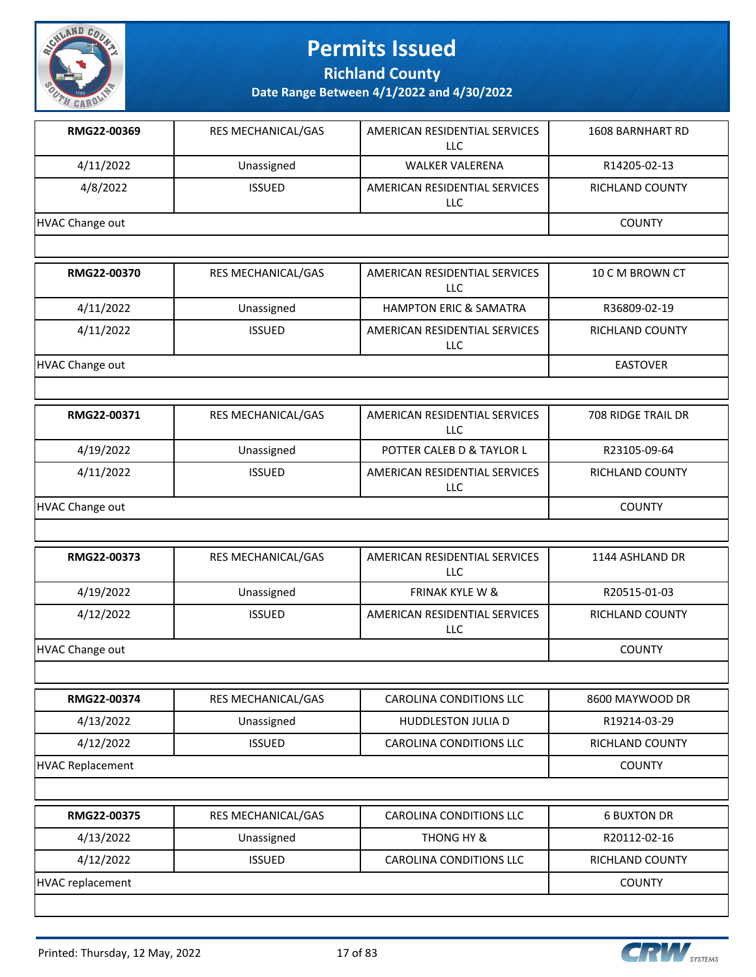

**Richland County**

| RMG22-00369             | RES MECHANICAL/GAS | AMERICAN RESIDENTIAL SERVICES<br><b>LLC</b> | <b>1608 BARNHART RD</b>   |
|-------------------------|--------------------|---------------------------------------------|---------------------------|
| 4/11/2022               | Unassigned         | <b>WALKER VALERENA</b>                      | R14205-02-13              |
| 4/8/2022                | <b>ISSUED</b>      | AMERICAN RESIDENTIAL SERVICES<br><b>LLC</b> | RICHLAND COUNTY           |
| <b>HVAC Change out</b>  |                    |                                             | <b>COUNTY</b>             |
|                         |                    |                                             |                           |
| RMG22-00370             | RES MECHANICAL/GAS | AMERICAN RESIDENTIAL SERVICES<br><b>LLC</b> | 10 C M BROWN CT           |
| 4/11/2022               | Unassigned         | <b>HAMPTON ERIC &amp; SAMATRA</b>           | R36809-02-19              |
| 4/11/2022               | <b>ISSUED</b>      | AMERICAN RESIDENTIAL SERVICES<br>LLC        | RICHLAND COUNTY           |
| <b>HVAC Change out</b>  |                    |                                             | <b>EASTOVER</b>           |
|                         |                    |                                             |                           |
| RMG22-00371             | RES MECHANICAL/GAS | AMERICAN RESIDENTIAL SERVICES<br>LLC        | <b>708 RIDGE TRAIL DR</b> |
| 4/19/2022               | Unassigned         | POTTER CALEB D & TAYLOR L                   | R23105-09-64              |
| 4/11/2022               | <b>ISSUED</b>      | AMERICAN RESIDENTIAL SERVICES<br>LLC        | RICHLAND COUNTY           |
| <b>HVAC Change out</b>  |                    |                                             | <b>COUNTY</b>             |
|                         |                    |                                             |                           |
| RMG22-00373             | RES MECHANICAL/GAS | AMERICAN RESIDENTIAL SERVICES<br><b>LLC</b> | 1144 ASHLAND DR           |
| 4/19/2022               | Unassigned         | <b>FRINAK KYLE W &amp;</b>                  | R20515-01-03              |
| 4/12/2022               | <b>ISSUED</b>      | AMERICAN RESIDENTIAL SERVICES<br><b>LLC</b> | RICHLAND COUNTY           |
| <b>HVAC Change out</b>  |                    |                                             | <b>COUNTY</b>             |
|                         |                    |                                             |                           |
| RMG22-00374             | RES MECHANICAL/GAS | CAROLINA CONDITIONS LLC                     | 8600 MAYWOOD DR           |
| 4/13/2022               | Unassigned         | <b>HUDDLESTON JULIA D</b>                   | R19214-03-29              |
| 4/12/2022               | <b>ISSUED</b>      | <b>CAROLINA CONDITIONS LLC</b>              | <b>RICHLAND COUNTY</b>    |
| <b>HVAC Replacement</b> |                    |                                             | <b>COUNTY</b>             |
|                         |                    |                                             |                           |
| RMG22-00375             | RES MECHANICAL/GAS | CAROLINA CONDITIONS LLC                     | <b>6 BUXTON DR</b>        |
| 4/13/2022               | Unassigned         | THONG HY &                                  | R20112-02-16              |
| 4/12/2022               | <b>ISSUED</b>      | CAROLINA CONDITIONS LLC                     | <b>RICHLAND COUNTY</b>    |
| <b>HVAC replacement</b> |                    |                                             | <b>COUNTY</b>             |
|                         |                    |                                             |                           |

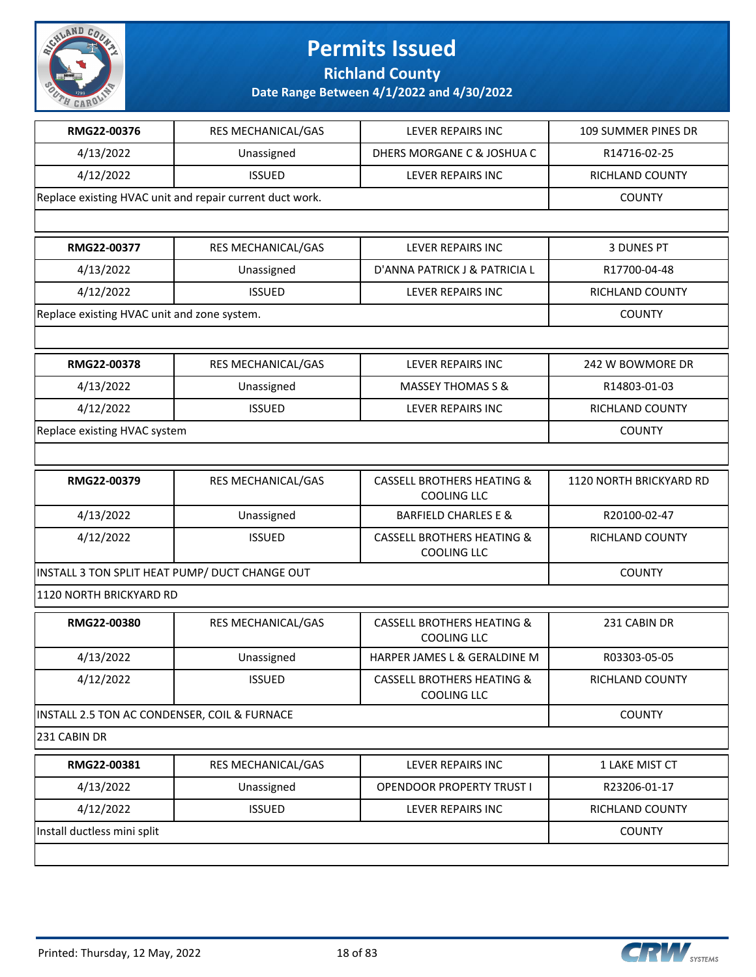

**Richland County**

| RMG22-00376                                    | RES MECHANICAL/GAS                                       | <b>LEVER REPAIRS INC</b>                                    | 109 SUMMER PINES DR     |
|------------------------------------------------|----------------------------------------------------------|-------------------------------------------------------------|-------------------------|
| 4/13/2022                                      | Unassigned                                               | DHERS MORGANE C & JOSHUA C                                  | R14716-02-25            |
| 4/12/2022                                      | <b>ISSUED</b>                                            | LEVER REPAIRS INC                                           | RICHLAND COUNTY         |
|                                                | Replace existing HVAC unit and repair current duct work. |                                                             | <b>COUNTY</b>           |
|                                                |                                                          |                                                             |                         |
| RMG22-00377                                    | <b>RES MECHANICAL/GAS</b>                                | LEVER REPAIRS INC                                           | <b>3 DUNES PT</b>       |
| 4/13/2022                                      | Unassigned                                               | D'ANNA PATRICK J & PATRICIA L                               | R17700-04-48            |
| 4/12/2022                                      | <b>ISSUED</b>                                            | LEVER REPAIRS INC                                           | <b>RICHLAND COUNTY</b>  |
| Replace existing HVAC unit and zone system.    | <b>COUNTY</b>                                            |                                                             |                         |
|                                                |                                                          |                                                             |                         |
| RMG22-00378                                    | <b>RES MECHANICAL/GAS</b>                                | <b>LEVER REPAIRS INC</b>                                    | 242 W BOWMORE DR        |
| 4/13/2022                                      | Unassigned                                               | <b>MASSEY THOMAS S &amp;</b>                                | R14803-01-03            |
| 4/12/2022                                      | <b>ISSUED</b>                                            | LEVER REPAIRS INC                                           | RICHLAND COUNTY         |
| Replace existing HVAC system                   | <b>COUNTY</b>                                            |                                                             |                         |
|                                                |                                                          |                                                             |                         |
| RMG22-00379                                    | RES MECHANICAL/GAS                                       | <b>CASSELL BROTHERS HEATING &amp;</b><br><b>COOLING LLC</b> | 1120 NORTH BRICKYARD RD |
| 4/13/2022                                      | Unassigned                                               | <b>BARFIELD CHARLES E &amp;</b>                             | R20100-02-47            |
| 4/12/2022                                      | <b>ISSUED</b>                                            | <b>CASSELL BROTHERS HEATING &amp;</b><br><b>COOLING LLC</b> | <b>RICHLAND COUNTY</b>  |
| INSTALL 3 TON SPLIT HEAT PUMP/ DUCT CHANGE OUT |                                                          |                                                             | <b>COUNTY</b>           |
| 1120 NORTH BRICKYARD RD                        |                                                          |                                                             |                         |
| RMG22-00380                                    | RES MECHANICAL/GAS                                       | <b>CASSELL BROTHERS HEATING &amp;</b><br><b>COOLING LLC</b> | 231 CABIN DR            |
| 4/13/2022                                      | Unassigned                                               | HARPER JAMES L & GERALDINE M                                | R03303-05-05            |
| 4/12/2022                                      | <b>ISSUED</b>                                            | <b>CASSELL BROTHERS HEATING &amp;</b><br><b>COOLING LLC</b> | RICHLAND COUNTY         |
| INSTALL 2.5 TON AC CONDENSER, COIL & FURNACE   |                                                          |                                                             | <b>COUNTY</b>           |
| 231 CABIN DR                                   |                                                          |                                                             |                         |
| RMG22-00381                                    | RES MECHANICAL/GAS                                       | LEVER REPAIRS INC                                           | 1 LAKE MIST CT          |
| 4/13/2022                                      | Unassigned                                               | <b>OPENDOOR PROPERTY TRUST I</b>                            | R23206-01-17            |
| 4/12/2022                                      | <b>ISSUED</b>                                            | LEVER REPAIRS INC                                           | RICHLAND COUNTY         |
| Install ductless mini split                    |                                                          |                                                             | <b>COUNTY</b>           |
|                                                |                                                          |                                                             |                         |

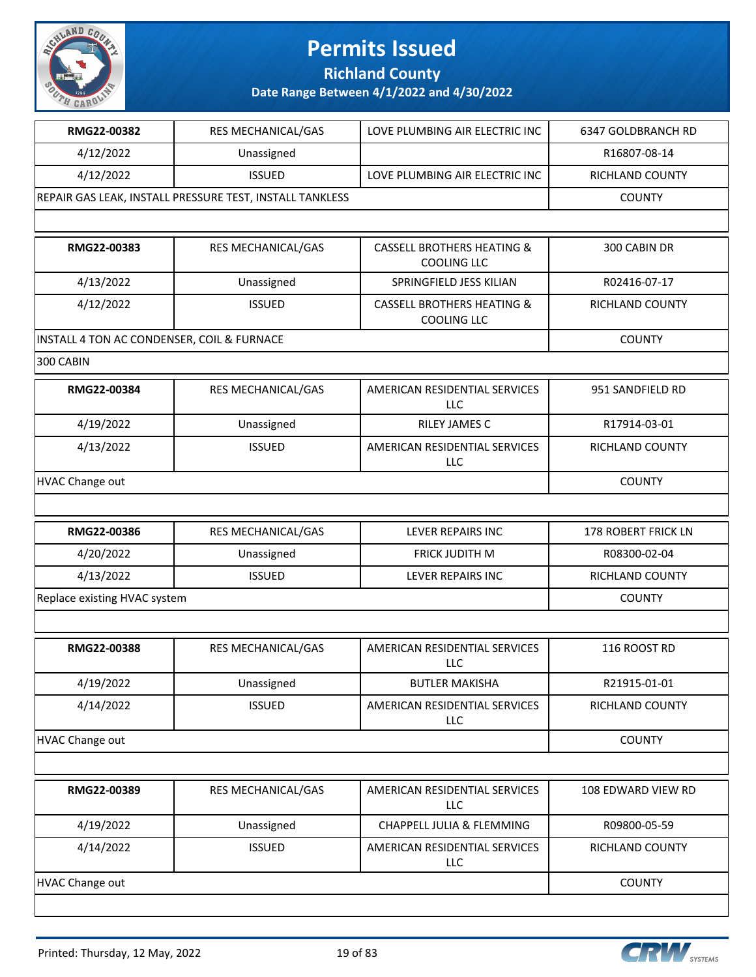

**Richland County**

| RMG22-00382                                | RES MECHANICAL/GAS                                       | LOVE PLUMBING AIR ELECTRIC INC                              | 6347 GOLDBRANCH RD         |
|--------------------------------------------|----------------------------------------------------------|-------------------------------------------------------------|----------------------------|
| 4/12/2022                                  | Unassigned                                               |                                                             | R16807-08-14               |
| 4/12/2022                                  | <b>ISSUED</b>                                            | LOVE PLUMBING AIR ELECTRIC INC                              | RICHLAND COUNTY            |
|                                            | REPAIR GAS LEAK, INSTALL PRESSURE TEST, INSTALL TANKLESS |                                                             | <b>COUNTY</b>              |
|                                            |                                                          |                                                             |                            |
| RMG22-00383                                | RES MECHANICAL/GAS                                       | <b>CASSELL BROTHERS HEATING &amp;</b><br><b>COOLING LLC</b> | 300 CABIN DR               |
| 4/13/2022                                  | Unassigned                                               | SPRINGFIELD JESS KILIAN                                     | R02416-07-17               |
| 4/12/2022                                  | <b>ISSUED</b>                                            | <b>CASSELL BROTHERS HEATING &amp;</b><br><b>COOLING LLC</b> | RICHLAND COUNTY            |
| INSTALL 4 TON AC CONDENSER, COIL & FURNACE |                                                          |                                                             | <b>COUNTY</b>              |
| 300 CABIN                                  |                                                          |                                                             |                            |
| RMG22-00384                                | RES MECHANICAL/GAS                                       | AMERICAN RESIDENTIAL SERVICES<br>LLC                        | 951 SANDFIELD RD           |
| 4/19/2022                                  | Unassigned                                               | RILEY JAMES C                                               | R17914-03-01               |
| 4/13/2022                                  | <b>ISSUED</b>                                            | AMERICAN RESIDENTIAL SERVICES<br>LLC                        | RICHLAND COUNTY            |
| <b>HVAC Change out</b>                     |                                                          |                                                             | <b>COUNTY</b>              |
|                                            |                                                          |                                                             |                            |
| RMG22-00386                                | RES MECHANICAL/GAS                                       | LEVER REPAIRS INC                                           | <b>178 ROBERT FRICK LN</b> |
| 4/20/2022                                  | Unassigned                                               | FRICK JUDITH M                                              | R08300-02-04               |
| 4/13/2022                                  | <b>ISSUED</b>                                            | LEVER REPAIRS INC                                           | RICHLAND COUNTY            |
| Replace existing HVAC system               |                                                          |                                                             | <b>COUNTY</b>              |
|                                            |                                                          |                                                             |                            |
| RMG22-00388                                | RES MECHANICAL/GAS                                       | AMERICAN RESIDENTIAL SERVICES<br>LLC                        | 116 ROOST RD               |
| 4/19/2022                                  | Unassigned                                               | <b>BUTLER MAKISHA</b>                                       | R21915-01-01               |
| 4/14/2022                                  | <b>ISSUED</b>                                            | AMERICAN RESIDENTIAL SERVICES<br>LLC                        | RICHLAND COUNTY            |
| <b>HVAC Change out</b>                     |                                                          |                                                             | <b>COUNTY</b>              |
|                                            |                                                          |                                                             |                            |
| RMG22-00389                                | RES MECHANICAL/GAS                                       | AMERICAN RESIDENTIAL SERVICES<br><b>LLC</b>                 | 108 EDWARD VIEW RD         |
| 4/19/2022                                  | Unassigned                                               | CHAPPELL JULIA & FLEMMING                                   | R09800-05-59               |
| 4/14/2022                                  | <b>ISSUED</b>                                            | AMERICAN RESIDENTIAL SERVICES<br><b>LLC</b>                 | RICHLAND COUNTY            |
| <b>HVAC Change out</b>                     |                                                          |                                                             | <b>COUNTY</b>              |
|                                            |                                                          |                                                             |                            |

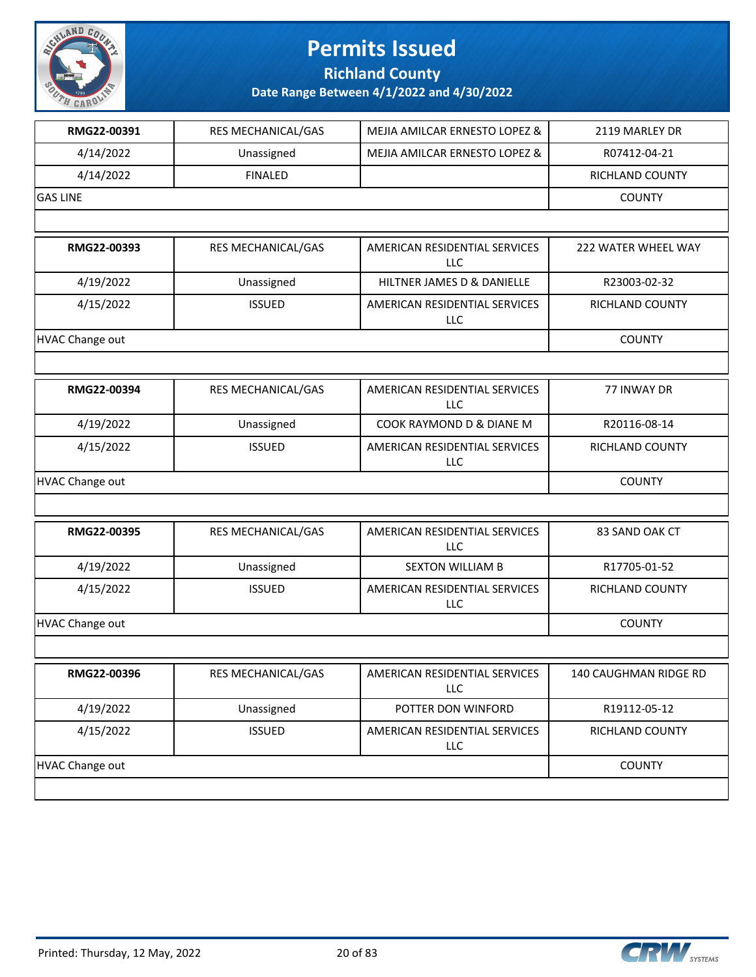

**Richland County**

| RMG22-00391            | RES MECHANICAL/GAS        | MEJIA AMILCAR ERNESTO LOPEZ &               | 2119 MARLEY DR         |
|------------------------|---------------------------|---------------------------------------------|------------------------|
| 4/14/2022              | Unassigned                | MEJIA AMILCAR ERNESTO LOPEZ &               | R07412-04-21           |
| 4/14/2022              | <b>FINALED</b>            |                                             | <b>RICHLAND COUNTY</b> |
| <b>GAS LINE</b>        |                           |                                             | <b>COUNTY</b>          |
|                        |                           |                                             |                        |
| RMG22-00393            | <b>RES MECHANICAL/GAS</b> | AMERICAN RESIDENTIAL SERVICES<br><b>LLC</b> | 222 WATER WHEEL WAY    |
| 4/19/2022              | Unassigned                | HILTNER JAMES D & DANIELLE                  | R23003-02-32           |
| 4/15/2022              | <b>ISSUED</b>             | AMERICAN RESIDENTIAL SERVICES<br>LLC        | RICHLAND COUNTY        |
| <b>HVAC Change out</b> |                           |                                             | <b>COUNTY</b>          |
|                        |                           |                                             |                        |
| RMG22-00394            | RES MECHANICAL/GAS        | AMERICAN RESIDENTIAL SERVICES<br><b>LLC</b> | 77 INWAY DR            |
| 4/19/2022              | Unassigned                | COOK RAYMOND D & DIANE M                    | R20116-08-14           |
| 4/15/2022              | <b>ISSUED</b>             | AMERICAN RESIDENTIAL SERVICES<br>LLC        | RICHLAND COUNTY        |
| HVAC Change out        |                           |                                             | <b>COUNTY</b>          |
|                        |                           |                                             |                        |
| RMG22-00395            | RES MECHANICAL/GAS        | AMERICAN RESIDENTIAL SERVICES<br>LLC        | 83 SAND OAK CT         |
| 4/19/2022              | Unassigned                | <b>SEXTON WILLIAM B</b>                     | R17705-01-52           |
| 4/15/2022              | <b>ISSUED</b>             | AMERICAN RESIDENTIAL SERVICES<br><b>LLC</b> | RICHLAND COUNTY        |
| HVAC Change out        |                           |                                             | <b>COUNTY</b>          |
|                        |                           |                                             |                        |
| RMG22-00396            | RES MECHANICAL/GAS        | AMERICAN RESIDENTIAL SERVICES<br><b>LLC</b> | 140 CAUGHMAN RIDGE RD  |
| 4/19/2022              | Unassigned                | POTTER DON WINFORD                          | R19112-05-12           |
| 4/15/2022              | <b>ISSUED</b>             | AMERICAN RESIDENTIAL SERVICES<br>LLC        | RICHLAND COUNTY        |
| HVAC Change out        |                           |                                             | <b>COUNTY</b>          |
|                        |                           |                                             |                        |

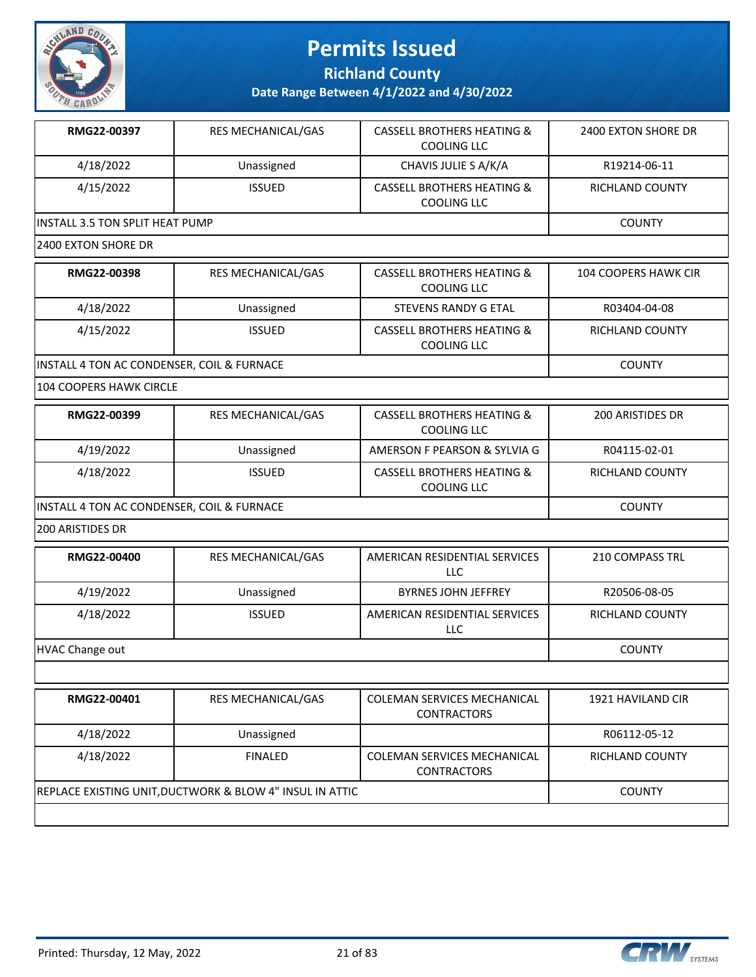

**Richland County**

**Date Range Between 4/1/2022 and 4/30/2022**

| RMG22-00397                             | <b>RES MECHANICAL/GAS</b> | <b>CASSELL BROTHERS HEATING &amp;</b><br>COOLING LLC | 2400 EXTON SHORE DR |
|-----------------------------------------|---------------------------|------------------------------------------------------|---------------------|
| 4/18/2022                               | Unassigned                | CHAVIS JULIE S A/K/A                                 | R19214-06-11        |
| 4/15/2022                               | <b>ISSUED</b>             | <b>CASSELL BROTHERS HEATING &amp;</b><br>COOLING LLC | RICHLAND COUNTY     |
| <b>IINSTALL 3.5 TON SPLIT HEAT PUMP</b> |                           |                                                      | <b>COUNTY</b>       |
| 12400 EXTON SHORE DR                    |                           |                                                      |                     |

| RMG22-00398                                | <b>RES MECHANICAL/GAS</b> | <b>CASSELL BROTHERS HEATING &amp;</b><br>COOLING LLC | 104 COOPERS HAWK CIR |
|--------------------------------------------|---------------------------|------------------------------------------------------|----------------------|
| 4/18/2022                                  | Unassigned                | STEVENS RANDY G ETAL                                 | R03404-04-08         |
| 4/15/2022                                  | <b>ISSUED</b>             | <b>CASSELL BROTHERS HEATING &amp;</b><br>COOLING LLC | RICHLAND COUNTY      |
| INSTALL 4 TON AC CONDENSER, COIL & FURNACE |                           |                                                      | <b>COUNTY</b>        |

104 COOPERS HAWK CIRCLE

| RMG22-00399 | <b>RES MECHANICAL/GAS</b>                  | <b>CASSELL BROTHERS HEATING &amp;</b><br>COOLING LLC | 200 ARISTIDES DR |
|-------------|--------------------------------------------|------------------------------------------------------|------------------|
| 4/19/2022   | Unassigned                                 | AMERSON F PEARSON & SYLVIA G                         | R04115-02-01     |
| 4/18/2022   | <b>ISSUED</b>                              | <b>CASSELL BROTHERS HEATING &amp;</b><br>COOLING LLC | RICHLAND COUNTY  |
|             | INSTALL 4 TON AC CONDENSER, COIL & FURNACE |                                                      |                  |

200 ARISTIDES DR

| RMG22-00400     | <b>RES MECHANICAL/GAS</b> | AMERICAN RESIDENTIAL SERVICES<br>LLC | 210 COMPASS TRL |
|-----------------|---------------------------|--------------------------------------|-----------------|
| 4/19/2022       | Unassigned                | <b>BYRNES JOHN JEFFREY</b>           | R20506-08-05    |
| 4/18/2022       | <b>ISSUED</b>             | AMERICAN RESIDENTIAL SERVICES<br>LLC | RICHLAND COUNTY |
| HVAC Change out |                           |                                      | <b>COUNTY</b>   |

| 4/18/2022<br>Unassigned                                                                 |                        |
|-----------------------------------------------------------------------------------------|------------------------|
|                                                                                         | R06112-05-12           |
| 4/18/2022<br><b>COLEMAN SERVICES MECHANICAL</b><br><b>FINALED</b><br><b>CONTRACTORS</b> | <b>RICHLAND COUNTY</b> |
| REPLACE EXISTING UNIT, DUCTWORK & BLOW 4" INSUL IN ATTIC                                | <b>COUNTY</b>          |

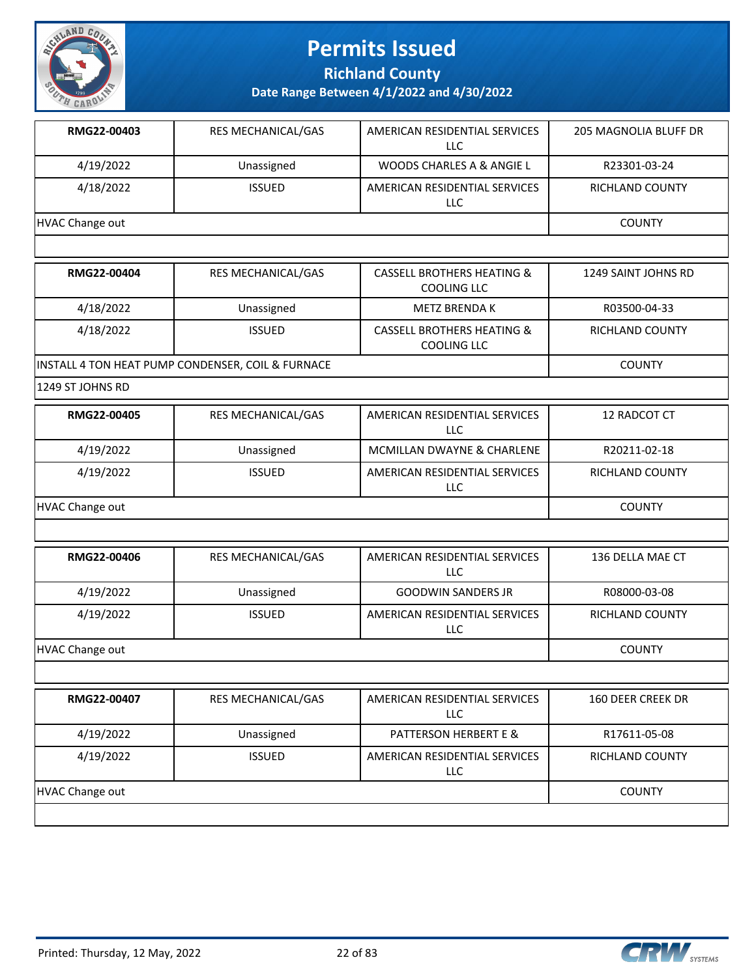

**Richland County**

**Date Range Between 4/1/2022 and 4/30/2022**

| RMG22-00403     | <b>RES MECHANICAL/GAS</b> | AMERICAN RESIDENTIAL SERVICES<br>LLC | 205 MAGNOLIA BLUFF DR  |
|-----------------|---------------------------|--------------------------------------|------------------------|
| 4/19/2022       | Unassigned                | WOODS CHARLES A & ANGIE L            | R23301-03-24           |
| 4/18/2022       | <b>ISSUED</b>             | AMERICAN RESIDENTIAL SERVICES<br>LLC | <b>RICHLAND COUNTY</b> |
| HVAC Change out |                           |                                      | <b>COUNTY</b>          |
|                 |                           |                                      |                        |

| RMG22-00404 | <b>RES MECHANICAL/GAS</b>                         | CASSELL BROTHERS HEATING &<br><b>COOLING LLC</b>            | 1249 SAINT JOHNS RD |
|-------------|---------------------------------------------------|-------------------------------------------------------------|---------------------|
| 4/18/2022   | Unassigned                                        | METZ BRENDA K                                               | R03500-04-33        |
| 4/18/2022   | <b>ISSUED</b>                                     | <b>CASSELL BROTHERS HEATING &amp;</b><br><b>COOLING LLC</b> | RICHLAND COUNTY     |
|             | INSTALL 4 TON HEAT PUMP CONDENSER, COIL & FURNACE |                                                             | <b>COUNTY</b>       |

1249 ST JOHNS RD

| RMG22-00405     | <b>RES MECHANICAL/GAS</b> | AMERICAN RESIDENTIAL SERVICES<br>LLC | 12 RADCOT CT           |
|-----------------|---------------------------|--------------------------------------|------------------------|
| 4/19/2022       | Unassigned                | MCMILLAN DWAYNE & CHARLENE           | R20211-02-18           |
| 4/19/2022       | <b>ISSUED</b>             | AMERICAN RESIDENTIAL SERVICES<br>LLC | <b>RICHLAND COUNTY</b> |
| HVAC Change out |                           |                                      | <b>COUNTY</b>          |

| RMG22-00406     | <b>RES MECHANICAL/GAS</b> | AMERICAN RESIDENTIAL SERVICES<br>LLC | 136 DELLA MAE CT       |
|-----------------|---------------------------|--------------------------------------|------------------------|
| 4/19/2022       | Unassigned                | <b>GOODWIN SANDERS JR</b>            | R08000-03-08           |
| 4/19/2022       | <b>ISSUED</b>             | AMERICAN RESIDENTIAL SERVICES<br>LLC | <b>RICHLAND COUNTY</b> |
| HVAC Change out |                           |                                      | <b>COUNTY</b>          |

| RMG22-00407     | <b>RES MECHANICAL/GAS</b> | AMERICAN RESIDENTIAL SERVICES<br><b>LLC</b> | 160 DEER CREEK DR      |
|-----------------|---------------------------|---------------------------------------------|------------------------|
| 4/19/2022       | Unassigned                | PATTERSON HERBERT E &                       | R17611-05-08           |
| 4/19/2022       | <b>ISSUED</b>             | AMERICAN RESIDENTIAL SERVICES<br>LLC        | <b>RICHLAND COUNTY</b> |
| HVAC Change out |                           |                                             | <b>COUNTY</b>          |
|                 |                           |                                             |                        |

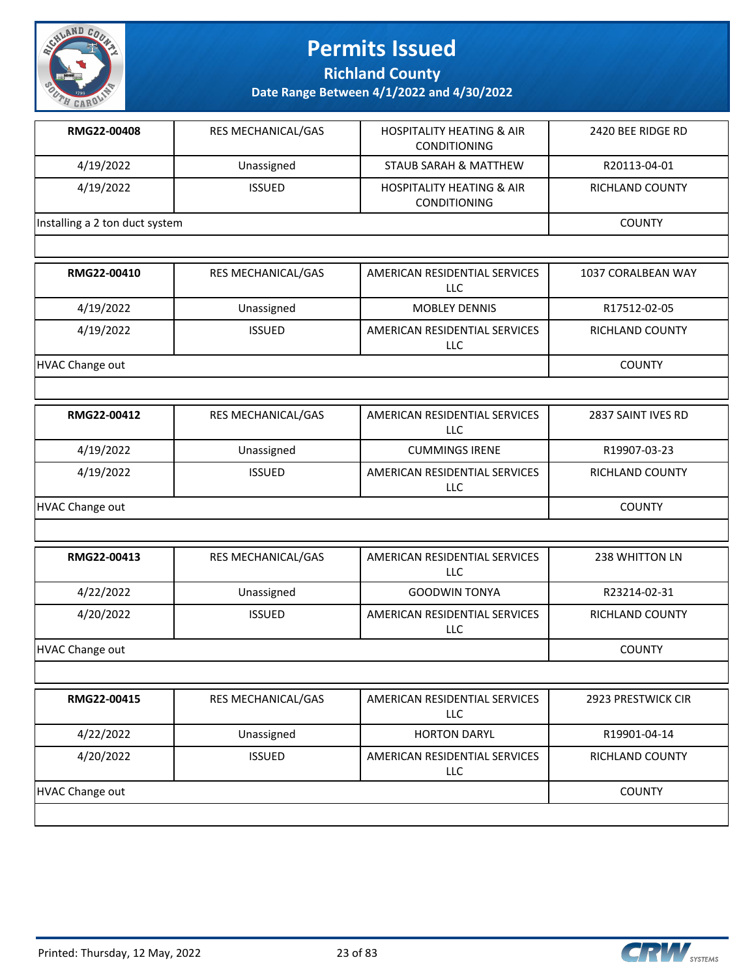

**Richland County**

| RMG22-00408                    | <b>RES MECHANICAL/GAS</b> | <b>HOSPITALITY HEATING &amp; AIR</b><br><b>CONDITIONING</b> | 2420 BEE RIDGE RD |
|--------------------------------|---------------------------|-------------------------------------------------------------|-------------------|
| 4/19/2022                      | Unassigned                | STAUB SARAH & MATTHEW                                       | R20113-04-01      |
| 4/19/2022                      | <b>ISSUED</b>             | <b>HOSPITALITY HEATING &amp; AIR</b><br><b>CONDITIONING</b> | RICHLAND COUNTY   |
| Installing a 2 ton duct system |                           |                                                             | <b>COUNTY</b>     |
|                                |                           |                                                             |                   |

| RMG22-00410     | <b>RES MECHANICAL/GAS</b> | AMERICAN RESIDENTIAL SERVICES<br>LLC.       | 1037 CORALBEAN WAY     |
|-----------------|---------------------------|---------------------------------------------|------------------------|
| 4/19/2022       | Unassigned                | <b>MOBLEY DENNIS</b>                        | R17512-02-05           |
| 4/19/2022       | <b>ISSUED</b>             | AMERICAN RESIDENTIAL SERVICES<br><b>LLC</b> | <b>RICHLAND COUNTY</b> |
| HVAC Change out |                           |                                             | <b>COUNTY</b>          |

| RMG22-00412            | <b>RES MECHANICAL/GAS</b> | AMERICAN RESIDENTIAL SERVICES<br>LLC. | 2837 SAINT IVES RD |
|------------------------|---------------------------|---------------------------------------|--------------------|
| 4/19/2022              | Unassigned                | <b>CUMMINGS IRENE</b>                 | R19907-03-23       |
| 4/19/2022              | <b>ISSUED</b>             | AMERICAN RESIDENTIAL SERVICES<br>LLC  | RICHLAND COUNTY    |
| <b>HVAC Change out</b> |                           |                                       | <b>COUNTY</b>      |

| RMG22-00413     | <b>RES MECHANICAL/GAS</b> | AMERICAN RESIDENTIAL SERVICES<br>LLC | 238 WHITTON LN         |
|-----------------|---------------------------|--------------------------------------|------------------------|
| 4/22/2022       | Unassigned                | <b>GOODWIN TONYA</b>                 | R23214-02-31           |
| 4/20/2022       | <b>ISSUED</b>             | AMERICAN RESIDENTIAL SERVICES<br>LLC | <b>RICHLAND COUNTY</b> |
| HVAC Change out |                           |                                      | <b>COUNTY</b>          |

| RMG22-00415     | <b>RES MECHANICAL/GAS</b> | AMERICAN RESIDENTIAL SERVICES<br><b>LLC</b> | 2923 PRESTWICK CIR     |
|-----------------|---------------------------|---------------------------------------------|------------------------|
| 4/22/2022       | Unassigned                | <b>HORTON DARYL</b>                         | R19901-04-14           |
| 4/20/2022       | <b>ISSUED</b>             | AMERICAN RESIDENTIAL SERVICES<br><b>LLC</b> | <b>RICHLAND COUNTY</b> |
| HVAC Change out |                           |                                             | <b>COUNTY</b>          |
|                 |                           |                                             |                        |

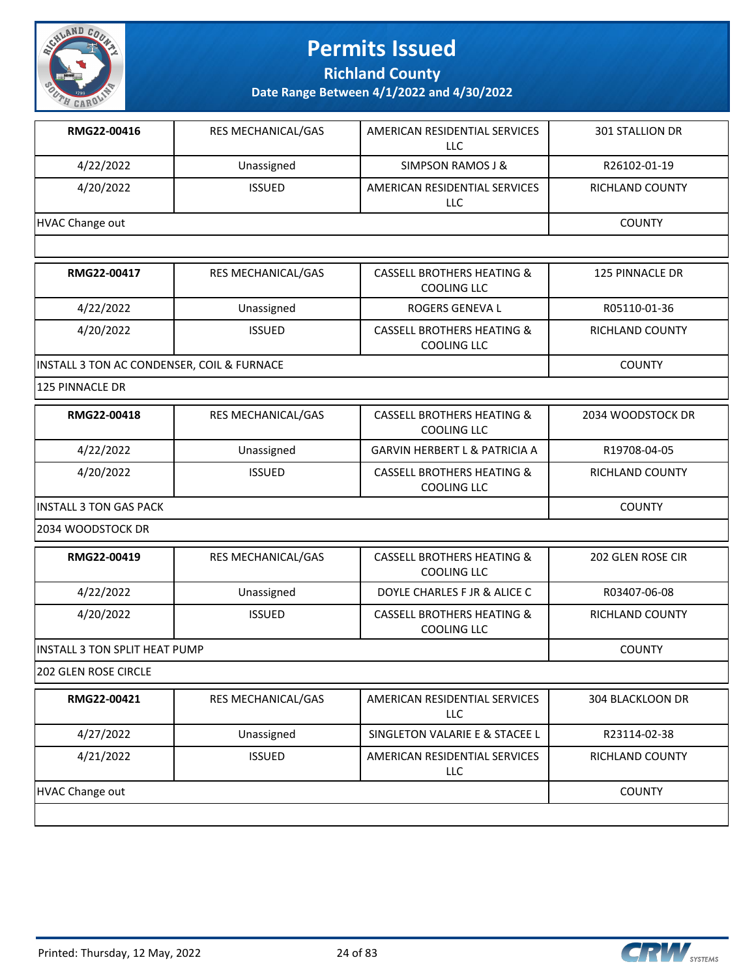

**Richland County**

**Date Range Between 4/1/2022 and 4/30/2022**

| RMG22-00416     | <b>RES MECHANICAL/GAS</b> | AMERICAN RESIDENTIAL SERVICES<br>LLC | <b>301 STALLION DR</b> |
|-----------------|---------------------------|--------------------------------------|------------------------|
| 4/22/2022       | Unassigned                | SIMPSON RAMOS J &                    | R26102-01-19           |
| 4/20/2022       | <b>ISSUED</b>             | AMERICAN RESIDENTIAL SERVICES<br>LLC | <b>RICHLAND COUNTY</b> |
| HVAC Change out |                           |                                      | <b>COUNTY</b>          |
|                 |                           |                                      |                        |

| RMG22-00417                                | <b>RES MECHANICAL/GAS</b> | <b>CASSELL BROTHERS HEATING &amp;</b><br>COOLING LLC        | 125 PINNACLE DR |
|--------------------------------------------|---------------------------|-------------------------------------------------------------|-----------------|
| 4/22/2022                                  | Unassigned                | ROGERS GENEVA L                                             | R05110-01-36    |
| 4/20/2022                                  | <b>ISSUED</b>             | <b>CASSELL BROTHERS HEATING &amp;</b><br><b>COOLING LLC</b> | RICHLAND COUNTY |
| INSTALL 3 TON AC CONDENSER, COIL & FURNACE |                           |                                                             | <b>COUNTY</b>   |

125 PINNACLE DR

| RMG22-00418             | <b>RES MECHANICAL/GAS</b> | CASSELL BROTHERS HEATING &<br>COOLING LLC | 2034 WOODSTOCK DR |
|-------------------------|---------------------------|-------------------------------------------|-------------------|
| 4/22/2022               | Unassigned                | <b>GARVIN HERBERT L &amp; PATRICIA A</b>  | R19708-04-05      |
| 4/20/2022               | <b>ISSUED</b>             | CASSELL BROTHERS HEATING &<br>COOLING LLC | RICHLAND COUNTY   |
| IINSTALL 3 TON GAS PACK | <b>COUNTY</b>             |                                           |                   |

2034 WOODSTOCK DR

| RMG22-00419                           | <b>RES MECHANICAL/GAS</b> | CASSELL BROTHERS HEATING &<br>COOLING LLC            | 202 GLEN ROSE CIR |
|---------------------------------------|---------------------------|------------------------------------------------------|-------------------|
| 4/22/2022                             | Unassigned                | DOYLE CHARLES F JR & ALICE C                         | R03407-06-08      |
| 4/20/2022                             | <b>ISSUED</b>             | <b>CASSELL BROTHERS HEATING &amp;</b><br>COOLING LLC | RICHLAND COUNTY   |
| <b>IINSTALL 3 TON SPLIT HEAT PUMP</b> |                           |                                                      | <b>COUNTY</b>     |

202 GLEN ROSE CIRCLE

| RMG22-00421     | <b>RES MECHANICAL/GAS</b> | AMERICAN RESIDENTIAL SERVICES<br>LLC | 304 BLACKLOON DR |
|-----------------|---------------------------|--------------------------------------|------------------|
| 4/27/2022       | Unassigned                | SINGLETON VALARIE E & STACEE L       | R23114-02-38     |
| 4/21/2022       | <b>ISSUED</b>             | AMERICAN RESIDENTIAL SERVICES<br>LLC | RICHLAND COUNTY  |
| HVAC Change out | <b>COUNTY</b>             |                                      |                  |
|                 |                           |                                      |                  |

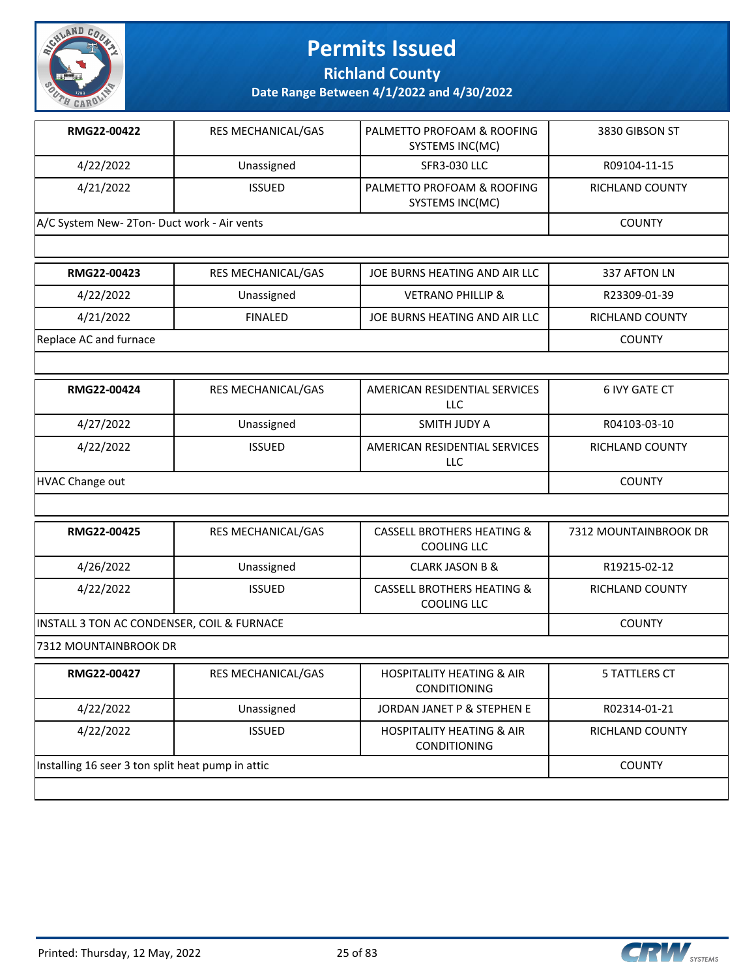

**Richland County**

| RMG22-00422                                 | <b>RES MECHANICAL/GAS</b> | PALMETTO PROFOAM & ROOFING<br>SYSTEMS INC(MC) | 3830 GIBSON ST         |
|---------------------------------------------|---------------------------|-----------------------------------------------|------------------------|
| 4/22/2022                                   | Unassigned                | <b>SFR3-030 LLC</b>                           | R09104-11-15           |
| 4/21/2022                                   | <b>ISSUED</b>             | PALMETTO PROFOAM & ROOFING<br>SYSTEMS INC(MC) | <b>RICHLAND COUNTY</b> |
| A/C System New- 2Ton- Duct work - Air vents |                           |                                               | <b>COUNTY</b>          |

| RMG22-00423            | RES MECHANICAL/GAS | JOE BURNS HEATING AND AIR LLC | 337 AFTON LN    |
|------------------------|--------------------|-------------------------------|-----------------|
| 4/22/2022              | Unassigned         | <b>VETRANO PHILLIP &amp;</b>  | R23309-01-39    |
| 4/21/2022              | FINAL FD           | JOE BURNS HEATING AND AIR LLC | RICHLAND COUNTY |
| Replace AC and furnace |                    |                               | <b>COUNTY</b>   |

| RMG22-00424     | <b>RES MECHANICAL/GAS</b> | AMERICAN RESIDENTIAL SERVICES<br>LLC | 6 IVY GATE CT          |
|-----------------|---------------------------|--------------------------------------|------------------------|
| 4/27/2022       | Unassigned                | SMITH JUDY A                         | R04103-03-10           |
| 4/22/2022       | <b>ISSUED</b>             | AMERICAN RESIDENTIAL SERVICES<br>LLC | <b>RICHLAND COUNTY</b> |
| HVAC Change out |                           |                                      | <b>COUNTY</b>          |

| RMG22-00425                                       | <b>RES MECHANICAL/GAS</b>                  | CASSELL BROTHERS HEATING &<br>COOLING LLC                   | 7312 MOUNTAINBROOK DR  |  |
|---------------------------------------------------|--------------------------------------------|-------------------------------------------------------------|------------------------|--|
| 4/26/2022                                         | Unassigned                                 | <b>CLARK JASON B &amp;</b>                                  | R19215-02-12           |  |
| 4/22/2022                                         | <b>ISSUED</b>                              | CASSELL BROTHERS HEATING &<br>COOLING LLC                   | <b>RICHLAND COUNTY</b> |  |
|                                                   | INSTALL 3 TON AC CONDENSER, COIL & FURNACE |                                                             |                        |  |
| 7312 MOUNTAINBROOK DR                             |                                            |                                                             |                        |  |
| RMG22-00427                                       | <b>RES MECHANICAL/GAS</b>                  | <b>HOSPITALITY HEATING &amp; AIR</b><br><b>CONDITIONING</b> | <b>5 TATTLERS CT</b>   |  |
| 4/22/2022                                         | Unassigned                                 | JORDAN JANET P & STEPHEN E                                  | R02314-01-21           |  |
| 4/22/2022                                         | <b>ISSUED</b>                              | <b>HOSPITALITY HEATING &amp; AIR</b><br><b>CONDITIONING</b> | <b>RICHLAND COUNTY</b> |  |
| Installing 16 seer 3 ton split heat pump in attic | <b>COUNTY</b>                              |                                                             |                        |  |

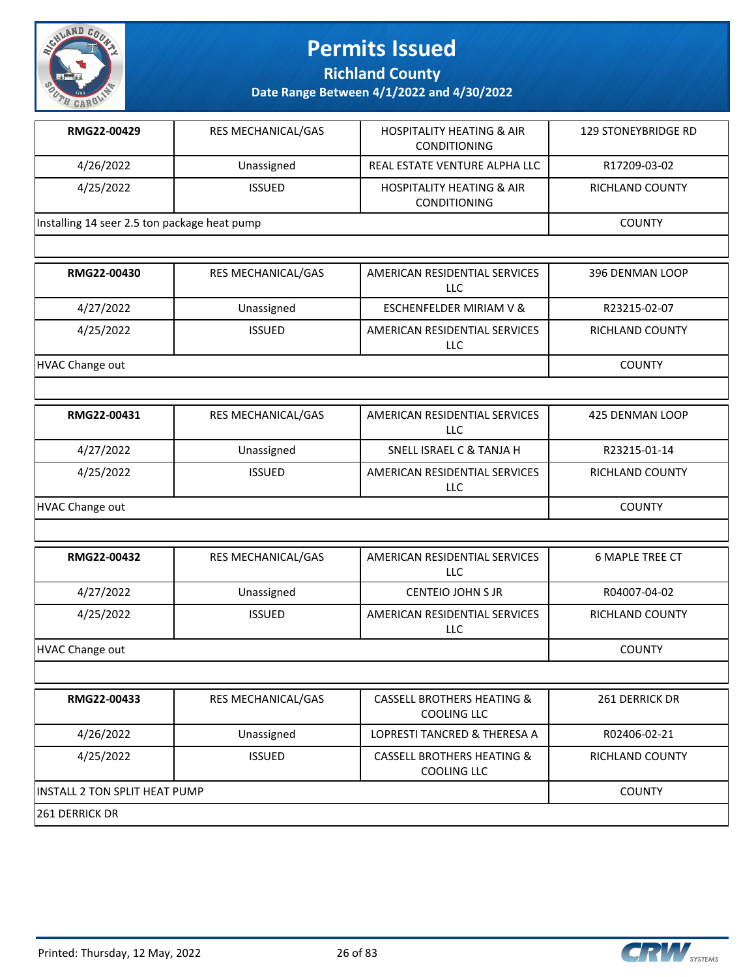

**Richland County**

| RMG22-00429                                  | <b>RES MECHANICAL/GAS</b> | <b>HOSPITALITY HEATING &amp; AIR</b><br><b>CONDITIONING</b> | 129 STONEYBRIDGE RD |
|----------------------------------------------|---------------------------|-------------------------------------------------------------|---------------------|
| 4/26/2022                                    | Unassigned                | REAL ESTATE VENTURE ALPHA LLC                               | R17209-03-02        |
| 4/25/2022                                    | <b>ISSUED</b>             | <b>HOSPITALITY HEATING &amp; AIR</b><br><b>CONDITIONING</b> | RICHLAND COUNTY     |
| Installing 14 seer 2.5 ton package heat pump |                           |                                                             | <b>COUNTY</b>       |
|                                              |                           |                                                             |                     |

| RMG22-00430     | <b>RES MECHANICAL/GAS</b> | AMERICAN RESIDENTIAL SERVICES<br>LLC | 396 DENMAN LOOP        |
|-----------------|---------------------------|--------------------------------------|------------------------|
| 4/27/2022       | Unassigned                | ESCHENFELDER MIRIAM V &              | R23215-02-07           |
| 4/25/2022       | <b>ISSUED</b>             | AMERICAN RESIDENTIAL SERVICES<br>LLC | <b>RICHLAND COUNTY</b> |
| HVAC Change out |                           |                                      | <b>COUNTY</b>          |

| RMG22-00431     | <b>RES MECHANICAL/GAS</b> | AMERICAN RESIDENTIAL SERVICES<br>LLC. | 425 DENMAN LOOP        |
|-----------------|---------------------------|---------------------------------------|------------------------|
| 4/27/2022       | Unassigned                | SNELL ISRAEL C & TANJA H              | R23215-01-14           |
| 4/25/2022       | <b>ISSUED</b>             | AMERICAN RESIDENTIAL SERVICES<br>LLC  | <b>RICHLAND COUNTY</b> |
| HVAC Change out |                           |                                       | <b>COUNTY</b>          |

| RMG22-00432     | RES MECHANICAL/GAS | AMERICAN RESIDENTIAL SERVICES<br>LLC | 6 MAPLE TREE CT |
|-----------------|--------------------|--------------------------------------|-----------------|
| 4/27/2022       | Unassigned         | <b>CENTEIO JOHN S JR</b>             | R04007-04-02    |
| 4/25/2022       | <b>ISSUED</b>      | AMERICAN RESIDENTIAL SERVICES<br>LLC | RICHLAND COUNTY |
| HVAC Change out |                    |                                      | <b>COUNTY</b>   |

| RMG22-00433                    | <b>RES MECHANICAL/GAS</b> | <b>CASSELL BROTHERS HEATING &amp;</b><br>COOLING LLC | 261 DERRICK DR         |
|--------------------------------|---------------------------|------------------------------------------------------|------------------------|
| 4/26/2022                      | Unassigned                | <b>LOPRESTI TANCRED &amp; THERESA A</b>              | R02406-02-21           |
| 4/25/2022                      | <b>ISSUED</b>             | <b>CASSELL BROTHERS HEATING &amp;</b><br>COOLING LLC | <b>RICHLAND COUNTY</b> |
| IINSTALL 2 TON SPLIT HEAT PUMP |                           |                                                      | <b>COUNTY</b>          |
| 1261 DERRICK DR                |                           |                                                      |                        |

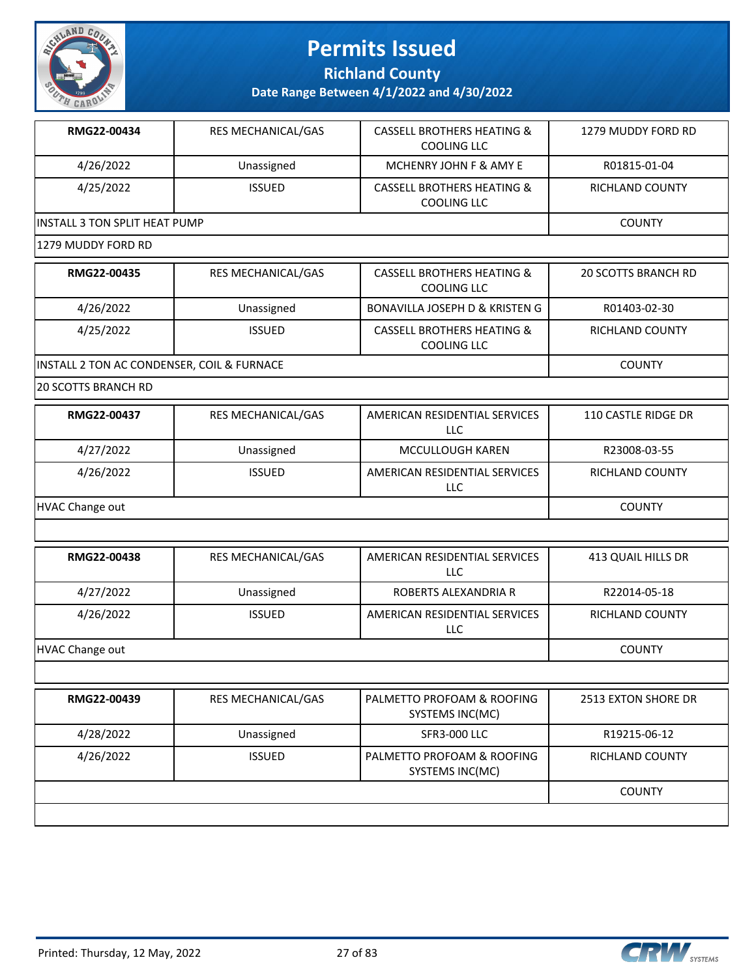

**Richland County**

**Date Range Between 4/1/2022 and 4/30/2022**

| RMG22-00434                   | <b>RES MECHANICAL/GAS</b> | CASSELL BROTHERS HEATING &<br><b>COOLING LLC</b> | 1279 MUDDY FORD RD |
|-------------------------------|---------------------------|--------------------------------------------------|--------------------|
| 4/26/2022                     | Unassigned                | MCHENRY JOHN F & AMY E                           | R01815-01-04       |
| 4/25/2022                     | <b>ISSUED</b>             | CASSELL BROTHERS HEATING &<br><b>COOLING LLC</b> | RICHLAND COUNTY    |
| INSTALL 3 TON SPLIT HEAT PUMP |                           |                                                  | <b>COUNTY</b>      |

#### 1279 MUDDY FORD RD

| RMG22-00435                                | <b>RES MECHANICAL/GAS</b> | <b>CASSELL BROTHERS HEATING &amp;</b><br>COOLING LLC | <b>20 SCOTTS BRANCH RD</b> |
|--------------------------------------------|---------------------------|------------------------------------------------------|----------------------------|
| 4/26/2022                                  | Unassigned                | BONAVILLA JOSEPH D & KRISTEN G                       | R01403-02-30               |
| 4/25/2022                                  | <b>ISSUED</b>             | <b>CASSELL BROTHERS HEATING &amp;</b><br>COOLING LLC | RICHLAND COUNTY            |
| INSTALL 2 TON AC CONDENSER, COIL & FURNACE |                           |                                                      | <b>COUNTY</b>              |

20 SCOTTS BRANCH RD

| RMG22-00437     | <b>RES MECHANICAL/GAS</b> | AMERICAN RESIDENTIAL SERVICES<br>LLC | 110 CASTLE RIDGE DR    |
|-----------------|---------------------------|--------------------------------------|------------------------|
| 4/27/2022       | Unassigned                | MCCULLOUGH KAREN                     | R23008-03-55           |
| 4/26/2022       | <b>ISSUED</b>             | AMERICAN RESIDENTIAL SERVICES<br>LLC | <b>RICHLAND COUNTY</b> |
| HVAC Change out |                           |                                      | <b>COUNTY</b>          |

| RMG22-00438     | <b>RES MECHANICAL/GAS</b> | AMERICAN RESIDENTIAL SERVICES<br>LLC | 413 QUAIL HILLS DR |
|-----------------|---------------------------|--------------------------------------|--------------------|
| 4/27/2022       | Unassigned                | ROBERTS ALEXANDRIA R                 | R22014-05-18       |
| 4/26/2022       | <b>ISSUED</b>             | AMERICAN RESIDENTIAL SERVICES<br>LLC | RICHLAND COUNTY    |
| HVAC Change out |                           |                                      | <b>COUNTY</b>      |

| RMG22-00439 | <b>RES MECHANICAL/GAS</b> | PALMETTO PROFOAM & ROOFING<br>SYSTEMS INC(MC) | 2513 EXTON SHORE DR    |
|-------------|---------------------------|-----------------------------------------------|------------------------|
| 4/28/2022   | Unassigned                | SFR3-000 LLC                                  | R19215-06-12           |
| 4/26/2022   | <b>ISSUED</b>             | PALMETTO PROFOAM & ROOFING<br>SYSTEMS INC(MC) | <b>RICHLAND COUNTY</b> |
|             |                           |                                               | <b>COUNTY</b>          |
|             |                           |                                               |                        |



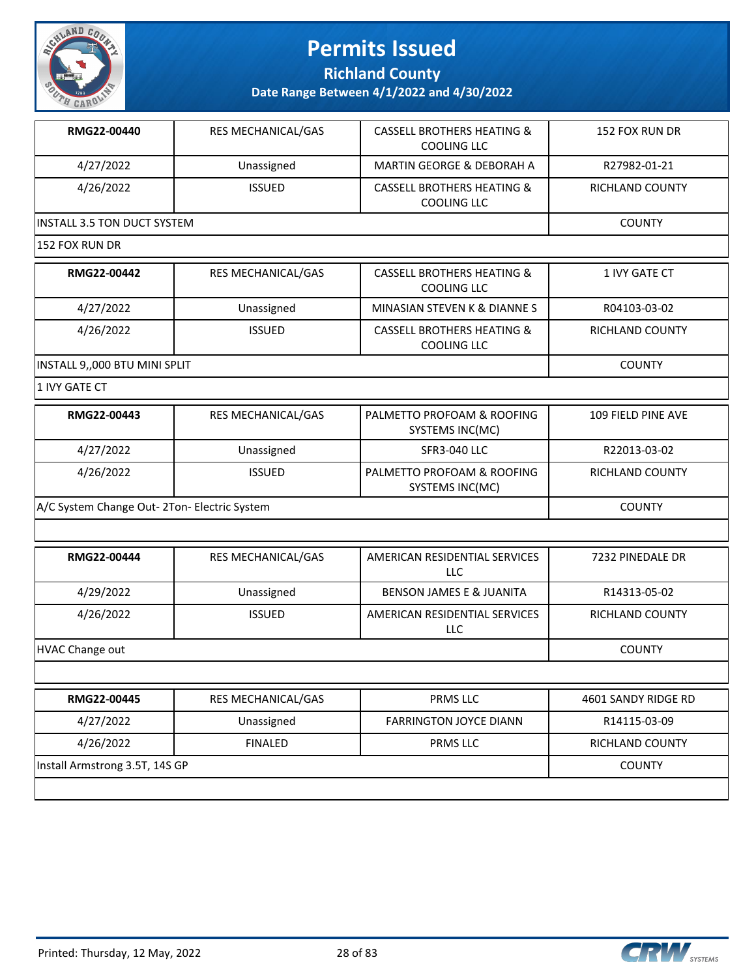

**Richland County**

**Date Range Between 4/1/2022 and 4/30/2022**

| RMG22-00440                         | <b>RES MECHANICAL/GAS</b> | <b>CASSELL BROTHERS HEATING &amp;</b><br>COOLING LLC | 152 FOX RUN DR  |
|-------------------------------------|---------------------------|------------------------------------------------------|-----------------|
| 4/27/2022                           | Unassigned                | <b>MARTIN GEORGE &amp; DEBORAH A</b>                 | R27982-01-21    |
| 4/26/2022                           | <b>ISSUED</b>             | <b>CASSELL BROTHERS HEATING &amp;</b><br>COOLING LLC | RICHLAND COUNTY |
| <b>IINSTALL 3.5 TON DUCT SYSTEM</b> | <b>COUNTY</b>             |                                                      |                 |
| 152 FOX RUN DR                      |                           |                                                      |                 |

| RMG22-00442                   | <b>RES MECHANICAL/GAS</b> | <b>CASSELL BROTHERS HEATING &amp;</b><br>COOLING LLC | 1 IVY GATE CT   |
|-------------------------------|---------------------------|------------------------------------------------------|-----------------|
| 4/27/2022                     | Unassigned                | MINASIAN STEVEN K & DIANNE S                         | R04103-03-02    |
| 4/26/2022                     | <b>ISSUED</b>             | <b>CASSELL BROTHERS HEATING &amp;</b><br>COOLING LLC | RICHLAND COUNTY |
| INSTALL 9,,000 BTU MINI SPLIT |                           |                                                      | <b>COUNTY</b>   |

 $|1$  IVY GATE CT

| RMG22-00443                                  | <b>RES MECHANICAL/GAS</b> | PALMETTO PROFOAM & ROOFING<br>SYSTEMS INC(MC) | 109 FIELD PINE AVE     |
|----------------------------------------------|---------------------------|-----------------------------------------------|------------------------|
| 4/27/2022                                    | Unassigned                | SFR3-040 LLC                                  | R22013-03-02           |
| 4/26/2022                                    | <b>ISSUED</b>             | PALMETTO PROFOAM & ROOFING<br>SYSTEMS INC(MC) | <b>RICHLAND COUNTY</b> |
| A/C System Change Out- 2Ton- Electric System |                           |                                               | COUNTY                 |

| RMG22-00444     | <b>RES MECHANICAL/GAS</b> | AMERICAN RESIDENTIAL SERVICES<br>LLC | 7232 PINEDALE DR       |
|-----------------|---------------------------|--------------------------------------|------------------------|
| 4/29/2022       | Unassigned                | <b>BENSON JAMES E &amp; JUANITA</b>  | R14313-05-02           |
| 4/26/2022       | <b>ISSUED</b>             | AMERICAN RESIDENTIAL SERVICES<br>LLC | <b>RICHLAND COUNTY</b> |
| HVAC Change out |                           |                                      | <b>COUNTY</b>          |

| RMG22-00445                    | <b>RES MECHANICAL/GAS</b> | <b>PRMS LLC</b>               | 4601 SANDY RIDGE RD |
|--------------------------------|---------------------------|-------------------------------|---------------------|
| 4/27/2022                      | Unassigned                | <b>FARRINGTON JOYCE DIANN</b> | R14115-03-09        |
| 4/26/2022                      | <b>FINALED</b>            | <b>PRMS LLC</b>               | RICHLAND COUNTY     |
| Install Armstrong 3.5T, 14S GP | <b>COUNTY</b>             |                               |                     |
|                                |                           |                               |                     |

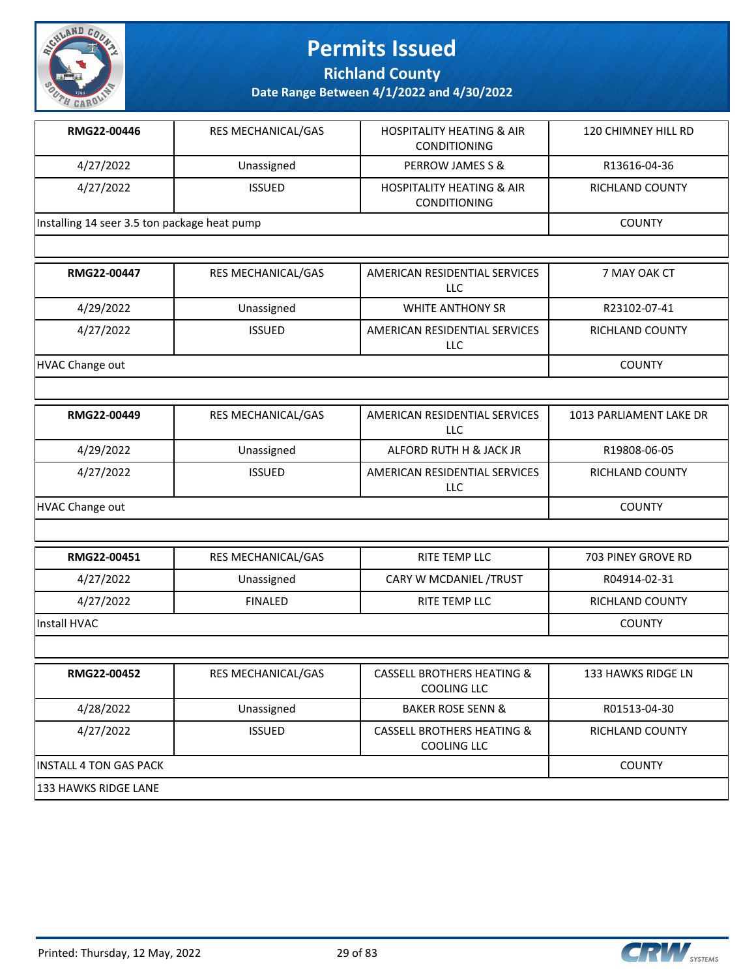

**Richland County**

| RMG22-00446                                  | <b>RES MECHANICAL/GAS</b> | <b>HOSPITALITY HEATING &amp; AIR</b><br><b>CONDITIONING</b> | 120 CHIMNEY HILL RD    |
|----------------------------------------------|---------------------------|-------------------------------------------------------------|------------------------|
| 4/27/2022                                    | Unassigned                | PERROW JAMES S &                                            | R13616-04-36           |
| 4/27/2022                                    | <b>ISSUED</b>             | <b>HOSPITALITY HEATING &amp; AIR</b><br><b>CONDITIONING</b> | <b>RICHLAND COUNTY</b> |
| Installing 14 seer 3.5 ton package heat pump |                           |                                                             | <b>COUNTY</b>          |
|                                              |                           |                                                             |                        |
| RMG22-00447                                  | <b>RES MECHANICAL/GAS</b> | AMERICAN RESIDENTIAL SERVICES<br>LLC                        | 7 MAY OAK CT           |
| 4/29/2022                                    | Unassigned                | <b>WHITE ANTHONY SR</b>                                     | R23102-07-41           |
| 4/27/2022                                    | <b>ISSUED</b>             | AMERICAN RESIDENTIAL SERVICES<br>LLC                        | <b>RICHLAND COUNTY</b> |
| HVAC Change out                              | <b>COUNTY</b>             |                                                             |                        |
|                                              |                           |                                                             |                        |

| RMG22-00449     | <b>RES MECHANICAL/GAS</b> | AMERICAN RESIDENTIAL SERVICES<br>LLC | 1013 PARLIAMENT LAKE DR |
|-----------------|---------------------------|--------------------------------------|-------------------------|
| 4/29/2022       | Unassigned                | ALFORD RUTH H & JACK JR              | R19808-06-05            |
| 4/27/2022       | <b>ISSUED</b>             | AMERICAN RESIDENTIAL SERVICES<br>LLC | RICHLAND COUNTY         |
| HVAC Change out | <b>COUNTY</b>             |                                      |                         |

| RMG22-00451  | <b>RES MECHANICAL/GAS</b> | RITE TEMP LLC          | 703 PINEY GROVE RD     |
|--------------|---------------------------|------------------------|------------------------|
| 4/27/2022    | Unassigned                | CARY W MCDANIEL /TRUST | R04914-02-31           |
| 4/27/2022    | <b>FINALED</b>            | RITE TEMP LLC          | <b>RICHLAND COUNTY</b> |
| Install HVAC |                           |                        | <b>COUNTY</b>          |
|              |                           |                        |                        |

| RMG22-00452                    | <b>RES MECHANICAL/GAS</b> | <b>CASSELL BROTHERS HEATING &amp;</b><br>COOLING LLC | 133 HAWKS RIDGE LN     |
|--------------------------------|---------------------------|------------------------------------------------------|------------------------|
| 4/28/2022                      | Unassigned                | <b>BAKER ROSE SENN &amp;</b>                         | R01513-04-30           |
| 4/27/2022                      | <b>ISSUED</b>             | <b>CASSELL BROTHERS HEATING &amp;</b><br>COOLING LLC | <b>RICHLAND COUNTY</b> |
| <b>IINSTALL 4 TON GAS PACK</b> |                           |                                                      | <b>COUNTY</b>          |
| 133 HAWKS RIDGE LANE           |                           |                                                      |                        |

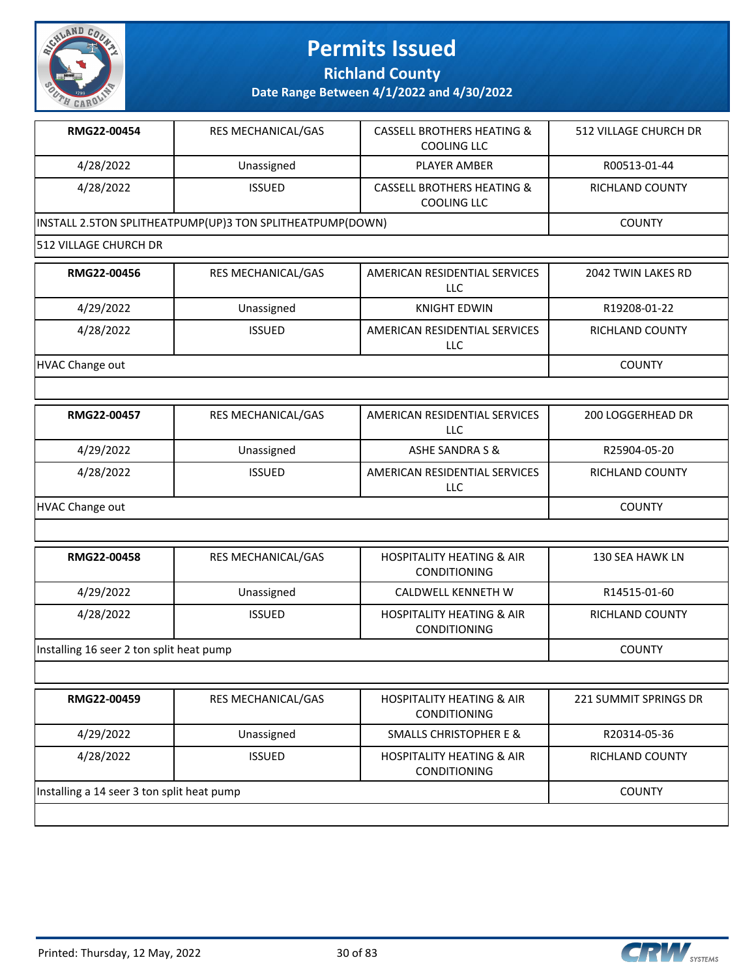

**Richland County**

| RMG22-00454                                | RES MECHANICAL/GAS                                        | <b>CASSELL BROTHERS HEATING &amp;</b><br><b>COOLING LLC</b> | 512 VILLAGE CHURCH DR |
|--------------------------------------------|-----------------------------------------------------------|-------------------------------------------------------------|-----------------------|
| 4/28/2022                                  | Unassigned                                                | <b>PLAYER AMBER</b>                                         | R00513-01-44          |
| 4/28/2022                                  | <b>ISSUED</b>                                             | <b>CASSELL BROTHERS HEATING &amp;</b><br><b>COOLING LLC</b> | RICHLAND COUNTY       |
|                                            | INSTALL 2.5TON SPLITHEATPUMP(UP)3 TON SPLITHEATPUMP(DOWN) |                                                             | <b>COUNTY</b>         |
| <b>512 VILLAGE CHURCH DR</b>               |                                                           |                                                             |                       |
| RMG22-00456                                | RES MECHANICAL/GAS                                        | AMERICAN RESIDENTIAL SERVICES<br>LLC                        | 2042 TWIN LAKES RD    |
| 4/29/2022                                  | Unassigned                                                | <b>KNIGHT EDWIN</b>                                         | R19208-01-22          |
| 4/28/2022                                  | <b>ISSUED</b>                                             | AMERICAN RESIDENTIAL SERVICES<br>LLC                        | RICHLAND COUNTY       |
| <b>HVAC Change out</b>                     |                                                           |                                                             | <b>COUNTY</b>         |
|                                            |                                                           |                                                             |                       |
| RMG22-00457                                | RES MECHANICAL/GAS                                        | AMERICAN RESIDENTIAL SERVICES<br>LLC                        | 200 LOGGERHEAD DR     |
| 4/29/2022                                  | Unassigned                                                | <b>ASHE SANDRA S &amp;</b>                                  | R25904-05-20          |
| 4/28/2022                                  | <b>ISSUED</b>                                             | AMERICAN RESIDENTIAL SERVICES<br>LLC                        | RICHLAND COUNTY       |
| <b>HVAC Change out</b>                     | <b>COUNTY</b>                                             |                                                             |                       |
|                                            |                                                           |                                                             |                       |
| RMG22-00458                                | RES MECHANICAL/GAS                                        | <b>HOSPITALITY HEATING &amp; AIR</b><br>CONDITIONING        | 130 SEA HAWK LN       |
| 4/29/2022                                  | Unassigned                                                | CALDWELL KENNETH W                                          | R14515-01-60          |
| 4/28/2022                                  | <b>ISSUED</b>                                             | <b>HOSPITALITY HEATING &amp; AIR</b><br>CONDITIONING        | RICHLAND COUNTY       |
| Installing 16 seer 2 ton split heat pump   |                                                           |                                                             | <b>COUNTY</b>         |
|                                            |                                                           |                                                             |                       |
| RMG22-00459                                | RES MECHANICAL/GAS                                        | <b>HOSPITALITY HEATING &amp; AIR</b><br>CONDITIONING        | 221 SUMMIT SPRINGS DR |
| 4/29/2022                                  | Unassigned                                                | <b>SMALLS CHRISTOPHER E &amp;</b>                           | R20314-05-36          |
| 4/28/2022                                  | <b>ISSUED</b>                                             | <b>HOSPITALITY HEATING &amp; AIR</b><br>CONDITIONING        | RICHLAND COUNTY       |
| Installing a 14 seer 3 ton split heat pump |                                                           |                                                             | <b>COUNTY</b>         |
|                                            |                                                           |                                                             |                       |

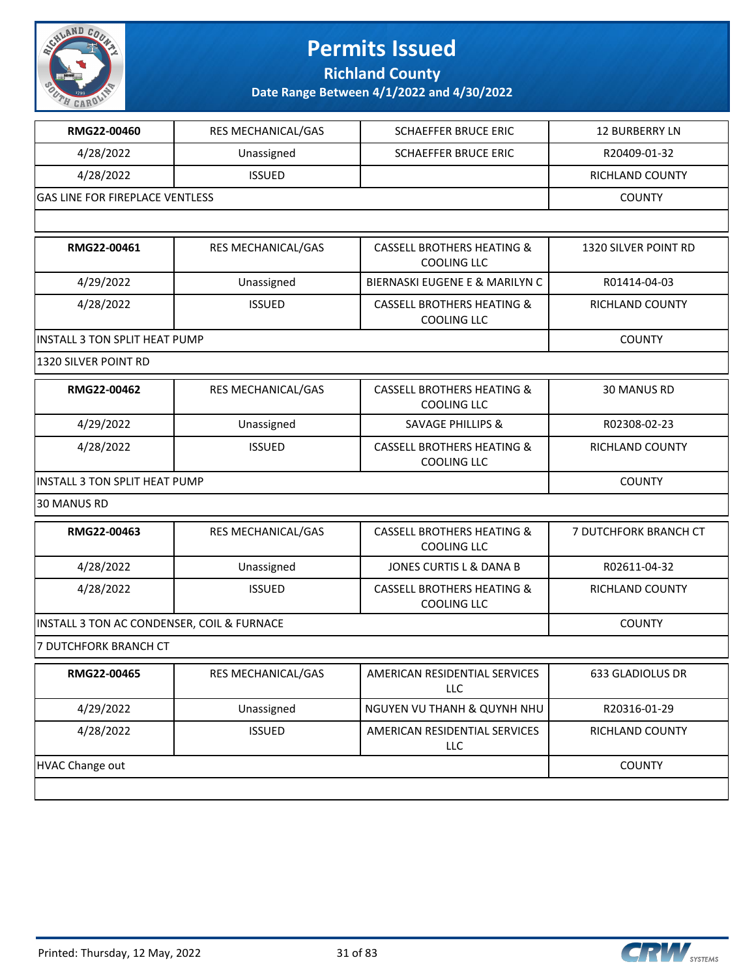

**Richland County**

| RMG22-00460                                | RES MECHANICAL/GAS | <b>SCHAEFFER BRUCE ERIC</b>                                 | <b>12 BURBERRY LN</b>  |
|--------------------------------------------|--------------------|-------------------------------------------------------------|------------------------|
| 4/28/2022                                  | Unassigned         | <b>SCHAEFFER BRUCE ERIC</b>                                 | R20409-01-32           |
| 4/28/2022                                  | <b>ISSUED</b>      |                                                             | RICHLAND COUNTY        |
| <b>GAS LINE FOR FIREPLACE VENTLESS</b>     |                    |                                                             | <b>COUNTY</b>          |
|                                            |                    |                                                             |                        |
| RMG22-00461                                | RES MECHANICAL/GAS | <b>CASSELL BROTHERS HEATING &amp;</b><br><b>COOLING LLC</b> | 1320 SILVER POINT RD   |
| 4/29/2022                                  | Unassigned         | <b>BIERNASKI EUGENE E &amp; MARILYN C</b>                   | R01414-04-03           |
| 4/28/2022                                  | <b>ISSUED</b>      | <b>CASSELL BROTHERS HEATING &amp;</b><br><b>COOLING LLC</b> | RICHLAND COUNTY        |
| <b>INSTALL 3 TON SPLIT HEAT PUMP</b>       |                    |                                                             | <b>COUNTY</b>          |
| 1320 SILVER POINT RD                       |                    |                                                             |                        |
| RMG22-00462                                | RES MECHANICAL/GAS | <b>CASSELL BROTHERS HEATING &amp;</b><br><b>COOLING LLC</b> | 30 MANUS RD            |
| 4/29/2022                                  | Unassigned         | <b>SAVAGE PHILLIPS &amp;</b>                                | R02308-02-23           |
| 4/28/2022                                  | <b>ISSUED</b>      | <b>CASSELL BROTHERS HEATING &amp;</b><br><b>COOLING LLC</b> | <b>RICHLAND COUNTY</b> |
| <b>INSTALL 3 TON SPLIT HEAT PUMP</b>       | <b>COUNTY</b>      |                                                             |                        |
| <b>30 MANUS RD</b>                         |                    |                                                             |                        |
| RMG22-00463                                | RES MECHANICAL/GAS | <b>CASSELL BROTHERS HEATING &amp;</b><br><b>COOLING LLC</b> | 7 DUTCHFORK BRANCH CT  |
| 4/28/2022                                  | Unassigned         | JONES CURTIS L & DANA B                                     | R02611-04-32           |
| 4/28/2022                                  | <b>ISSUED</b>      | <b>CASSELL BROTHERS HEATING &amp;</b><br><b>COOLING LLC</b> | RICHLAND COUNTY        |
| INSTALL 3 TON AC CONDENSER, COIL & FURNACE |                    |                                                             | <b>COUNTY</b>          |
| 7 DUTCHFORK BRANCH CT                      |                    |                                                             |                        |
| RMG22-00465                                | RES MECHANICAL/GAS | AMERICAN RESIDENTIAL SERVICES<br>LLC                        | 633 GLADIOLUS DR       |
| 4/29/2022                                  | Unassigned         | NGUYEN VU THANH & QUYNH NHU                                 | R20316-01-29           |
| 4/28/2022                                  | <b>ISSUED</b>      | AMERICAN RESIDENTIAL SERVICES<br><b>LLC</b>                 | RICHLAND COUNTY        |
| <b>HVAC Change out</b>                     |                    |                                                             | <b>COUNTY</b>          |
|                                            |                    |                                                             |                        |

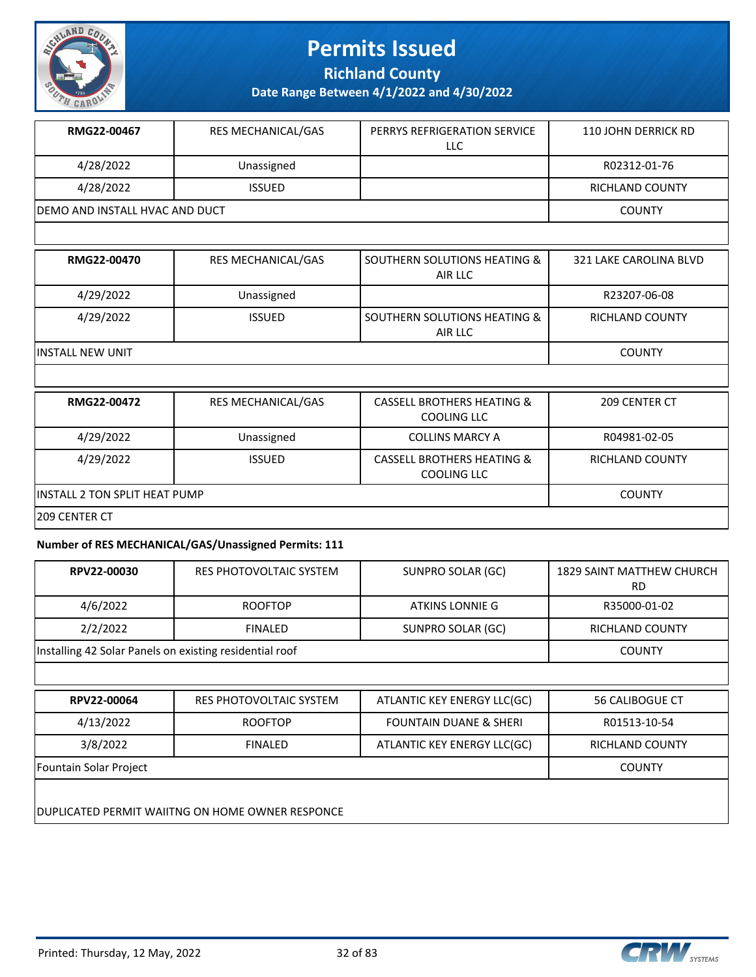

**Richland County**

**Date Range Between 4/1/2022 and 4/30/2022**

| RMG22-00467                     | <b>RES MECHANICAL/GAS</b> | PERRYS REFRIGERATION SERVICE<br>LLC | 110 JOHN DERRICK RD    |
|---------------------------------|---------------------------|-------------------------------------|------------------------|
| 4/28/2022                       | Unassigned                |                                     | R02312-01-76           |
| 4/28/2022                       | <b>ISSUED</b>             |                                     | <b>RICHLAND COUNTY</b> |
| IDEMO AND INSTALL HVAC AND DUCT |                           |                                     | <b>COUNTY</b>          |
|                                 |                           |                                     |                        |

| RMG22-00470       | RES MECHANICAL/GAS | <b>SOUTHERN SOLUTIONS HEATING &amp;</b><br>AIR LLC | 321 LAKE CAROLINA BLVD |
|-------------------|--------------------|----------------------------------------------------|------------------------|
| 4/29/2022         | Unassigned         |                                                    | R23207-06-08           |
| 4/29/2022         | <b>ISSUED</b>      | SOUTHERN SOLUTIONS HEATING &<br>AIR LLC            | <b>RICHLAND COUNTY</b> |
| lINSTALL NEW UNIT |                    |                                                    | <b>COUNTY</b>          |
|                   |                    |                                                    |                        |

| RMG22-00472                           | <b>RES MECHANICAL/GAS</b> | <b>CASSELL BROTHERS HEATING &amp;</b><br>COOLING LLC | 209 CENTER CT          |  |
|---------------------------------------|---------------------------|------------------------------------------------------|------------------------|--|
| 4/29/2022                             | Unassigned                | <b>COLLINS MARCY A</b>                               | R04981-02-05           |  |
| 4/29/2022                             | <b>ISSUED</b>             | <b>CASSELL BROTHERS HEATING &amp;</b><br>COOLING LLC | <b>RICHLAND COUNTY</b> |  |
| <b>IINSTALL 2 TON SPLIT HEAT PUMP</b> | <b>COUNTY</b>             |                                                      |                        |  |
| 1209 CENTER CT                        |                           |                                                      |                        |  |

#### **Number of RES MECHANICAL/GAS/Unassigned Permits: 111**

| RPV22-00030                                             | RES PHOTOVOLTAIC SYSTEM | SUNPRO SOLAR (GC) | 1829 SAINT MATTHEW CHURCH<br>RD |
|---------------------------------------------------------|-------------------------|-------------------|---------------------------------|
| 4/6/2022                                                | <b>ROOFTOP</b>          | ATKINS LONNIE G   | R35000-01-02                    |
| 2/2/2022                                                | <b>FINALED</b>          | SUNPRO SOLAR (GC) | RICHLAND COUNTY                 |
| Installing 42 Solar Panels on existing residential roof |                         |                   | <b>COUNTY</b>                   |

| RPV22-00064                                      | <b>RES PHOTOVOLTAIC SYSTEM</b> | ATLANTIC KEY ENERGY LLC(GC)       | 56 CALIBOGUE CT |  |
|--------------------------------------------------|--------------------------------|-----------------------------------|-----------------|--|
| 4/13/2022                                        | <b>ROOFTOP</b>                 | <b>FOUNTAIN DUANE &amp; SHERI</b> | R01513-10-54    |  |
| 3/8/2022                                         | <b>FINALED</b>                 | ATLANTIC KEY ENERGY LLC(GC)       | RICHLAND COUNTY |  |
| Fountain Solar Project                           |                                |                                   | <b>COUNTY</b>   |  |
| DUPLICATED PERMIT WAIITNG ON HOME OWNER RESPONCE |                                |                                   |                 |  |

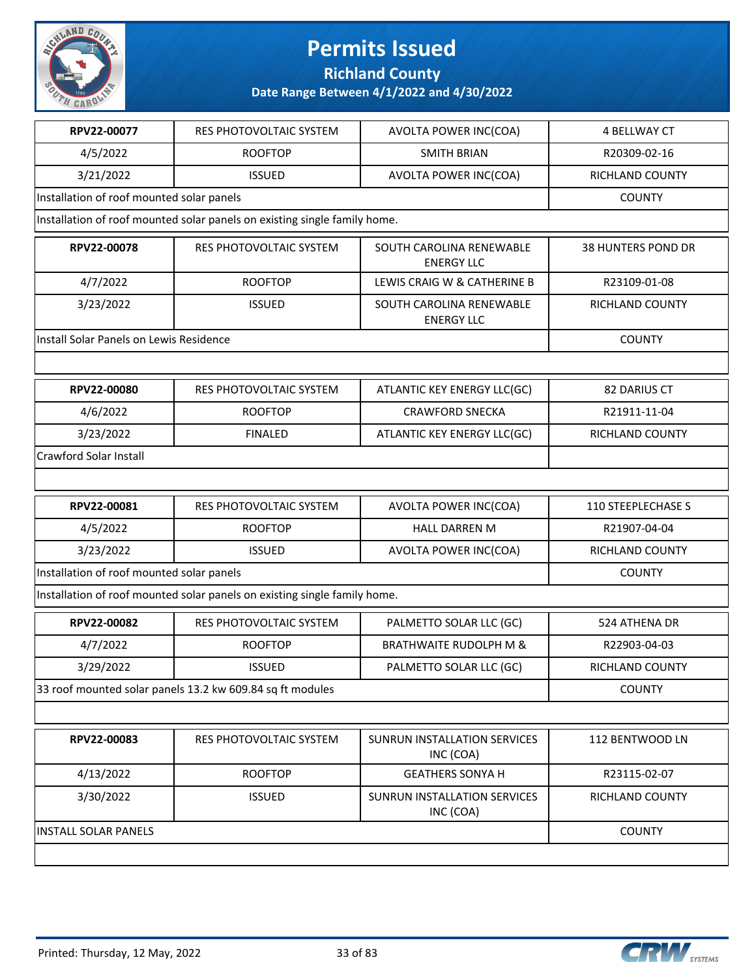

**Richland County**

| RPV22-00077                               | RES PHOTOVOLTAIC SYSTEM                                                   | AVOLTA POWER INC(COA)                         | 4 BELLWAY CT              |  |  |
|-------------------------------------------|---------------------------------------------------------------------------|-----------------------------------------------|---------------------------|--|--|
| 4/5/2022                                  | <b>ROOFTOP</b>                                                            | <b>SMITH BRIAN</b>                            | R20309-02-16              |  |  |
| 3/21/2022                                 | <b>ISSUED</b>                                                             | AVOLTA POWER INC(COA)                         | <b>RICHLAND COUNTY</b>    |  |  |
|                                           | Installation of roof mounted solar panels                                 |                                               |                           |  |  |
|                                           | Installation of roof mounted solar panels on existing single family home. |                                               |                           |  |  |
| RPV22-00078                               | RES PHOTOVOLTAIC SYSTEM                                                   | SOUTH CAROLINA RENEWABLE<br><b>ENERGY LLC</b> | 38 HUNTERS POND DR        |  |  |
| 4/7/2022                                  | <b>ROOFTOP</b>                                                            | LEWIS CRAIG W & CATHERINE B                   | R23109-01-08              |  |  |
| 3/23/2022                                 | <b>ISSUED</b>                                                             | SOUTH CAROLINA RENEWABLE<br><b>ENERGY LLC</b> | RICHLAND COUNTY           |  |  |
| Install Solar Panels on Lewis Residence   |                                                                           |                                               | <b>COUNTY</b>             |  |  |
|                                           |                                                                           |                                               |                           |  |  |
| RPV22-00080                               | <b>RES PHOTOVOLTAIC SYSTEM</b>                                            | ATLANTIC KEY ENERGY LLC(GC)                   | 82 DARIUS CT              |  |  |
| 4/6/2022                                  | <b>ROOFTOP</b>                                                            | <b>CRAWFORD SNECKA</b>                        | R21911-11-04              |  |  |
| 3/23/2022                                 | <b>FINALED</b>                                                            | ATLANTIC KEY ENERGY LLC(GC)                   | RICHLAND COUNTY           |  |  |
| <b>Crawford Solar Install</b>             |                                                                           |                                               |                           |  |  |
|                                           |                                                                           |                                               |                           |  |  |
| RPV22-00081                               | RES PHOTOVOLTAIC SYSTEM                                                   | AVOLTA POWER INC(COA)                         | <b>110 STEEPLECHASE S</b> |  |  |
| 4/5/2022                                  | <b>ROOFTOP</b>                                                            | <b>HALL DARREN M</b>                          | R21907-04-04              |  |  |
|                                           |                                                                           |                                               |                           |  |  |
| 3/23/2022                                 | <b>ISSUED</b>                                                             | AVOLTA POWER INC(COA)                         | RICHLAND COUNTY           |  |  |
| Installation of roof mounted solar panels |                                                                           |                                               | <b>COUNTY</b>             |  |  |
|                                           | Installation of roof mounted solar panels on existing single family home. |                                               |                           |  |  |
| RPV22-00082                               | RES PHOTOVOLTAIC SYSTEM                                                   | PALMETTO SOLAR LLC (GC)                       | 524 ATHENA DR             |  |  |
| 4/7/2022                                  | <b>ROOFTOP</b>                                                            | <b>BRATHWAITE RUDOLPH M &amp;</b>             | R22903-04-03              |  |  |
| 3/29/2022                                 | <b>ISSUED</b>                                                             | PALMETTO SOLAR LLC (GC)                       | RICHLAND COUNTY           |  |  |
|                                           | 33 roof mounted solar panels 13.2 kw 609.84 sq ft modules                 |                                               | <b>COUNTY</b>             |  |  |
|                                           |                                                                           |                                               |                           |  |  |
| RPV22-00083                               | <b>RES PHOTOVOLTAIC SYSTEM</b>                                            | SUNRUN INSTALLATION SERVICES<br>INC (COA)     | 112 BENTWOOD LN           |  |  |
| 4/13/2022                                 | <b>ROOFTOP</b>                                                            | <b>GEATHERS SONYA H</b>                       | R23115-02-07              |  |  |
| 3/30/2022                                 | <b>ISSUED</b>                                                             | SUNRUN INSTALLATION SERVICES<br>INC (COA)     | <b>RICHLAND COUNTY</b>    |  |  |
| <b>INSTALL SOLAR PANELS</b>               |                                                                           |                                               | <b>COUNTY</b>             |  |  |

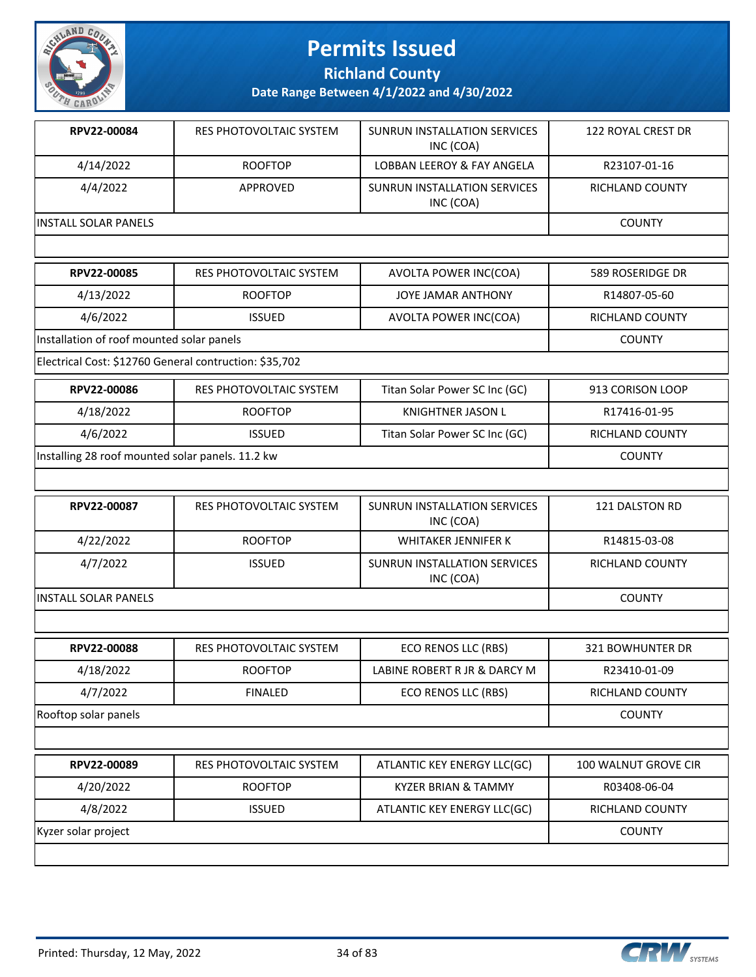

**Richland County**

**Date Range Between 4/1/2022 and 4/30/2022**

| RPV22-00084                  | RES PHOTOVOLTAIC SYSTEM | SUNRUN INSTALLATION SERVICES<br>INC (COA) | 122 ROYAL CREST DR |
|------------------------------|-------------------------|-------------------------------------------|--------------------|
| 4/14/2022                    | <b>ROOFTOP</b>          | LOBBAN LEEROY & FAY ANGELA                | R23107-01-16       |
| 4/4/2022                     | <b>APPROVED</b>         | SUNRUN INSTALLATION SERVICES<br>INC (COA) | RICHLAND COUNTY    |
| <b>IINSTALL SOLAR PANELS</b> |                         |                                           | <b>COUNTY</b>      |
|                              |                         |                                           |                    |
| RPV22-00085                  | RES PHOTOVOLTAIC SYSTEM | AVOLTA POWER INC(COA)                     | 589 ROSERIDGE DR   |

| <b>KPVZZ-UUU83</b>                                         | KES PHUTUVULI AIU SI STEIVI | AVULTA PUWER INCICUAL         | JOY KUSEKIDUE DK       |  |  |
|------------------------------------------------------------|-----------------------------|-------------------------------|------------------------|--|--|
| 4/13/2022                                                  | <b>ROOFTOP</b>              | <b>JOYE JAMAR ANTHONY</b>     | R14807-05-60           |  |  |
| 4/6/2022                                                   | <b>ISSUED</b>               | AVOLTA POWER INC(COA)         | <b>RICHLAND COUNTY</b> |  |  |
| Installation of roof mounted solar panels<br><b>COUNTY</b> |                             |                               |                        |  |  |
| Electrical Cost: \$12760 General contruction: \$35,702     |                             |                               |                        |  |  |
| RPV22-00086                                                | RES PHOTOVOLTAIC SYSTEM     | Titan Solar Power SC Inc (GC) | 913 CORISON LOOP       |  |  |
| 4/18/2022                                                  | <b>ROOFTOP</b>              | KNIGHTNER JASON L             | R17416-01-95           |  |  |
| 4/6/2022                                                   | <b>ISSUED</b>               | Titan Solar Power SC Inc (GC) | <b>RICHLAND COUNTY</b> |  |  |
|                                                            |                             |                               |                        |  |  |

Installing 28 roof mounted solar panels. 11.2 kw COUNTY

| RPV22-00087                  | RES PHOTOVOLTAIC SYSTEM | SUNRUN INSTALLATION SERVICES<br>INC (COA) | 121 DALSTON RD  |
|------------------------------|-------------------------|-------------------------------------------|-----------------|
| 4/22/2022                    | <b>ROOFTOP</b>          | WHITAKER JENNIFER K                       | R14815-03-08    |
| 4/7/2022                     | <b>ISSUED</b>           | SUNRUN INSTALLATION SERVICES<br>INC (COA) | RICHLAND COUNTY |
| <b>IINSTALL SOLAR PANELS</b> | <b>COUNTY</b>           |                                           |                 |

| RPV22-00088          | RES PHOTOVOLTAIC SYSTEM | ECO RENOS LLC (RBS)          | 321 BOWHUNTER DR |
|----------------------|-------------------------|------------------------------|------------------|
| 4/18/2022            | <b>ROOFTOP</b>          | LABINE ROBERT R JR & DARCY M | R23410-01-09     |
| 4/7/2022             | <b>FINALED</b>          | ECO RENOS LLC (RBS)          | RICHLAND COUNTY  |
| Rooftop solar panels |                         |                              | <b>COUNTY</b>    |

| RPV22-00089         | RES PHOTOVOLTAIC SYSTEM | ATLANTIC KEY ENERGY LLC(GC) | 100 WALNUT GROVE CIR |
|---------------------|-------------------------|-----------------------------|----------------------|
| 4/20/2022           | <b>ROOFTOP</b>          | KYZER BRIAN & TAMMY         | R03408-06-04         |
| 4/8/2022            | <b>ISSUED</b>           | ATLANTIC KEY ENERGY LLC(GC) | RICHLAND COUNTY      |
| Kyzer solar project |                         |                             | <b>COUNTY</b>        |
|                     |                         |                             |                      |

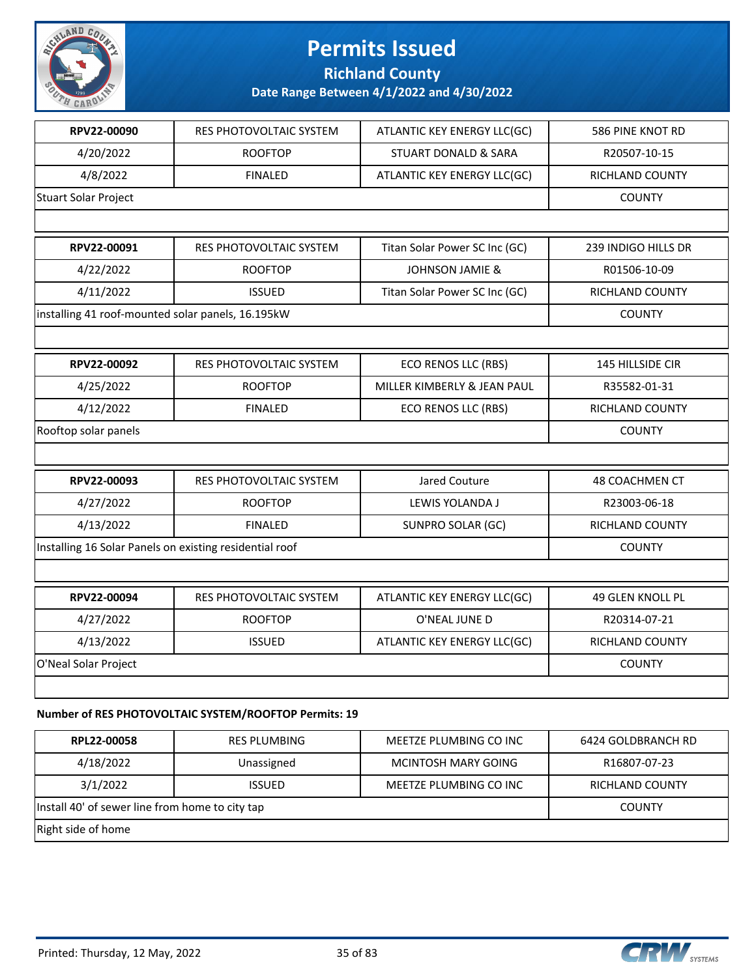

**Richland County**

| RPV22-00090                                             | <b>RES PHOTOVOLTAIC SYSTEM</b>                        | ATLANTIC KEY ENERGY LLC(GC)     | 586 PINE KNOT RD        |  |
|---------------------------------------------------------|-------------------------------------------------------|---------------------------------|-------------------------|--|
| 4/20/2022                                               | <b>ROOFTOP</b>                                        | <b>STUART DONALD &amp; SARA</b> | R20507-10-15            |  |
| 4/8/2022                                                | <b>FINALED</b>                                        | ATLANTIC KEY ENERGY LLC(GC)     | RICHLAND COUNTY         |  |
| Stuart Solar Project                                    |                                                       |                                 | <b>COUNTY</b>           |  |
|                                                         |                                                       |                                 |                         |  |
| RPV22-00091                                             | <b>RES PHOTOVOLTAIC SYSTEM</b>                        | Titan Solar Power SC Inc (GC)   | 239 INDIGO HILLS DR     |  |
| 4/22/2022                                               | <b>ROOFTOP</b>                                        | JOHNSON JAMIE &                 | R01506-10-09            |  |
| 4/11/2022                                               | <b>ISSUED</b>                                         | Titan Solar Power SC Inc (GC)   | RICHLAND COUNTY         |  |
| installing 41 roof-mounted solar panels, 16.195kW       |                                                       |                                 | <b>COUNTY</b>           |  |
|                                                         |                                                       |                                 |                         |  |
| RPV22-00092                                             | <b>RES PHOTOVOLTAIC SYSTEM</b>                        | <b>ECO RENOS LLC (RBS)</b>      | <b>145 HILLSIDE CIR</b> |  |
| 4/25/2022                                               | <b>ROOFTOP</b>                                        | MILLER KIMBERLY & JEAN PAUL     | R35582-01-31            |  |
| 4/12/2022                                               | <b>FINALED</b>                                        | ECO RENOS LLC (RBS)             | <b>RICHLAND COUNTY</b>  |  |
| Rooftop solar panels                                    |                                                       |                                 |                         |  |
|                                                         |                                                       |                                 |                         |  |
| RPV22-00093                                             | RES PHOTOVOLTAIC SYSTEM                               | Jared Couture                   | 48 COACHMEN CT          |  |
| 4/27/2022                                               | <b>ROOFTOP</b>                                        | LEWIS YOLANDA J                 | R23003-06-18            |  |
| 4/13/2022                                               | <b>FINALED</b>                                        | SUNPRO SOLAR (GC)               | RICHLAND COUNTY         |  |
| Installing 16 Solar Panels on existing residential roof |                                                       |                                 | <b>COUNTY</b>           |  |
|                                                         |                                                       |                                 |                         |  |
| RPV22-00094                                             | RES PHOTOVOLTAIC SYSTEM                               | ATLANTIC KEY ENERGY LLC(GC)     | 49 GLEN KNOLL PL        |  |
| 4/27/2022                                               | <b>ROOFTOP</b>                                        | O'NEAL JUNE D                   | R20314-07-21            |  |
| 4/13/2022                                               | <b>ISSUED</b>                                         | ATLANTIC KEY ENERGY LLC(GC)     | RICHLAND COUNTY         |  |
| O'Neal Solar Project                                    |                                                       |                                 | <b>COUNTY</b>           |  |
|                                                         |                                                       |                                 |                         |  |
|                                                         | Number of RES PHOTOVOLTAIC SYSTEM/ROOFTOP Permits: 19 |                                 |                         |  |
|                                                         |                                                       |                                 |                         |  |

| RPL22-00058                                     | <b>RES PLUMBING</b> | MEETZE PLUMBING CO INC | 6424 GOLDBRANCH RD |  |
|-------------------------------------------------|---------------------|------------------------|--------------------|--|
| 4/18/2022                                       | Unassigned          | MCINTOSH MARY GOING    | R16807-07-23       |  |
| 3/1/2022                                        | <b>ISSUED</b>       | MEETZE PLUMBING CO INC | RICHLAND COUNTY    |  |
| Install 40' of sewer line from home to city tap |                     |                        | <b>COUNTY</b>      |  |
| Right side of home                              |                     |                        |                    |  |

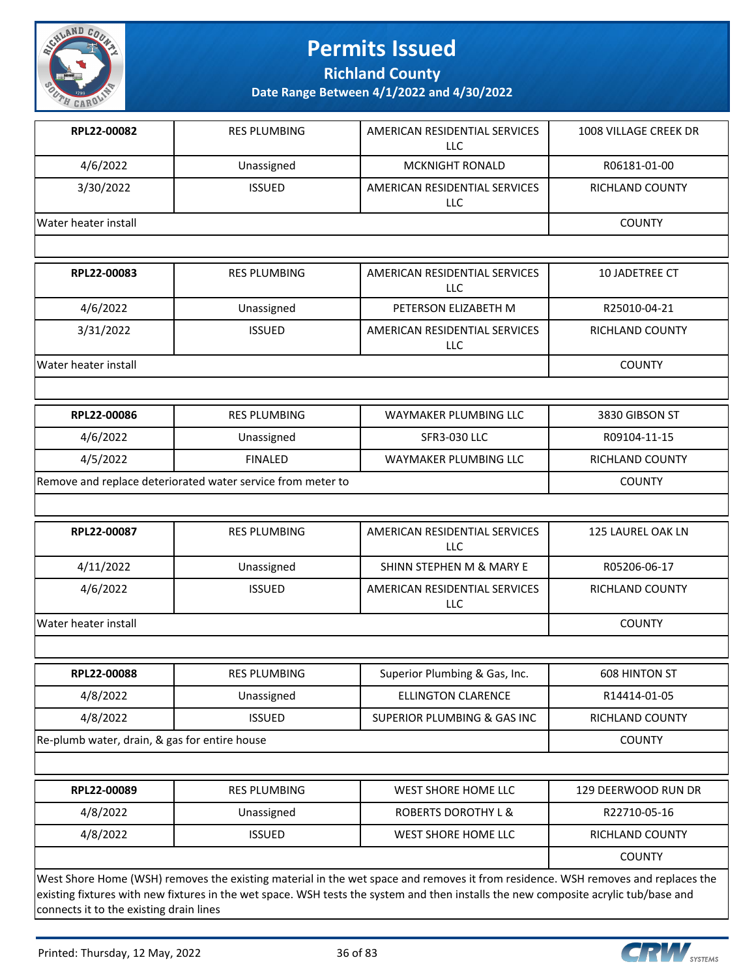

**Richland County**

**Date Range Between 4/1/2022 and 4/30/2022**

| RPL22-00082                                   | <b>RES PLUMBING</b>                                         | AMERICAN RESIDENTIAL SERVICES<br><b>LLC</b>                                                                                      | 1008 VILLAGE CREEK DR  |
|-----------------------------------------------|-------------------------------------------------------------|----------------------------------------------------------------------------------------------------------------------------------|------------------------|
| 4/6/2022                                      | Unassigned                                                  | <b>MCKNIGHT RONALD</b>                                                                                                           | R06181-01-00           |
| 3/30/2022                                     | <b>ISSUED</b>                                               | AMERICAN RESIDENTIAL SERVICES<br>LLC                                                                                             | <b>RICHLAND COUNTY</b> |
| Water heater install                          |                                                             |                                                                                                                                  | <b>COUNTY</b>          |
|                                               |                                                             |                                                                                                                                  |                        |
| RPL22-00083                                   | <b>RES PLUMBING</b>                                         | AMERICAN RESIDENTIAL SERVICES<br><b>LLC</b>                                                                                      | 10 JADETREE CT         |
| 4/6/2022                                      | Unassigned                                                  | PETERSON ELIZABETH M                                                                                                             | R25010-04-21           |
| 3/31/2022                                     | <b>ISSUED</b>                                               | AMERICAN RESIDENTIAL SERVICES<br><b>LLC</b>                                                                                      | <b>RICHLAND COUNTY</b> |
| Water heater install                          |                                                             |                                                                                                                                  | <b>COUNTY</b>          |
|                                               |                                                             |                                                                                                                                  |                        |
| RPL22-00086                                   | <b>RES PLUMBING</b>                                         | WAYMAKER PLUMBING LLC                                                                                                            | 3830 GIBSON ST         |
| 4/6/2022                                      | Unassigned                                                  | <b>SFR3-030 LLC</b>                                                                                                              | R09104-11-15           |
| 4/5/2022                                      | <b>FINALED</b>                                              | WAYMAKER PLUMBING LLC                                                                                                            | <b>RICHLAND COUNTY</b> |
|                                               | Remove and replace deteriorated water service from meter to |                                                                                                                                  | <b>COUNTY</b>          |
|                                               |                                                             |                                                                                                                                  |                        |
| RPL22-00087                                   | <b>RES PLUMBING</b>                                         | AMERICAN RESIDENTIAL SERVICES<br><b>LLC</b>                                                                                      | 125 LAUREL OAK LN      |
| 4/11/2022                                     | Unassigned                                                  | SHINN STEPHEN M & MARY E                                                                                                         | R05206-06-17           |
| 4/6/2022                                      | <b>ISSUED</b>                                               | AMERICAN RESIDENTIAL SERVICES<br>LLC                                                                                             | <b>RICHLAND COUNTY</b> |
| Water heater install                          |                                                             |                                                                                                                                  | <b>COUNTY</b>          |
|                                               |                                                             |                                                                                                                                  |                        |
| <b>RPL22-00088</b>                            | <b>RES PLUMBING</b>                                         | Superior Plumbing & Gas, Inc.                                                                                                    | 608 HINTON ST          |
| 4/8/2022                                      | Unassigned                                                  | <b>ELLINGTON CLARENCE</b>                                                                                                        | R14414-01-05           |
| 4/8/2022                                      | <b>ISSUED</b>                                               | SUPERIOR PLUMBING & GAS INC                                                                                                      | RICHLAND COUNTY        |
| Re-plumb water, drain, & gas for entire house | <b>COUNTY</b>                                               |                                                                                                                                  |                        |
|                                               |                                                             |                                                                                                                                  |                        |
| RPL22-00089                                   | <b>RES PLUMBING</b>                                         | WEST SHORE HOME LLC                                                                                                              | 129 DEERWOOD RUN DR    |
| 4/8/2022                                      | Unassigned                                                  | ROBERTS DOROTHY L &                                                                                                              | R22710-05-16           |
| 4/8/2022                                      | <b>ISSUED</b>                                               | WEST SHORE HOME LLC                                                                                                              | <b>RICHLAND COUNTY</b> |
|                                               |                                                             |                                                                                                                                  | <b>COUNTY</b>          |
|                                               |                                                             | West Shore Home (WSH) removes the existing material in the wet space and removes it from residence. WSH removes and replaces the |                        |

existing fixtures with new fixtures in the wet space. WSH tests the system and then installs the new composite acrylic tub/base and connects it to the existing drain lines

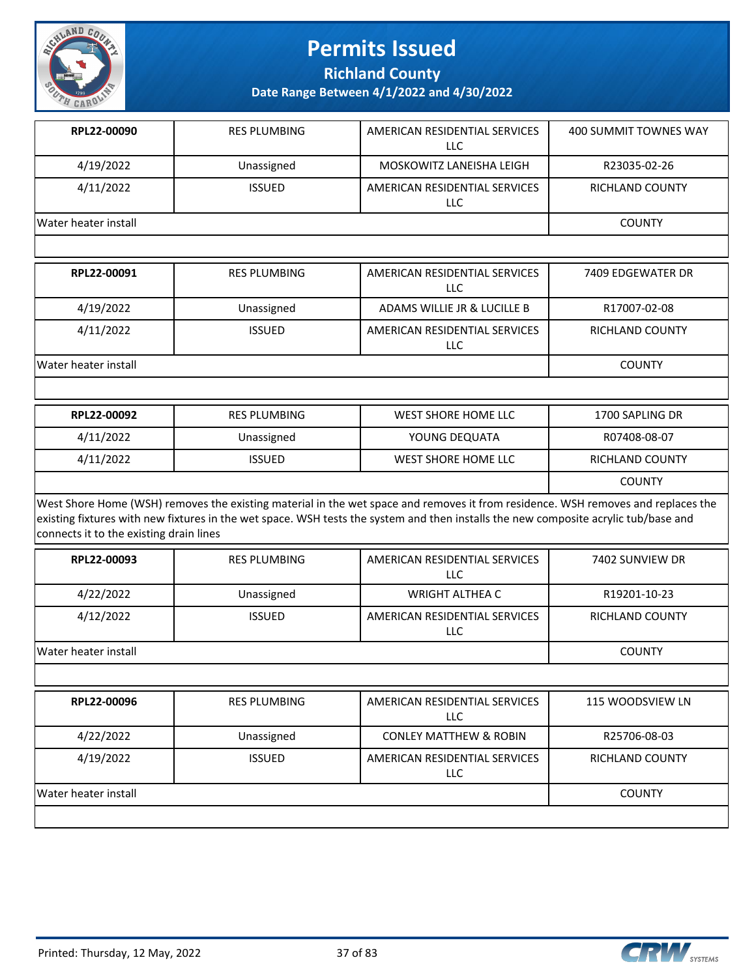

**Richland County**

| RPL22-00090                             |                     |                                                                                                                                                                                                                                                                         |                       |
|-----------------------------------------|---------------------|-------------------------------------------------------------------------------------------------------------------------------------------------------------------------------------------------------------------------------------------------------------------------|-----------------------|
|                                         | <b>RES PLUMBING</b> | AMERICAN RESIDENTIAL SERVICES<br>LLC                                                                                                                                                                                                                                    | 400 SUMMIT TOWNES WAY |
| 4/19/2022                               | Unassigned          | MOSKOWITZ LANEISHA LEIGH                                                                                                                                                                                                                                                | R23035-02-26          |
| 4/11/2022                               | <b>ISSUED</b>       | AMERICAN RESIDENTIAL SERVICES<br>LLC                                                                                                                                                                                                                                    | RICHLAND COUNTY       |
| Water heater install                    |                     |                                                                                                                                                                                                                                                                         | <b>COUNTY</b>         |
|                                         |                     |                                                                                                                                                                                                                                                                         |                       |
| RPL22-00091                             | <b>RES PLUMBING</b> | AMERICAN RESIDENTIAL SERVICES<br><b>LLC</b>                                                                                                                                                                                                                             | 7409 EDGEWATER DR     |
| 4/19/2022                               | Unassigned          | ADAMS WILLIE JR & LUCILLE B                                                                                                                                                                                                                                             | R17007-02-08          |
| 4/11/2022                               | <b>ISSUED</b>       | AMERICAN RESIDENTIAL SERVICES<br>LLC                                                                                                                                                                                                                                    | RICHLAND COUNTY       |
| Water heater install                    |                     |                                                                                                                                                                                                                                                                         | <b>COUNTY</b>         |
|                                         |                     |                                                                                                                                                                                                                                                                         |                       |
| RPL22-00092                             | <b>RES PLUMBING</b> | <b>WEST SHORE HOME LLC</b>                                                                                                                                                                                                                                              | 1700 SAPLING DR       |
|                                         |                     | YOUNG DEQUATA                                                                                                                                                                                                                                                           | R07408-08-07          |
| 4/11/2022                               | Unassigned          |                                                                                                                                                                                                                                                                         |                       |
| 4/11/2022                               | <b>ISSUED</b>       | <b>WEST SHORE HOME LLC</b>                                                                                                                                                                                                                                              | RICHLAND COUNTY       |
|                                         |                     |                                                                                                                                                                                                                                                                         | <b>COUNTY</b>         |
| connects it to the existing drain lines |                     | West Shore Home (WSH) removes the existing material in the wet space and removes it from residence. WSH removes and replaces the<br>existing fixtures with new fixtures in the wet space. WSH tests the system and then installs the new composite acrylic tub/base and |                       |
| RPL22-00093                             | <b>RES PLUMBING</b> | AMERICAN RESIDENTIAL SERVICES<br><b>LLC</b>                                                                                                                                                                                                                             | 7402 SUNVIEW DR       |
| 4/22/2022                               | Unassigned          | <b>WRIGHT ALTHEA C</b>                                                                                                                                                                                                                                                  | R19201-10-23          |
| 4/12/2022                               | <b>ISSUED</b>       | AMERICAN RESIDENTIAL SERVICES<br><b>LLC</b>                                                                                                                                                                                                                             | RICHLAND COUNTY       |
| Water heater install                    |                     |                                                                                                                                                                                                                                                                         | <b>COUNTY</b>         |
|                                         |                     |                                                                                                                                                                                                                                                                         |                       |
| RPL22-00096                             | <b>RES PLUMBING</b> | AMERICAN RESIDENTIAL SERVICES<br>LLC                                                                                                                                                                                                                                    | 115 WOODSVIEW LN      |
| 4/22/2022                               | Unassigned          | <b>CONLEY MATTHEW &amp; ROBIN</b>                                                                                                                                                                                                                                       | R25706-08-03          |
| 4/19/2022                               | <b>ISSUED</b>       | AMERICAN RESIDENTIAL SERVICES<br>LLC                                                                                                                                                                                                                                    | RICHLAND COUNTY       |

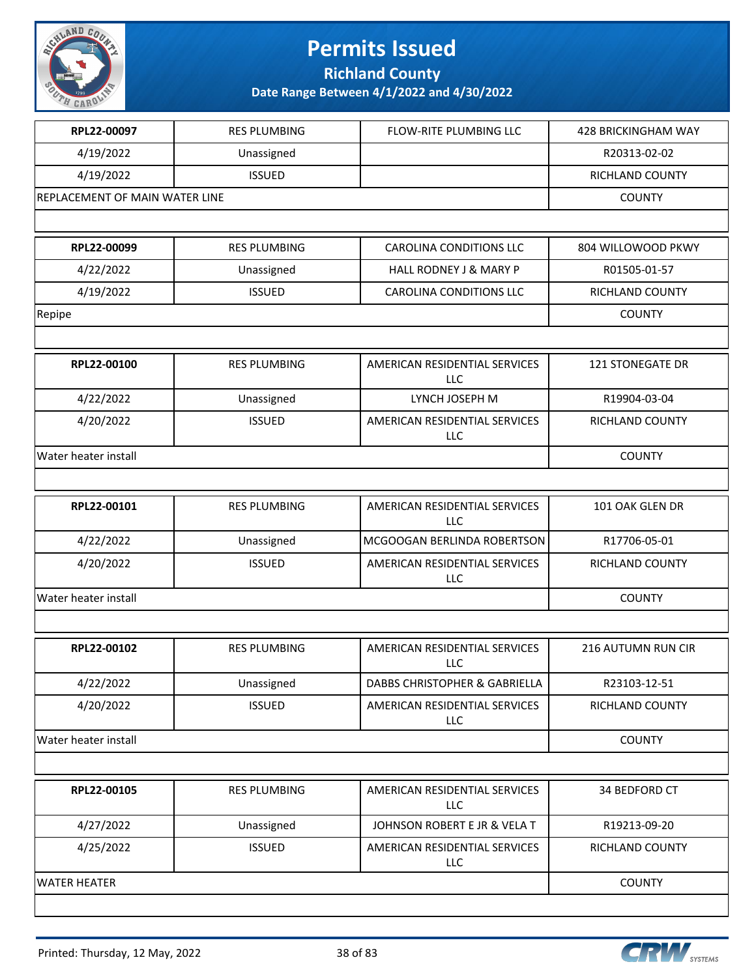

**Richland County**

| RPL22-00097                    | <b>RES PLUMBING</b> | FLOW-RITE PLUMBING LLC                      | 428 BRICKINGHAM WAY       |
|--------------------------------|---------------------|---------------------------------------------|---------------------------|
| 4/19/2022                      | Unassigned          |                                             | R20313-02-02              |
| 4/19/2022                      | <b>ISSUED</b>       |                                             | <b>RICHLAND COUNTY</b>    |
| REPLACEMENT OF MAIN WATER LINE |                     |                                             | <b>COUNTY</b>             |
|                                |                     |                                             |                           |
| RPL22-00099                    | <b>RES PLUMBING</b> | <b>CAROLINA CONDITIONS LLC</b>              | 804 WILLOWOOD PKWY        |
| 4/22/2022                      | Unassigned          | HALL RODNEY J & MARY P                      | R01505-01-57              |
| 4/19/2022                      | <b>ISSUED</b>       | CAROLINA CONDITIONS LLC                     | RICHLAND COUNTY           |
| Repipe                         |                     |                                             | <b>COUNTY</b>             |
|                                |                     |                                             |                           |
| RPL22-00100                    | <b>RES PLUMBING</b> | AMERICAN RESIDENTIAL SERVICES<br><b>LLC</b> | 121 STONEGATE DR          |
| 4/22/2022                      | Unassigned          | LYNCH JOSEPH M                              | R19904-03-04              |
| 4/20/2022                      | <b>ISSUED</b>       | AMERICAN RESIDENTIAL SERVICES<br>LLC        | RICHLAND COUNTY           |
| Water heater install           |                     |                                             | <b>COUNTY</b>             |
|                                |                     |                                             |                           |
| RPL22-00101                    | <b>RES PLUMBING</b> | AMERICAN RESIDENTIAL SERVICES<br><b>LLC</b> | 101 OAK GLEN DR           |
| 4/22/2022                      | Unassigned          | MCGOOGAN BERLINDA ROBERTSON                 | R17706-05-01              |
| 4/20/2022                      | <b>ISSUED</b>       | AMERICAN RESIDENTIAL SERVICES<br>LLC        | RICHLAND COUNTY           |
| Water heater install           |                     |                                             | <b>COUNTY</b>             |
|                                |                     |                                             |                           |
| RPL22-00102                    | <b>RES PLUMBING</b> | AMERICAN RESIDENTIAL SERVICES<br>LLC        | <b>216 AUTUMN RUN CIR</b> |
| 4/22/2022                      | Unassigned          | DABBS CHRISTOPHER & GABRIELLA               | R23103-12-51              |
| 4/20/2022                      | <b>ISSUED</b>       | AMERICAN RESIDENTIAL SERVICES<br>LLC        | RICHLAND COUNTY           |
| Water heater install           |                     |                                             | <b>COUNTY</b>             |
|                                |                     |                                             |                           |
| RPL22-00105                    | <b>RES PLUMBING</b> | AMERICAN RESIDENTIAL SERVICES<br><b>LLC</b> | 34 BEDFORD CT             |
| 4/27/2022                      | Unassigned          | JOHNSON ROBERT E JR & VELA T                | R19213-09-20              |
| 4/25/2022                      | <b>ISSUED</b>       | AMERICAN RESIDENTIAL SERVICES<br>LLC        | RICHLAND COUNTY           |
| <b>WATER HEATER</b>            |                     |                                             | <b>COUNTY</b>             |
|                                |                     |                                             |                           |

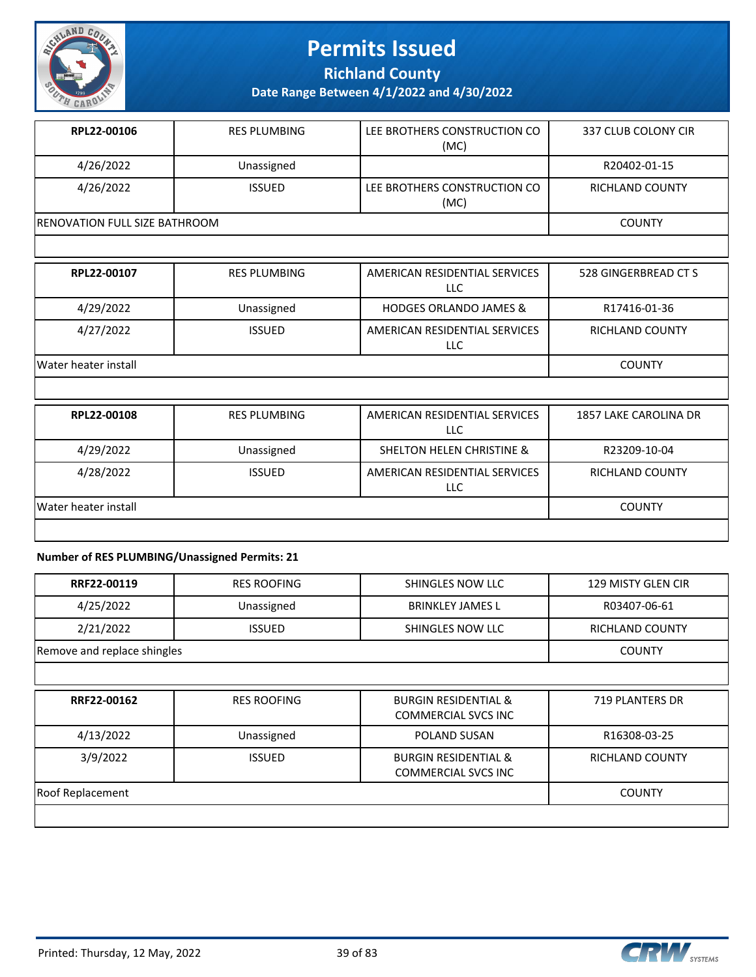

**Richland County**

**Date Range Between 4/1/2022 and 4/30/2022**

| RPL22-00106                   | <b>RES PLUMBING</b> | LEE BROTHERS CONSTRUCTION CO<br>(MC) | 337 CLUB COLONY CIR |
|-------------------------------|---------------------|--------------------------------------|---------------------|
| 4/26/2022                     | Unassigned          |                                      | R20402-01-15        |
| 4/26/2022                     | <b>ISSUED</b>       | LEE BROTHERS CONSTRUCTION CO<br>(MC) | RICHLAND COUNTY     |
| RENOVATION FULL SIZE BATHROOM |                     |                                      | <b>COUNTY</b>       |

| RPL22-00107          | <b>RES PLUMBING</b> | AMERICAN RESIDENTIAL SERVICES<br>LLC | 528 GINGERBREAD CT S |
|----------------------|---------------------|--------------------------------------|----------------------|
| 4/29/2022            | Unassigned          | <b>HODGES ORLANDO JAMES &amp;</b>    | R17416-01-36         |
| 4/27/2022            | <b>ISSUED</b>       | AMERICAN RESIDENTIAL SERVICES<br>LLC | RICHLAND COUNTY      |
| Water heater install |                     |                                      | <b>COUNTY</b>        |

| RPL22-00108          | <b>RES PLUMBING</b> | AMERICAN RESIDENTIAL SERVICES<br><b>LLC</b> | 1857 LAKE CAROLINA DR |
|----------------------|---------------------|---------------------------------------------|-----------------------|
| 4/29/2022            | Unassigned          | SHELTON HELEN CHRISTINE &                   | R23209-10-04          |
| 4/28/2022            | <b>ISSUED</b>       | AMERICAN RESIDENTIAL SERVICES<br><b>LLC</b> | RICHLAND COUNTY       |
| Water heater install |                     |                                             | <b>COUNTY</b>         |
|                      |                     |                                             |                       |

#### **Number of RES PLUMBING/Unassigned Permits: 21**

| RRF22-00119                 | <b>RES ROOFING</b> | SHINGLES NOW LLC                                              | 129 MISTY GLEN CIR     |
|-----------------------------|--------------------|---------------------------------------------------------------|------------------------|
| 4/25/2022                   | Unassigned         | <b>BRINKLEY JAMES L</b>                                       | R03407-06-61           |
| 2/21/2022                   | <b>ISSUED</b>      | SHINGLES NOW LLC                                              | <b>RICHLAND COUNTY</b> |
| Remove and replace shingles |                    |                                                               | <b>COUNTY</b>          |
|                             |                    |                                                               |                        |
| RRF22-00162                 | <b>RES ROOFING</b> | <b>BURGIN RESIDENTIAL &amp;</b><br><b>COMMERCIAL SVCS INC</b> | <b>719 PLANTERS DR</b> |
| 4/13/2022                   | Unassigned         | <b>POLAND SUSAN</b>                                           | R16308-03-25           |
| 3/9/2022                    | <b>ISSUED</b>      | <b>BURGIN RESIDENTIAL &amp;</b><br><b>COMMERCIAL SVCS INC</b> | RICHLAND COUNTY        |
| <b>Roof Replacement</b>     |                    |                                                               | <b>COUNTY</b>          |
|                             |                    |                                                               |                        |

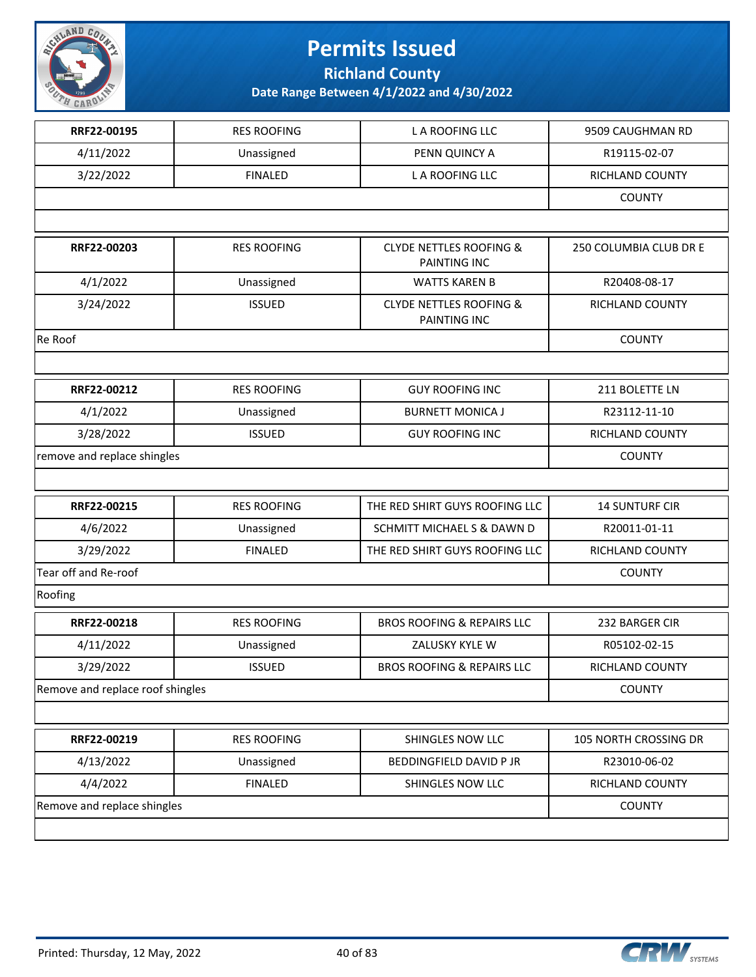

**Richland County**

| RRF22-00195                      | <b>RES ROOFING</b> | L A ROOFING LLC                                    | 9509 CAUGHMAN RD       |
|----------------------------------|--------------------|----------------------------------------------------|------------------------|
| 4/11/2022                        | Unassigned         | PENN QUINCY A                                      | R19115-02-07           |
| 3/22/2022                        | <b>FINALED</b>     | L A ROOFING LLC                                    | RICHLAND COUNTY        |
|                                  |                    |                                                    | <b>COUNTY</b>          |
|                                  |                    |                                                    |                        |
| RRF22-00203                      | <b>RES ROOFING</b> | <b>CLYDE NETTLES ROOFING &amp;</b><br>PAINTING INC | 250 COLUMBIA CLUB DR E |
| 4/1/2022                         | Unassigned         | <b>WATTS KAREN B</b>                               | R20408-08-17           |
| 3/24/2022                        | <b>ISSUED</b>      | <b>CLYDE NETTLES ROOFING &amp;</b><br>PAINTING INC | RICHLAND COUNTY        |
| Re Roof                          |                    |                                                    | <b>COUNTY</b>          |
|                                  |                    |                                                    |                        |
| RRF22-00212                      | <b>RES ROOFING</b> | <b>GUY ROOFING INC</b>                             | 211 BOLETTE LN         |
| 4/1/2022                         | Unassigned         | <b>BURNETT MONICA J</b>                            | R23112-11-10           |
| 3/28/2022                        | <b>ISSUED</b>      | <b>GUY ROOFING INC</b>                             | <b>RICHLAND COUNTY</b> |
| remove and replace shingles      |                    |                                                    | <b>COUNTY</b>          |
|                                  |                    |                                                    |                        |
| RRF22-00215                      | <b>RES ROOFING</b> | THE RED SHIRT GUYS ROOFING LLC                     | <b>14 SUNTURF CIR</b>  |
| 4/6/2022                         | Unassigned         | SCHMITT MICHAEL S & DAWN D                         | R20011-01-11           |
| 3/29/2022                        | <b>FINALED</b>     | THE RED SHIRT GUYS ROOFING LLC                     | RICHLAND COUNTY        |
| Tear off and Re-roof             |                    |                                                    | <b>COUNTY</b>          |
| Roofing                          |                    |                                                    |                        |
| RRF22-00218                      | <b>RES ROOFING</b> | <b>BROS ROOFING &amp; REPAIRS LLC</b>              | 232 BARGER CIR         |
| 4/11/2022                        | Unassigned         | ZALUSKY KYLE W                                     | R05102-02-15           |
| 3/29/2022                        | <b>ISSUED</b>      | <b>BROS ROOFING &amp; REPAIRS LLC</b>              | RICHLAND COUNTY        |
| Remove and replace roof shingles |                    |                                                    | <b>COUNTY</b>          |
|                                  |                    |                                                    |                        |
| RRF22-00219                      | <b>RES ROOFING</b> | SHINGLES NOW LLC                                   | 105 NORTH CROSSING DR  |
| 4/13/2022                        | Unassigned         | <b>BEDDINGFIELD DAVID P JR</b>                     | R23010-06-02           |
| 4/4/2022                         | <b>FINALED</b>     | SHINGLES NOW LLC                                   | <b>RICHLAND COUNTY</b> |
| Remove and replace shingles      |                    |                                                    | <b>COUNTY</b>          |
|                                  |                    |                                                    |                        |

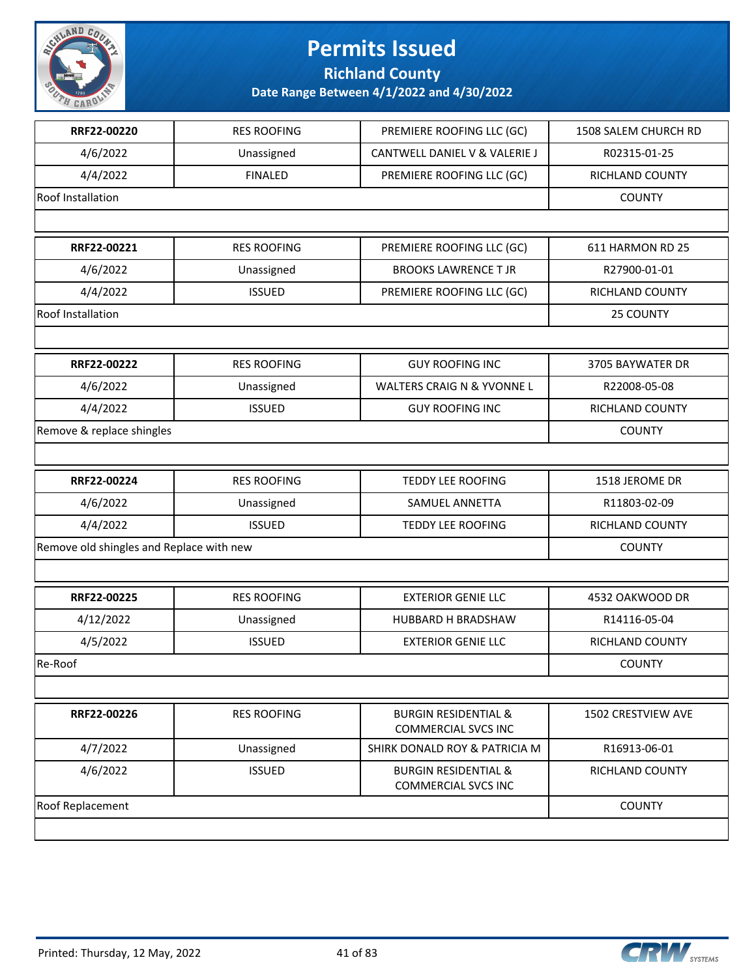

**Richland County**

| RRF22-00220                              | <b>RES ROOFING</b> | PREMIERE ROOFING LLC (GC)                                     | 1508 SALEM CHURCH RD   |
|------------------------------------------|--------------------|---------------------------------------------------------------|------------------------|
| 4/6/2022                                 | Unassigned         | CANTWELL DANIEL V & VALERIE J                                 | R02315-01-25           |
| 4/4/2022                                 | <b>FINALED</b>     | PREMIERE ROOFING LLC (GC)                                     | RICHLAND COUNTY        |
| Roof Installation                        |                    |                                                               | <b>COUNTY</b>          |
|                                          |                    |                                                               |                        |
| RRF22-00221                              | <b>RES ROOFING</b> | PREMIERE ROOFING LLC (GC)                                     | 611 HARMON RD 25       |
| 4/6/2022                                 | Unassigned         | <b>BROOKS LAWRENCE T JR</b>                                   | R27900-01-01           |
| 4/4/2022                                 | <b>ISSUED</b>      | PREMIERE ROOFING LLC (GC)                                     | RICHLAND COUNTY        |
| <b>Roof Installation</b>                 |                    |                                                               | 25 COUNTY              |
|                                          |                    |                                                               |                        |
| RRF22-00222                              | <b>RES ROOFING</b> | <b>GUY ROOFING INC</b>                                        | 3705 BAYWATER DR       |
| 4/6/2022                                 | Unassigned         | <b>WALTERS CRAIG N &amp; YVONNE L</b>                         | R22008-05-08           |
| 4/4/2022                                 | <b>ISSUED</b>      | <b>GUY ROOFING INC</b>                                        | RICHLAND COUNTY        |
| Remove & replace shingles                |                    |                                                               | <b>COUNTY</b>          |
|                                          |                    |                                                               |                        |
| RRF22-00224                              | <b>RES ROOFING</b> | <b>TEDDY LEE ROOFING</b>                                      | 1518 JEROME DR         |
| 4/6/2022                                 | Unassigned         | SAMUEL ANNETTA                                                | R11803-02-09           |
| 4/4/2022                                 | <b>ISSUED</b>      | TEDDY LEE ROOFING                                             | RICHLAND COUNTY        |
| Remove old shingles and Replace with new |                    |                                                               | <b>COUNTY</b>          |
|                                          |                    |                                                               |                        |
| RRF22-00225                              | <b>RES ROOFING</b> | <b>EXTERIOR GENIE LLC</b>                                     | 4532 OAKWOOD DR        |
| 4/12/2022                                | Unassigned         | HUBBARD H BRADSHAW                                            | R14116-05-04           |
| 4/5/2022                                 | <b>ISSUED</b>      | <b>EXTERIOR GENIE LLC</b>                                     | <b>RICHLAND COUNTY</b> |
| Re-Roof                                  |                    |                                                               | <b>COUNTY</b>          |
|                                          |                    |                                                               |                        |
| RRF22-00226                              | <b>RES ROOFING</b> | <b>BURGIN RESIDENTIAL &amp;</b><br><b>COMMERCIAL SVCS INC</b> | 1502 CRESTVIEW AVE     |
| 4/7/2022                                 | Unassigned         | SHIRK DONALD ROY & PATRICIA M                                 | R16913-06-01           |
| 4/6/2022                                 | <b>ISSUED</b>      | <b>BURGIN RESIDENTIAL &amp;</b><br><b>COMMERCIAL SVCS INC</b> | RICHLAND COUNTY        |
| Roof Replacement                         |                    |                                                               | <b>COUNTY</b>          |
|                                          |                    |                                                               |                        |

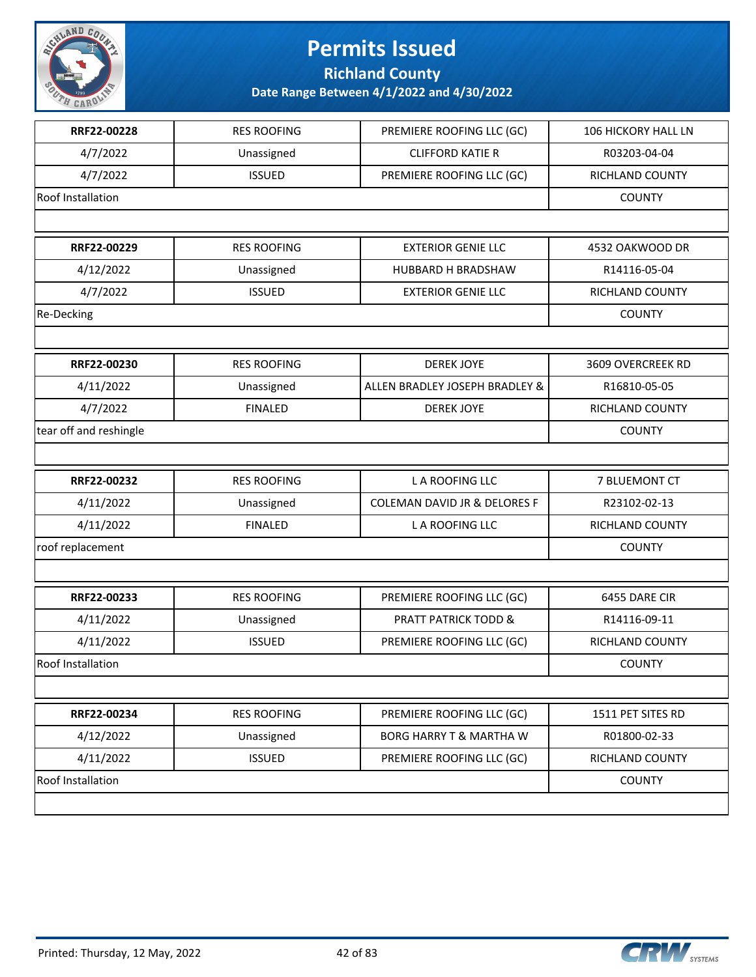

**Richland County**

| RRF22-00228            | <b>RES ROOFING</b> | PREMIERE ROOFING LLC (GC)          | 106 HICKORY HALL LN |
|------------------------|--------------------|------------------------------------|---------------------|
| 4/7/2022               | Unassigned         | <b>CLIFFORD KATIE R</b>            | R03203-04-04        |
| 4/7/2022               | <b>ISSUED</b>      | PREMIERE ROOFING LLC (GC)          | RICHLAND COUNTY     |
| Roof Installation      |                    |                                    | <b>COUNTY</b>       |
|                        |                    |                                    |                     |
| RRF22-00229            | <b>RES ROOFING</b> | <b>EXTERIOR GENIE LLC</b>          | 4532 OAKWOOD DR     |
| 4/12/2022              | Unassigned         | HUBBARD H BRADSHAW                 | R14116-05-04        |
| 4/7/2022               | <b>ISSUED</b>      | <b>EXTERIOR GENIE LLC</b>          | RICHLAND COUNTY     |
| Re-Decking             |                    |                                    | <b>COUNTY</b>       |
|                        |                    |                                    |                     |
| RRF22-00230            | <b>RES ROOFING</b> | <b>DEREK JOYE</b>                  | 3609 OVERCREEK RD   |
| 4/11/2022              | Unassigned         | ALLEN BRADLEY JOSEPH BRADLEY &     | R16810-05-05        |
| 4/7/2022               | <b>FINALED</b>     | <b>DEREK JOYE</b>                  | RICHLAND COUNTY     |
| tear off and reshingle |                    |                                    | <b>COUNTY</b>       |
|                        |                    |                                    |                     |
| RRF22-00232            | <b>RES ROOFING</b> | L A ROOFING LLC                    | 7 BLUEMONT CT       |
| 4/11/2022              | Unassigned         | COLEMAN DAVID JR & DELORES F       | R23102-02-13        |
| 4/11/2022              | <b>FINALED</b>     | L A ROOFING LLC                    | RICHLAND COUNTY     |
| roof replacement       |                    |                                    | <b>COUNTY</b>       |
|                        |                    |                                    |                     |
| RRF22-00233            | <b>RES ROOFING</b> | PREMIERE ROOFING LLC (GC)          | 6455 DARE CIR       |
| 4/11/2022              | Unassigned         | <b>PRATT PATRICK TODD &amp;</b>    | R14116-09-11        |
| 4/11/2022              | <b>ISSUED</b>      | PREMIERE ROOFING LLC (GC)          | RICHLAND COUNTY     |
| Roof Installation      |                    |                                    | <b>COUNTY</b>       |
|                        |                    |                                    |                     |
| RRF22-00234            | <b>RES ROOFING</b> | PREMIERE ROOFING LLC (GC)          | 1511 PET SITES RD   |
| 4/12/2022              | Unassigned         | <b>BORG HARRY T &amp; MARTHA W</b> | R01800-02-33        |
| 4/11/2022              | <b>ISSUED</b>      | PREMIERE ROOFING LLC (GC)          | RICHLAND COUNTY     |
| Roof Installation      |                    |                                    | <b>COUNTY</b>       |
|                        |                    |                                    |                     |
|                        |                    |                                    |                     |

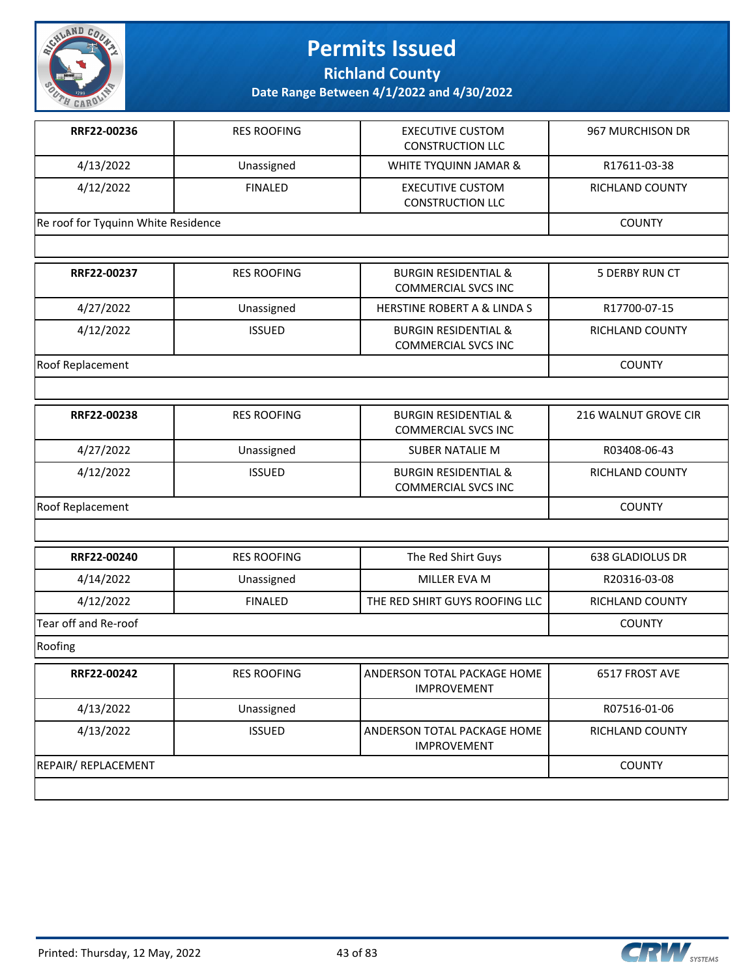

**Richland County**

| RRF22-00236                         | <b>RES ROOFING</b> | <b>EXECUTIVE CUSTOM</b><br><b>CONSTRUCTION LLC</b>            | 967 MURCHISON DR       |
|-------------------------------------|--------------------|---------------------------------------------------------------|------------------------|
| 4/13/2022                           | Unassigned         | WHITE TYQUINN JAMAR &                                         | R17611-03-38           |
| 4/12/2022                           | <b>FINALED</b>     | <b>EXECUTIVE CUSTOM</b><br><b>CONSTRUCTION LLC</b>            | RICHLAND COUNTY        |
| Re roof for Tyquinn White Residence |                    |                                                               | <b>COUNTY</b>          |
|                                     |                    |                                                               |                        |
| RRF22-00237                         | <b>RES ROOFING</b> | <b>BURGIN RESIDENTIAL &amp;</b><br><b>COMMERCIAL SVCS INC</b> | 5 DERBY RUN CT         |
| 4/27/2022                           | Unassigned         | HERSTINE ROBERT A & LINDA S                                   | R17700-07-15           |
| 4/12/2022                           | <b>ISSUED</b>      | <b>BURGIN RESIDENTIAL &amp;</b><br><b>COMMERCIAL SVCS INC</b> | RICHLAND COUNTY        |
| Roof Replacement                    |                    |                                                               | <b>COUNTY</b>          |
|                                     |                    |                                                               |                        |
| RRF22-00238                         | <b>RES ROOFING</b> | <b>BURGIN RESIDENTIAL &amp;</b><br><b>COMMERCIAL SVCS INC</b> | 216 WALNUT GROVE CIR   |
| 4/27/2022                           | Unassigned         | <b>SUBER NATALIE M</b>                                        | R03408-06-43           |
| 4/12/2022                           | <b>ISSUED</b>      | <b>BURGIN RESIDENTIAL &amp;</b><br><b>COMMERCIAL SVCS INC</b> | <b>RICHLAND COUNTY</b> |
| Roof Replacement                    |                    |                                                               | <b>COUNTY</b>          |
|                                     |                    |                                                               |                        |
| RRF22-00240                         | <b>RES ROOFING</b> | The Red Shirt Guys                                            | 638 GLADIOLUS DR       |
| 4/14/2022                           | Unassigned         | MILLER EVA M                                                  | R20316-03-08           |
| 4/12/2022                           | <b>FINALED</b>     | THE RED SHIRT GUYS ROOFING LLC                                | <b>RICHLAND COUNTY</b> |
| Tear off and Re-roof                |                    |                                                               | <b>COUNTY</b>          |
| Roofing                             |                    |                                                               |                        |
| <b>RRF22-00242</b>                  | <b>RES ROOFING</b> | ANDERSON TOTAL PACKAGE HOME<br><b>IMPROVEMENT</b>             | 6517 FROST AVE         |
| 4/13/2022                           | Unassigned         |                                                               | R07516-01-06           |
| 4/13/2022                           | <b>ISSUED</b>      | ANDERSON TOTAL PACKAGE HOME<br><b>IMPROVEMENT</b>             | <b>RICHLAND COUNTY</b> |
| REPAIR/ REPLACEMENT                 |                    |                                                               | <b>COUNTY</b>          |
|                                     |                    |                                                               |                        |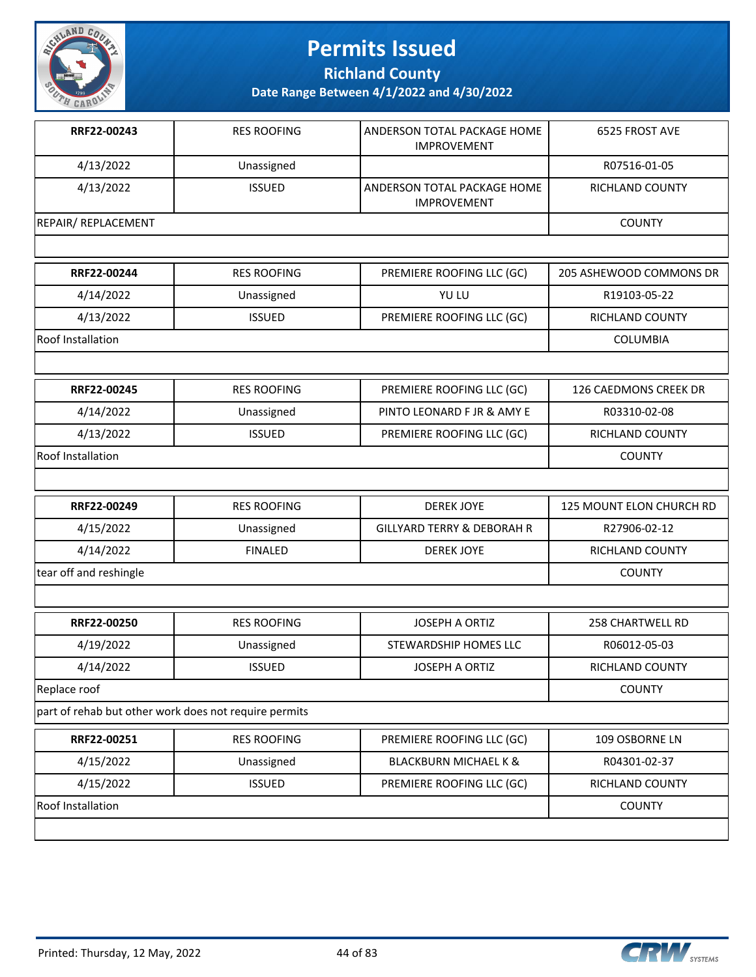

**Richland County**

| RRF22-00243                                           | <b>RES ROOFING</b> | ANDERSON TOTAL PACKAGE HOME<br><b>IMPROVEMENT</b> | 6525 FROST AVE               |
|-------------------------------------------------------|--------------------|---------------------------------------------------|------------------------------|
| 4/13/2022                                             | Unassigned         |                                                   | R07516-01-05                 |
| 4/13/2022                                             | <b>ISSUED</b>      | ANDERSON TOTAL PACKAGE HOME<br><b>IMPROVEMENT</b> | RICHLAND COUNTY              |
| <b>REPAIR/ REPLACEMENT</b>                            |                    |                                                   | <b>COUNTY</b>                |
|                                                       |                    |                                                   |                              |
| RRF22-00244                                           | <b>RES ROOFING</b> | PREMIERE ROOFING LLC (GC)                         | 205 ASHEWOOD COMMONS DR      |
| 4/14/2022                                             | Unassigned         | YU LU                                             | R19103-05-22                 |
| 4/13/2022                                             | <b>ISSUED</b>      | PREMIERE ROOFING LLC (GC)                         | RICHLAND COUNTY              |
| Roof Installation                                     |                    |                                                   | <b>COLUMBIA</b>              |
|                                                       |                    |                                                   |                              |
| RRF22-00245                                           | <b>RES ROOFING</b> | PREMIERE ROOFING LLC (GC)                         | <b>126 CAEDMONS CREEK DR</b> |
| 4/14/2022                                             | Unassigned         | PINTO LEONARD F JR & AMY E                        | R03310-02-08                 |
| 4/13/2022                                             | <b>ISSUED</b>      | PREMIERE ROOFING LLC (GC)                         | RICHLAND COUNTY              |
| Roof Installation                                     |                    |                                                   | <b>COUNTY</b>                |
|                                                       |                    |                                                   |                              |
| RRF22-00249                                           | <b>RES ROOFING</b> | <b>DEREK JOYE</b>                                 | 125 MOUNT ELON CHURCH RD     |
| 4/15/2022                                             | Unassigned         | <b>GILLYARD TERRY &amp; DEBORAH R</b>             | R27906-02-12                 |
| 4/14/2022                                             | <b>FINALED</b>     | <b>DEREK JOYE</b>                                 | <b>RICHLAND COUNTY</b>       |
| tear off and reshingle                                |                    |                                                   | <b>COUNTY</b>                |
|                                                       |                    |                                                   |                              |
| RRF22-00250                                           | <b>RES ROOFING</b> | <b>JOSEPH A ORTIZ</b>                             | <b>258 CHARTWELL RD</b>      |
| 4/19/2022                                             | Unassigned         | STEWARDSHIP HOMES LLC                             | R06012-05-03                 |
| 4/14/2022                                             | <b>ISSUED</b>      | <b>JOSEPH A ORTIZ</b>                             | <b>RICHLAND COUNTY</b>       |
| Replace roof                                          |                    |                                                   | <b>COUNTY</b>                |
| part of rehab but other work does not require permits |                    |                                                   |                              |
| RRF22-00251                                           | <b>RES ROOFING</b> | PREMIERE ROOFING LLC (GC)                         | 109 OSBORNE LN               |
| 4/15/2022                                             | Unassigned         | <b>BLACKBURN MICHAEL K &amp;</b>                  | R04301-02-37                 |
| 4/15/2022                                             | <b>ISSUED</b>      | PREMIERE ROOFING LLC (GC)                         | RICHLAND COUNTY              |
| Roof Installation                                     |                    |                                                   | <b>COUNTY</b>                |
|                                                       |                    |                                                   |                              |

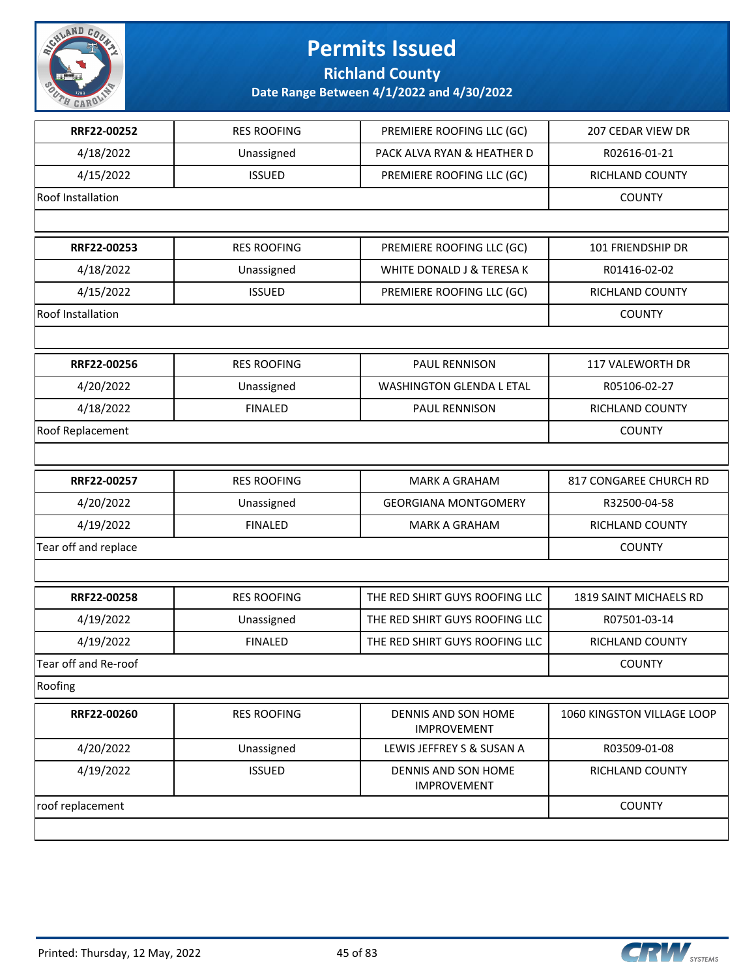

**Richland County**

| RRF22-00252              | <b>RES ROOFING</b> | PREMIERE ROOFING LLC (GC)                 | 207 CEDAR VIEW DR          |
|--------------------------|--------------------|-------------------------------------------|----------------------------|
| 4/18/2022                | Unassigned         | PACK ALVA RYAN & HEATHER D                | R02616-01-21               |
| 4/15/2022                | <b>ISSUED</b>      | PREMIERE ROOFING LLC (GC)                 | RICHLAND COUNTY            |
| Roof Installation        |                    |                                           | <b>COUNTY</b>              |
|                          |                    |                                           |                            |
| RRF22-00253              | <b>RES ROOFING</b> | PREMIERE ROOFING LLC (GC)                 | 101 FRIENDSHIP DR          |
| 4/18/2022                | Unassigned         | WHITE DONALD J & TERESA K                 | R01416-02-02               |
| 4/15/2022                | <b>ISSUED</b>      | PREMIERE ROOFING LLC (GC)                 | RICHLAND COUNTY            |
| <b>Roof Installation</b> |                    |                                           | <b>COUNTY</b>              |
|                          |                    |                                           |                            |
| RRF22-00256              | <b>RES ROOFING</b> | PAUL RENNISON                             | 117 VALEWORTH DR           |
| 4/20/2022                | Unassigned         | <b>WASHINGTON GLENDA L ETAL</b>           | R05106-02-27               |
| 4/18/2022                | <b>FINALED</b>     | PAUL RENNISON                             | <b>RICHLAND COUNTY</b>     |
| Roof Replacement         |                    |                                           | <b>COUNTY</b>              |
|                          |                    |                                           |                            |
| RRF22-00257              | <b>RES ROOFING</b> | <b>MARK A GRAHAM</b>                      | 817 CONGAREE CHURCH RD     |
| 4/20/2022                | Unassigned         | <b>GEORGIANA MONTGOMERY</b>               | R32500-04-58               |
| 4/19/2022                | <b>FINALED</b>     | <b>MARK A GRAHAM</b>                      | RICHLAND COUNTY            |
| Tear off and replace     |                    |                                           | <b>COUNTY</b>              |
|                          |                    |                                           |                            |
| RRF22-00258              | <b>RES ROOFING</b> | THE RED SHIRT GUYS ROOFING LLC            | 1819 SAINT MICHAELS RD     |
| 4/19/2022                | Unassigned         | THE RED SHIRT GUYS ROOFING LLC            | R07501-03-14               |
| 4/19/2022                | <b>FINALED</b>     | THE RED SHIRT GUYS ROOFING LLC            | RICHLAND COUNTY            |
| Tear off and Re-roof     |                    |                                           | <b>COUNTY</b>              |
| Roofing                  |                    |                                           |                            |
| RRF22-00260              | <b>RES ROOFING</b> | DENNIS AND SON HOME<br><b>IMPROVEMENT</b> | 1060 KINGSTON VILLAGE LOOP |
| 4/20/2022                | Unassigned         | LEWIS JEFFREY S & SUSAN A                 | R03509-01-08               |
| 4/19/2022                | <b>ISSUED</b>      | DENNIS AND SON HOME<br><b>IMPROVEMENT</b> | RICHLAND COUNTY            |
| roof replacement         |                    |                                           | <b>COUNTY</b>              |
|                          |                    |                                           |                            |

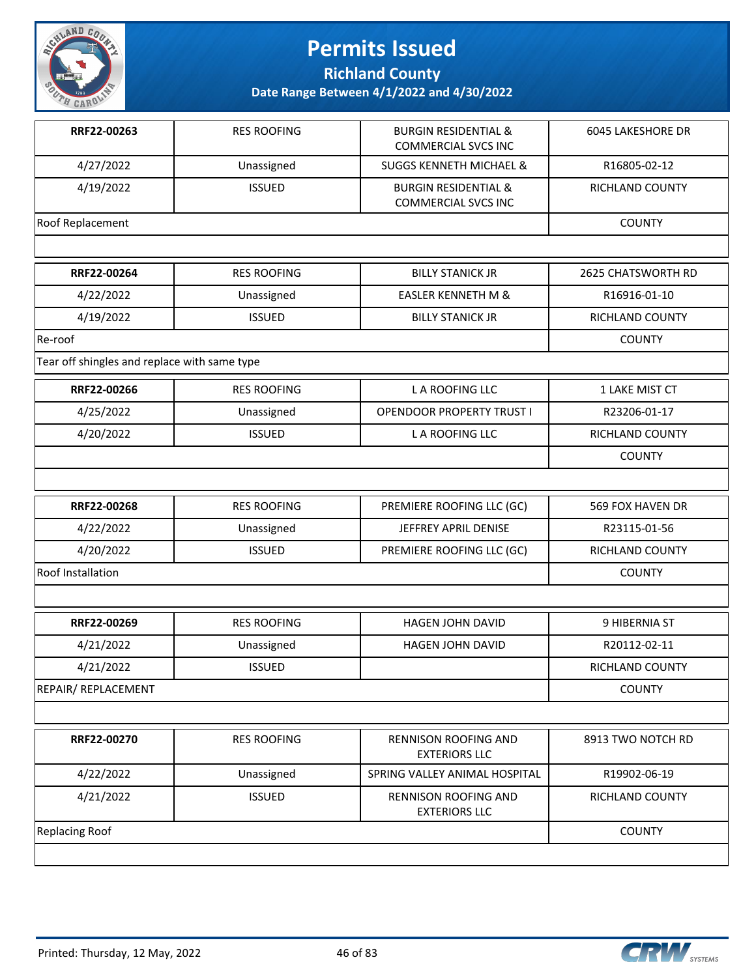

**Richland County**

| RRF22-00263                                  | <b>RES ROOFING</b> | <b>BURGIN RESIDENTIAL &amp;</b><br><b>COMMERCIAL SVCS INC</b> | 6045 LAKESHORE DR  |
|----------------------------------------------|--------------------|---------------------------------------------------------------|--------------------|
| 4/27/2022                                    | Unassigned         | <b>SUGGS KENNETH MICHAEL &amp;</b>                            | R16805-02-12       |
| 4/19/2022                                    | <b>ISSUED</b>      | <b>BURGIN RESIDENTIAL &amp;</b><br><b>COMMERCIAL SVCS INC</b> | RICHLAND COUNTY    |
| Roof Replacement                             |                    |                                                               | <b>COUNTY</b>      |
|                                              |                    |                                                               |                    |
| RRF22-00264                                  | <b>RES ROOFING</b> | <b>BILLY STANICK JR</b>                                       | 2625 CHATSWORTH RD |
| 4/22/2022                                    | Unassigned         | <b>EASLER KENNETH M &amp;</b>                                 | R16916-01-10       |
| 4/19/2022                                    | <b>ISSUED</b>      | <b>BILLY STANICK JR</b>                                       | RICHLAND COUNTY    |
| Re-roof                                      |                    |                                                               | <b>COUNTY</b>      |
| Tear off shingles and replace with same type |                    |                                                               |                    |
| RRF22-00266                                  | <b>RES ROOFING</b> | <b>LA ROOFING LLC</b>                                         | 1 LAKE MIST CT     |
| 4/25/2022                                    | Unassigned         | <b>OPENDOOR PROPERTY TRUST I</b>                              | R23206-01-17       |
| 4/20/2022                                    | <b>ISSUED</b>      | L A ROOFING LLC                                               | RICHLAND COUNTY    |
|                                              |                    |                                                               | <b>COUNTY</b>      |
|                                              |                    |                                                               |                    |
| RRF22-00268                                  | <b>RES ROOFING</b> | PREMIERE ROOFING LLC (GC)                                     | 569 FOX HAVEN DR   |
| 4/22/2022                                    | Unassigned         | JEFFREY APRIL DENISE                                          | R23115-01-56       |
| 4/20/2022                                    | <b>ISSUED</b>      | PREMIERE ROOFING LLC (GC)                                     | RICHLAND COUNTY    |
| Roof Installation                            |                    |                                                               | <b>COUNTY</b>      |
|                                              |                    |                                                               |                    |
| RRF22-00269                                  | <b>RES ROOFING</b> | <b>HAGEN JOHN DAVID</b>                                       | 9 HIBERNIA ST      |
| 4/21/2022                                    | Unassigned         | <b>HAGEN JOHN DAVID</b>                                       | R20112-02-11       |
| 4/21/2022                                    | <b>ISSUED</b>      |                                                               | RICHLAND COUNTY    |
| <b>REPAIR/ REPLACEMENT</b>                   |                    |                                                               | <b>COUNTY</b>      |
|                                              |                    |                                                               |                    |
| RRF22-00270                                  | <b>RES ROOFING</b> | RENNISON ROOFING AND<br><b>EXTERIORS LLC</b>                  | 8913 TWO NOTCH RD  |
| 4/22/2022                                    | Unassigned         | SPRING VALLEY ANIMAL HOSPITAL                                 | R19902-06-19       |
| 4/21/2022                                    | <b>ISSUED</b>      | RENNISON ROOFING AND<br><b>EXTERIORS LLC</b>                  | RICHLAND COUNTY    |
| <b>Replacing Roof</b>                        |                    |                                                               | <b>COUNTY</b>      |
|                                              |                    |                                                               |                    |

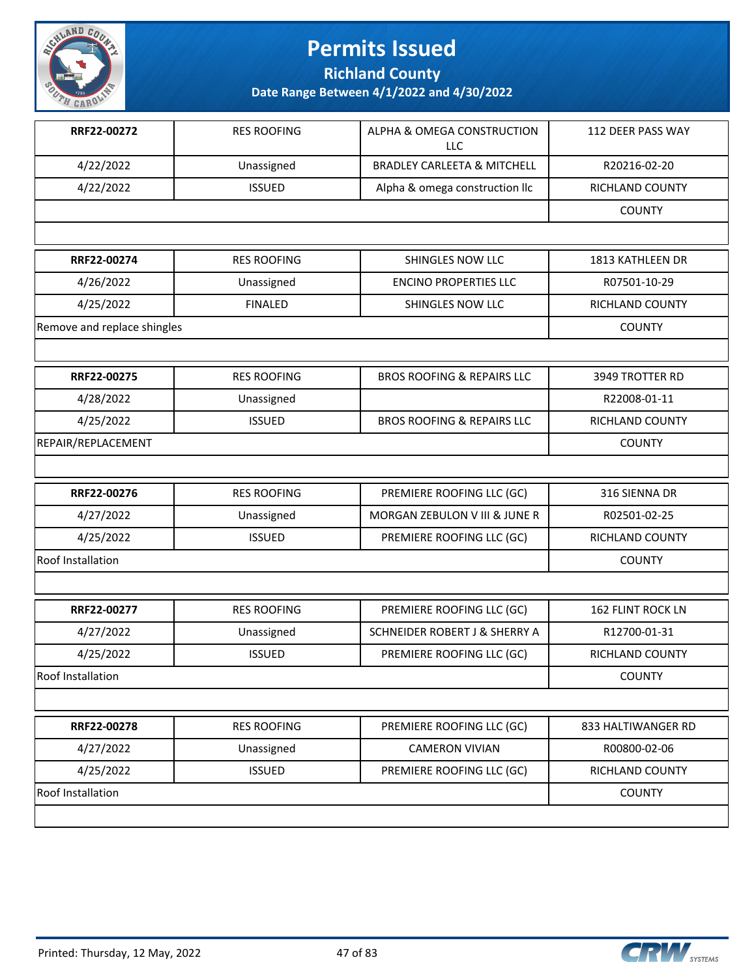

**Richland County**

| RRF22-00272                 | <b>RES ROOFING</b> | ALPHA & OMEGA CONSTRUCTION             | 112 DEER PASS WAY        |
|-----------------------------|--------------------|----------------------------------------|--------------------------|
|                             |                    | <b>LLC</b>                             |                          |
| 4/22/2022                   | Unassigned         | <b>BRADLEY CARLEETA &amp; MITCHELL</b> | R20216-02-20             |
| 4/22/2022                   | <b>ISSUED</b>      | Alpha & omega construction llc         | <b>RICHLAND COUNTY</b>   |
|                             |                    |                                        | <b>COUNTY</b>            |
|                             |                    |                                        |                          |
| RRF22-00274                 | <b>RES ROOFING</b> | SHINGLES NOW LLC                       | 1813 KATHLEEN DR         |
| 4/26/2022                   | Unassigned         | <b>ENCINO PROPERTIES LLC</b>           | R07501-10-29             |
| 4/25/2022                   | <b>FINALED</b>     | SHINGLES NOW LLC                       | RICHLAND COUNTY          |
| Remove and replace shingles |                    |                                        | <b>COUNTY</b>            |
|                             |                    |                                        |                          |
| RRF22-00275                 | <b>RES ROOFING</b> | <b>BROS ROOFING &amp; REPAIRS LLC</b>  | 3949 TROTTER RD          |
| 4/28/2022                   | Unassigned         |                                        | R22008-01-11             |
| 4/25/2022                   | <b>ISSUED</b>      | <b>BROS ROOFING &amp; REPAIRS LLC</b>  | RICHLAND COUNTY          |
| REPAIR/REPLACEMENT          |                    |                                        | <b>COUNTY</b>            |
|                             |                    |                                        |                          |
| RRF22-00276                 | <b>RES ROOFING</b> | PREMIERE ROOFING LLC (GC)              | 316 SIENNA DR            |
| 4/27/2022                   | Unassigned         | MORGAN ZEBULON V III & JUNE R          | R02501-02-25             |
| 4/25/2022                   | <b>ISSUED</b>      | PREMIERE ROOFING LLC (GC)              | RICHLAND COUNTY          |
| <b>Roof Installation</b>    |                    |                                        | <b>COUNTY</b>            |
|                             |                    |                                        |                          |
| RRF22-00277                 | <b>RES ROOFING</b> | PREMIERE ROOFING LLC (GC)              | <b>162 FLINT ROCK LN</b> |
| 4/27/2022                   | Unassigned         | SCHNEIDER ROBERT J & SHERRY A          | R12700-01-31             |
| 4/25/2022                   | <b>ISSUED</b>      | PREMIERE ROOFING LLC (GC)              | RICHLAND COUNTY          |
| Roof Installation           |                    |                                        | <b>COUNTY</b>            |
|                             |                    |                                        |                          |
| RRF22-00278                 | <b>RES ROOFING</b> | PREMIERE ROOFING LLC (GC)              | 833 HALTIWANGER RD       |
| 4/27/2022                   | Unassigned         | <b>CAMERON VIVIAN</b>                  | R00800-02-06             |
| 4/25/2022                   | <b>ISSUED</b>      | PREMIERE ROOFING LLC (GC)              | <b>RICHLAND COUNTY</b>   |
| <b>Roof Installation</b>    |                    |                                        | <b>COUNTY</b>            |
|                             |                    |                                        |                          |

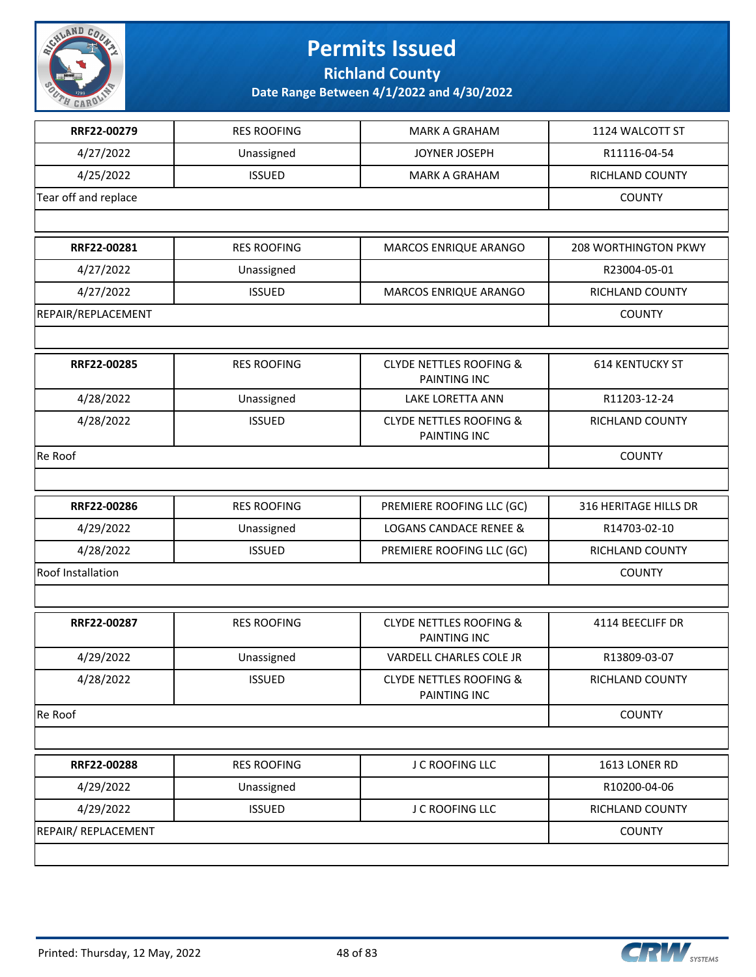

**Richland County**

| RRF22-00279          | <b>RES ROOFING</b> | <b>MARK A GRAHAM</b>                                      | 1124 WALCOTT ST             |
|----------------------|--------------------|-----------------------------------------------------------|-----------------------------|
| 4/27/2022            | Unassigned         | JOYNER JOSEPH                                             | R11116-04-54                |
| 4/25/2022            | <b>ISSUED</b>      | <b>MARK A GRAHAM</b>                                      | RICHLAND COUNTY             |
| Tear off and replace |                    |                                                           | <b>COUNTY</b>               |
|                      |                    |                                                           |                             |
| RRF22-00281          | <b>RES ROOFING</b> | MARCOS ENRIQUE ARANGO                                     | <b>208 WORTHINGTON PKWY</b> |
| 4/27/2022            | Unassigned         |                                                           | R23004-05-01                |
| 4/27/2022            | <b>ISSUED</b>      | MARCOS ENRIQUE ARANGO                                     | RICHLAND COUNTY             |
| REPAIR/REPLACEMENT   |                    |                                                           | <b>COUNTY</b>               |
|                      |                    |                                                           |                             |
| RRF22-00285          | <b>RES ROOFING</b> | <b>CLYDE NETTLES ROOFING &amp;</b><br>PAINTING INC        | <b>614 KENTUCKY ST</b>      |
| 4/28/2022            | Unassigned         | LAKE LORETTA ANN                                          | R11203-12-24                |
| 4/28/2022            | <b>ISSUED</b>      | <b>CLYDE NETTLES ROOFING &amp;</b><br><b>PAINTING INC</b> | RICHLAND COUNTY             |
| Re Roof              |                    |                                                           | <b>COUNTY</b>               |
|                      |                    |                                                           |                             |
| RRF22-00286          | <b>RES ROOFING</b> | PREMIERE ROOFING LLC (GC)                                 | 316 HERITAGE HILLS DR       |
| 4/29/2022            | Unassigned         | <b>LOGANS CANDACE RENEE &amp;</b>                         | R14703-02-10                |
| 4/28/2022            | <b>ISSUED</b>      | PREMIERE ROOFING LLC (GC)                                 | RICHLAND COUNTY             |
| Roof Installation    |                    |                                                           | <b>COUNTY</b>               |
|                      |                    |                                                           |                             |
| RRF22-00287          | <b>RES ROOFING</b> | <b>CLYDE NETTLES ROOFING &amp;</b><br>PAINTING INC        | 4114 BEECLIFF DR            |
| 4/29/2022            | Unassigned         | VARDELL CHARLES COLE JR                                   | R13809-03-07                |
| 4/28/2022            | <b>ISSUED</b>      | <b>CLYDE NETTLES ROOFING &amp;</b><br>PAINTING INC        | RICHLAND COUNTY             |
| Re Roof              |                    |                                                           | <b>COUNTY</b>               |
|                      |                    |                                                           |                             |
| RRF22-00288          | <b>RES ROOFING</b> | J C ROOFING LLC                                           | 1613 LONER RD               |
| 4/29/2022            | Unassigned         |                                                           | R10200-04-06                |
| 4/29/2022            | <b>ISSUED</b>      | J C ROOFING LLC                                           | RICHLAND COUNTY             |
| REPAIR/REPLACEMENT   |                    |                                                           | <b>COUNTY</b>               |
|                      |                    |                                                           |                             |



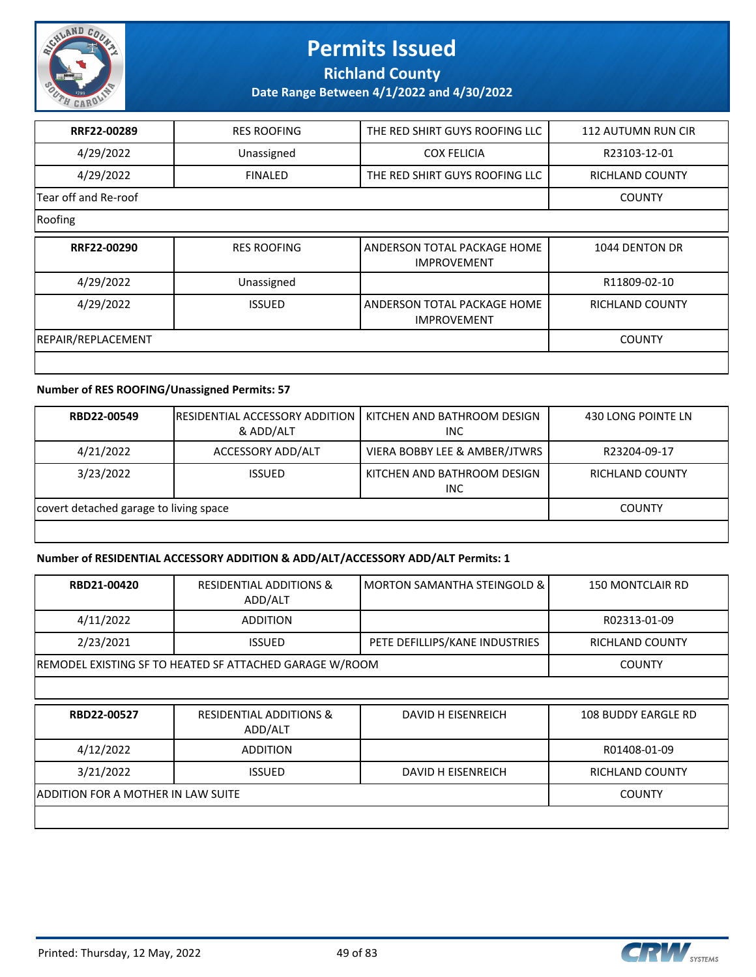

**Richland County**

**Date Range Between 4/1/2022 and 4/30/2022**

| RRF22-00289          | <b>RES ROOFING</b> | THE RED SHIRT GUYS ROOFING LLC                    | <b>112 AUTUMN RUN CIR</b> |
|----------------------|--------------------|---------------------------------------------------|---------------------------|
| 4/29/2022            | Unassigned         | <b>COX FELICIA</b>                                | R23103-12-01              |
| 4/29/2022            | <b>FINALED</b>     | THE RED SHIRT GUYS ROOFING LLC                    | <b>RICHLAND COUNTY</b>    |
| Tear off and Re-roof |                    |                                                   | <b>COUNTY</b>             |
| Roofing              |                    |                                                   |                           |
| RRF22-00290          | <b>RES ROOFING</b> | ANDERSON TOTAL PACKAGE HOME<br><b>IMPROVEMENT</b> | 1044 DENTON DR            |
| 4/29/2022            | Unassigned         |                                                   | R11809-02-10              |
| 4/29/2022            | <b>ISSUED</b>      | ANDERSON TOTAL PACKAGE HOME<br><b>IMPROVEMENT</b> | RICHLAND COUNTY           |
| REPAIR/REPLACEMENT   |                    |                                                   | <b>COUNTY</b>             |
|                      |                    |                                                   |                           |

#### **Number of RES ROOFING/Unassigned Permits: 57**

| RBD22-00549                            | <b>IRESIDENTIAL ACCESSORY ADDITION I</b><br>& ADD/ALT | KITCHEN AND BATHROOM DESIGN<br><b>INC</b> | 430 LONG POINTE LN     |
|----------------------------------------|-------------------------------------------------------|-------------------------------------------|------------------------|
| 4/21/2022                              | ACCESSORY ADD/ALT                                     | VIERA BOBBY LEE & AMBER/JTWRS             | R23204-09-17           |
| 3/23/2022                              | <b>ISSUED</b>                                         | KITCHEN AND BATHROOM DESIGN<br><b>INC</b> | <b>RICHLAND COUNTY</b> |
| covert detached garage to living space |                                                       |                                           | <b>COUNTY</b>          |
|                                        |                                                       |                                           |                        |

#### **Number of RESIDENTIAL ACCESSORY ADDITION & ADD/ALT/ACCESSORY ADD/ALT Permits: 1**

| RBD21-00420                        | <b>RESIDENTIAL ADDITIONS &amp;</b><br>ADD/ALT           | <b>MORTON SAMANTHA STEINGOLD &amp;</b> | <b>150 MONTCLAIR RD</b>    |
|------------------------------------|---------------------------------------------------------|----------------------------------------|----------------------------|
| 4/11/2022                          | <b>ADDITION</b>                                         |                                        | R02313-01-09               |
| 2/23/2021                          | <b>ISSUED</b>                                           | PETE DEFILLIPS/KANE INDUSTRIES         | RICHLAND COUNTY            |
|                                    | REMODEL EXISTING SF TO HEATED SF ATTACHED GARAGE W/ROOM |                                        | <b>COUNTY</b>              |
|                                    |                                                         |                                        |                            |
| RBD22-00527                        | <b>RESIDENTIAL ADDITIONS &amp;</b><br>ADD/ALT           | DAVID H EISENREICH                     | <b>108 BUDDY EARGLE RD</b> |
| 4/12/2022                          | <b>ADDITION</b>                                         |                                        | R01408-01-09               |
| 3/21/2022                          | <b>ISSUED</b>                                           | DAVID H EISENREICH                     | RICHLAND COUNTY            |
| ADDITION FOR A MOTHER IN LAW SUITE |                                                         |                                        | <b>COUNTY</b>              |
|                                    |                                                         |                                        |                            |

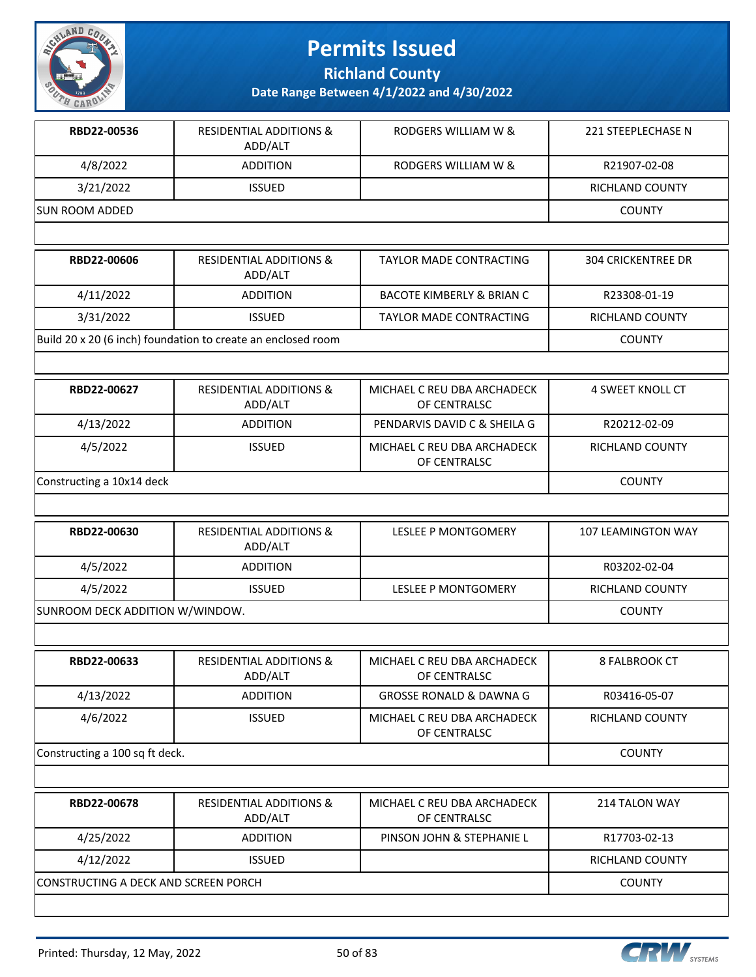

**Richland County**

| RBD22-00536     | <b>RESIDENTIAL ADDITIONS &amp;</b><br>ADD/ALT | RODGERS WILLIAM W & | 221 STEEPLECHASE N |
|-----------------|-----------------------------------------------|---------------------|--------------------|
| 4/8/2022        | <b>ADDITION</b>                               | RODGERS WILLIAM W & | R21907-02-08       |
| 3/21/2022       | <b>ISSUED</b>                                 |                     | RICHLAND COUNTY    |
| ISUN ROOM ADDED |                                               |                     | <b>COUNTY</b>      |
|                 |                                               |                     |                    |

| RBD22-00606                                                  | <b>RESIDENTIAL ADDITIONS &amp;</b><br>ADD/ALT | TAYLOR MADE CONTRACTING              | <b>304 CRICKENTREE DR</b> |
|--------------------------------------------------------------|-----------------------------------------------|--------------------------------------|---------------------------|
| 4/11/2022                                                    | <b>ADDITION</b>                               | <b>BACOTE KIMBERLY &amp; BRIAN C</b> | R23308-01-19              |
| 3/31/2022                                                    | <b>ISSUED</b>                                 | TAYLOR MADE CONTRACTING              | <b>RICHLAND COUNTY</b>    |
| Build 20 x 20 (6 inch) foundation to create an enclosed room |                                               |                                      | <b>COUNTY</b>             |

| RBD22-00627               | <b>RESIDENTIAL ADDITIONS &amp;</b><br>ADD/ALT | MICHAEL C REU DBA ARCHADECK<br>OF CENTRALSC | 4 SWEET KNOLL CT       |
|---------------------------|-----------------------------------------------|---------------------------------------------|------------------------|
| 4/13/2022                 | <b>ADDITION</b>                               | PENDARVIS DAVID C & SHEILA G                | R20212-02-09           |
| 4/5/2022                  | <b>ISSUED</b>                                 | MICHAEL C REU DBA ARCHADECK<br>OF CENTRALSC | <b>RICHLAND COUNTY</b> |
| Constructing a 10x14 deck |                                               |                                             | <b>COUNTY</b>          |

| RBD22-00630                     | <b>RESIDENTIAL ADDITIONS &amp;</b><br>ADD/ALT | LESLEE P MONTGOMERY | 107 LEAMINGTON WAY |
|---------------------------------|-----------------------------------------------|---------------------|--------------------|
| 4/5/2022                        | <b>ADDITION</b>                               |                     | R03202-02-04       |
| 4/5/2022                        | <b>ISSUED</b>                                 | LESLEE P MONTGOMERY | RICHLAND COUNTY    |
| SUNROOM DECK ADDITION W/WINDOW. |                                               |                     | <b>COUNTY</b>      |

| RBD22-00633                    | <b>RESIDENTIAL ADDITIONS &amp;</b><br>ADD/ALT | MICHAEL C REU DBA ARCHADECK<br>OF CENTRALSC | 8 FALBROOK CT          |
|--------------------------------|-----------------------------------------------|---------------------------------------------|------------------------|
| 4/13/2022                      | <b>ADDITION</b>                               | <b>GROSSE RONALD &amp; DAWNA G</b>          | R03416-05-07           |
| 4/6/2022                       | <b>ISSUED</b>                                 | MICHAEL C REU DBA ARCHADECK<br>OF CENTRALSC | <b>RICHLAND COUNTY</b> |
| Constructing a 100 sq ft deck. |                                               |                                             | <b>COUNTY</b>          |

| RBD22-00678                           | <b>RESIDENTIAL ADDITIONS &amp;</b><br>ADD/ALT | MICHAEL C REU DBA ARCHADECK<br>OF CENTRALSC | 214 TALON WAY   |
|---------------------------------------|-----------------------------------------------|---------------------------------------------|-----------------|
| 4/25/2022                             | <b>ADDITION</b>                               | PINSON JOHN & STEPHANIE L                   | R17703-02-13    |
| 4/12/2022                             | <b>ISSUED</b>                                 |                                             | RICHLAND COUNTY |
| ICONSTRUCTING A DECK AND SCREEN PORCH |                                               |                                             | <b>COUNTY</b>   |
|                                       |                                               |                                             |                 |

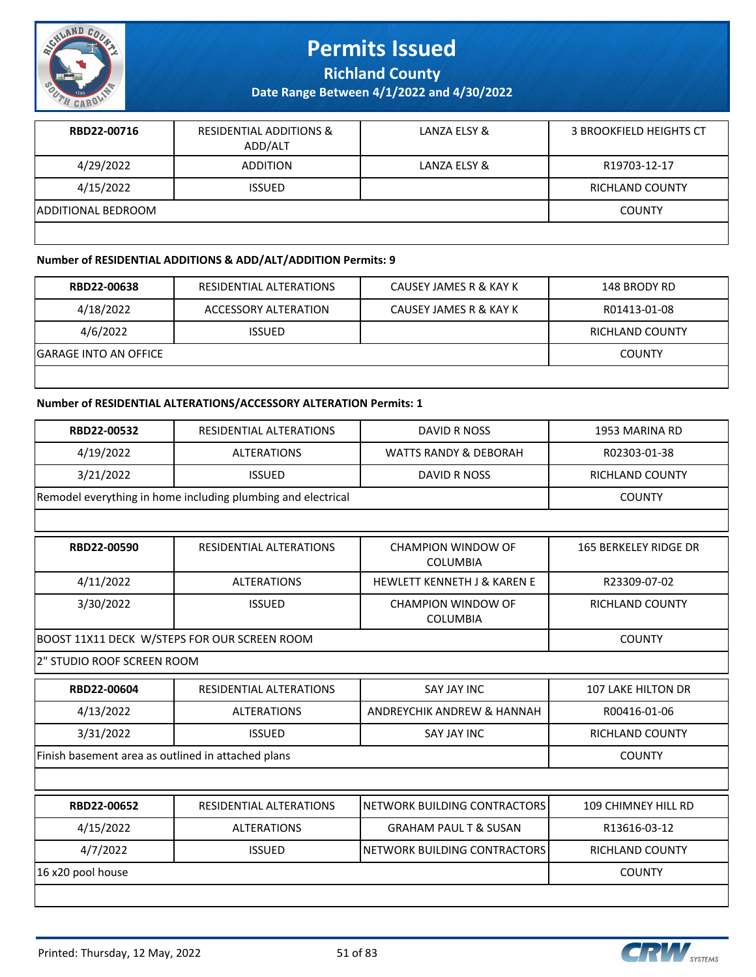

**Richland County**

**Date Range Between 4/1/2022 and 4/30/2022**

| RBD22-00716        | <b>RESIDENTIAL ADDITIONS &amp;</b><br>ADD/ALT | LANZA ELSY & | 3 BROOKFIELD HEIGHTS CT |
|--------------------|-----------------------------------------------|--------------|-------------------------|
| 4/29/2022          | <b>ADDITION</b>                               | LANZA ELSY & | R19703-12-17            |
| 4/15/2022          | <b>ISSUED</b>                                 |              | <b>RICHLAND COUNTY</b>  |
| ADDITIONAL BEDROOM |                                               |              | <b>COUNTY</b>           |
|                    |                                               |              |                         |

#### **Number of RESIDENTIAL ADDITIONS & ADD/ALT/ADDITION Permits: 9**

| RBD22-00638            | RESIDENTIAL ALTERATIONS | CAUSEY JAMES R & KAY K | 148 BRODY RD           |
|------------------------|-------------------------|------------------------|------------------------|
| 4/18/2022              | ACCESSORY ALTERATION    | CAUSEY JAMES R & KAY K | R01413-01-08           |
| 4/6/2022               | <b>ISSUED</b>           |                        | <b>RICHLAND COUNTY</b> |
| IGARAGE INTO AN OFFICE |                         |                        | <b>COUNTY</b>          |
|                        |                         |                        |                        |

#### **Number of RESIDENTIAL ALTERATIONS/ACCESSORY ALTERATION Permits: 1**

| RBD22-00532                                        | RESIDENTIAL ALTERATIONS                                      | <b>DAVID R NOSS</b>                          | 1953 MARINA RD            |
|----------------------------------------------------|--------------------------------------------------------------|----------------------------------------------|---------------------------|
| 4/19/2022                                          | <b>ALTERATIONS</b>                                           | <b>WATTS RANDY &amp; DEBORAH</b>             | R02303-01-38              |
| 3/21/2022                                          | <b>ISSUED</b>                                                | <b>DAVID R NOSS</b>                          | <b>RICHLAND COUNTY</b>    |
|                                                    | Remodel everything in home including plumbing and electrical |                                              | <b>COUNTY</b>             |
|                                                    |                                                              |                                              |                           |
| RBD22-00590                                        | RESIDENTIAL ALTERATIONS                                      | <b>CHAMPION WINDOW OF</b><br><b>COLUMBIA</b> | 165 BERKELEY RIDGE DR     |
| 4/11/2022                                          | <b>ALTERATIONS</b>                                           | <b>HEWLETT KENNETH J &amp; KAREN E</b>       | R23309-07-02              |
| 3/30/2022                                          | <b>ISSUED</b>                                                | <b>CHAMPION WINDOW OF</b><br><b>COLUMBIA</b> | <b>RICHLAND COUNTY</b>    |
|                                                    | BOOST 11X11 DECK W/STEPS FOR OUR SCREEN ROOM                 |                                              | <b>COUNTY</b>             |
| 2" STUDIO ROOF SCREEN ROOM                         |                                                              |                                              |                           |
| RBD22-00604                                        | RESIDENTIAL ALTERATIONS                                      | <b>SAY JAY INC</b>                           | <b>107 LAKE HILTON DR</b> |
| 4/13/2022                                          | <b>ALTERATIONS</b>                                           | ANDREYCHIK ANDREW & HANNAH                   | R00416-01-06              |
| 3/31/2022                                          | <b>ISSUED</b>                                                | <b>SAY JAY INC</b>                           | RICHLAND COUNTY           |
| Finish basement area as outlined in attached plans |                                                              |                                              | <b>COUNTY</b>             |
|                                                    |                                                              |                                              |                           |
| RBD22-00652                                        | RESIDENTIAL ALTERATIONS                                      | NETWORK BUILDING CONTRACTORS                 | 109 CHIMNEY HILL RD       |
| 4/15/2022                                          | <b>ALTERATIONS</b>                                           | <b>GRAHAM PAUL T &amp; SUSAN</b>             | R13616-03-12              |
| 4/7/2022                                           | <b>ISSUED</b>                                                | NETWORK BUILDING CONTRACTORS                 | RICHLAND COUNTY           |
| 16 x20 pool house                                  |                                                              |                                              | <b>COUNTY</b>             |
|                                                    |                                                              |                                              |                           |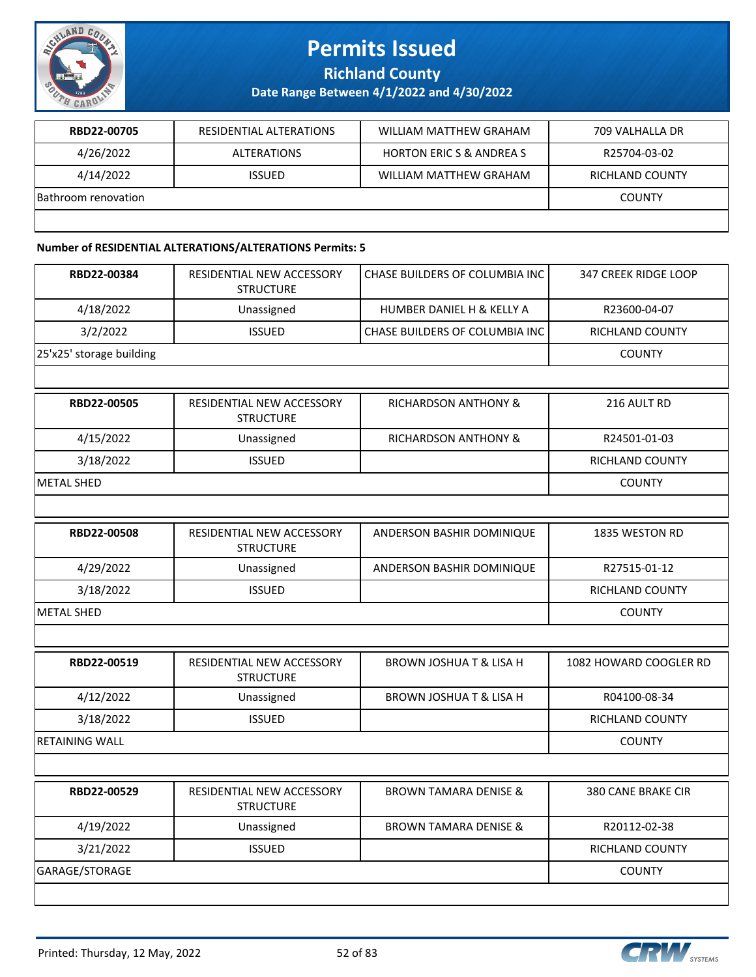

**Richland County**

**Date Range Between 4/1/2022 and 4/30/2022**

| RBD22-00705         | RESIDENTIAL ALTERATIONS | WILLIAM MATTHEW GRAHAM            | 709 VALHALLA DR |
|---------------------|-------------------------|-----------------------------------|-----------------|
| 4/26/2022           | ALTERATIONS             | <b>HORTON ERICS &amp; ANDREAS</b> | R25704-03-02    |
| 4/14/2022           | <b>ISSUED</b>           | WILLIAM MATTHEW GRAHAM            | RICHLAND COUNTY |
| Bathroom renovation |                         |                                   | <b>COUNTY</b>   |
|                     |                         |                                   |                 |

#### **Number of RESIDENTIAL ALTERATIONS/ALTERATIONS Permits: 5**

| RBD22-00384              | RESIDENTIAL NEW ACCESSORY<br><b>STRUCTURE</b> | CHASE BUILDERS OF COLUMBIA INC       | 347 CREEK RIDGE LOOP      |
|--------------------------|-----------------------------------------------|--------------------------------------|---------------------------|
| 4/18/2022                | Unassigned                                    | <b>HUMBER DANIEL H &amp; KELLY A</b> | R23600-04-07              |
| 3/2/2022                 | <b>ISSUED</b>                                 | CHASE BUILDERS OF COLUMBIA INC       | <b>RICHLAND COUNTY</b>    |
| 25'x25' storage building |                                               |                                      | <b>COUNTY</b>             |
|                          |                                               |                                      |                           |
| RBD22-00505              | RESIDENTIAL NEW ACCESSORY<br><b>STRUCTURE</b> | RICHARDSON ANTHONY &                 | 216 AULT RD               |
| 4/15/2022                | Unassigned                                    | RICHARDSON ANTHONY &                 | R24501-01-03              |
| 3/18/2022                | <b>ISSUED</b>                                 |                                      | RICHLAND COUNTY           |
| <b>METAL SHED</b>        |                                               |                                      | <b>COUNTY</b>             |
|                          |                                               |                                      |                           |
| RBD22-00508              | RESIDENTIAL NEW ACCESSORY<br><b>STRUCTURE</b> | ANDERSON BASHIR DOMINIQUE            | 1835 WESTON RD            |
| 4/29/2022                | Unassigned                                    | ANDERSON BASHIR DOMINIQUE            | R27515-01-12              |
| 3/18/2022                | <b>ISSUED</b>                                 |                                      | RICHLAND COUNTY           |
| <b>METAL SHED</b>        |                                               |                                      | <b>COUNTY</b>             |
|                          |                                               |                                      |                           |
| RBD22-00519              | RESIDENTIAL NEW ACCESSORY<br><b>STRUCTURE</b> | <b>BROWN JOSHUA T &amp; LISA H</b>   | 1082 HOWARD COOGLER RD    |
| 4/12/2022                | Unassigned                                    | <b>BROWN JOSHUA T &amp; LISA H</b>   | R04100-08-34              |
| 3/18/2022                | <b>ISSUED</b>                                 |                                      | RICHLAND COUNTY           |
| <b>RETAINING WALL</b>    |                                               |                                      | <b>COUNTY</b>             |
|                          |                                               |                                      |                           |
| RBD22-00529              | RESIDENTIAL NEW ACCESSORY<br><b>STRUCTURE</b> | <b>BROWN TAMARA DENISE &amp;</b>     | <b>380 CANE BRAKE CIR</b> |
| 4/19/2022                | Unassigned                                    | <b>BROWN TAMARA DENISE &amp;</b>     | R20112-02-38              |
| 3/21/2022                | <b>ISSUED</b>                                 |                                      | <b>RICHLAND COUNTY</b>    |
| GARAGE/STORAGE           |                                               |                                      | <b>COUNTY</b>             |
|                          |                                               |                                      |                           |

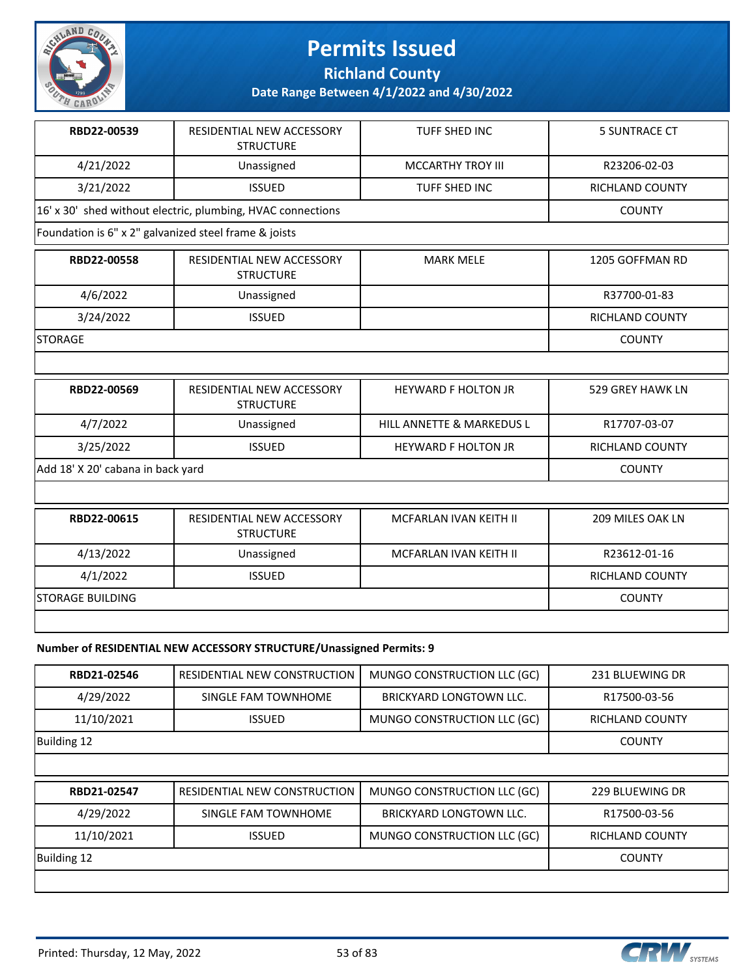

**Richland County**

**Date Range Between 4/1/2022 and 4/30/2022**

| RBD22-00539                                           | RESIDENTIAL NEW ACCESSORY<br><b>STRUCTURE</b>               | <b>TUFF SHED INC</b>          | <b>5 SUNTRACE CT</b>   |
|-------------------------------------------------------|-------------------------------------------------------------|-------------------------------|------------------------|
| 4/21/2022                                             | Unassigned                                                  | <b>MCCARTHY TROY III</b>      | R23206-02-03           |
| 3/21/2022                                             | <b>ISSUED</b>                                               | <b>TUFF SHED INC</b>          | <b>RICHLAND COUNTY</b> |
|                                                       | 16' x 30' shed without electric, plumbing, HVAC connections |                               | <b>COUNTY</b>          |
| Foundation is 6" x 2" galvanized steel frame & joists |                                                             |                               |                        |
| RBD22-00558                                           | RESIDENTIAL NEW ACCESSORY<br><b>STRUCTURE</b>               | <b>MARK MELE</b>              | 1205 GOFFMAN RD        |
| 4/6/2022                                              | Unassigned                                                  |                               | R37700-01-83           |
| 3/24/2022                                             | <b>ISSUED</b>                                               |                               | RICHLAND COUNTY        |
| <b>STORAGE</b>                                        |                                                             |                               | <b>COUNTY</b>          |
|                                                       |                                                             |                               |                        |
| RBD22-00569                                           | RESIDENTIAL NEW ACCESSORY<br><b>STRUCTURE</b>               | <b>HEYWARD F HOLTON JR</b>    | 529 GREY HAWK LN       |
| 4/7/2022                                              | Unassigned                                                  | HILL ANNETTE & MARKEDUS L     | R17707-03-07           |
| 3/25/2022                                             | <b>ISSUED</b>                                               | <b>HEYWARD F HOLTON JR</b>    | <b>RICHLAND COUNTY</b> |
| Add 18' X 20' cabana in back yard                     |                                                             |                               | <b>COUNTY</b>          |
|                                                       |                                                             |                               |                        |
| RBD22-00615                                           | RESIDENTIAL NEW ACCESSORY<br><b>STRUCTURE</b>               | MCFARLAN IVAN KEITH II        | 209 MILES OAK LN       |
| 4/13/2022                                             | Unassigned                                                  | <b>MCFARLAN IVAN KEITH II</b> | R23612-01-16           |
| 4/1/2022                                              | <b>ISSUED</b>                                               |                               | <b>RICHLAND COUNTY</b> |
| <b>STORAGE BUILDING</b>                               |                                                             |                               |                        |
|                                                       |                                                             |                               |                        |

#### **Number of RESIDENTIAL NEW ACCESSORY STRUCTURE/Unassigned Permits: 9**

| RBD21-02546 | RESIDENTIAL NEW CONSTRUCTION | MUNGO CONSTRUCTION LLC (GC)    | 231 BLUEWING DR        |
|-------------|------------------------------|--------------------------------|------------------------|
| 4/29/2022   | SINGLE FAM TOWNHOME          | <b>BRICKYARD LONGTOWN LLC.</b> | R17500-03-56           |
| 11/10/2021  | <b>ISSUED</b>                | MUNGO CONSTRUCTION LLC (GC)    | <b>RICHLAND COUNTY</b> |
| Building 12 |                              |                                | <b>COUNTY</b>          |
|             |                              |                                |                        |
| RBD21-02547 | RESIDENTIAL NEW CONSTRUCTION | MUNGO CONSTRUCTION LLC (GC)    | 229 BLUEWING DR        |
|             |                              |                                |                        |
| 4/29/2022   | SINGLE FAM TOWNHOME          | <b>BRICKYARD LONGTOWN LLC.</b> | R17500-03-56           |
| 11/10/2021  | <b>ISSUED</b>                | MUNGO CONSTRUCTION LLC (GC)    | <b>RICHLAND COUNTY</b> |
| Building 12 |                              |                                | <b>COUNTY</b>          |

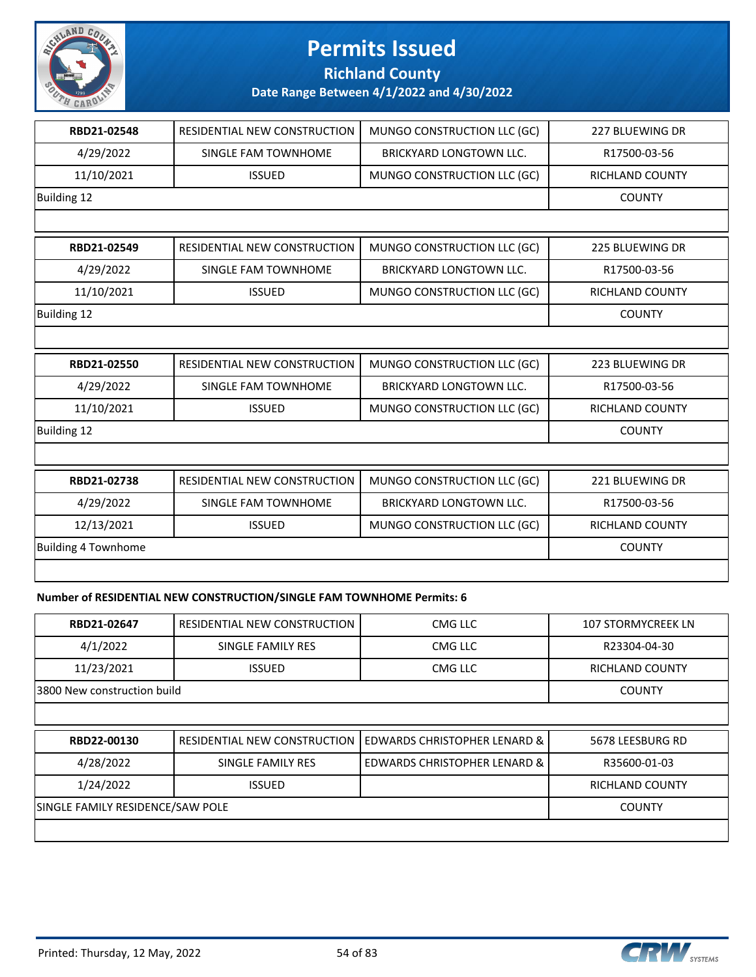

**Richland County**

**Date Range Between 4/1/2022 and 4/30/2022**

| RBD21-02548                | RESIDENTIAL NEW CONSTRUCTION | MUNGO CONSTRUCTION LLC (GC)    | <b>227 BLUEWING DR</b> |
|----------------------------|------------------------------|--------------------------------|------------------------|
| 4/29/2022                  | SINGLE FAM TOWNHOME          | <b>BRICKYARD LONGTOWN LLC.</b> | R17500-03-56           |
| 11/10/2021                 | <b>ISSUED</b>                | MUNGO CONSTRUCTION LLC (GC)    | RICHLAND COUNTY        |
| <b>Building 12</b>         |                              |                                | <b>COUNTY</b>          |
|                            |                              |                                |                        |
| RBD21-02549                | RESIDENTIAL NEW CONSTRUCTION | MUNGO CONSTRUCTION LLC (GC)    | <b>225 BLUEWING DR</b> |
| 4/29/2022                  | SINGLE FAM TOWNHOME          | <b>BRICKYARD LONGTOWN LLC.</b> | R17500-03-56           |
| 11/10/2021                 | <b>ISSUED</b>                | MUNGO CONSTRUCTION LLC (GC)    | RICHLAND COUNTY        |
| Building 12                |                              |                                | <b>COUNTY</b>          |
|                            |                              |                                |                        |
| RBD21-02550                | RESIDENTIAL NEW CONSTRUCTION | MUNGO CONSTRUCTION LLC (GC)    | 223 BLUEWING DR        |
| 4/29/2022                  | SINGLE FAM TOWNHOME          | <b>BRICKYARD LONGTOWN LLC.</b> | R17500-03-56           |
| 11/10/2021                 | <b>ISSUED</b>                | MUNGO CONSTRUCTION LLC (GC)    | <b>RICHLAND COUNTY</b> |
| <b>Building 12</b>         |                              |                                | <b>COUNTY</b>          |
|                            |                              |                                |                        |
| RBD21-02738                | RESIDENTIAL NEW CONSTRUCTION | MUNGO CONSTRUCTION LLC (GC)    | 221 BLUEWING DR        |
| 4/29/2022                  | <b>SINGLE FAM TOWNHOME</b>   | BRICKYARD LONGTOWN LLC.        | R17500-03-56           |
| 12/13/2021                 | <b>ISSUED</b>                | MUNGO CONSTRUCTION LLC (GC)    | <b>RICHLAND COUNTY</b> |
| <b>Building 4 Townhome</b> |                              |                                | <b>COUNTY</b>          |
|                            |                              |                                |                        |
|                            |                              |                                |                        |

#### **Number of RESIDENTIAL NEW CONSTRUCTION/SINGLE FAM TOWNHOME Permits: 6**

| RBD21-02647                      | RESIDENTIAL NEW CONSTRUCTION | CMG LLC                                 | <b>107 STORMYCREEK LN</b> |
|----------------------------------|------------------------------|-----------------------------------------|---------------------------|
| 4/1/2022                         | SINGLE FAMILY RES            | CMG LLC                                 | R23304-04-30              |
| 11/23/2021                       | <b>ISSUED</b>                | CMG LLC                                 | <b>RICHLAND COUNTY</b>    |
| 3800 New construction build      |                              |                                         | <b>COUNTY</b>             |
|                                  |                              |                                         |                           |
| RBD22-00130                      | RESIDENTIAL NEW CONSTRUCTION | <b>EDWARDS CHRISTOPHER LENARD &amp;</b> | 5678 LEESBURG RD          |
| 4/28/2022                        | SINGLE FAMILY RES            | EDWARDS CHRISTOPHER LENARD &            | R35600-01-03              |
| 1/24/2022                        | <b>RICHLAND COUNTY</b>       |                                         |                           |
| SINGLE FAMILY RESIDENCE/SAW POLE | <b>COUNTY</b>                |                                         |                           |
|                                  |                              |                                         |                           |

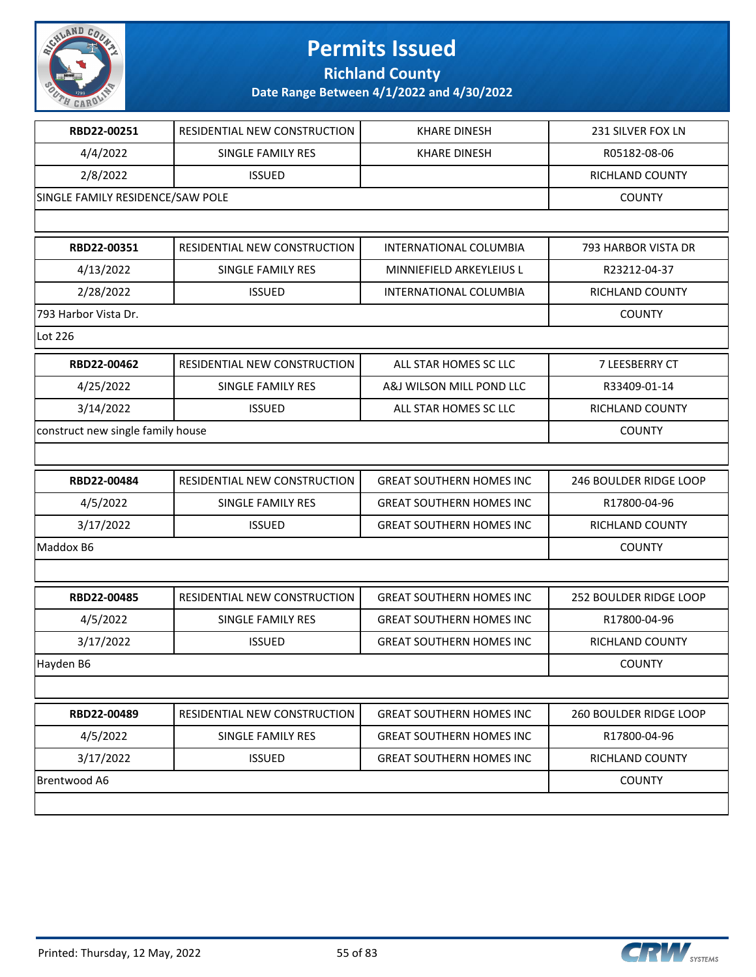

**Richland County**

| RBD22-00251                       | RESIDENTIAL NEW CONSTRUCTION | <b>KHARE DINESH</b>             | 231 SILVER FOX LN             |
|-----------------------------------|------------------------------|---------------------------------|-------------------------------|
| 4/4/2022                          | SINGLE FAMILY RES            | <b>KHARE DINESH</b>             | R05182-08-06                  |
| 2/8/2022                          | <b>ISSUED</b>                |                                 | RICHLAND COUNTY               |
| SINGLE FAMILY RESIDENCE/SAW POLE  |                              |                                 | <b>COUNTY</b>                 |
|                                   |                              |                                 |                               |
| RBD22-00351                       | RESIDENTIAL NEW CONSTRUCTION | <b>INTERNATIONAL COLUMBIA</b>   | 793 HARBOR VISTA DR           |
| 4/13/2022                         | <b>SINGLE FAMILY RES</b>     | MINNIEFIELD ARKEYLEIUS L        | R23212-04-37                  |
| 2/28/2022                         | <b>ISSUED</b>                | INTERNATIONAL COLUMBIA          | RICHLAND COUNTY               |
| 793 Harbor Vista Dr.              |                              |                                 | <b>COUNTY</b>                 |
| Lot 226                           |                              |                                 |                               |
| RBD22-00462                       | RESIDENTIAL NEW CONSTRUCTION | ALL STAR HOMES SC LLC           | 7 LEESBERRY CT                |
| 4/25/2022                         | <b>SINGLE FAMILY RES</b>     | A&J WILSON MILL POND LLC        | R33409-01-14                  |
| 3/14/2022                         | <b>ISSUED</b>                | ALL STAR HOMES SC LLC           | RICHLAND COUNTY               |
| construct new single family house |                              |                                 | <b>COUNTY</b>                 |
|                                   |                              |                                 |                               |
| RBD22-00484                       | RESIDENTIAL NEW CONSTRUCTION | <b>GREAT SOUTHERN HOMES INC</b> | <b>246 BOULDER RIDGE LOOP</b> |
| 4/5/2022                          | SINGLE FAMILY RES            | <b>GREAT SOUTHERN HOMES INC</b> | R17800-04-96                  |
| 3/17/2022                         | <b>ISSUED</b>                | <b>GREAT SOUTHERN HOMES INC</b> | RICHLAND COUNTY               |
| Maddox B6                         |                              |                                 | <b>COUNTY</b>                 |
|                                   |                              |                                 |                               |
| RBD22-00485                       | RESIDENTIAL NEW CONSTRUCTION | <b>GREAT SOUTHERN HOMES INC</b> | 252 BOULDER RIDGE LOOP        |
| 4/5/2022                          | SINGLE FAMILY RES            | <b>GREAT SOUTHERN HOMES INC</b> | R17800-04-96                  |
| 3/17/2022                         | <b>ISSUED</b>                | <b>GREAT SOUTHERN HOMES INC</b> | RICHLAND COUNTY               |
| Hayden B6                         |                              |                                 | <b>COUNTY</b>                 |
|                                   |                              |                                 |                               |
| RBD22-00489                       | RESIDENTIAL NEW CONSTRUCTION | <b>GREAT SOUTHERN HOMES INC</b> | 260 BOULDER RIDGE LOOP        |
| 4/5/2022                          | SINGLE FAMILY RES            | <b>GREAT SOUTHERN HOMES INC</b> | R17800-04-96                  |
| 3/17/2022                         | <b>ISSUED</b>                | <b>GREAT SOUTHERN HOMES INC</b> | RICHLAND COUNTY               |
| Brentwood A6                      |                              |                                 | <b>COUNTY</b>                 |
|                                   |                              |                                 |                               |

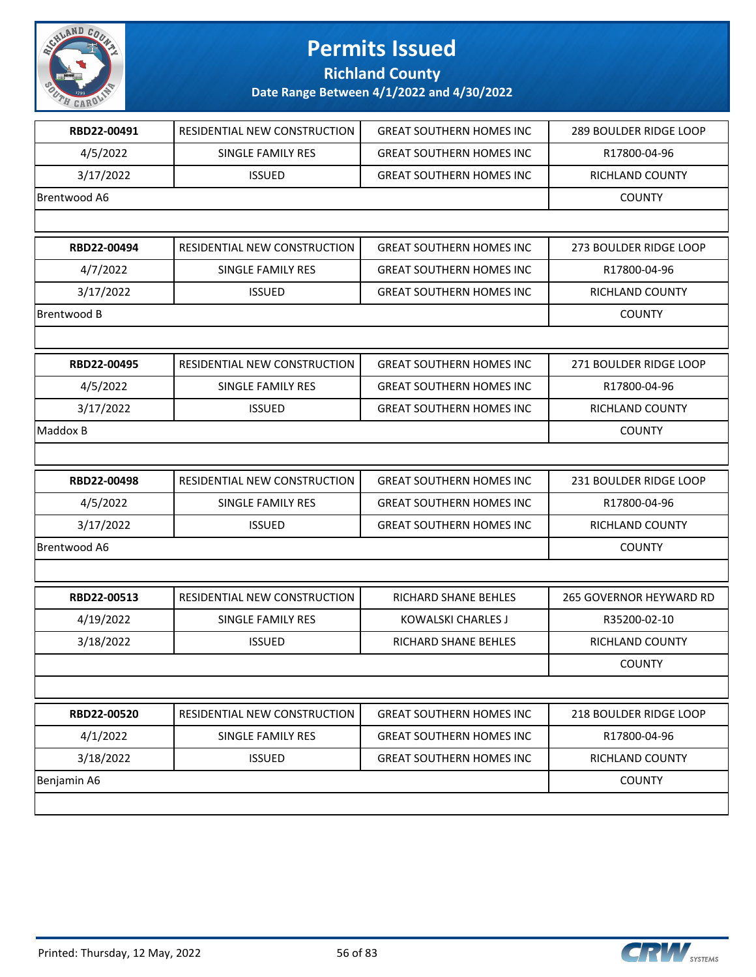

### **Richland County**

| RBD22-00491  | RESIDENTIAL NEW CONSTRUCTION | <b>GREAT SOUTHERN HOMES INC</b> | <b>289 BOULDER RIDGE LOOP</b> |
|--------------|------------------------------|---------------------------------|-------------------------------|
| 4/5/2022     | SINGLE FAMILY RES            | <b>GREAT SOUTHERN HOMES INC</b> | R17800-04-96                  |
| 3/17/2022    | <b>ISSUED</b>                | <b>GREAT SOUTHERN HOMES INC</b> | <b>RICHLAND COUNTY</b>        |
| Brentwood A6 |                              |                                 | <b>COUNTY</b>                 |
|              |                              |                                 |                               |
| RBD22-00494  | RESIDENTIAL NEW CONSTRUCTION | <b>GREAT SOUTHERN HOMES INC</b> | 273 BOULDER RIDGE LOOP        |
| 4/7/2022     | <b>SINGLE FAMILY RES</b>     | <b>GREAT SOUTHERN HOMES INC</b> | R17800-04-96                  |
| 3/17/2022    | <b>ISSUED</b>                | <b>GREAT SOUTHERN HOMES INC</b> | RICHLAND COUNTY               |
| Brentwood B  |                              |                                 | <b>COUNTY</b>                 |
|              |                              |                                 |                               |
| RBD22-00495  | RESIDENTIAL NEW CONSTRUCTION | <b>GREAT SOUTHERN HOMES INC</b> | 271 BOULDER RIDGE LOOP        |
| 4/5/2022     | SINGLE FAMILY RES            | <b>GREAT SOUTHERN HOMES INC</b> | R17800-04-96                  |
| 3/17/2022    | <b>ISSUED</b>                | <b>GREAT SOUTHERN HOMES INC</b> | RICHLAND COUNTY               |
| Maddox B     |                              |                                 | <b>COUNTY</b>                 |
|              |                              |                                 |                               |
| RBD22-00498  | RESIDENTIAL NEW CONSTRUCTION | <b>GREAT SOUTHERN HOMES INC</b> | 231 BOULDER RIDGE LOOP        |
| 4/5/2022     | SINGLE FAMILY RES            | <b>GREAT SOUTHERN HOMES INC</b> | R17800-04-96                  |
| 3/17/2022    | <b>ISSUED</b>                | <b>GREAT SOUTHERN HOMES INC</b> | RICHLAND COUNTY               |
| Brentwood A6 |                              |                                 | <b>COUNTY</b>                 |
|              |                              |                                 |                               |
| RBD22-00513  | RESIDENTIAL NEW CONSTRUCTION | RICHARD SHANE BEHLES            | 265 GOVERNOR HEYWARD RD       |
| 4/19/2022    | SINGLE FAMILY RES            | <b>KOWALSKI CHARLES J</b>       | R35200-02-10                  |
| 3/18/2022    | <b>ISSUED</b>                | RICHARD SHANE BEHLES            | RICHLAND COUNTY               |
|              |                              |                                 | <b>COUNTY</b>                 |
|              |                              |                                 |                               |
| RBD22-00520  | RESIDENTIAL NEW CONSTRUCTION | <b>GREAT SOUTHERN HOMES INC</b> | 218 BOULDER RIDGE LOOP        |
| 4/1/2022     | SINGLE FAMILY RES            | <b>GREAT SOUTHERN HOMES INC</b> | R17800-04-96                  |
| 3/18/2022    | <b>ISSUED</b>                | <b>GREAT SOUTHERN HOMES INC</b> | RICHLAND COUNTY               |
| Benjamin A6  |                              |                                 | <b>COUNTY</b>                 |
|              |                              |                                 |                               |

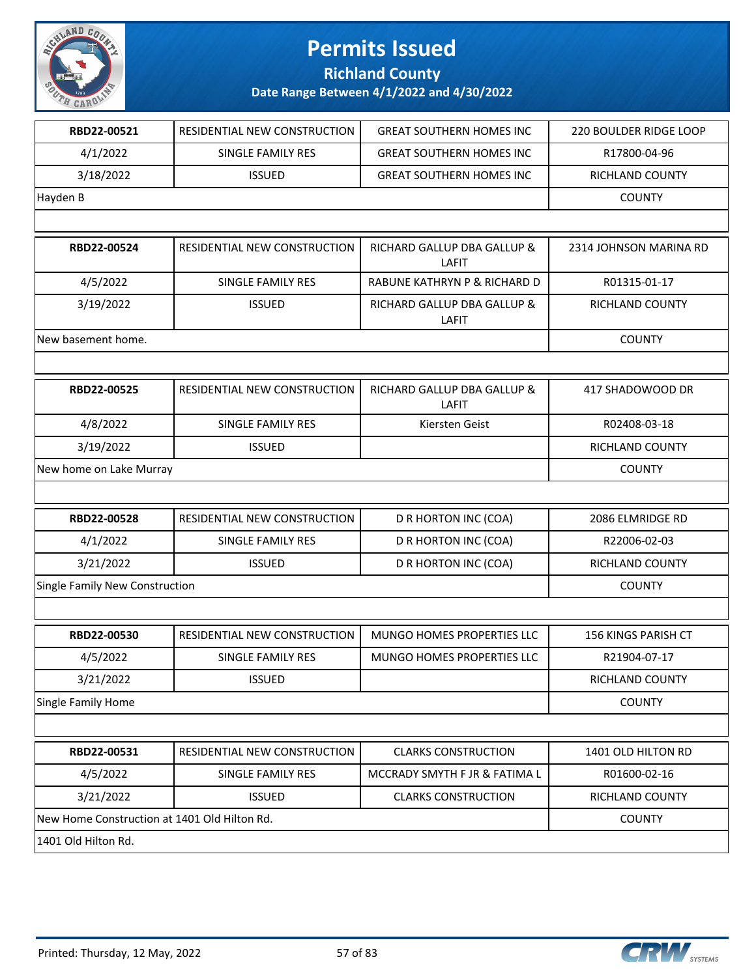

**Richland County**

| RBD22-00521                                  | RESIDENTIAL NEW CONSTRUCTION        | <b>GREAT SOUTHERN HOMES INC</b>      | 220 BOULDER RIDGE LOOP     |
|----------------------------------------------|-------------------------------------|--------------------------------------|----------------------------|
| 4/1/2022                                     | <b>SINGLE FAMILY RES</b>            | <b>GREAT SOUTHERN HOMES INC</b>      | R17800-04-96               |
| 3/18/2022                                    | <b>ISSUED</b>                       | <b>GREAT SOUTHERN HOMES INC</b>      | RICHLAND COUNTY            |
| Hayden B                                     |                                     |                                      | <b>COUNTY</b>              |
|                                              |                                     |                                      |                            |
| RBD22-00524                                  | <b>RESIDENTIAL NEW CONSTRUCTION</b> | RICHARD GALLUP DBA GALLUP &<br>LAFIT | 2314 JOHNSON MARINA RD     |
| 4/5/2022                                     | <b>SINGLE FAMILY RES</b>            | RABUNE KATHRYN P & RICHARD D         | R01315-01-17               |
| 3/19/2022                                    | <b>ISSUED</b>                       | RICHARD GALLUP DBA GALLUP &<br>LAFIT | RICHLAND COUNTY            |
| New basement home.                           |                                     |                                      | <b>COUNTY</b>              |
|                                              |                                     |                                      |                            |
| RBD22-00525                                  | RESIDENTIAL NEW CONSTRUCTION        | RICHARD GALLUP DBA GALLUP &<br>LAFIT | 417 SHADOWOOD DR           |
| 4/8/2022                                     | <b>SINGLE FAMILY RES</b>            | Kiersten Geist                       | R02408-03-18               |
| 3/19/2022                                    | <b>ISSUED</b>                       |                                      | RICHLAND COUNTY            |
| New home on Lake Murray                      |                                     |                                      | <b>COUNTY</b>              |
|                                              |                                     |                                      |                            |
| RBD22-00528                                  | RESIDENTIAL NEW CONSTRUCTION        | D R HORTON INC (COA)                 | 2086 ELMRIDGE RD           |
| 4/1/2022                                     | SINGLE FAMILY RES                   | D R HORTON INC (COA)                 | R22006-02-03               |
| 3/21/2022                                    | <b>ISSUED</b>                       | D R HORTON INC (COA)                 | RICHLAND COUNTY            |
| Single Family New Construction               |                                     |                                      | <b>COUNTY</b>              |
|                                              |                                     |                                      |                            |
| RBD22-00530                                  | RESIDENTIAL NEW CONSTRUCTION        | MUNGO HOMES PROPERTIES LLC           | <b>156 KINGS PARISH CT</b> |
| 4/5/2022                                     | SINGLE FAMILY RES                   | <b>MUNGO HOMES PROPERTIES LLC</b>    | R21904-07-17               |
| 3/21/2022                                    | <b>ISSUED</b>                       |                                      | RICHLAND COUNTY            |
| Single Family Home                           |                                     |                                      | <b>COUNTY</b>              |
|                                              |                                     |                                      |                            |
| RBD22-00531                                  | RESIDENTIAL NEW CONSTRUCTION        | <b>CLARKS CONSTRUCTION</b>           | 1401 OLD HILTON RD         |
| 4/5/2022                                     | SINGLE FAMILY RES                   | MCCRADY SMYTH F JR & FATIMA L        | R01600-02-16               |
| 3/21/2022                                    | <b>ISSUED</b>                       | <b>CLARKS CONSTRUCTION</b>           | RICHLAND COUNTY            |
| New Home Construction at 1401 Old Hilton Rd. |                                     |                                      | <b>COUNTY</b>              |
| 1401 Old Hilton Rd.                          |                                     |                                      |                            |

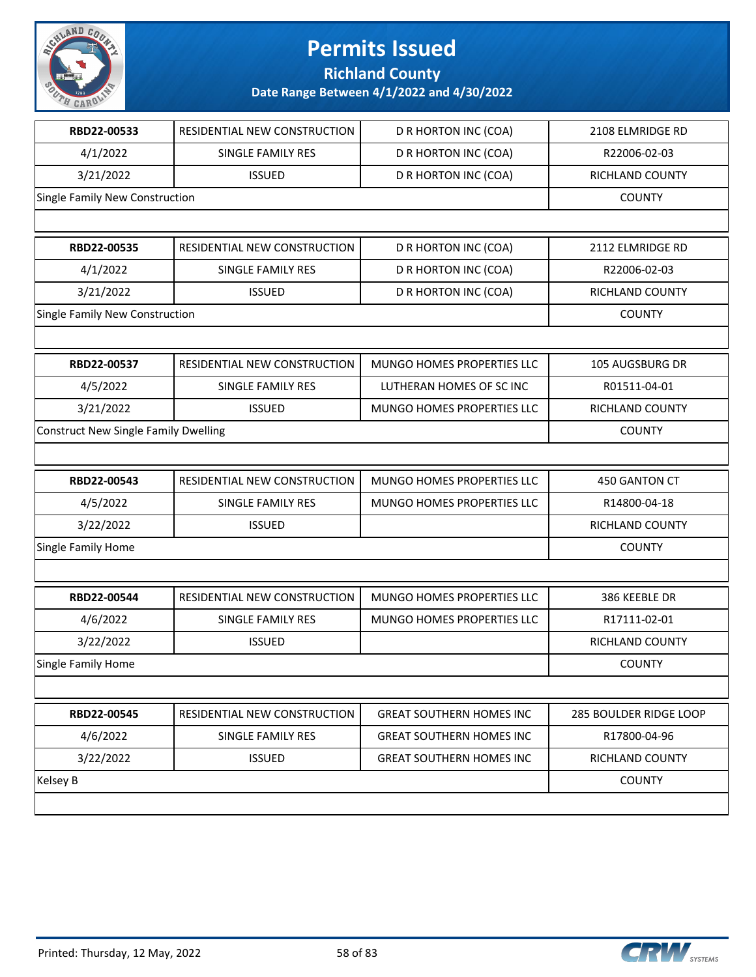

**Richland County**

| RESIDENTIAL NEW CONSTRUCTION                | D R HORTON INC (COA)            | 2108 ELMRIDGE RD       |
|---------------------------------------------|---------------------------------|------------------------|
| SINGLE FAMILY RES                           | D R HORTON INC (COA)            | R22006-02-03           |
| <b>ISSUED</b>                               | D R HORTON INC (COA)            | RICHLAND COUNTY        |
| Single Family New Construction              |                                 | <b>COUNTY</b>          |
|                                             |                                 |                        |
| RESIDENTIAL NEW CONSTRUCTION                | D R HORTON INC (COA)            | 2112 ELMRIDGE RD       |
| SINGLE FAMILY RES                           | D R HORTON INC (COA)            | R22006-02-03           |
| <b>ISSUED</b>                               | D R HORTON INC (COA)            | RICHLAND COUNTY        |
| Single Family New Construction              |                                 | <b>COUNTY</b>          |
|                                             |                                 |                        |
| RESIDENTIAL NEW CONSTRUCTION                | MUNGO HOMES PROPERTIES LLC      | 105 AUGSBURG DR        |
| SINGLE FAMILY RES                           | LUTHERAN HOMES OF SC INC        | R01511-04-01           |
| <b>ISSUED</b>                               | MUNGO HOMES PROPERTIES LLC      | RICHLAND COUNTY        |
| <b>Construct New Single Family Dwelling</b> |                                 | <b>COUNTY</b>          |
|                                             |                                 |                        |
| RESIDENTIAL NEW CONSTRUCTION                | MUNGO HOMES PROPERTIES LLC      | 450 GANTON CT          |
| SINGLE FAMILY RES                           | MUNGO HOMES PROPERTIES LLC      | R14800-04-18           |
| <b>ISSUED</b>                               |                                 | RICHLAND COUNTY        |
| Single Family Home                          |                                 |                        |
|                                             |                                 |                        |
| RESIDENTIAL NEW CONSTRUCTION                | MUNGO HOMES PROPERTIES LLC      | 386 KEEBLE DR          |
|                                             |                                 |                        |
| SINGLE FAMILY RES                           | MUNGO HOMES PROPERTIES LLC      | R17111-02-01           |
| <b>ISSUED</b>                               |                                 | RICHLAND COUNTY        |
|                                             |                                 | <b>COUNTY</b>          |
|                                             |                                 |                        |
| RESIDENTIAL NEW CONSTRUCTION                | <b>GREAT SOUTHERN HOMES INC</b> | 285 BOULDER RIDGE LOOP |
| SINGLE FAMILY RES                           | <b>GREAT SOUTHERN HOMES INC</b> | R17800-04-96           |
| <b>ISSUED</b>                               | <b>GREAT SOUTHERN HOMES INC</b> | RICHLAND COUNTY        |
|                                             |                                 | <b>COUNTY</b>          |
|                                             |                                 |                        |

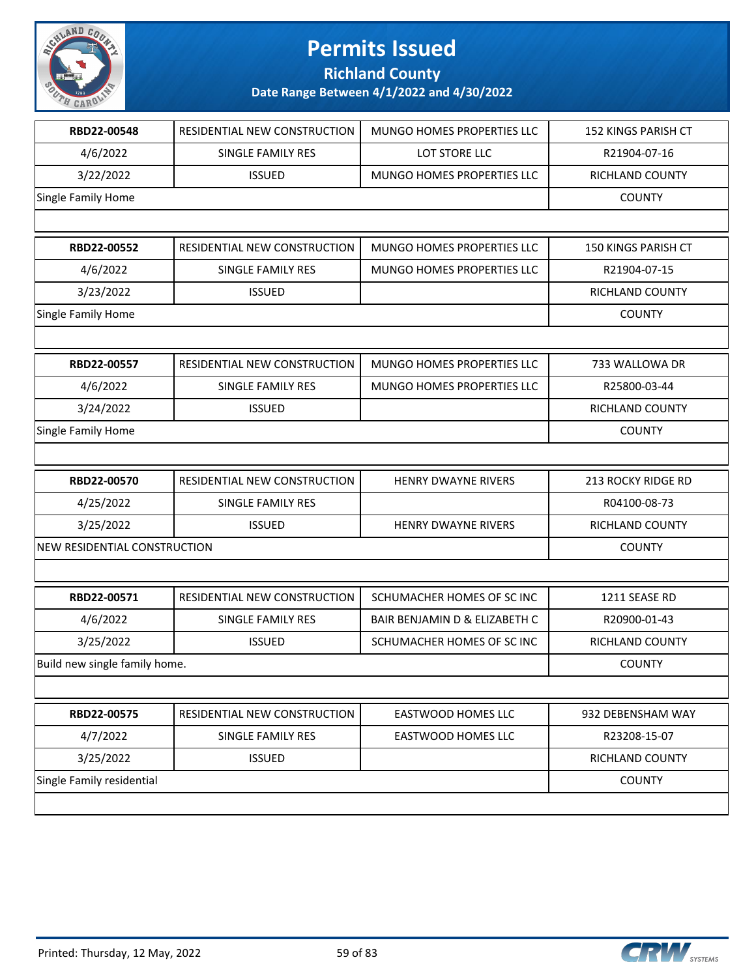

**Richland County**

| RBD22-00548                   | RESIDENTIAL NEW CONSTRUCTION | MUNGO HOMES PROPERTIES LLC    | 152 KINGS PARISH CT        |
|-------------------------------|------------------------------|-------------------------------|----------------------------|
| 4/6/2022                      | SINGLE FAMILY RES            | LOT STORE LLC                 | R21904-07-16               |
| 3/22/2022                     | <b>ISSUED</b>                | MUNGO HOMES PROPERTIES LLC    | RICHLAND COUNTY            |
| Single Family Home            |                              |                               | <b>COUNTY</b>              |
|                               |                              |                               |                            |
| RBD22-00552                   | RESIDENTIAL NEW CONSTRUCTION | MUNGO HOMES PROPERTIES LLC    | <b>150 KINGS PARISH CT</b> |
| 4/6/2022                      | SINGLE FAMILY RES            | MUNGO HOMES PROPERTIES LLC    | R21904-07-15               |
| 3/23/2022                     | <b>ISSUED</b>                |                               | <b>RICHLAND COUNTY</b>     |
| Single Family Home            |                              |                               | <b>COUNTY</b>              |
|                               |                              |                               |                            |
| RBD22-00557                   | RESIDENTIAL NEW CONSTRUCTION | MUNGO HOMES PROPERTIES LLC    | 733 WALLOWA DR             |
| 4/6/2022                      | SINGLE FAMILY RES            | MUNGO HOMES PROPERTIES LLC    | R25800-03-44               |
| 3/24/2022                     | <b>ISSUED</b>                |                               | RICHLAND COUNTY            |
| Single Family Home            |                              |                               | <b>COUNTY</b>              |
|                               |                              |                               |                            |
| RBD22-00570                   | RESIDENTIAL NEW CONSTRUCTION | <b>HENRY DWAYNE RIVERS</b>    | 213 ROCKY RIDGE RD         |
| 4/25/2022                     | SINGLE FAMILY RES            |                               | R04100-08-73               |
| 3/25/2022                     | <b>ISSUED</b>                | <b>HENRY DWAYNE RIVERS</b>    | RICHLAND COUNTY            |
| NEW RESIDENTIAL CONSTRUCTION  |                              |                               | <b>COUNTY</b>              |
|                               |                              |                               |                            |
| RBD22-00571                   | RESIDENTIAL NEW CONSTRUCTION | SCHUMACHER HOMES OF SC INC    | 1211 SEASE RD              |
| 4/6/2022                      | SINGLE FAMILY RES            | BAIR BENJAMIN D & ELIZABETH C | R20900-01-43               |
| 3/25/2022                     | <b>ISSUED</b>                | SCHUMACHER HOMES OF SC INC    | <b>RICHLAND COUNTY</b>     |
| Build new single family home. |                              |                               | <b>COUNTY</b>              |
|                               |                              |                               |                            |
| RBD22-00575                   | RESIDENTIAL NEW CONSTRUCTION | <b>EASTWOOD HOMES LLC</b>     | 932 DEBENSHAM WAY          |
| 4/7/2022                      | SINGLE FAMILY RES            | <b>EASTWOOD HOMES LLC</b>     | R23208-15-07               |
| 3/25/2022                     | <b>ISSUED</b>                |                               | RICHLAND COUNTY            |
| Single Family residential     |                              |                               | <b>COUNTY</b>              |
|                               |                              |                               |                            |

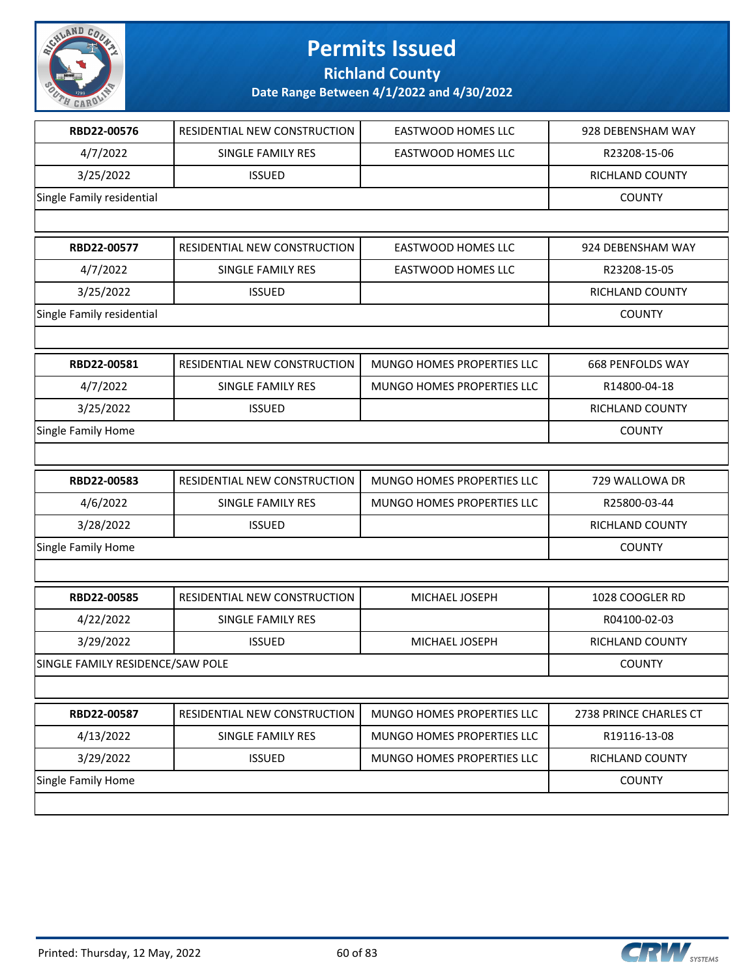

**Richland County**

| RBD22-00576                      | RESIDENTIAL NEW CONSTRUCTION | <b>EASTWOOD HOMES LLC</b>  | 928 DEBENSHAM WAY       |
|----------------------------------|------------------------------|----------------------------|-------------------------|
| 4/7/2022                         | SINGLE FAMILY RES            | EASTWOOD HOMES LLC         | R23208-15-06            |
| 3/25/2022                        | <b>ISSUED</b>                |                            | RICHLAND COUNTY         |
| Single Family residential        |                              |                            | <b>COUNTY</b>           |
|                                  |                              |                            |                         |
| RBD22-00577                      | RESIDENTIAL NEW CONSTRUCTION | <b>EASTWOOD HOMES LLC</b>  | 924 DEBENSHAM WAY       |
| 4/7/2022                         | SINGLE FAMILY RES            | EASTWOOD HOMES LLC         | R23208-15-05            |
| 3/25/2022                        | <b>ISSUED</b>                |                            | RICHLAND COUNTY         |
| Single Family residential        |                              |                            | <b>COUNTY</b>           |
|                                  |                              |                            |                         |
| RBD22-00581                      | RESIDENTIAL NEW CONSTRUCTION | MUNGO HOMES PROPERTIES LLC | <b>668 PENFOLDS WAY</b> |
| 4/7/2022                         | SINGLE FAMILY RES            | MUNGO HOMES PROPERTIES LLC | R14800-04-18            |
| 3/25/2022                        | <b>ISSUED</b>                |                            | RICHLAND COUNTY         |
| Single Family Home               |                              |                            | <b>COUNTY</b>           |
|                                  |                              |                            |                         |
| RBD22-00583                      | RESIDENTIAL NEW CONSTRUCTION | MUNGO HOMES PROPERTIES LLC | 729 WALLOWA DR          |
| 4/6/2022                         | SINGLE FAMILY RES            | MUNGO HOMES PROPERTIES LLC | R25800-03-44            |
| 3/28/2022                        | <b>ISSUED</b>                |                            | RICHLAND COUNTY         |
| Single Family Home               |                              |                            | <b>COUNTY</b>           |
|                                  |                              |                            |                         |
| RBD22-00585                      | RESIDENTIAL NEW CONSTRUCTION | MICHAEL JOSEPH             | 1028 COOGLER RD         |
| 4/22/2022                        | SINGLE FAMILY RES            |                            | R04100-02-03            |
| 3/29/2022                        | <b>ISSUED</b>                | MICHAEL JOSEPH             | <b>RICHLAND COUNTY</b>  |
| SINGLE FAMILY RESIDENCE/SAW POLE |                              |                            | <b>COUNTY</b>           |
|                                  |                              |                            |                         |
| RBD22-00587                      | RESIDENTIAL NEW CONSTRUCTION | MUNGO HOMES PROPERTIES LLC | 2738 PRINCE CHARLES CT  |
| 4/13/2022                        | <b>SINGLE FAMILY RES</b>     | MUNGO HOMES PROPERTIES LLC | R19116-13-08            |
| 3/29/2022                        | <b>ISSUED</b>                | MUNGO HOMES PROPERTIES LLC | RICHLAND COUNTY         |
| Single Family Home               |                              |                            | <b>COUNTY</b>           |
|                                  |                              |                            |                         |

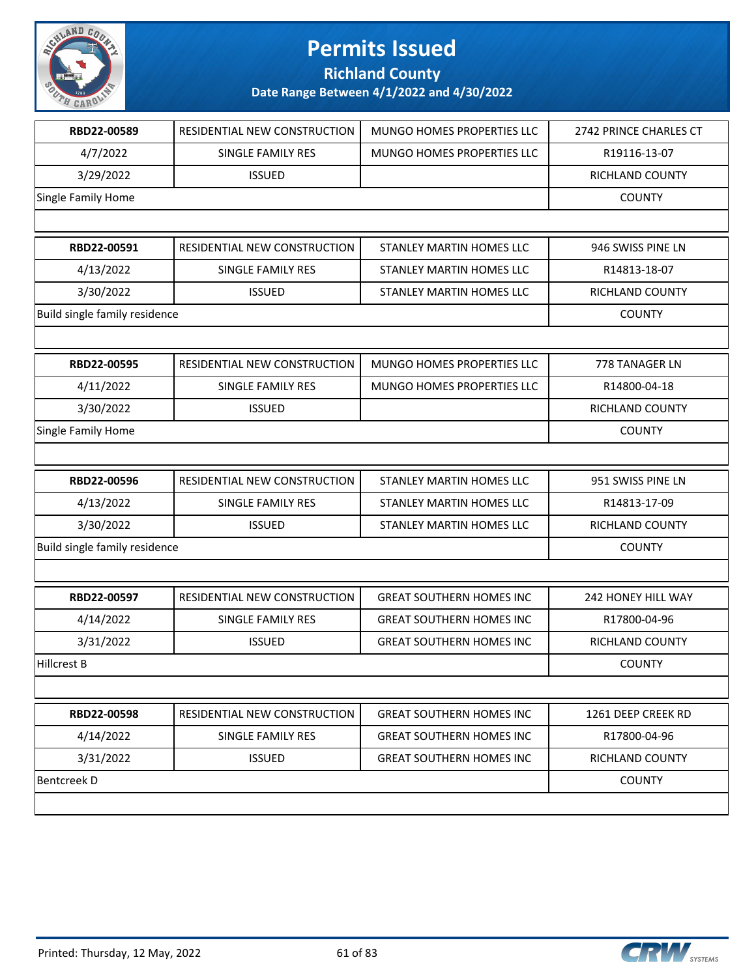

**Richland County**

| RBD22-00589                   | RESIDENTIAL NEW CONSTRUCTION | MUNGO HOMES PROPERTIES LLC      | 2742 PRINCE CHARLES CT |
|-------------------------------|------------------------------|---------------------------------|------------------------|
| 4/7/2022                      | SINGLE FAMILY RES            | MUNGO HOMES PROPERTIES LLC      | R19116-13-07           |
| 3/29/2022                     | <b>ISSUED</b>                |                                 | RICHLAND COUNTY        |
| Single Family Home            |                              |                                 | <b>COUNTY</b>          |
|                               |                              |                                 |                        |
| RBD22-00591                   | RESIDENTIAL NEW CONSTRUCTION | STANLEY MARTIN HOMES LLC        | 946 SWISS PINE LN      |
| 4/13/2022                     | SINGLE FAMILY RES            | STANLEY MARTIN HOMES LLC        | R14813-18-07           |
| 3/30/2022                     | <b>ISSUED</b>                | STANLEY MARTIN HOMES LLC        | RICHLAND COUNTY        |
| Build single family residence |                              |                                 | <b>COUNTY</b>          |
|                               |                              |                                 |                        |
| RBD22-00595                   | RESIDENTIAL NEW CONSTRUCTION | MUNGO HOMES PROPERTIES LLC      | 778 TANAGER LN         |
| 4/11/2022                     | SINGLE FAMILY RES            | MUNGO HOMES PROPERTIES LLC      | R14800-04-18           |
| 3/30/2022                     | <b>ISSUED</b>                |                                 | RICHLAND COUNTY        |
| Single Family Home            |                              |                                 | <b>COUNTY</b>          |
|                               |                              |                                 |                        |
| RBD22-00596                   | RESIDENTIAL NEW CONSTRUCTION | STANLEY MARTIN HOMES LLC        | 951 SWISS PINE LN      |
| 4/13/2022                     | SINGLE FAMILY RES            | <b>STANLEY MARTIN HOMES LLC</b> | R14813-17-09           |
| 3/30/2022                     | <b>ISSUED</b>                | STANLEY MARTIN HOMES LLC        | RICHLAND COUNTY        |
| Build single family residence |                              |                                 | <b>COUNTY</b>          |
|                               |                              |                                 |                        |
| RBD22-00597                   | RESIDENTIAL NEW CONSTRUCTION | <b>GREAT SOUTHERN HOMES INC</b> | 242 HONEY HILL WAY     |
| 4/14/2022                     | <b>SINGLE FAMILY RES</b>     | <b>GREAT SOUTHERN HOMES INC</b> | R17800-04-96           |
| 3/31/2022                     | <b>ISSUED</b>                | <b>GREAT SOUTHERN HOMES INC</b> | RICHLAND COUNTY        |
| <b>Hillcrest B</b>            |                              |                                 | <b>COUNTY</b>          |
|                               |                              |                                 |                        |
| RBD22-00598                   | RESIDENTIAL NEW CONSTRUCTION | <b>GREAT SOUTHERN HOMES INC</b> | 1261 DEEP CREEK RD     |
| 4/14/2022                     | <b>SINGLE FAMILY RES</b>     | <b>GREAT SOUTHERN HOMES INC</b> | R17800-04-96           |
| 3/31/2022                     | <b>ISSUED</b>                | <b>GREAT SOUTHERN HOMES INC</b> | RICHLAND COUNTY        |
| <b>Bentcreek D</b>            |                              |                                 | <b>COUNTY</b>          |
|                               |                              |                                 |                        |
|                               |                              |                                 |                        |

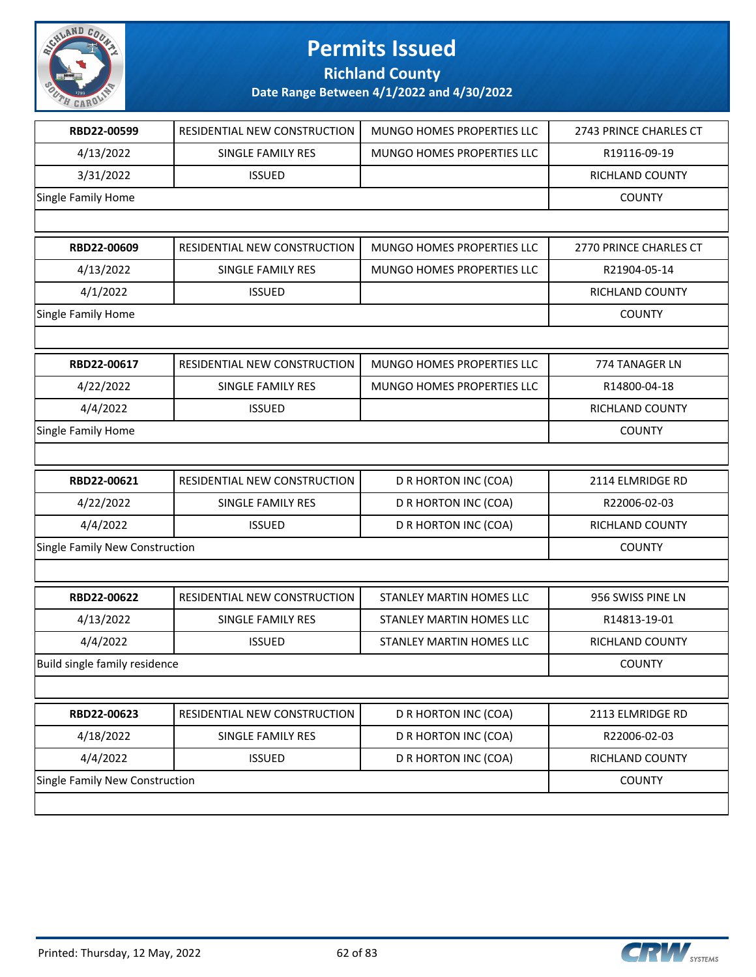

**Richland County**

| RBD22-00599                    | RESIDENTIAL NEW CONSTRUCTION | MUNGO HOMES PROPERTIES LLC | 2743 PRINCE CHARLES CT |
|--------------------------------|------------------------------|----------------------------|------------------------|
| 4/13/2022                      | SINGLE FAMILY RES            | MUNGO HOMES PROPERTIES LLC | R19116-09-19           |
| 3/31/2022                      | <b>ISSUED</b>                |                            | RICHLAND COUNTY        |
| Single Family Home             |                              |                            | <b>COUNTY</b>          |
|                                |                              |                            |                        |
| RBD22-00609                    | RESIDENTIAL NEW CONSTRUCTION | MUNGO HOMES PROPERTIES LLC | 2770 PRINCE CHARLES CT |
| 4/13/2022                      | SINGLE FAMILY RES            | MUNGO HOMES PROPERTIES LLC | R21904-05-14           |
| 4/1/2022                       | <b>ISSUED</b>                |                            | <b>RICHLAND COUNTY</b> |
| Single Family Home             |                              |                            | <b>COUNTY</b>          |
|                                |                              |                            |                        |
| RBD22-00617                    | RESIDENTIAL NEW CONSTRUCTION | MUNGO HOMES PROPERTIES LLC | 774 TANAGER LN         |
| 4/22/2022                      | SINGLE FAMILY RES            | MUNGO HOMES PROPERTIES LLC | R14800-04-18           |
| 4/4/2022                       | <b>ISSUED</b>                |                            | RICHLAND COUNTY        |
| Single Family Home             |                              |                            | <b>COUNTY</b>          |
|                                |                              |                            |                        |
| RBD22-00621                    | RESIDENTIAL NEW CONSTRUCTION | D R HORTON INC (COA)       | 2114 ELMRIDGE RD       |
| 4/22/2022                      | SINGLE FAMILY RES            | D R HORTON INC (COA)       | R22006-02-03           |
| 4/4/2022                       | <b>ISSUED</b>                | D R HORTON INC (COA)       | RICHLAND COUNTY        |
| Single Family New Construction |                              |                            | <b>COUNTY</b>          |
|                                |                              |                            |                        |
| RBD22-00622                    | RESIDENTIAL NEW CONSTRUCTION | STANLEY MARTIN HOMES LLC   | 956 SWISS PINE LN      |
| 4/13/2022                      | SINGLE FAMILY RES            | STANLEY MARTIN HOMES LLC   | R14813-19-01           |
| 4/4/2022                       | <b>ISSUED</b>                | STANLEY MARTIN HOMES LLC   | <b>RICHLAND COUNTY</b> |
| Build single family residence  |                              |                            | <b>COUNTY</b>          |
|                                |                              |                            |                        |
| RBD22-00623                    | RESIDENTIAL NEW CONSTRUCTION | D R HORTON INC (COA)       | 2113 ELMRIDGE RD       |
| 4/18/2022                      | SINGLE FAMILY RES            | D R HORTON INC (COA)       | R22006-02-03           |
| 4/4/2022                       | <b>ISSUED</b>                | D R HORTON INC (COA)       | RICHLAND COUNTY        |
| Single Family New Construction |                              |                            | <b>COUNTY</b>          |
|                                |                              |                            |                        |

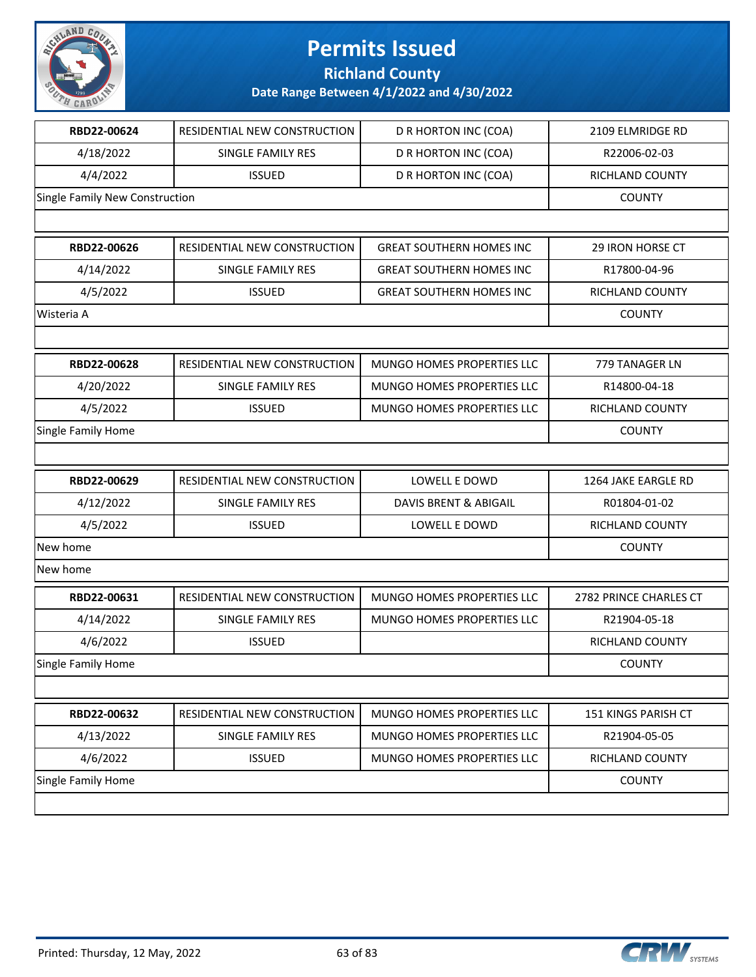

**Richland County**

| RBD22-00624                    | <b>RESIDENTIAL NEW CONSTRUCTION</b> | D R HORTON INC (COA)             | 2109 ELMRIDGE RD       |
|--------------------------------|-------------------------------------|----------------------------------|------------------------|
| 4/18/2022                      | <b>SINGLE FAMILY RES</b>            | D R HORTON INC (COA)             | R22006-02-03           |
| 4/4/2022                       | <b>ISSUED</b>                       | D R HORTON INC (COA)             | RICHLAND COUNTY        |
| Single Family New Construction |                                     |                                  | <b>COUNTY</b>          |
|                                |                                     |                                  |                        |
| RBD22-00626                    | RESIDENTIAL NEW CONSTRUCTION        | <b>GREAT SOUTHERN HOMES INC</b>  | 29 IRON HORSE CT       |
| 4/14/2022                      | <b>SINGLE FAMILY RES</b>            | <b>GREAT SOUTHERN HOMES INC</b>  | R17800-04-96           |
| 4/5/2022                       | <b>ISSUED</b>                       | <b>GREAT SOUTHERN HOMES INC</b>  | RICHLAND COUNTY        |
| Wisteria A                     |                                     |                                  | <b>COUNTY</b>          |
|                                |                                     |                                  |                        |
| RBD22-00628                    | RESIDENTIAL NEW CONSTRUCTION        | MUNGO HOMES PROPERTIES LLC       | 779 TANAGER LN         |
| 4/20/2022                      | SINGLE FAMILY RES                   | MUNGO HOMES PROPERTIES LLC       | R14800-04-18           |
| 4/5/2022                       | <b>ISSUED</b>                       | MUNGO HOMES PROPERTIES LLC       | RICHLAND COUNTY        |
| Single Family Home             |                                     |                                  | <b>COUNTY</b>          |
|                                |                                     |                                  |                        |
| RBD22-00629                    | RESIDENTIAL NEW CONSTRUCTION        | LOWELL E DOWD                    | 1264 JAKE EARGLE RD    |
| 4/12/2022                      | SINGLE FAMILY RES                   | <b>DAVIS BRENT &amp; ABIGAIL</b> | R01804-01-02           |
| 4/5/2022                       | <b>ISSUED</b>                       | LOWELL E DOWD                    | RICHLAND COUNTY        |
| New home                       |                                     |                                  | <b>COUNTY</b>          |
| New home                       |                                     |                                  |                        |
| RBD22-00631                    | RESIDENTIAL NEW CONSTRUCTION        | MUNGO HOMES PROPERTIES LLC       | 2782 PRINCE CHARLES CT |
| 4/14/2022                      | <b>SINGLE FAMILY RES</b>            | MUNGO HOMES PROPERTIES LLC       | R21904-05-18           |
| 4/6/2022                       | <b>ISSUED</b>                       |                                  | RICHLAND COUNTY        |
| Single Family Home             |                                     |                                  | <b>COUNTY</b>          |
|                                |                                     |                                  |                        |
| RBD22-00632                    | RESIDENTIAL NEW CONSTRUCTION        | MUNGO HOMES PROPERTIES LLC       | 151 KINGS PARISH CT    |
| 4/13/2022                      | SINGLE FAMILY RES                   | MUNGO HOMES PROPERTIES LLC       | R21904-05-05           |
| 4/6/2022                       | <b>ISSUED</b>                       | MUNGO HOMES PROPERTIES LLC       | RICHLAND COUNTY        |
| Single Family Home             |                                     |                                  | <b>COUNTY</b>          |
|                                |                                     |                                  |                        |
|                                |                                     |                                  |                        |

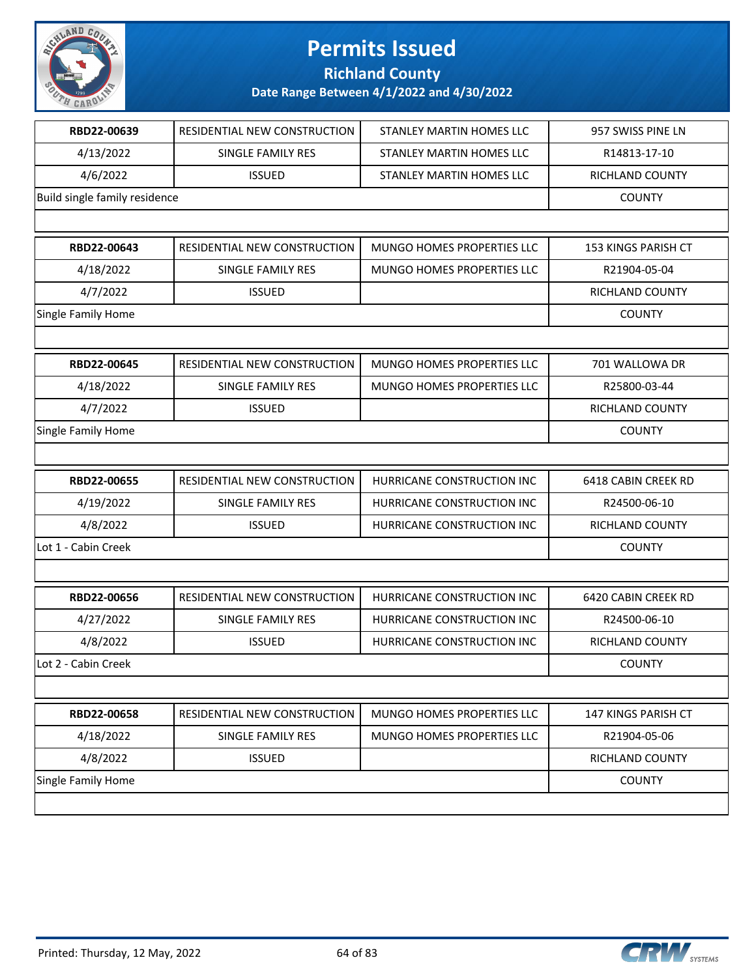

**Richland County**

| RBD22-00639                   | RESIDENTIAL NEW CONSTRUCTION | STANLEY MARTIN HOMES LLC   | 957 SWISS PINE LN   |
|-------------------------------|------------------------------|----------------------------|---------------------|
| 4/13/2022                     | <b>SINGLE FAMILY RES</b>     | STANLEY MARTIN HOMES LLC   | R14813-17-10        |
| 4/6/2022                      | <b>ISSUED</b>                | STANLEY MARTIN HOMES LLC   | RICHLAND COUNTY     |
| Build single family residence |                              |                            | <b>COUNTY</b>       |
|                               |                              |                            |                     |
| RBD22-00643                   | RESIDENTIAL NEW CONSTRUCTION | MUNGO HOMES PROPERTIES LLC | 153 KINGS PARISH CT |
| 4/18/2022                     | SINGLE FAMILY RES            | MUNGO HOMES PROPERTIES LLC | R21904-05-04        |
| 4/7/2022                      | <b>ISSUED</b>                |                            | RICHLAND COUNTY     |
| Single Family Home            |                              |                            | <b>COUNTY</b>       |
|                               |                              |                            |                     |
| RBD22-00645                   | RESIDENTIAL NEW CONSTRUCTION | MUNGO HOMES PROPERTIES LLC | 701 WALLOWA DR      |
| 4/18/2022                     | SINGLE FAMILY RES            | MUNGO HOMES PROPERTIES LLC | R25800-03-44        |
| 4/7/2022                      | <b>ISSUED</b>                |                            | RICHLAND COUNTY     |
| Single Family Home            |                              |                            | <b>COUNTY</b>       |
|                               |                              |                            |                     |
| RBD22-00655                   | RESIDENTIAL NEW CONSTRUCTION | HURRICANE CONSTRUCTION INC | 6418 CABIN CREEK RD |
| 4/19/2022                     | SINGLE FAMILY RES            | HURRICANE CONSTRUCTION INC | R24500-06-10        |
| 4/8/2022                      | <b>ISSUED</b>                | HURRICANE CONSTRUCTION INC | RICHLAND COUNTY     |
| Lot 1 - Cabin Creek           |                              |                            | <b>COUNTY</b>       |
|                               |                              |                            |                     |
| RBD22-00656                   | RESIDENTIAL NEW CONSTRUCTION | HURRICANE CONSTRUCTION INC | 6420 CABIN CREEK RD |
| 4/27/2022                     | SINGLE FAMILY RES            | HURRICANE CONSTRUCTION INC | R24500-06-10        |
| 4/8/2022                      | <b>ISSUED</b>                | HURRICANE CONSTRUCTION INC | RICHLAND COUNTY     |
| Lot 2 - Cabin Creek           |                              |                            | <b>COUNTY</b>       |
|                               |                              |                            |                     |
| RBD22-00658                   | RESIDENTIAL NEW CONSTRUCTION | MUNGO HOMES PROPERTIES LLC | 147 KINGS PARISH CT |
| 4/18/2022                     | SINGLE FAMILY RES            | MUNGO HOMES PROPERTIES LLC | R21904-05-06        |
| 4/8/2022                      | <b>ISSUED</b>                |                            | RICHLAND COUNTY     |
| Single Family Home            |                              |                            | <b>COUNTY</b>       |
|                               |                              |                            |                     |

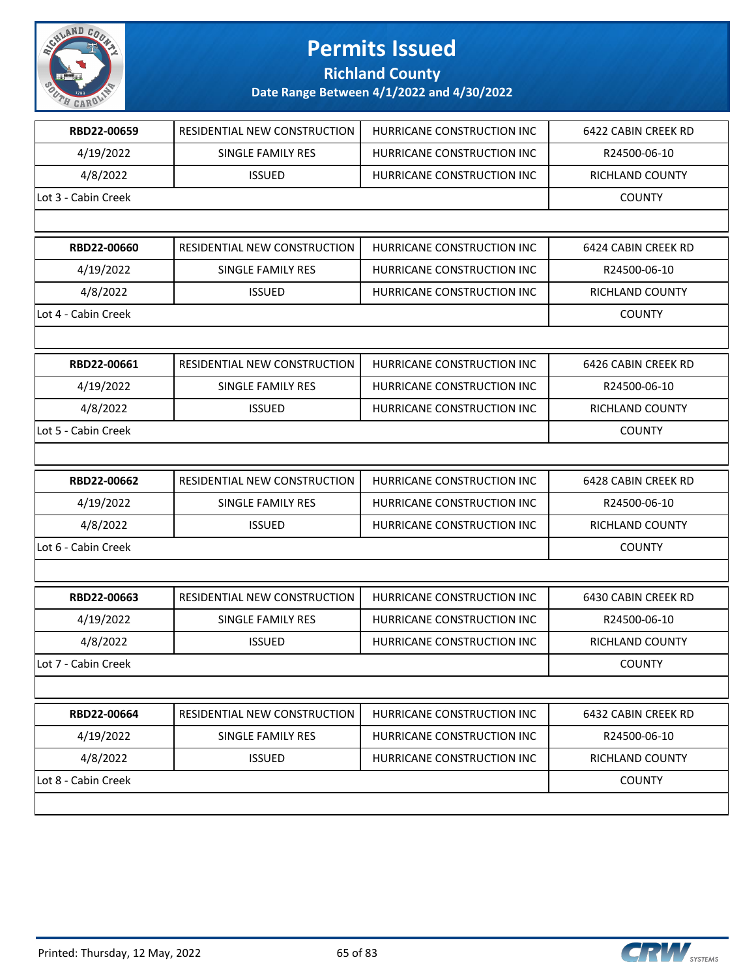

**Richland County**

| RBD22-00659         | RESIDENTIAL NEW CONSTRUCTION        | HURRICANE CONSTRUCTION INC | 6422 CABIN CREEK RD |
|---------------------|-------------------------------------|----------------------------|---------------------|
| 4/19/2022           | <b>SINGLE FAMILY RES</b>            | HURRICANE CONSTRUCTION INC | R24500-06-10        |
| 4/8/2022            | <b>ISSUED</b>                       | HURRICANE CONSTRUCTION INC | RICHLAND COUNTY     |
| Lot 3 - Cabin Creek |                                     |                            | <b>COUNTY</b>       |
|                     |                                     |                            |                     |
| RBD22-00660         | RESIDENTIAL NEW CONSTRUCTION        | HURRICANE CONSTRUCTION INC | 6424 CABIN CREEK RD |
| 4/19/2022           | <b>SINGLE FAMILY RES</b>            | HURRICANE CONSTRUCTION INC | R24500-06-10        |
| 4/8/2022            | <b>ISSUED</b>                       | HURRICANE CONSTRUCTION INC | RICHLAND COUNTY     |
| Lot 4 - Cabin Creek |                                     |                            | <b>COUNTY</b>       |
|                     |                                     |                            |                     |
| RBD22-00661         | RESIDENTIAL NEW CONSTRUCTION        | HURRICANE CONSTRUCTION INC | 6426 CABIN CREEK RD |
| 4/19/2022           | SINGLE FAMILY RES                   | HURRICANE CONSTRUCTION INC | R24500-06-10        |
| 4/8/2022            | <b>ISSUED</b>                       | HURRICANE CONSTRUCTION INC | RICHLAND COUNTY     |
| Lot 5 - Cabin Creek |                                     |                            | <b>COUNTY</b>       |
|                     |                                     |                            |                     |
| RBD22-00662         | RESIDENTIAL NEW CONSTRUCTION        | HURRICANE CONSTRUCTION INC | 6428 CABIN CREEK RD |
| 4/19/2022           | SINGLE FAMILY RES                   | HURRICANE CONSTRUCTION INC | R24500-06-10        |
| 4/8/2022            | <b>ISSUED</b>                       | HURRICANE CONSTRUCTION INC | RICHLAND COUNTY     |
| Lot 6 - Cabin Creek |                                     |                            | <b>COUNTY</b>       |
|                     |                                     |                            |                     |
| RBD22-00663         | <b>RESIDENTIAL NEW CONSTRUCTION</b> | HURRICANE CONSTRUCTION INC | 6430 CABIN CREEK RD |
| 4/19/2022           | SINGLE FAMILY RES                   | HURRICANE CONSTRUCTION INC | R24500-06-10        |
| 4/8/2022            | <b>ISSUED</b>                       | HURRICANE CONSTRUCTION INC | RICHLAND COUNTY     |
| Lot 7 - Cabin Creek |                                     |                            | <b>COUNTY</b>       |
|                     |                                     |                            |                     |
| RBD22-00664         | RESIDENTIAL NEW CONSTRUCTION        | HURRICANE CONSTRUCTION INC | 6432 CABIN CREEK RD |
| 4/19/2022           | SINGLE FAMILY RES                   | HURRICANE CONSTRUCTION INC | R24500-06-10        |
| 4/8/2022            | <b>ISSUED</b>                       | HURRICANE CONSTRUCTION INC | RICHLAND COUNTY     |
| Lot 8 - Cabin Creek |                                     |                            | <b>COUNTY</b>       |
|                     |                                     |                            |                     |
|                     |                                     |                            |                     |

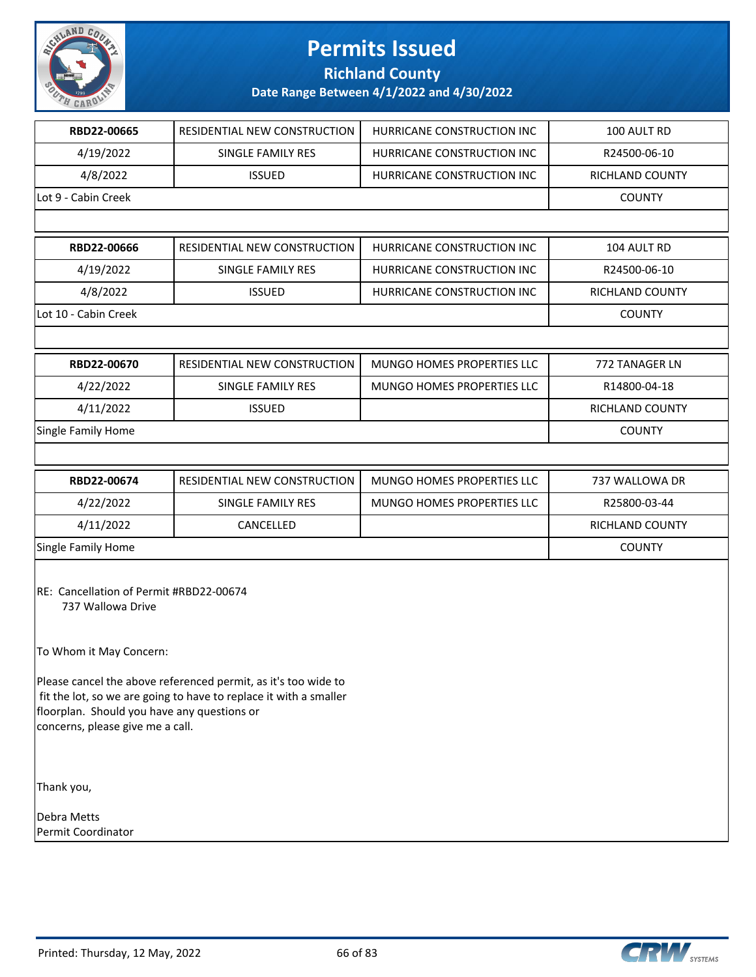

**Richland County**

| RBD22-00665                                                                                                                                                                                                                          | RESIDENTIAL NEW CONSTRUCTION        | HURRICANE CONSTRUCTION INC | 100 AULT RD     |  |
|--------------------------------------------------------------------------------------------------------------------------------------------------------------------------------------------------------------------------------------|-------------------------------------|----------------------------|-----------------|--|
| 4/19/2022                                                                                                                                                                                                                            | SINGLE FAMILY RES                   | HURRICANE CONSTRUCTION INC | R24500-06-10    |  |
| 4/8/2022                                                                                                                                                                                                                             | <b>ISSUED</b>                       | HURRICANE CONSTRUCTION INC | RICHLAND COUNTY |  |
| Lot 9 - Cabin Creek                                                                                                                                                                                                                  |                                     |                            | <b>COUNTY</b>   |  |
|                                                                                                                                                                                                                                      |                                     |                            |                 |  |
| RBD22-00666                                                                                                                                                                                                                          | <b>RESIDENTIAL NEW CONSTRUCTION</b> | HURRICANE CONSTRUCTION INC | 104 AULT RD     |  |
| 4/19/2022                                                                                                                                                                                                                            | SINGLE FAMILY RES                   | HURRICANE CONSTRUCTION INC | R24500-06-10    |  |
| 4/8/2022                                                                                                                                                                                                                             | <b>ISSUED</b>                       | HURRICANE CONSTRUCTION INC | RICHLAND COUNTY |  |
| Lot 10 - Cabin Creek                                                                                                                                                                                                                 |                                     |                            | <b>COUNTY</b>   |  |
|                                                                                                                                                                                                                                      |                                     |                            |                 |  |
| RBD22-00670                                                                                                                                                                                                                          | RESIDENTIAL NEW CONSTRUCTION        | MUNGO HOMES PROPERTIES LLC | 772 TANAGER LN  |  |
| 4/22/2022                                                                                                                                                                                                                            | SINGLE FAMILY RES                   | MUNGO HOMES PROPERTIES LLC | R14800-04-18    |  |
| 4/11/2022                                                                                                                                                                                                                            | <b>ISSUED</b>                       |                            | RICHLAND COUNTY |  |
| Single Family Home                                                                                                                                                                                                                   |                                     |                            | <b>COUNTY</b>   |  |
|                                                                                                                                                                                                                                      |                                     |                            |                 |  |
| RBD22-00674                                                                                                                                                                                                                          | RESIDENTIAL NEW CONSTRUCTION        | MUNGO HOMES PROPERTIES LLC | 737 WALLOWA DR  |  |
| 4/22/2022                                                                                                                                                                                                                            | SINGLE FAMILY RES                   | MUNGO HOMES PROPERTIES LLC | R25800-03-44    |  |
| 4/11/2022                                                                                                                                                                                                                            | CANCELLED                           |                            | RICHLAND COUNTY |  |
| Single Family Home                                                                                                                                                                                                                   |                                     |                            | <b>COUNTY</b>   |  |
| RE: Cancellation of Permit #RBD22-00674<br>737 Wallowa Drive<br>To Whom it May Concern:                                                                                                                                              |                                     |                            |                 |  |
| Please cancel the above referenced permit, as it's too wide to<br>fit the lot, so we are going to have to replace it with a smaller<br>floorplan. Should you have any questions or<br>concerns, please give me a call.<br>Thank you, |                                     |                            |                 |  |
| Debra Metts<br>Permit Coordinator                                                                                                                                                                                                    |                                     |                            |                 |  |

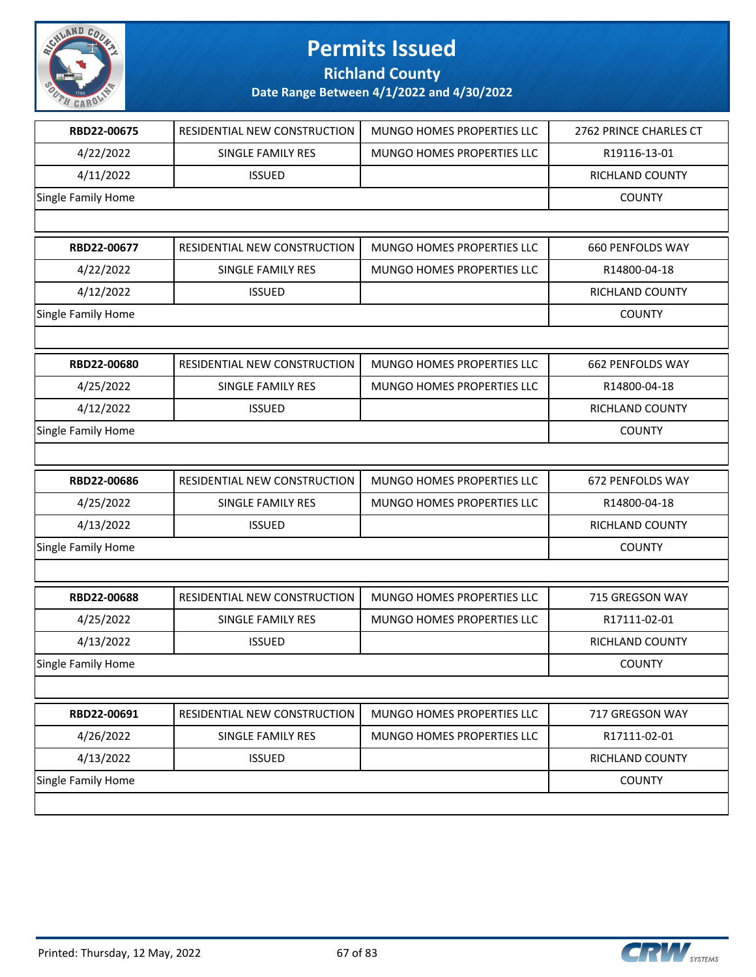

**Richland County**

|                    | RESIDENTIAL NEW CONSTRUCTION | <b>MUNGO HOMES PROPERTIES LLC</b> | 2762 PRINCE CHARLES CT  |
|--------------------|------------------------------|-----------------------------------|-------------------------|
| 4/22/2022          | SINGLE FAMILY RES            | <b>MUNGO HOMES PROPERTIES LLC</b> | R19116-13-01            |
| 4/11/2022          | <b>ISSUED</b>                |                                   | RICHLAND COUNTY         |
| Single Family Home |                              |                                   | <b>COUNTY</b>           |
|                    |                              |                                   |                         |
| RBD22-00677        | RESIDENTIAL NEW CONSTRUCTION | MUNGO HOMES PROPERTIES LLC        | <b>660 PENFOLDS WAY</b> |
| 4/22/2022          | SINGLE FAMILY RES            | MUNGO HOMES PROPERTIES LLC        | R14800-04-18            |
| 4/12/2022          | <b>ISSUED</b>                |                                   | RICHLAND COUNTY         |
| Single Family Home |                              |                                   | <b>COUNTY</b>           |
|                    |                              |                                   |                         |
| RBD22-00680        | RESIDENTIAL NEW CONSTRUCTION | MUNGO HOMES PROPERTIES LLC        | 662 PENFOLDS WAY        |
| 4/25/2022          | SINGLE FAMILY RES            | MUNGO HOMES PROPERTIES LLC        | R14800-04-18            |
| 4/12/2022          | <b>ISSUED</b>                |                                   | RICHLAND COUNTY         |
| Single Family Home |                              |                                   | <b>COUNTY</b>           |
|                    |                              |                                   |                         |
| RBD22-00686        | RESIDENTIAL NEW CONSTRUCTION | MUNGO HOMES PROPERTIES LLC        | 672 PENFOLDS WAY        |
|                    |                              |                                   |                         |
| 4/25/2022          | SINGLE FAMILY RES            | MUNGO HOMES PROPERTIES LLC        | R14800-04-18            |
| 4/13/2022          | <b>ISSUED</b>                |                                   | RICHLAND COUNTY         |
| Single Family Home |                              |                                   | <b>COUNTY</b>           |
|                    |                              |                                   |                         |
| RBD22-00688        | RESIDENTIAL NEW CONSTRUCTION | MUNGO HOMES PROPERTIES LLC        | 715 GREGSON WAY         |
| 4/25/2022          | SINGLE FAMILY RES            | MUNGO HOMES PROPERTIES LLC        | R17111-02-01            |
| 4/13/2022          | <b>ISSUED</b>                |                                   | <b>RICHLAND COUNTY</b>  |
| Single Family Home |                              |                                   | <b>COUNTY</b>           |
|                    |                              |                                   |                         |
| RBD22-00691        | RESIDENTIAL NEW CONSTRUCTION | MUNGO HOMES PROPERTIES LLC        | 717 GREGSON WAY         |
| 4/26/2022          | <b>SINGLE FAMILY RES</b>     | MUNGO HOMES PROPERTIES LLC        | R17111-02-01            |
| 4/13/2022          | <b>ISSUED</b>                |                                   | RICHLAND COUNTY         |
| Single Family Home |                              |                                   | <b>COUNTY</b>           |

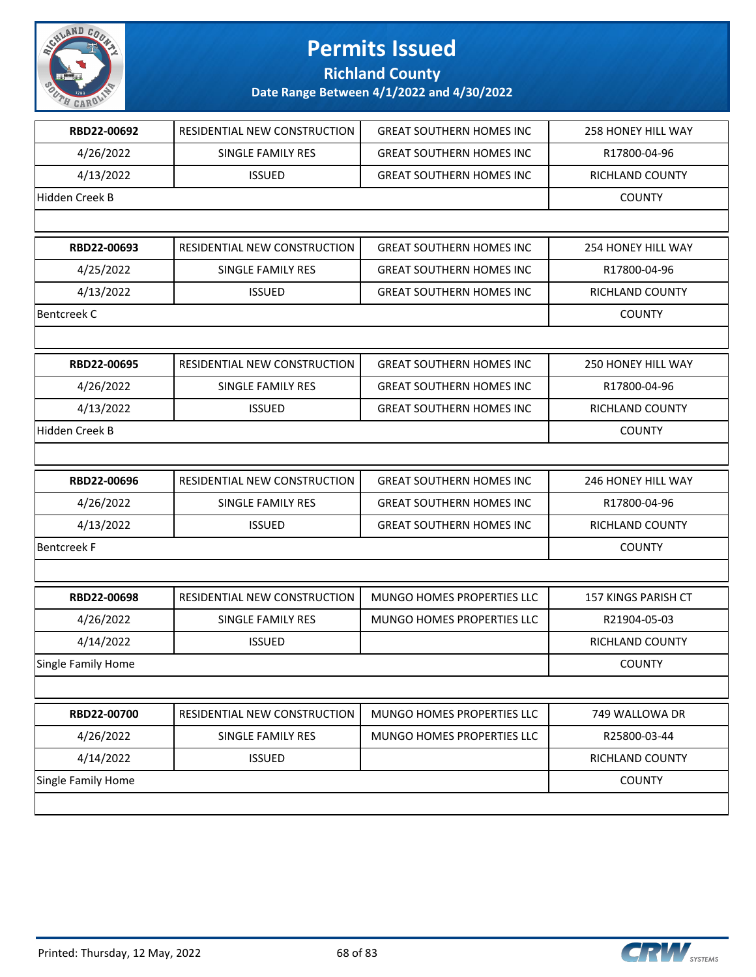

**Richland County**

| RBD22-00692        | RESIDENTIAL NEW CONSTRUCTION        | <b>GREAT SOUTHERN HOMES INC</b> | <b>258 HONEY HILL WAY</b>  |
|--------------------|-------------------------------------|---------------------------------|----------------------------|
| 4/26/2022          | SINGLE FAMILY RES                   | <b>GREAT SOUTHERN HOMES INC</b> | R17800-04-96               |
| 4/13/2022          | <b>ISSUED</b>                       | <b>GREAT SOUTHERN HOMES INC</b> | RICHLAND COUNTY            |
| Hidden Creek B     |                                     |                                 | <b>COUNTY</b>              |
|                    |                                     |                                 |                            |
| RBD22-00693        | <b>RESIDENTIAL NEW CONSTRUCTION</b> | <b>GREAT SOUTHERN HOMES INC</b> | 254 HONEY HILL WAY         |
| 4/25/2022          | SINGLE FAMILY RES                   | <b>GREAT SOUTHERN HOMES INC</b> | R17800-04-96               |
| 4/13/2022          | <b>ISSUED</b>                       | <b>GREAT SOUTHERN HOMES INC</b> | RICHLAND COUNTY            |
| <b>Bentcreek C</b> |                                     |                                 | <b>COUNTY</b>              |
|                    |                                     |                                 |                            |
| RBD22-00695        | RESIDENTIAL NEW CONSTRUCTION        | <b>GREAT SOUTHERN HOMES INC</b> | 250 HONEY HILL WAY         |
| 4/26/2022          | SINGLE FAMILY RES                   | <b>GREAT SOUTHERN HOMES INC</b> | R17800-04-96               |
| 4/13/2022          | <b>ISSUED</b>                       | <b>GREAT SOUTHERN HOMES INC</b> | <b>RICHLAND COUNTY</b>     |
| Hidden Creek B     |                                     |                                 | <b>COUNTY</b>              |
|                    |                                     |                                 |                            |
| RBD22-00696        | RESIDENTIAL NEW CONSTRUCTION        | <b>GREAT SOUTHERN HOMES INC</b> | 246 HONEY HILL WAY         |
| 4/26/2022          | SINGLE FAMILY RES                   | <b>GREAT SOUTHERN HOMES INC</b> | R17800-04-96               |
| 4/13/2022          | <b>ISSUED</b>                       | <b>GREAT SOUTHERN HOMES INC</b> | RICHLAND COUNTY            |
| <b>Bentcreek F</b> |                                     |                                 | <b>COUNTY</b>              |
|                    |                                     |                                 |                            |
| RBD22-00698        | RESIDENTIAL NEW CONSTRUCTION        | MUNGO HOMES PROPERTIES LLC      | <b>157 KINGS PARISH CT</b> |
| 4/26/2022          | <b>SINGLE FAMILY RES</b>            | MUNGO HOMES PROPERTIES LLC      | R21904-05-03               |
| 4/14/2022          | <b>ISSUED</b>                       |                                 | RICHLAND COUNTY            |
| Single Family Home |                                     |                                 | <b>COUNTY</b>              |
|                    |                                     |                                 |                            |
| RBD22-00700        | RESIDENTIAL NEW CONSTRUCTION        | MUNGO HOMES PROPERTIES LLC      | 749 WALLOWA DR             |
| 4/26/2022          | SINGLE FAMILY RES                   | MUNGO HOMES PROPERTIES LLC      | R25800-03-44               |
| 4/14/2022          | <b>ISSUED</b>                       |                                 | <b>RICHLAND COUNTY</b>     |
| Single Family Home |                                     |                                 | <b>COUNTY</b>              |
|                    |                                     |                                 |                            |
|                    |                                     |                                 |                            |

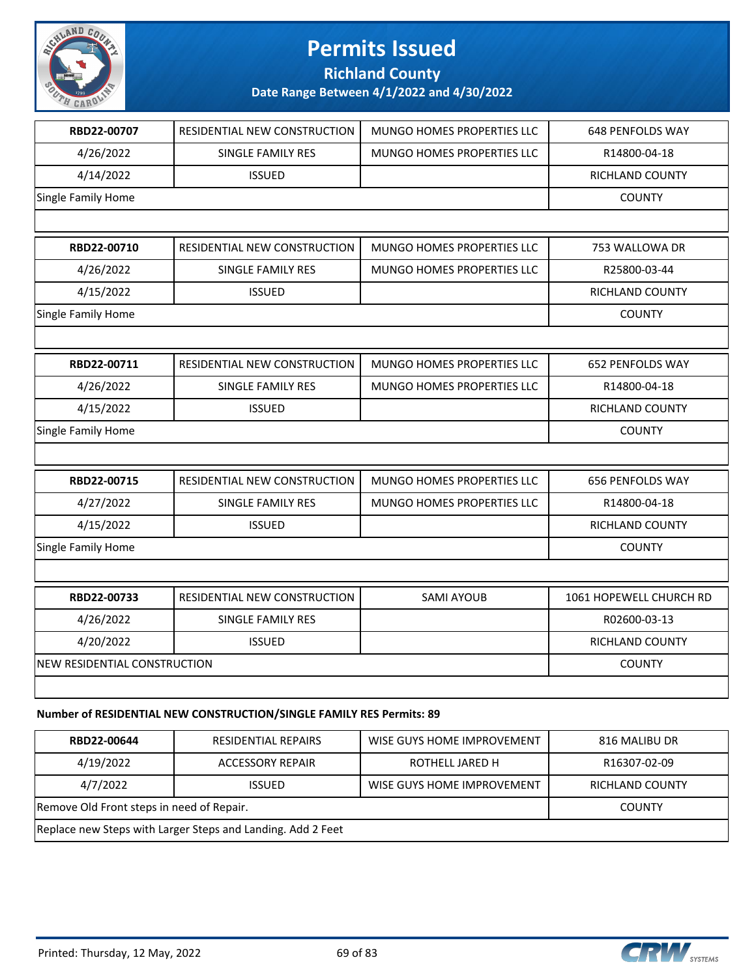

**Richland County**

**Date Range Between 4/1/2022 and 4/30/2022**

| RBD22-00707                  | RESIDENTIAL NEW CONSTRUCTION | MUNGO HOMES PROPERTIES LLC | 648 PENFOLDS WAY        |
|------------------------------|------------------------------|----------------------------|-------------------------|
| 4/26/2022                    | <b>SINGLE FAMILY RES</b>     | MUNGO HOMES PROPERTIES LLC | R14800-04-18            |
| 4/14/2022                    | <b>ISSUED</b>                |                            | RICHLAND COUNTY         |
| Single Family Home           |                              |                            | <b>COUNTY</b>           |
|                              |                              |                            |                         |
| RBD22-00710                  | RESIDENTIAL NEW CONSTRUCTION | MUNGO HOMES PROPERTIES LLC | 753 WALLOWA DR          |
| 4/26/2022                    | SINGLE FAMILY RES            | MUNGO HOMES PROPERTIES LLC | R25800-03-44            |
| 4/15/2022                    | <b>ISSUED</b>                |                            | RICHLAND COUNTY         |
| Single Family Home           |                              |                            | <b>COUNTY</b>           |
|                              |                              |                            |                         |
| RBD22-00711                  | RESIDENTIAL NEW CONSTRUCTION | MUNGO HOMES PROPERTIES LLC | <b>652 PENFOLDS WAY</b> |
| 4/26/2022                    | <b>SINGLE FAMILY RES</b>     | MUNGO HOMES PROPERTIES LLC | R14800-04-18            |
| 4/15/2022                    | <b>ISSUED</b>                |                            | RICHLAND COUNTY         |
| Single Family Home           |                              |                            | <b>COUNTY</b>           |
|                              |                              |                            |                         |
| RBD22-00715                  | RESIDENTIAL NEW CONSTRUCTION | MUNGO HOMES PROPERTIES LLC | 656 PENFOLDS WAY        |
| 4/27/2022                    | SINGLE FAMILY RES            | MUNGO HOMES PROPERTIES LLC | R14800-04-18            |
| 4/15/2022                    | <b>ISSUED</b>                |                            | RICHLAND COUNTY         |
| Single Family Home           |                              |                            | <b>COUNTY</b>           |
|                              |                              |                            |                         |
| RBD22-00733                  | RESIDENTIAL NEW CONSTRUCTION | <b>SAMI AYOUB</b>          | 1061 HOPEWELL CHURCH RD |
| 4/26/2022                    | <b>SINGLE FAMILY RES</b>     |                            | R02600-03-13            |
| 4/20/2022                    | <b>ISSUED</b>                |                            | RICHLAND COUNTY         |
| NEW RESIDENTIAL CONSTRUCTION |                              |                            | <b>COUNTY</b>           |
|                              |                              |                            |                         |
|                              |                              |                            |                         |

#### **Number of RESIDENTIAL NEW CONSTRUCTION/SINGLE FAMILY RES Permits: 89**

| RBD22-00644                                                 | <b>RESIDENTIAL REPAIRS</b> | WISE GUYS HOME IMPROVEMENT | 816 MALIBU DR          |
|-------------------------------------------------------------|----------------------------|----------------------------|------------------------|
| 4/19/2022                                                   | <b>ACCESSORY REPAIR</b>    | ROTHELL JARED H            | R16307-02-09           |
| 4/7/2022                                                    | <b>ISSUED</b>              | WISE GUYS HOME IMPROVEMENT | <b>RICHLAND COUNTY</b> |
| Remove Old Front steps in need of Repair.                   |                            |                            | <b>COUNTY</b>          |
| Replace new Steps with Larger Steps and Landing. Add 2 Feet |                            |                            |                        |

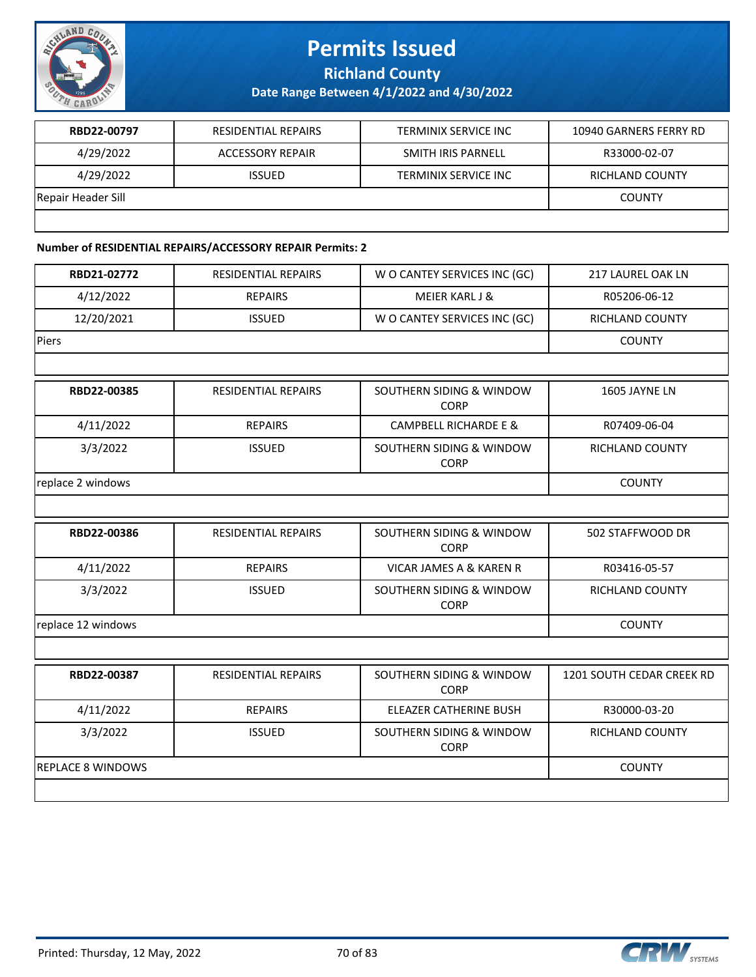

**Richland County**

**Date Range Between 4/1/2022 and 4/30/2022**

| RBD22-00797        | <b>RESIDENTIAL REPAIRS</b> | <b>TERMINIX SERVICE INC</b> | 10940 GARNERS FERRY RD |
|--------------------|----------------------------|-----------------------------|------------------------|
| 4/29/2022          | ACCESSORY REPAIR           | SMITH IRIS PARNELL          | R33000-02-07           |
| 4/29/2022          | <b>ISSUED</b>              | TERMINIX SERVICE INC        | RICHLAND COUNTY        |
| Repair Header Sill |                            |                             | <b>COUNTY</b>          |
|                    |                            |                             |                        |

#### **Number of RESIDENTIAL REPAIRS/ACCESSORY REPAIR Permits: 2**

| RBD21-02772              | <b>RESIDENTIAL REPAIRS</b> | W O CANTEY SERVICES INC (GC)            | <b>217 LAUREL OAK LN</b>  |
|--------------------------|----------------------------|-----------------------------------------|---------------------------|
| 4/12/2022                | <b>REPAIRS</b>             | <b>MEIER KARL J &amp;</b>               | R05206-06-12              |
| 12/20/2021               | <b>ISSUED</b>              | W O CANTEY SERVICES INC (GC)            | <b>RICHLAND COUNTY</b>    |
| Piers                    |                            |                                         | <b>COUNTY</b>             |
|                          |                            |                                         |                           |
| RBD22-00385              | <b>RESIDENTIAL REPAIRS</b> | SOUTHERN SIDING & WINDOW<br>CORP        | 1605 JAYNE LN             |
| 4/11/2022                | <b>REPAIRS</b>             | <b>CAMPBELL RICHARDE E &amp;</b>        | R07409-06-04              |
| 3/3/2022                 | <b>ISSUED</b>              | SOUTHERN SIDING & WINDOW<br><b>CORP</b> | <b>RICHLAND COUNTY</b>    |
| replace 2 windows        |                            |                                         | <b>COUNTY</b>             |
|                          |                            |                                         |                           |
| RBD22-00386              | <b>RESIDENTIAL REPAIRS</b> | SOUTHERN SIDING & WINDOW<br><b>CORP</b> | 502 STAFFWOOD DR          |
| 4/11/2022                | <b>REPAIRS</b>             | VICAR JAMES A & KAREN R                 | R03416-05-57              |
| 3/3/2022                 | <b>ISSUED</b>              | SOUTHERN SIDING & WINDOW<br><b>CORP</b> | <b>RICHLAND COUNTY</b>    |
| replace 12 windows       |                            |                                         | <b>COUNTY</b>             |
|                          |                            |                                         |                           |
| RBD22-00387              | <b>RESIDENTIAL REPAIRS</b> | SOUTHERN SIDING & WINDOW<br><b>CORP</b> | 1201 SOUTH CEDAR CREEK RD |
| 4/11/2022                | <b>REPAIRS</b>             | <b>ELEAZER CATHERINE BUSH</b>           | R30000-03-20              |
| 3/3/2022                 | <b>ISSUED</b>              | SOUTHERN SIDING & WINDOW<br><b>CORP</b> | <b>RICHLAND COUNTY</b>    |
| <b>REPLACE 8 WINDOWS</b> |                            |                                         | <b>COUNTY</b>             |
|                          |                            |                                         |                           |

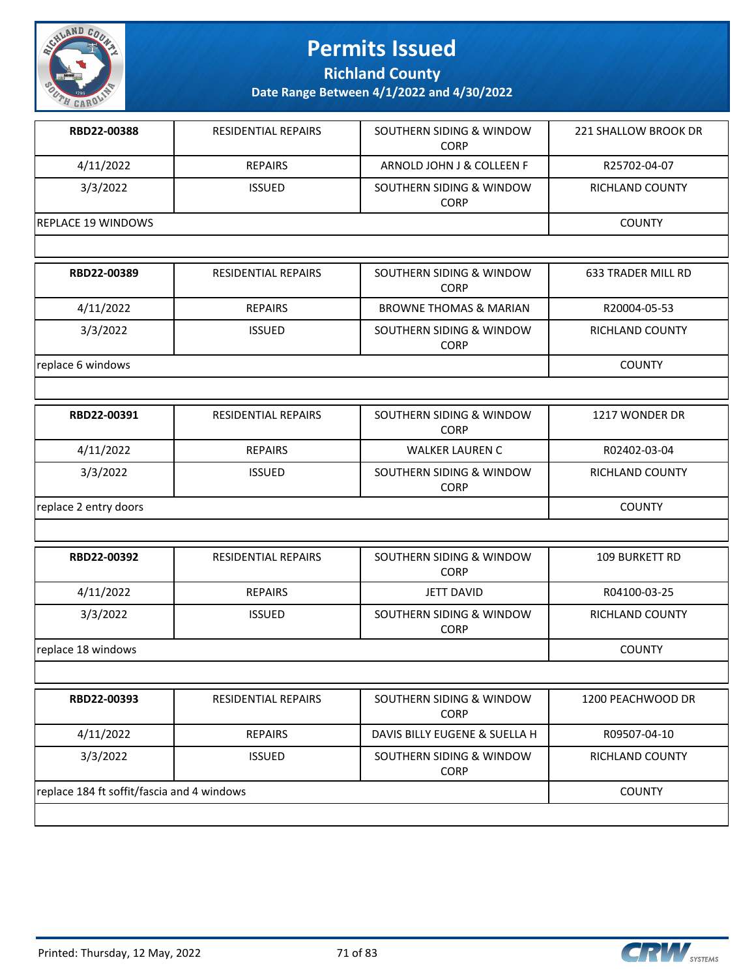

**Richland County**

| RBD22-00388                                | <b>RESIDENTIAL REPAIRS</b> | SOUTHERN SIDING & WINDOW<br>CORP        | 221 SHALLOW BROOK DR      |
|--------------------------------------------|----------------------------|-----------------------------------------|---------------------------|
| 4/11/2022                                  | <b>REPAIRS</b>             | ARNOLD JOHN J & COLLEEN F               | R25702-04-07              |
| 3/3/2022                                   | <b>ISSUED</b>              | SOUTHERN SIDING & WINDOW<br><b>CORP</b> | RICHLAND COUNTY           |
| REPLACE 19 WINDOWS                         |                            |                                         | <b>COUNTY</b>             |
|                                            |                            |                                         |                           |
| RBD22-00389                                | <b>RESIDENTIAL REPAIRS</b> | SOUTHERN SIDING & WINDOW<br><b>CORP</b> | <b>633 TRADER MILL RD</b> |
| 4/11/2022                                  | <b>REPAIRS</b>             | <b>BROWNE THOMAS &amp; MARIAN</b>       | R20004-05-53              |
| 3/3/2022                                   | <b>ISSUED</b>              | SOUTHERN SIDING & WINDOW<br><b>CORP</b> | RICHLAND COUNTY           |
| replace 6 windows                          |                            |                                         | <b>COUNTY</b>             |
|                                            |                            |                                         |                           |
| RBD22-00391                                | <b>RESIDENTIAL REPAIRS</b> | SOUTHERN SIDING & WINDOW<br><b>CORP</b> | 1217 WONDER DR            |
| 4/11/2022                                  | <b>REPAIRS</b>             | <b>WALKER LAUREN C</b>                  | R02402-03-04              |
| 3/3/2022                                   | <b>ISSUED</b>              | SOUTHERN SIDING & WINDOW<br><b>CORP</b> | <b>RICHLAND COUNTY</b>    |
| replace 2 entry doors                      |                            |                                         | <b>COUNTY</b>             |
|                                            |                            |                                         |                           |
| RBD22-00392                                | RESIDENTIAL REPAIRS        | SOUTHERN SIDING & WINDOW<br><b>CORP</b> | 109 BURKETT RD            |
| 4/11/2022                                  | <b>REPAIRS</b>             | <b>JETT DAVID</b>                       | R04100-03-25              |
| 3/3/2022                                   | <b>ISSUED</b>              | SOUTHERN SIDING & WINDOW<br><b>CORP</b> | RICHLAND COUNTY           |
| replace 18 windows                         |                            |                                         | <b>COUNTY</b>             |
|                                            |                            |                                         |                           |
| RBD22-00393                                | RESIDENTIAL REPAIRS        | SOUTHERN SIDING & WINDOW<br><b>CORP</b> | 1200 PEACHWOOD DR         |
| 4/11/2022                                  | <b>REPAIRS</b>             | DAVIS BILLY EUGENE & SUELLA H           | R09507-04-10              |
| 3/3/2022                                   | <b>ISSUED</b>              | SOUTHERN SIDING & WINDOW<br><b>CORP</b> | RICHLAND COUNTY           |
| replace 184 ft soffit/fascia and 4 windows |                            |                                         | <b>COUNTY</b>             |
|                                            |                            |                                         |                           |

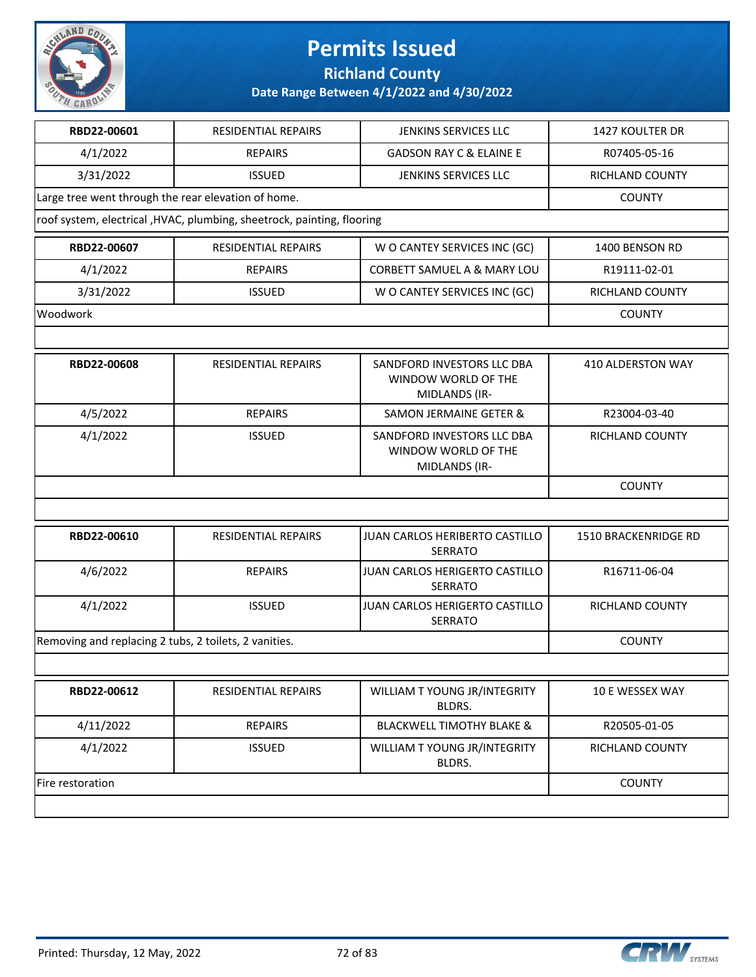

**Richland County**

| RBD22-00601                                           | <b>RESIDENTIAL REPAIRS</b>                                              | JENKINS SERVICES LLC                                               | 1427 KOULTER DR             |
|-------------------------------------------------------|-------------------------------------------------------------------------|--------------------------------------------------------------------|-----------------------------|
| 4/1/2022                                              | <b>REPAIRS</b>                                                          | <b>GADSON RAY C &amp; ELAINE E</b>                                 | R07405-05-16                |
| 3/31/2022                                             | <b>ISSUED</b>                                                           | JENKINS SERVICES LLC                                               | RICHLAND COUNTY             |
| Large tree went through the rear elevation of home.   |                                                                         |                                                                    | <b>COUNTY</b>               |
|                                                       | roof system, electrical , HVAC, plumbing, sheetrock, painting, flooring |                                                                    |                             |
| RBD22-00607                                           | <b>RESIDENTIAL REPAIRS</b>                                              | W O CANTEY SERVICES INC (GC)                                       | 1400 BENSON RD              |
| 4/1/2022                                              | <b>REPAIRS</b>                                                          | CORBETT SAMUEL A & MARY LOU                                        | R19111-02-01                |
| 3/31/2022                                             | <b>ISSUED</b>                                                           | W O CANTEY SERVICES INC (GC)                                       | RICHLAND COUNTY             |
| Woodwork                                              |                                                                         |                                                                    | <b>COUNTY</b>               |
|                                                       |                                                                         |                                                                    |                             |
| RBD22-00608                                           | RESIDENTIAL REPAIRS                                                     | SANDFORD INVESTORS LLC DBA<br>WINDOW WORLD OF THE<br>MIDLANDS (IR- | 410 ALDERSTON WAY           |
| 4/5/2022                                              | <b>REPAIRS</b>                                                          | <b>SAMON JERMAINE GETER &amp;</b>                                  | R23004-03-40                |
| 4/1/2022                                              | <b>ISSUED</b>                                                           | SANDFORD INVESTORS LLC DBA<br>WINDOW WORLD OF THE<br>MIDLANDS (IR- | RICHLAND COUNTY             |
|                                                       |                                                                         |                                                                    | <b>COUNTY</b>               |
|                                                       |                                                                         |                                                                    |                             |
| RBD22-00610                                           | <b>RESIDENTIAL REPAIRS</b>                                              | JUAN CARLOS HERIBERTO CASTILLO<br><b>SERRATO</b>                   | <b>1510 BRACKENRIDGE RD</b> |
| 4/6/2022                                              | <b>REPAIRS</b>                                                          | JUAN CARLOS HERIGERTO CASTILLO<br><b>SERRATO</b>                   | R16711-06-04                |
| 4/1/2022                                              | <b>ISSUED</b>                                                           | JUAN CARLOS HERIGERTO CASTILLO<br><b>SERRATO</b>                   | RICHLAND COUNTY             |
| Removing and replacing 2 tubs, 2 toilets, 2 vanities. |                                                                         |                                                                    | <b>COUNTY</b>               |
|                                                       |                                                                         |                                                                    |                             |
| RBD22-00612                                           | <b>RESIDENTIAL REPAIRS</b>                                              | WILLIAM T YOUNG JR/INTEGRITY<br>BLDRS.                             | <b>10 E WESSEX WAY</b>      |
| 4/11/2022                                             | <b>REPAIRS</b>                                                          | <b>BLACKWELL TIMOTHY BLAKE &amp;</b>                               | R20505-01-05                |
| 4/1/2022                                              | <b>ISSUED</b>                                                           | WILLIAM T YOUNG JR/INTEGRITY<br>BLDRS.                             | RICHLAND COUNTY             |
| Fire restoration                                      |                                                                         |                                                                    | <b>COUNTY</b>               |
|                                                       |                                                                         |                                                                    |                             |

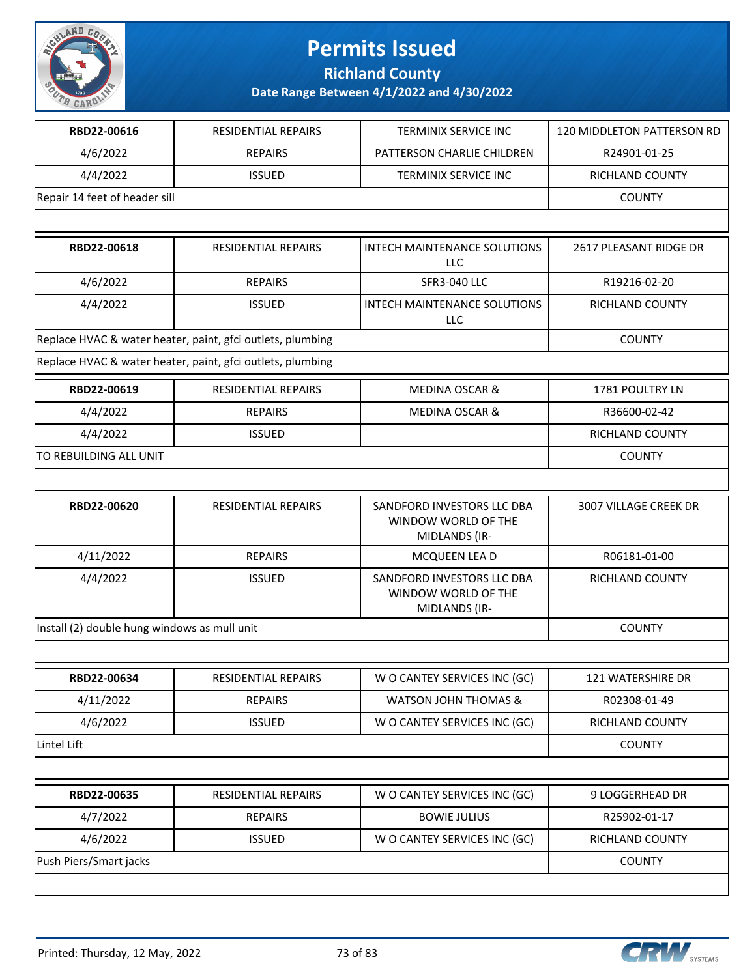

**Richland County**

| RBD22-00616                                  | <b>RESIDENTIAL REPAIRS</b>                                 | TERMINIX SERVICE INC                                               | 120 MIDDLETON PATTERSON RD |
|----------------------------------------------|------------------------------------------------------------|--------------------------------------------------------------------|----------------------------|
| 4/6/2022                                     | <b>REPAIRS</b>                                             | PATTERSON CHARLIE CHILDREN                                         | R24901-01-25               |
| 4/4/2022                                     | <b>ISSUED</b>                                              | TERMINIX SERVICE INC                                               | RICHLAND COUNTY            |
| Repair 14 feet of header sill                |                                                            |                                                                    | <b>COUNTY</b>              |
|                                              |                                                            |                                                                    |                            |
| RBD22-00618                                  | <b>RESIDENTIAL REPAIRS</b>                                 | INTECH MAINTENANCE SOLUTIONS<br><b>LLC</b>                         | 2617 PLEASANT RIDGE DR     |
| 4/6/2022                                     | <b>REPAIRS</b>                                             | <b>SFR3-040 LLC</b>                                                | R19216-02-20               |
| 4/4/2022                                     | <b>ISSUED</b>                                              | INTECH MAINTENANCE SOLUTIONS<br>LLC                                | RICHLAND COUNTY            |
|                                              | Replace HVAC & water heater, paint, gfci outlets, plumbing |                                                                    | <b>COUNTY</b>              |
|                                              | Replace HVAC & water heater, paint, gfci outlets, plumbing |                                                                    |                            |
| RBD22-00619                                  | RESIDENTIAL REPAIRS                                        | <b>MEDINA OSCAR &amp;</b>                                          | 1781 POULTRY LN            |
| 4/4/2022                                     | <b>REPAIRS</b>                                             | <b>MEDINA OSCAR &amp;</b>                                          | R36600-02-42               |
| 4/4/2022                                     | <b>ISSUED</b>                                              |                                                                    | <b>RICHLAND COUNTY</b>     |
| TO REBUILDING ALL UNIT                       |                                                            |                                                                    | <b>COUNTY</b>              |
|                                              |                                                            |                                                                    |                            |
| RBD22-00620                                  | RESIDENTIAL REPAIRS                                        | SANDFORD INVESTORS LLC DBA<br>WINDOW WORLD OF THE<br>MIDLANDS (IR- | 3007 VILLAGE CREEK DR      |
| 4/11/2022                                    | <b>REPAIRS</b>                                             | MCQUEEN LEA D                                                      | R06181-01-00               |
| 4/4/2022                                     | <b>ISSUED</b>                                              | SANDFORD INVESTORS LLC DBA<br>WINDOW WORLD OF THE<br>MIDLANDS (IR- | RICHLAND COUNTY            |
| Install (2) double hung windows as mull unit |                                                            |                                                                    | <b>COUNTY</b>              |
|                                              |                                                            |                                                                    |                            |
| RBD22-00634                                  | RESIDENTIAL REPAIRS                                        | W O CANTEY SERVICES INC (GC)                                       | 121 WATERSHIRE DR          |
| 4/11/2022                                    | <b>REPAIRS</b>                                             | <b>WATSON JOHN THOMAS &amp;</b>                                    | R02308-01-49               |
| 4/6/2022                                     | <b>ISSUED</b>                                              | W O CANTEY SERVICES INC (GC)                                       | RICHLAND COUNTY            |
| Lintel Lift                                  |                                                            |                                                                    | <b>COUNTY</b>              |
|                                              |                                                            |                                                                    |                            |
| RBD22-00635                                  | RESIDENTIAL REPAIRS                                        | W O CANTEY SERVICES INC (GC)                                       | 9 LOGGERHEAD DR            |
| 4/7/2022                                     | <b>REPAIRS</b>                                             | <b>BOWIE JULIUS</b>                                                | R25902-01-17               |
| 4/6/2022                                     | <b>ISSUED</b>                                              | W O CANTEY SERVICES INC (GC)                                       | RICHLAND COUNTY            |
| Push Piers/Smart jacks                       |                                                            |                                                                    | <b>COUNTY</b>              |
|                                              |                                                            |                                                                    |                            |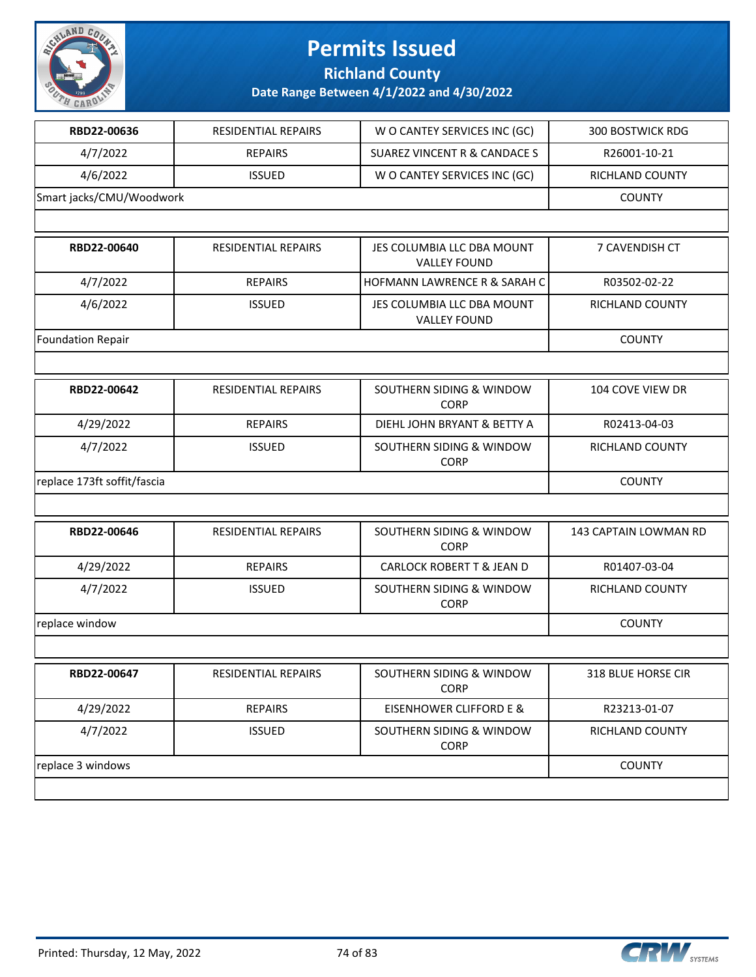

**Richland County**

| RBD22-00636                 | <b>RESIDENTIAL REPAIRS</b> | W O CANTEY SERVICES INC (GC)                      | <b>300 BOSTWICK RDG</b> |
|-----------------------------|----------------------------|---------------------------------------------------|-------------------------|
| 4/7/2022                    | <b>REPAIRS</b>             | <b>SUAREZ VINCENT R &amp; CANDACE S</b>           | R26001-10-21            |
| 4/6/2022                    | <b>ISSUED</b>              | W O CANTEY SERVICES INC (GC)                      | RICHLAND COUNTY         |
| Smart jacks/CMU/Woodwork    |                            |                                                   | <b>COUNTY</b>           |
|                             |                            |                                                   |                         |
| RBD22-00640                 | <b>RESIDENTIAL REPAIRS</b> | JES COLUMBIA LLC DBA MOUNT<br><b>VALLEY FOUND</b> | 7 CAVENDISH CT          |
| 4/7/2022                    | <b>REPAIRS</b>             | <b>HOFMANN LAWRENCE R &amp; SARAH C</b>           | R03502-02-22            |
| 4/6/2022                    | <b>ISSUED</b>              | JES COLUMBIA LLC DBA MOUNT<br><b>VALLEY FOUND</b> | RICHLAND COUNTY         |
| <b>Foundation Repair</b>    |                            |                                                   | <b>COUNTY</b>           |
|                             |                            |                                                   |                         |
| RBD22-00642                 | <b>RESIDENTIAL REPAIRS</b> | SOUTHERN SIDING & WINDOW<br><b>CORP</b>           | 104 COVE VIEW DR        |
| 4/29/2022                   | <b>REPAIRS</b>             | DIEHL JOHN BRYANT & BETTY A                       | R02413-04-03            |
| 4/7/2022                    | <b>ISSUED</b>              | SOUTHERN SIDING & WINDOW<br><b>CORP</b>           | RICHLAND COUNTY         |
| replace 173ft soffit/fascia |                            |                                                   | <b>COUNTY</b>           |
|                             |                            |                                                   |                         |
| RBD22-00646                 | RESIDENTIAL REPAIRS        | SOUTHERN SIDING & WINDOW<br><b>CORP</b>           | 143 CAPTAIN LOWMAN RD   |
| 4/29/2022                   | <b>REPAIRS</b>             | <b>CARLOCK ROBERT T &amp; JEAN D</b>              | R01407-03-04            |
| 4/7/2022                    | <b>ISSUED</b>              | SOUTHERN SIDING & WINDOW<br><b>CORP</b>           | RICHLAND COUNTY         |
| replace window              |                            |                                                   | <b>COUNTY</b>           |
|                             |                            |                                                   |                         |
| RBD22-00647                 | RESIDENTIAL REPAIRS        | SOUTHERN SIDING & WINDOW<br><b>CORP</b>           | 318 BLUE HORSE CIR      |
| 4/29/2022                   | <b>REPAIRS</b>             | <b>EISENHOWER CLIFFORD E &amp;</b>                | R23213-01-07            |
| 4/7/2022                    | <b>ISSUED</b>              | SOUTHERN SIDING & WINDOW<br><b>CORP</b>           | RICHLAND COUNTY         |
|                             |                            |                                                   |                         |

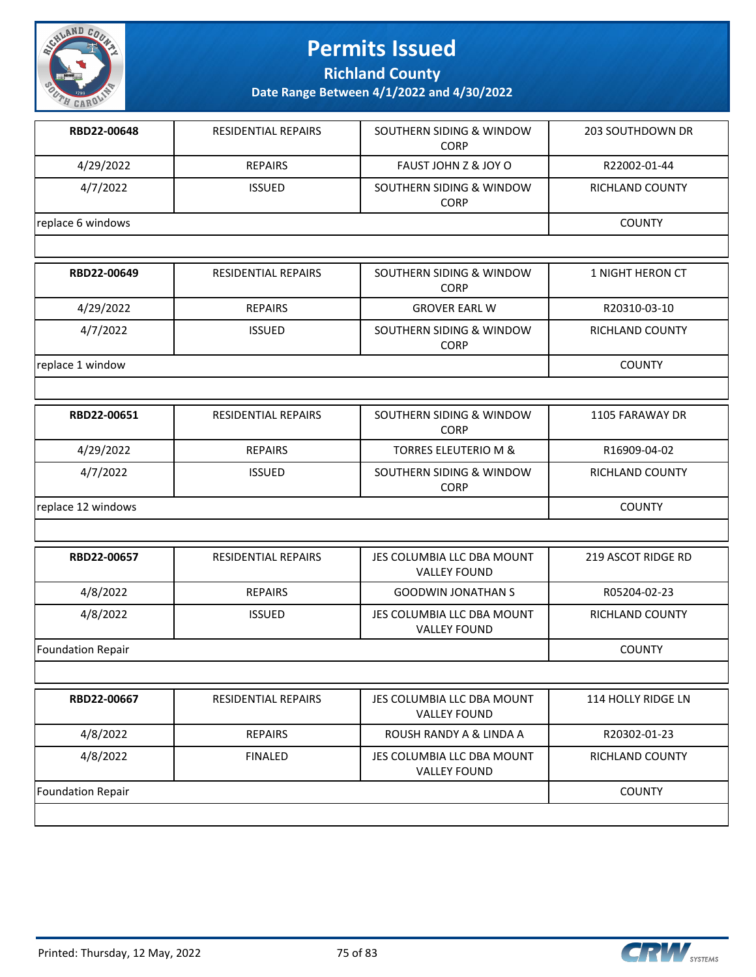

**Richland County**

| RBD22-00648              | RESIDENTIAL REPAIRS        | SOUTHERN SIDING & WINDOW<br><b>CORP</b>            | <b>203 SOUTHDOWN DR</b> |
|--------------------------|----------------------------|----------------------------------------------------|-------------------------|
| 4/29/2022                | <b>REPAIRS</b>             | FAUST JOHN Z & JOY O                               | R22002-01-44            |
| 4/7/2022                 | <b>ISSUED</b>              | SOUTHERN SIDING & WINDOW<br><b>CORP</b>            | RICHLAND COUNTY         |
| replace 6 windows        |                            |                                                    | <b>COUNTY</b>           |
|                          |                            |                                                    |                         |
| RBD22-00649              | RESIDENTIAL REPAIRS        | SOUTHERN SIDING & WINDOW<br><b>CORP</b>            | 1 NIGHT HERON CT        |
| 4/29/2022                | <b>REPAIRS</b>             | <b>GROVER EARL W</b>                               | R20310-03-10            |
| 4/7/2022                 | <b>ISSUED</b>              | SOUTHERN SIDING & WINDOW<br><b>CORP</b>            | RICHLAND COUNTY         |
| replace 1 window         |                            |                                                    | <b>COUNTY</b>           |
|                          |                            |                                                    |                         |
| RBD22-00651              | RESIDENTIAL REPAIRS        | SOUTHERN SIDING & WINDOW<br><b>CORP</b>            | 1105 FARAWAY DR         |
| 4/29/2022                | <b>REPAIRS</b>             | <b>TORRES ELEUTERIO M &amp;</b>                    | R16909-04-02            |
| 4/7/2022                 | <b>ISSUED</b>              | <b>SOUTHERN SIDING &amp; WINDOW</b><br><b>CORP</b> | RICHLAND COUNTY         |
| replace 12 windows       |                            |                                                    | <b>COUNTY</b>           |
|                          |                            |                                                    |                         |
| RBD22-00657              | <b>RESIDENTIAL REPAIRS</b> | JES COLUMBIA LLC DBA MOUNT<br><b>VALLEY FOUND</b>  | 219 ASCOT RIDGE RD      |
| 4/8/2022                 | <b>REPAIRS</b>             | <b>GOODWIN JONATHAN S</b>                          | R05204-02-23            |
| 4/8/2022                 | <b>ISSUED</b>              | JES COLUMBIA LLC DBA MOUNT<br><b>VALLEY FOUND</b>  | RICHLAND COUNTY         |
| <b>Foundation Repair</b> |                            |                                                    | <b>COUNTY</b>           |
|                          |                            |                                                    |                         |
| RBD22-00667              | RESIDENTIAL REPAIRS        | JES COLUMBIA LLC DBA MOUNT<br><b>VALLEY FOUND</b>  | 114 HOLLY RIDGE LN      |
| 4/8/2022                 | <b>REPAIRS</b>             | ROUSH RANDY A & LINDA A                            | R20302-01-23            |
| 4/8/2022                 | <b>FINALED</b>             | JES COLUMBIA LLC DBA MOUNT<br><b>VALLEY FOUND</b>  | <b>RICHLAND COUNTY</b>  |
| <b>Foundation Repair</b> |                            |                                                    | <b>COUNTY</b>           |
|                          |                            |                                                    |                         |

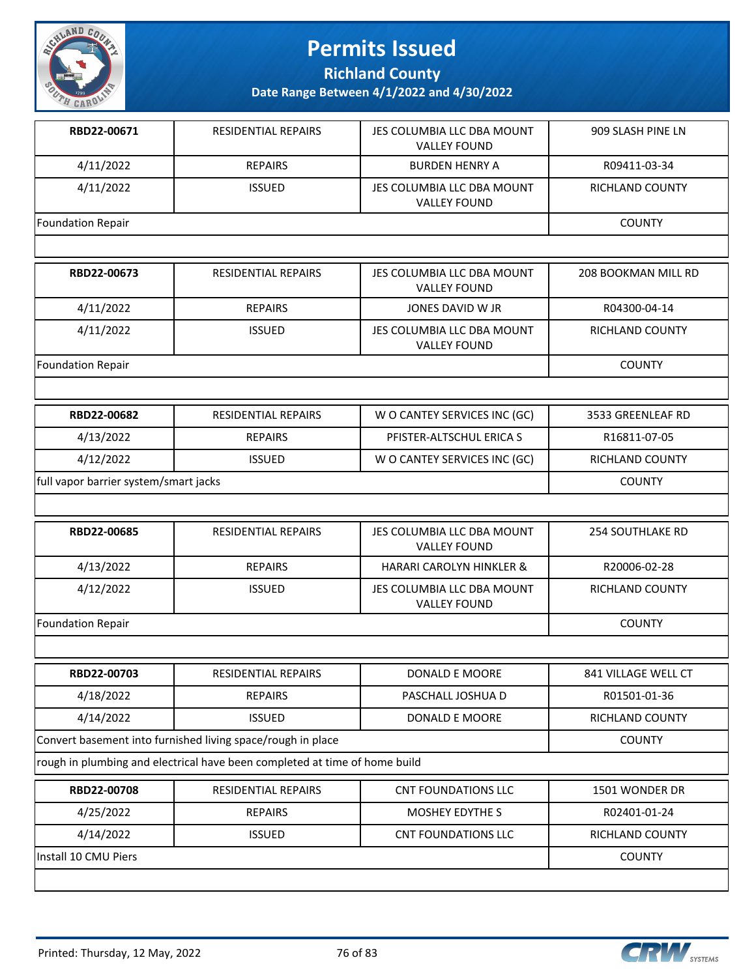

**Richland County**

**Date Range Between 4/1/2022 and 4/30/2022**

| RBD22-00671              | <b>RESIDENTIAL REPAIRS</b> | JES COLUMBIA LLC DBA MOUNT<br><b>VALLEY FOUND</b> | 909 SLASH PINE LN      |
|--------------------------|----------------------------|---------------------------------------------------|------------------------|
| 4/11/2022                | <b>REPAIRS</b>             | <b>BURDEN HENRY A</b>                             | R09411-03-34           |
| 4/11/2022                | <b>ISSUED</b>              | JES COLUMBIA LLC DBA MOUNT<br><b>VALLEY FOUND</b> | <b>RICHLAND COUNTY</b> |
| Foundation Repair        |                            |                                                   | <b>COUNTY</b>          |
|                          |                            |                                                   |                        |
| RBD22-00673              | <b>RESIDENTIAL REPAIRS</b> | JES COLUMBIA LLC DBA MOUNT<br><b>VALLEY FOUND</b> | 208 BOOKMAN MILL RD    |
| 4/11/2022                | <b>REPAIRS</b>             | JONES DAVID W JR                                  | R04300-04-14           |
| 4/11/2022                | <b>ISSUED</b>              | JES COLUMBIA LLC DBA MOUNT<br><b>VALLEY FOUND</b> | <b>RICHLAND COUNTY</b> |
| <b>Foundation Repair</b> |                            | <b>COUNTY</b>                                     |                        |
|                          |                            |                                                   |                        |
| RBD22-00682              | <b>RESIDENTIAL REPAIRS</b> | W O CANTEY SERVICES INC (GC)                      | 3533 GREENLEAF RD      |
| 4/13/2022                | <b>REPAIRS</b>             | PFISTER-ALTSCHUL ERICA S                          | R16811-07-05           |
| 4/12/2022                | <b>ISSUED</b>              | W O CANTEY SERVICES INC (GC)                      | RICHLAND COUNTY        |

full vapor barrier system/smart jacks COUNTY

| RBD22-00685       | <b>RESIDENTIAL REPAIRS</b> | JES COLUMBIA LLC DBA MOUNT<br><b>VALLEY FOUND</b> | <b>254 SOUTHLAKE RD</b> |
|-------------------|----------------------------|---------------------------------------------------|-------------------------|
| 4/13/2022         | <b>REPAIRS</b>             | <b>HARARI CAROLYN HINKLER &amp;</b>               | R20006-02-28            |
| 4/12/2022         | <b>ISSUED</b>              | JES COLUMBIA LLC DBA MOUNT<br><b>VALLEY FOUND</b> | RICHLAND COUNTY         |
| Foundation Repair |                            |                                                   | <b>COUNTY</b>           |

| RBD22-00703                                                 | <b>RESIDENTIAL REPAIRS</b> | DONALD E MOORE    | 841 VILLAGE WELL CT |
|-------------------------------------------------------------|----------------------------|-------------------|---------------------|
| 4/18/2022                                                   | <b>REPAIRS</b>             | PASCHALL JOSHUA D | R01501-01-36        |
| 4/14/2022                                                   | <b>ISSUED</b>              | DONALD E MOORE    | RICHLAND COUNTY     |
| Convert basement into furnished living space/rough in place |                            |                   | <b>COUNTY</b>       |

rough in plumbing and electrical have been completed at time of home build

| RBD22-00708           | RESIDENTIAL REPAIRS | CNT FOUNDATIONS LLC | 1501 WONDER DR  |
|-----------------------|---------------------|---------------------|-----------------|
| 4/25/2022             | <b>REPAIRS</b>      | MOSHEY EDYTHE S     | R02401-01-24    |
| 4/14/2022             | <b>ISSUED</b>       | CNT FOUNDATIONS LLC | RICHLAND COUNTY |
| lInstall 10 CMU Piers |                     |                     | COUNTY          |
|                       |                     |                     |                 |

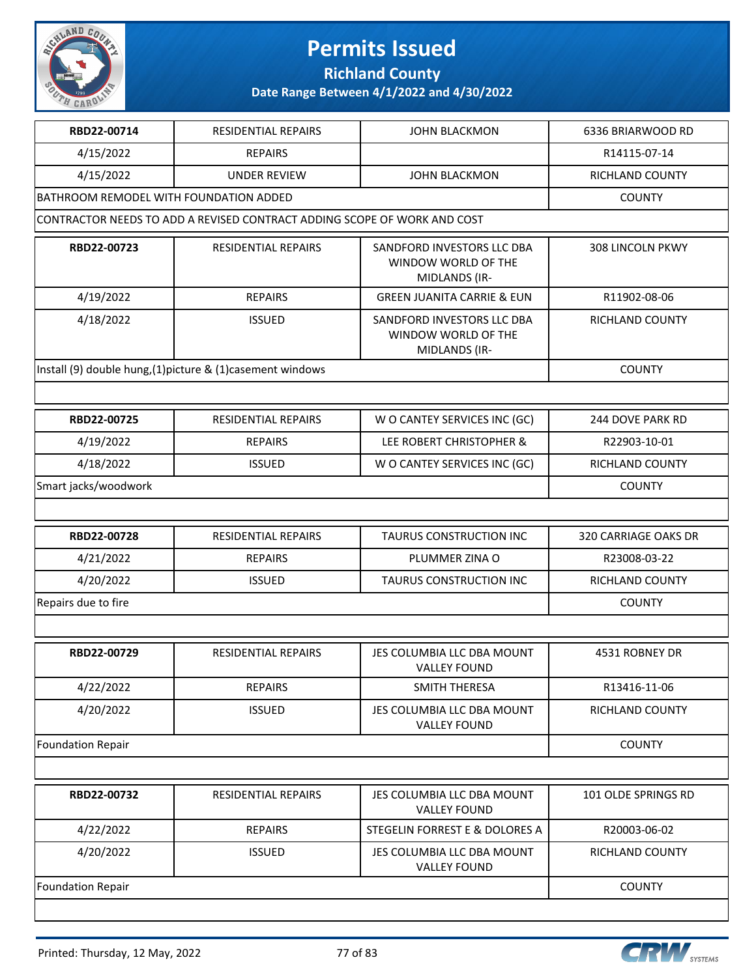

**Richland County**

| RBD22-00714                            | RESIDENTIAL REPAIRS                                                      | <b>JOHN BLACKMON</b>                                               | 6336 BRIARWOOD RD       |
|----------------------------------------|--------------------------------------------------------------------------|--------------------------------------------------------------------|-------------------------|
| 4/15/2022                              | <b>REPAIRS</b>                                                           |                                                                    | R14115-07-14            |
| 4/15/2022                              | <b>UNDER REVIEW</b>                                                      | <b>JOHN BLACKMON</b>                                               | RICHLAND COUNTY         |
| BATHROOM REMODEL WITH FOUNDATION ADDED |                                                                          |                                                                    | <b>COUNTY</b>           |
|                                        | CONTRACTOR NEEDS TO ADD A REVISED CONTRACT ADDING SCOPE OF WORK AND COST |                                                                    |                         |
| RBD22-00723                            | <b>RESIDENTIAL REPAIRS</b>                                               | SANDFORD INVESTORS LLC DBA<br>WINDOW WORLD OF THE<br>MIDLANDS (IR- | <b>308 LINCOLN PKWY</b> |
| 4/19/2022                              | <b>REPAIRS</b>                                                           | <b>GREEN JUANITA CARRIE &amp; EUN</b>                              | R11902-08-06            |
| 4/18/2022                              | <b>ISSUED</b>                                                            | SANDFORD INVESTORS LLC DBA<br>WINDOW WORLD OF THE<br>MIDLANDS (IR- | RICHLAND COUNTY         |
|                                        | Install (9) double hung, (1) picture & (1) casement windows              |                                                                    | <b>COUNTY</b>           |
|                                        |                                                                          |                                                                    |                         |
| RBD22-00725                            | <b>RESIDENTIAL REPAIRS</b>                                               | W O CANTEY SERVICES INC (GC)                                       | 244 DOVE PARK RD        |
| 4/19/2022                              | <b>REPAIRS</b>                                                           | LEE ROBERT CHRISTOPHER &                                           | R22903-10-01            |
| 4/18/2022                              | <b>ISSUED</b>                                                            | W O CANTEY SERVICES INC (GC)                                       | RICHLAND COUNTY         |
| Smart jacks/woodwork                   |                                                                          |                                                                    | <b>COUNTY</b>           |
|                                        |                                                                          |                                                                    |                         |
| RBD22-00728                            | RESIDENTIAL REPAIRS                                                      | TAURUS CONSTRUCTION INC                                            | 320 CARRIAGE OAKS DR    |
| 4/21/2022                              | <b>REPAIRS</b>                                                           | PLUMMER ZINA O                                                     | R23008-03-22            |
| 4/20/2022                              | <b>ISSUED</b>                                                            | TAURUS CONSTRUCTION INC                                            | RICHLAND COUNTY         |
| Repairs due to fire                    |                                                                          |                                                                    | <b>COUNTY</b>           |
|                                        |                                                                          |                                                                    |                         |
| RBD22-00729                            | RESIDENTIAL REPAIRS                                                      | JES COLUMBIA LLC DBA MOUNT<br><b>VALLEY FOUND</b>                  | 4531 ROBNEY DR          |
| 4/22/2022                              | <b>REPAIRS</b>                                                           | SMITH THERESA                                                      | R13416-11-06            |
| 4/20/2022                              | <b>ISSUED</b>                                                            | JES COLUMBIA LLC DBA MOUNT<br><b>VALLEY FOUND</b>                  | RICHLAND COUNTY         |
| <b>Foundation Repair</b>               |                                                                          |                                                                    | <b>COUNTY</b>           |
|                                        |                                                                          |                                                                    |                         |
| RBD22-00732                            | RESIDENTIAL REPAIRS                                                      | JES COLUMBIA LLC DBA MOUNT<br><b>VALLEY FOUND</b>                  | 101 OLDE SPRINGS RD     |
| 4/22/2022                              | <b>REPAIRS</b>                                                           | STEGELIN FORREST E & DOLORES A                                     | R20003-06-02            |
| 4/20/2022                              | <b>ISSUED</b>                                                            | JES COLUMBIA LLC DBA MOUNT<br><b>VALLEY FOUND</b>                  | RICHLAND COUNTY         |
| <b>Foundation Repair</b>               |                                                                          |                                                                    | <b>COUNTY</b>           |
|                                        |                                                                          |                                                                    |                         |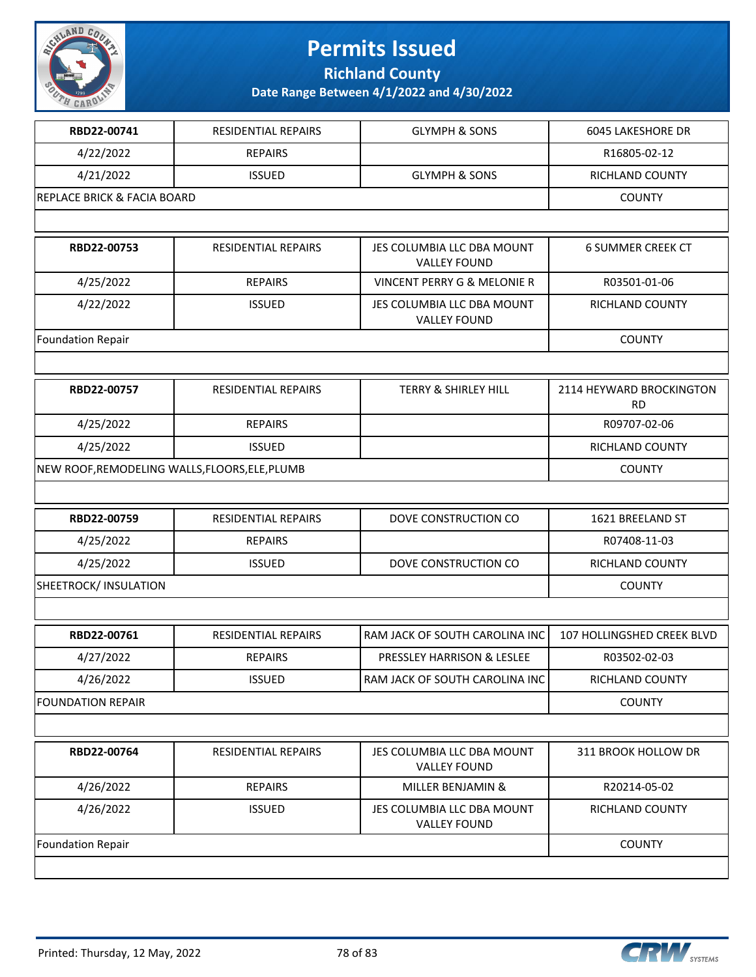

**Richland County**

| RBD22-00741                                    | RESIDENTIAL REPAIRS        | <b>GLYMPH &amp; SONS</b>                          | <b>6045 LAKESHORE DR</b>              |
|------------------------------------------------|----------------------------|---------------------------------------------------|---------------------------------------|
| 4/22/2022                                      | <b>REPAIRS</b>             |                                                   | R16805-02-12                          |
| 4/21/2022                                      | <b>ISSUED</b>              | <b>GLYMPH &amp; SONS</b>                          | RICHLAND COUNTY                       |
| <b>REPLACE BRICK &amp; FACIA BOARD</b>         |                            |                                                   | <b>COUNTY</b>                         |
|                                                |                            |                                                   |                                       |
| RBD22-00753                                    | RESIDENTIAL REPAIRS        | JES COLUMBIA LLC DBA MOUNT<br><b>VALLEY FOUND</b> | <b>6 SUMMER CREEK CT</b>              |
| 4/25/2022                                      | <b>REPAIRS</b>             | <b>VINCENT PERRY G &amp; MELONIE R</b>            | R03501-01-06                          |
| 4/22/2022                                      | <b>ISSUED</b>              | JES COLUMBIA LLC DBA MOUNT<br><b>VALLEY FOUND</b> | RICHLAND COUNTY                       |
| Foundation Repair                              |                            |                                                   | <b>COUNTY</b>                         |
|                                                |                            |                                                   |                                       |
| RBD22-00757                                    | <b>RESIDENTIAL REPAIRS</b> | <b>TERRY &amp; SHIRLEY HILL</b>                   | 2114 HEYWARD BROCKINGTON<br><b>RD</b> |
| 4/25/2022                                      | <b>REPAIRS</b>             |                                                   | R09707-02-06                          |
| 4/25/2022                                      | <b>ISSUED</b>              |                                                   | RICHLAND COUNTY                       |
| NEW ROOF, REMODELING WALLS, FLOORS, ELE, PLUMB | <b>COUNTY</b>              |                                                   |                                       |
|                                                |                            |                                                   |                                       |
| RBD22-00759                                    | RESIDENTIAL REPAIRS        | DOVE CONSTRUCTION CO                              | 1621 BREELAND ST                      |
| 4/25/2022                                      | <b>REPAIRS</b>             |                                                   | R07408-11-03                          |
| 4/25/2022                                      | <b>ISSUED</b>              | DOVE CONSTRUCTION CO                              | RICHLAND COUNTY                       |
| SHEETROCK/ INSULATION                          |                            |                                                   | <b>COUNTY</b>                         |
|                                                |                            |                                                   |                                       |
| RBD22-00761                                    | RESIDENTIAL REPAIRS        | RAM JACK OF SOUTH CAROLINA INC                    | 107 HOLLINGSHED CREEK BLVD            |
| 4/27/2022                                      | <b>REPAIRS</b>             | PRESSLEY HARRISON & LESLEE                        | R03502-02-03                          |
| 4/26/2022                                      | <b>ISSUED</b>              | RAM JACK OF SOUTH CAROLINA INC                    | RICHLAND COUNTY                       |
| <b>FOUNDATION REPAIR</b>                       |                            |                                                   | <b>COUNTY</b>                         |
|                                                |                            |                                                   |                                       |
| RBD22-00764                                    | RESIDENTIAL REPAIRS        | JES COLUMBIA LLC DBA MOUNT<br><b>VALLEY FOUND</b> | 311 BROOK HOLLOW DR                   |
| 4/26/2022                                      | <b>REPAIRS</b>             | MILLER BENJAMIN &                                 | R20214-05-02                          |
| 4/26/2022                                      | <b>ISSUED</b>              | JES COLUMBIA LLC DBA MOUNT<br><b>VALLEY FOUND</b> | RICHLAND COUNTY                       |
| Foundation Repair                              |                            |                                                   | <b>COUNTY</b>                         |
|                                                |                            |                                                   |                                       |

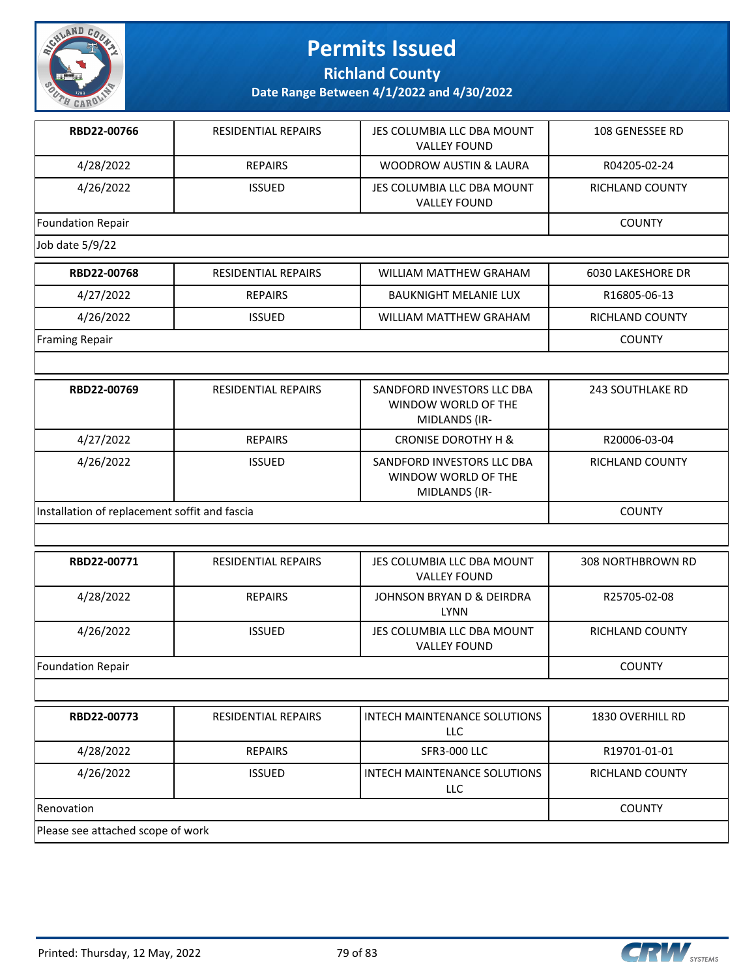

**Richland County**

| RBD22-00766                       | RESIDENTIAL REPAIRS                           | JES COLUMBIA LLC DBA MOUNT<br><b>VALLEY FOUND</b>                  | 108 GENESSEE RD          |  |  |
|-----------------------------------|-----------------------------------------------|--------------------------------------------------------------------|--------------------------|--|--|
| 4/28/2022                         | <b>REPAIRS</b>                                | <b>WOODROW AUSTIN &amp; LAURA</b>                                  | R04205-02-24             |  |  |
| 4/26/2022                         | <b>ISSUED</b>                                 | JES COLUMBIA LLC DBA MOUNT<br><b>VALLEY FOUND</b>                  | RICHLAND COUNTY          |  |  |
| <b>Foundation Repair</b>          |                                               |                                                                    | <b>COUNTY</b>            |  |  |
| Job date 5/9/22                   |                                               |                                                                    |                          |  |  |
| RBD22-00768                       | RESIDENTIAL REPAIRS                           | WILLIAM MATTHEW GRAHAM                                             | <b>6030 LAKESHORE DR</b> |  |  |
| 4/27/2022                         | <b>REPAIRS</b>                                | <b>BAUKNIGHT MELANIE LUX</b>                                       | R16805-06-13             |  |  |
| 4/26/2022                         | <b>ISSUED</b>                                 | WILLIAM MATTHEW GRAHAM                                             | RICHLAND COUNTY          |  |  |
| Framing Repair                    |                                               |                                                                    | <b>COUNTY</b>            |  |  |
|                                   |                                               |                                                                    |                          |  |  |
| RBD22-00769                       | RESIDENTIAL REPAIRS                           | SANDFORD INVESTORS LLC DBA<br>WINDOW WORLD OF THE<br>MIDLANDS (IR- | <b>243 SOUTHLAKE RD</b>  |  |  |
| 4/27/2022                         | <b>REPAIRS</b>                                | <b>CRONISE DOROTHY H &amp;</b>                                     | R20006-03-04             |  |  |
| 4/26/2022                         | <b>ISSUED</b>                                 | SANDFORD INVESTORS LLC DBA<br>WINDOW WORLD OF THE<br>MIDLANDS (IR- | RICHLAND COUNTY          |  |  |
|                                   | Installation of replacement soffit and fascia |                                                                    |                          |  |  |
|                                   |                                               |                                                                    |                          |  |  |
| RBD22-00771                       | RESIDENTIAL REPAIRS                           | JES COLUMBIA LLC DBA MOUNT<br><b>VALLEY FOUND</b>                  | 308 NORTHBROWN RD        |  |  |
| 4/28/2022                         | <b>REPAIRS</b>                                | JOHNSON BRYAN D & DEIRDRA<br><b>LYNN</b>                           | R25705-02-08             |  |  |
| 4/26/2022                         | <b>ISSUED</b>                                 | JES COLUMBIA LLC DBA MOUNT<br><b>VALLEY FOUND</b>                  | RICHLAND COUNTY          |  |  |
| Foundation Repair                 |                                               |                                                                    | <b>COUNTY</b>            |  |  |
|                                   |                                               |                                                                    |                          |  |  |
| RBD22-00773                       | RESIDENTIAL REPAIRS                           | <b>INTECH MAINTENANCE SOLUTIONS</b><br>LLC                         | 1830 OVERHILL RD         |  |  |
| 4/28/2022                         | <b>REPAIRS</b>                                | <b>SFR3-000 LLC</b>                                                | R19701-01-01             |  |  |
| 4/26/2022                         | <b>ISSUED</b>                                 | INTECH MAINTENANCE SOLUTIONS<br>LLC                                | RICHLAND COUNTY          |  |  |
| Renovation                        |                                               |                                                                    | <b>COUNTY</b>            |  |  |
| Please see attached scope of work |                                               |                                                                    |                          |  |  |

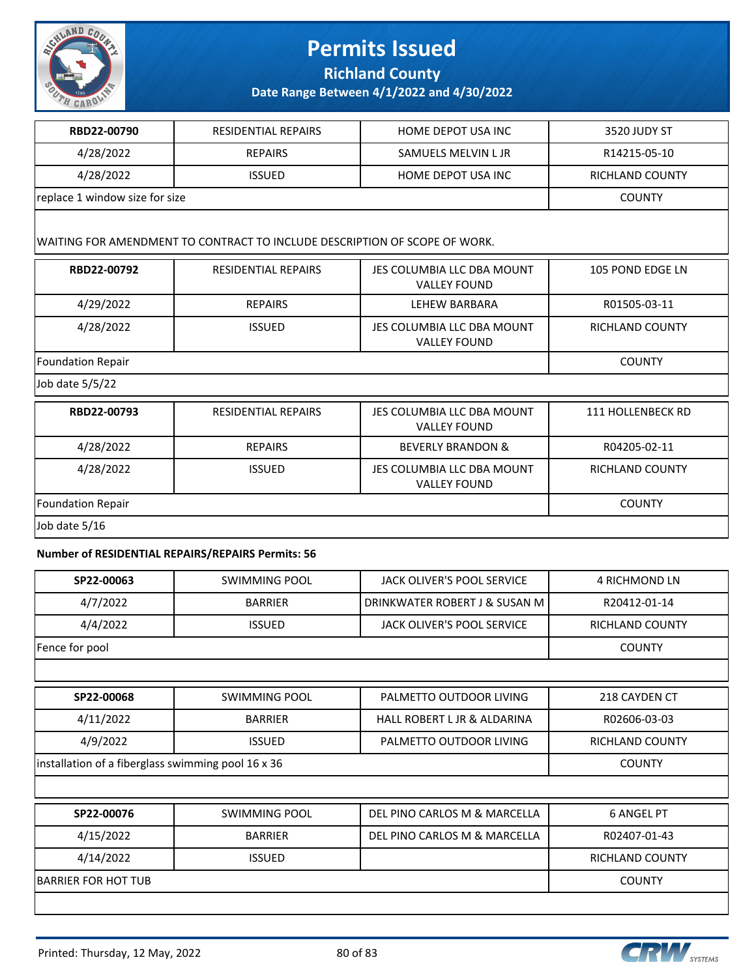

**Richland County**

**Date Range Between 4/1/2022 and 4/30/2022**

| RBD22-00790                    | RESIDENTIAL REPAIRS | HOME DEPOT USA INC  | 3520 JUDY ST    |
|--------------------------------|---------------------|---------------------|-----------------|
| 4/28/2022                      | <b>REPAIRS</b>      | SAMUELS MELVIN L JR | R14215-05-10    |
| 4/28/2022                      | <b>ISSUED</b>       | HOME DEPOT USA INC  | RICHLAND COUNTY |
| replace 1 window size for size |                     |                     | <b>COUNTY</b>   |
|                                |                     |                     |                 |

#### WAITING FOR AMENDMENT TO CONTRACT TO INCLUDE DESCRIPTION OF SCOPE OF WORK.

| RBD22-00792              | <b>RESIDENTIAL REPAIRS</b> | JES COLUMBIA LLC DBA MOUNT<br><b>VALLEY FOUND</b> | 105 POND EDGE LN         |
|--------------------------|----------------------------|---------------------------------------------------|--------------------------|
| 4/29/2022                | <b>REPAIRS</b>             | LEHEW BARBARA                                     | R01505-03-11             |
| 4/28/2022                | <b>ISSUED</b>              | JES COLUMBIA LLC DBA MOUNT<br><b>VALLEY FOUND</b> | <b>RICHLAND COUNTY</b>   |
| Foundation Repair        | <b>COUNTY</b>              |                                                   |                          |
| Job date 5/5/22          |                            |                                                   |                          |
| RBD22-00793              | <b>RESIDENTIAL REPAIRS</b> | JES COLUMBIA LLC DBA MOUNT<br><b>VALLEY FOUND</b> | <b>111 HOLLENBECK RD</b> |
| 4/28/2022                | <b>REPAIRS</b>             | <b>BEVERLY BRANDON &amp;</b>                      | R04205-02-11             |
| 4/28/2022                | <b>ISSUED</b>              | JES COLUMBIA LLC DBA MOUNT<br><b>VALLEY FOUND</b> | <b>RICHLAND COUNTY</b>   |
| <b>Foundation Repair</b> |                            |                                                   | <b>COUNTY</b>            |
| Job date 5/16            |                            |                                                   |                          |

#### **Number of RESIDENTIAL REPAIRS/REPAIRS Permits: 56**

| SP22-00063                                         | <b>SWIMMING POOL</b> | JACK OLIVER'S POOL SERVICE    | <b>4 RICHMOND LN</b>   |
|----------------------------------------------------|----------------------|-------------------------------|------------------------|
| 4/7/2022                                           | <b>BARRIER</b>       | DRINKWATER ROBERT J & SUSAN M | R20412-01-14           |
| 4/4/2022                                           | <b>ISSUED</b>        | JACK OLIVER'S POOL SERVICE    | <b>RICHLAND COUNTY</b> |
| Fence for pool                                     |                      |                               | <b>COUNTY</b>          |
|                                                    |                      |                               |                        |
| SP22-00068                                         | <b>SWIMMING POOL</b> | PALMETTO OUTDOOR LIVING       | 218 CAYDEN CT          |
| 4/11/2022                                          | <b>BARRIER</b>       | HALL ROBERT L JR & ALDARINA   | R02606-03-03           |
| 4/9/2022                                           | <b>ISSUED</b>        | PALMETTO OUTDOOR LIVING       | <b>RICHLAND COUNTY</b> |
| installation of a fiberglass swimming pool 16 x 36 |                      |                               | <b>COUNTY</b>          |
|                                                    |                      |                               |                        |
| SP22-00076                                         | <b>SWIMMING POOL</b> | DEL PINO CARLOS M & MARCELLA  | <b>6 ANGEL PT</b>      |
| 4/15/2022                                          | <b>BARRIER</b>       | DEL PINO CARLOS M & MARCELLA  | R02407-01-43           |
| 4/14/2022                                          | <b>ISSUED</b>        |                               | <b>RICHLAND COUNTY</b> |
| <b>BARRIER FOR HOT TUB</b>                         |                      |                               | <b>COUNTY</b>          |
|                                                    |                      |                               |                        |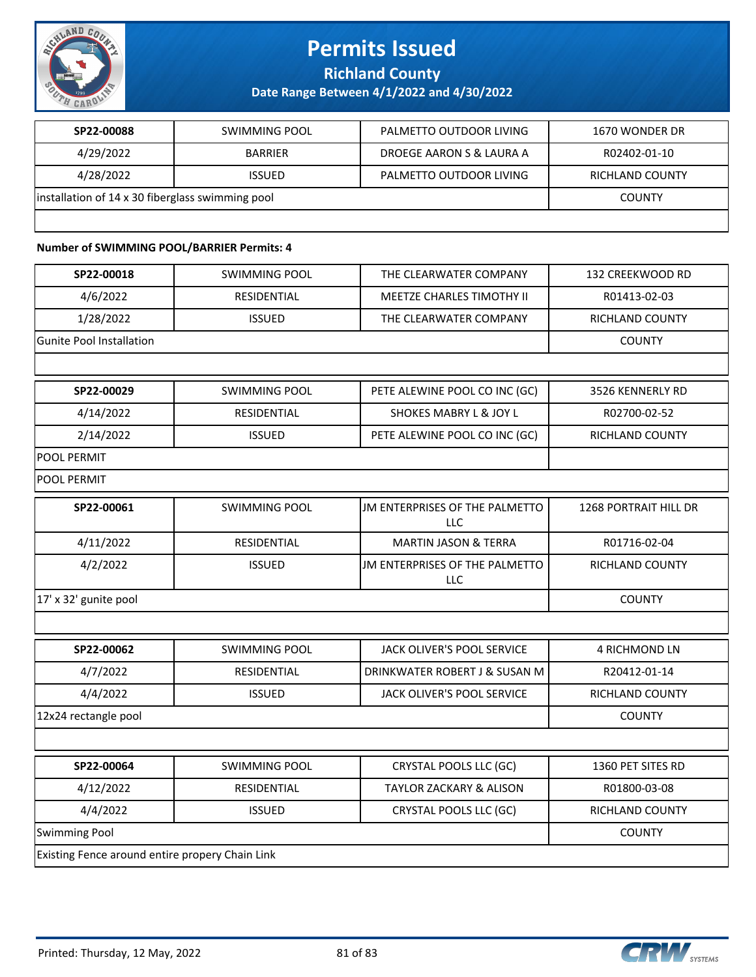

**Richland County**

**Date Range Between 4/1/2022 and 4/30/2022**

| SP22-00088                                       | SWIMMING POOL  | PALMETTO OUTDOOR LIVING  | 1670 WONDER DR         |
|--------------------------------------------------|----------------|--------------------------|------------------------|
| 4/29/2022                                        | <b>BARRIER</b> | DROEGE AARON S & LAURA A | R02402-01-10           |
| 4/28/2022                                        | <b>ISSUED</b>  | PALMETTO OUTDOOR LIVING  | <b>RICHLAND COUNTY</b> |
| installation of 14 x 30 fiberglass swimming pool |                |                          | <b>COUNTY</b>          |
|                                                  |                |                          |                        |

### **Number of SWIMMING POOL/BARRIER Permits: 4**

| SP22-00018                                      | <b>SWIMMING POOL</b> | THE CLEARWATER COMPANY                       | 132 CREEKWOOD RD             |
|-------------------------------------------------|----------------------|----------------------------------------------|------------------------------|
| 4/6/2022                                        | <b>RESIDENTIAL</b>   | <b>MEETZE CHARLES TIMOTHY II</b>             | R01413-02-03                 |
| 1/28/2022                                       | <b>ISSUED</b>        | THE CLEARWATER COMPANY                       | <b>RICHLAND COUNTY</b>       |
| <b>Gunite Pool Installation</b>                 |                      |                                              | <b>COUNTY</b>                |
|                                                 |                      |                                              |                              |
| SP22-00029                                      | <b>SWIMMING POOL</b> | PETE ALEWINE POOL CO INC (GC)                | 3526 KENNERLY RD             |
| 4/14/2022                                       | <b>RESIDENTIAL</b>   | <b>SHOKES MABRY L &amp; JOY L</b>            | R02700-02-52                 |
| 2/14/2022                                       | <b>ISSUED</b>        | PETE ALEWINE POOL CO INC (GC)                | RICHLAND COUNTY              |
| <b>POOL PERMIT</b>                              |                      |                                              |                              |
| POOL PERMIT                                     |                      |                                              |                              |
| SP22-00061                                      | <b>SWIMMING POOL</b> | JM ENTERPRISES OF THE PALMETTO<br><b>LLC</b> | <b>1268 PORTRAIT HILL DR</b> |
| 4/11/2022                                       | <b>RESIDENTIAL</b>   | <b>MARTIN JASON &amp; TERRA</b>              | R01716-02-04                 |
| 4/2/2022                                        | <b>ISSUED</b>        | JM ENTERPRISES OF THE PALMETTO<br>LLC        | <b>RICHLAND COUNTY</b>       |
| 17' x 32' gunite pool                           |                      |                                              | <b>COUNTY</b>                |
|                                                 |                      |                                              |                              |
| SP22-00062                                      | <b>SWIMMING POOL</b> | JACK OLIVER'S POOL SERVICE                   | <b>4 RICHMOND LN</b>         |
| 4/7/2022                                        | <b>RESIDENTIAL</b>   | DRINKWATER ROBERT J & SUSAN M                | R20412-01-14                 |
| 4/4/2022                                        | <b>ISSUED</b>        | JACK OLIVER'S POOL SERVICE                   | <b>RICHLAND COUNTY</b>       |
| 12x24 rectangle pool                            |                      |                                              | <b>COUNTY</b>                |
|                                                 |                      |                                              |                              |
| SP22-00064                                      | <b>SWIMMING POOL</b> | CRYSTAL POOLS LLC (GC)                       | 1360 PET SITES RD            |
| 4/12/2022                                       | RESIDENTIAL          | <b>TAYLOR ZACKARY &amp; ALISON</b>           | R01800-03-08                 |
| 4/4/2022                                        | <b>ISSUED</b>        | CRYSTAL POOLS LLC (GC)                       | <b>RICHLAND COUNTY</b>       |
| Swimming Pool                                   |                      |                                              | <b>COUNTY</b>                |
| Existing Fence around entire propery Chain Link |                      |                                              |                              |

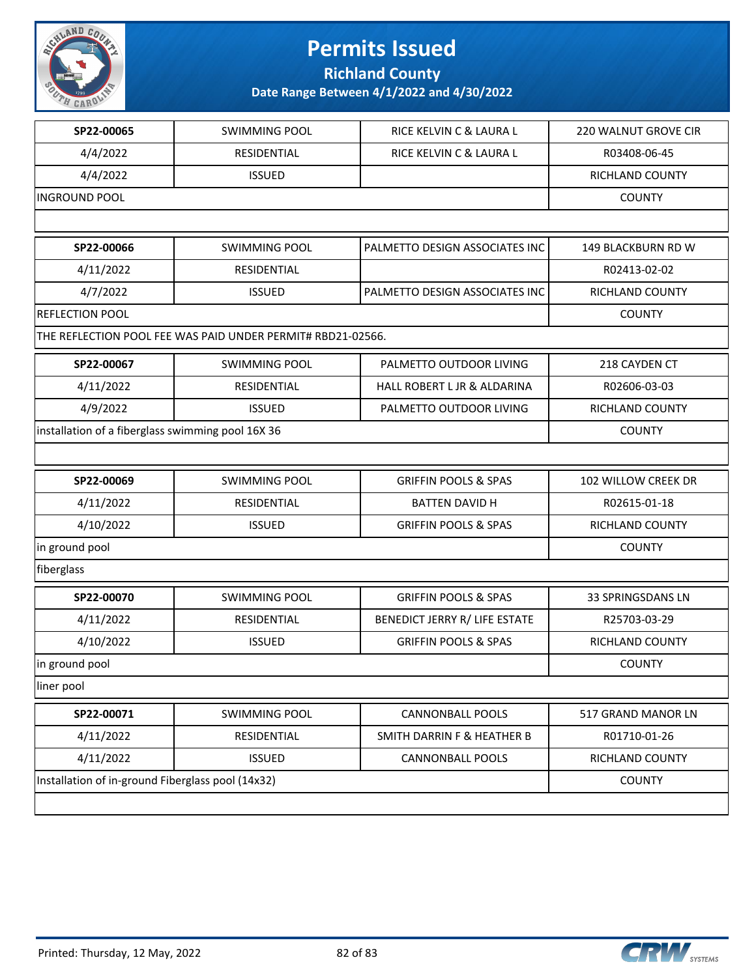

**Richland County**

| SP22-00065                                        | <b>SWIMMING POOL</b>                                        | RICE KELVIN C & LAURA L               | 220 WALNUT GROVE CIR |
|---------------------------------------------------|-------------------------------------------------------------|---------------------------------------|----------------------|
| 4/4/2022                                          | RESIDENTIAL                                                 | RICE KELVIN C & LAURA L               | R03408-06-45         |
| 4/4/2022                                          | <b>ISSUED</b>                                               |                                       | RICHLAND COUNTY      |
| <b>INGROUND POOL</b>                              |                                                             |                                       | <b>COUNTY</b>        |
|                                                   |                                                             |                                       |                      |
| SP22-00066                                        | <b>SWIMMING POOL</b>                                        | PALMETTO DESIGN ASSOCIATES INC        | 149 BLACKBURN RD W   |
| 4/11/2022                                         | RESIDENTIAL                                                 |                                       | R02413-02-02         |
| 4/7/2022                                          | <b>ISSUED</b>                                               | PALMETTO DESIGN ASSOCIATES INC        | RICHLAND COUNTY      |
| REFLECTION POOL                                   |                                                             |                                       | <b>COUNTY</b>        |
|                                                   | THE REFLECTION POOL FEE WAS PAID UNDER PERMIT# RBD21-02566. |                                       |                      |
| SP22-00067                                        | <b>SWIMMING POOL</b>                                        | PALMETTO OUTDOOR LIVING               | 218 CAYDEN CT        |
| 4/11/2022                                         | RESIDENTIAL                                                 | HALL ROBERT L JR & ALDARINA           | R02606-03-03         |
| 4/9/2022                                          | <b>ISSUED</b>                                               | PALMETTO OUTDOOR LIVING               | RICHLAND COUNTY      |
| installation of a fiberglass swimming pool 16X 36 |                                                             |                                       | <b>COUNTY</b>        |
|                                                   |                                                             |                                       |                      |
| SP22-00069                                        | <b>SWIMMING POOL</b>                                        | <b>GRIFFIN POOLS &amp; SPAS</b>       | 102 WILLOW CREEK DR  |
| 4/11/2022                                         | RESIDENTIAL                                                 | <b>BATTEN DAVID H</b>                 | R02615-01-18         |
| 4/10/2022                                         | <b>ISSUED</b>                                               | <b>GRIFFIN POOLS &amp; SPAS</b>       | RICHLAND COUNTY      |
| in ground pool                                    |                                                             |                                       | <b>COUNTY</b>        |
| fiberglass                                        |                                                             |                                       |                      |
| SP22-00070                                        | <b>SWIMMING POOL</b>                                        | <b>GRIFFIN POOLS &amp; SPAS</b>       | 33 SPRINGSDANS LN    |
| 4/11/2022                                         | RESIDENTIAL                                                 | BENEDICT JERRY R/ LIFE ESTATE         | R25703-03-29         |
| 4/10/2022                                         | <b>ISSUED</b>                                               | <b>GRIFFIN POOLS &amp; SPAS</b>       | RICHLAND COUNTY      |
| in ground pool                                    |                                                             |                                       | <b>COUNTY</b>        |
| liner pool                                        |                                                             |                                       |                      |
| SP22-00071                                        | <b>SWIMMING POOL</b>                                        | <b>CANNONBALL POOLS</b>               | 517 GRAND MANOR LN   |
| 4/11/2022                                         | RESIDENTIAL                                                 | <b>SMITH DARRIN F &amp; HEATHER B</b> | R01710-01-26         |
| 4/11/2022                                         | <b>ISSUED</b>                                               | <b>CANNONBALL POOLS</b>               | RICHLAND COUNTY      |
| Installation of in-ground Fiberglass pool (14x32) |                                                             |                                       | <b>COUNTY</b>        |
|                                                   |                                                             |                                       |                      |